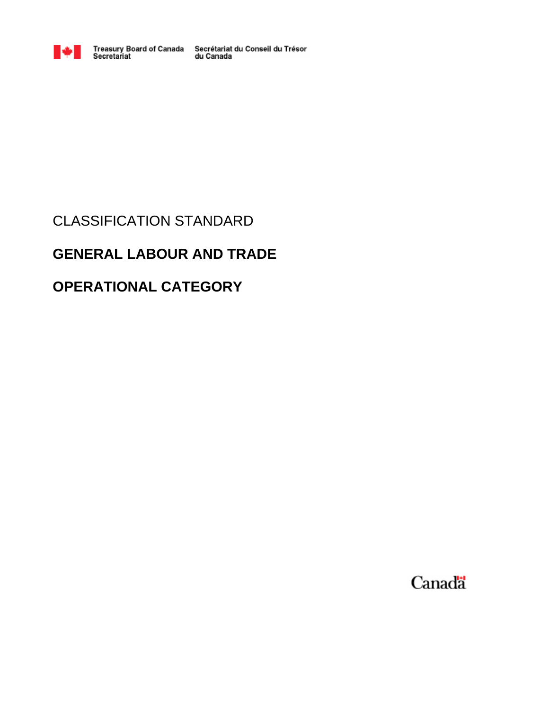

Treasury Board of Canada Secrétariat du Conseil du Trésor<br>Secretariat du Canada

# CLASSIFICATION STANDARD

# **GENERAL LABOUR AND TRADE**

# **OPERATIONAL CATEGORY**

Canadä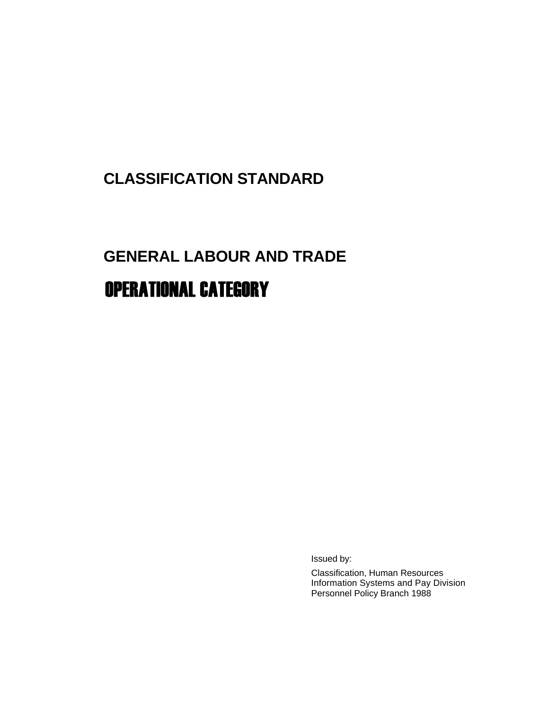# **CLASSIFICATION STANDARD**

# **GENERAL LABOUR AND TRADE**  OPERATIONAL CATEGORY

Issued by:

Classification, Human Resources Information Systems and Pay Division Personnel Policy Branch 1988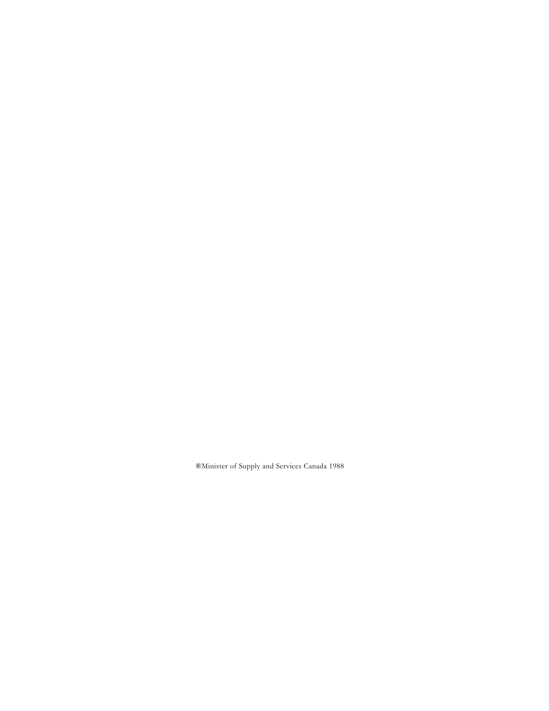®Minister of Supply and Services Canada 1988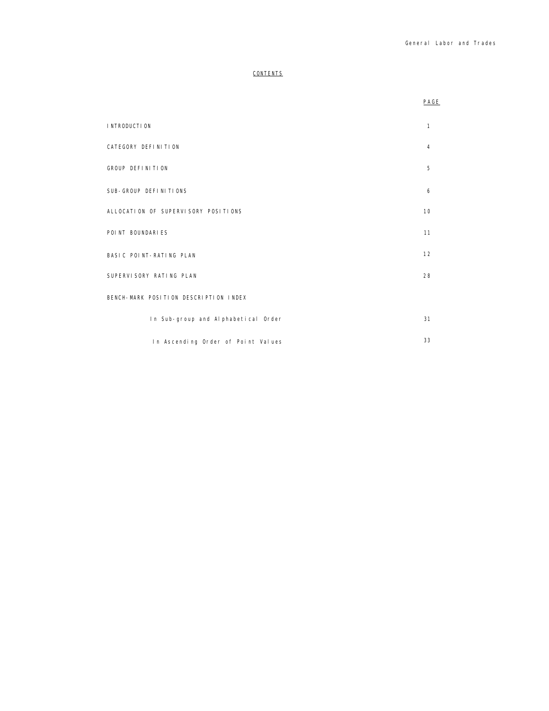## **CONTENTS**

|                                       | PAGE           |
|---------------------------------------|----------------|
| I NTRODUCTI ON                        | 1              |
| CATEGORY DEFINITION                   | $\overline{4}$ |
| GROUP DEFINITION                      | 5              |
| SUB-GROUP DEFINITIONS                 | 6              |
| ALLOCATION OF SUPERVISORY POSITIONS   | 10             |
| POINT BOUNDARIES                      | 11             |
| BASIC POINT-RATING PLAN               | 12             |
| SUPERVISORY RATING PLAN               | 28             |
| BENCH-MARK POSITION DESCRIPTION INDEX |                |
| In Sub-group and Alphabetical Order   | 31             |
| In Ascending Order of Point Values    | 33             |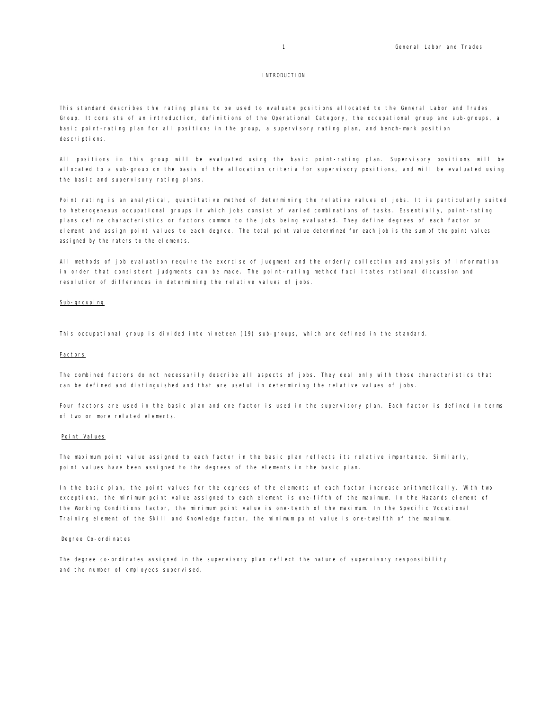#### INTRODUCTION

This standard describes the rating plans to be used to evaluate positions allocated to the General Labor and Trades Group. It consists of an introduction, definitions of the Operational Category, the occupational group and sub-groups, a basic point-rating plan for all positions in the group, a supervisory rating plan, and bench-mark position descriptions.

All positions in this group will be evaluated using the basic point-rating plan. Supervisory positions will be allocated to a sub-group on the basis of the allocation criteria for supervisory positions, and will be evaluated using the basic and supervisory rating plans.

Point rating is an analytical, quantitative method of determining the relative values of jobs. It is particularly suited to heterogeneous occupational groups in which jobs consist of varied combinations of tasks. Essentially, point-rating plans define characteristics or factors common to the jobs being evaluated. They define degrees of each factor or element and assign point values to each degree. The total point value determined for each job is the sum of the point values assigned by the raters to the elements.

All methods of job evaluation require the exercise of judgment and the orderly collection and analysis of information in order that consistent judgments can be made. The point-rating method facilitates rational discussion and resolution of differences in determining the relative values of jobs.

#### Sub-grouping

This occupational group is divided into nineteen (19) sub-groups, which are defined in the standard.

#### Factors

The combined factors do not necessarily describe all aspects of jobs. They deal only with those characteristics that can be defined and distinguished and that are useful in determining the relative values of jobs.

Four factors are used in the basic plan and one factor is used in the supervisory plan. Each factor is defined in terms of two or more related elements.

#### Point Values

The maximum point value assigned to each factor in the basic plan reflects its relative importance. Similarly, point values have been assigned to the degrees of the elements in the basic plan.

In the basic plan, the point values for the degrees of the elements of each factor increase arithmetically. With two exceptions, the minimum point value assigned to each element is one-fifth of the maximum. In the Hazards element of the Working Conditions factor, the minimum point value is one-tenth of the maximum. In the Specific Vocational Training element of the Skill and Knowledge factor, the minimum point value is one-twelfth of the maximum.

## Degree Co-ordinates

The degree co-ordinates assigned in the supervisory plan reflect the nature of supervisory responsibility and the number of employees supervised.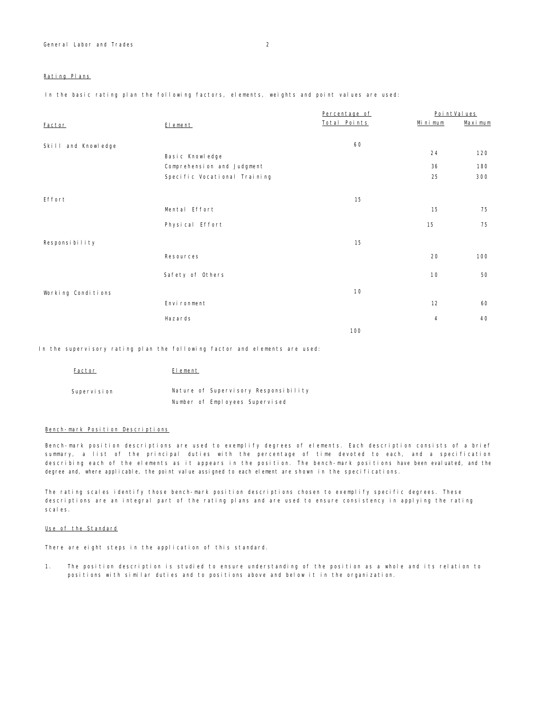## Rating Plans

In the basic rating plan the following factors, elements, weights and point values are used:

|                     |                              | Percentage of |                | PointValues |
|---------------------|------------------------------|---------------|----------------|-------------|
| Factor              | El ement                     | Total Points  | Minimum        | Maximum     |
|                     |                              |               |                |             |
| Skill and Knowledge |                              | 60            |                |             |
|                     | Basic Knowledge              |               | 24             | 120         |
|                     | Comprehension and Judgment   |               | 36             | 180         |
|                     | Specific Vocational Training |               | 25             | 300         |
|                     |                              |               |                |             |
| Effort              |                              | 15            |                |             |
|                     | Mental Effort                |               | 15             | 75          |
|                     | Physical Effort              |               | 15             | 75          |
|                     |                              |               |                |             |
| Responsibility      |                              | 15            |                |             |
|                     | Resources                    |               | 20             | 100         |
|                     |                              |               |                |             |
|                     | Safety of Others             |               | 10             | 50          |
| Working Conditions  |                              | 10            |                |             |
|                     | Environment                  |               | 12             | 60          |
|                     |                              |               |                |             |
|                     | Hazards                      |               | $\overline{4}$ | 40          |
|                     |                              | 100           |                |             |

In the supervisory rating plan the following factor and elements are used:

| Factor      | Element                              |
|-------------|--------------------------------------|
| Supervision | Nature of Supervisory Responsibility |
|             | Number of Employees Supervised       |

## Bench-mark Position Descriptions

Bench-mark position descriptions are used to exemplify degrees of elements. Each description consists of a brief summary, a list of the principal duties with the percentage of time devoted to each, and a specification describing each of the elements as it appears in the position. The bench-mark positions have been evaluated, and the degree and, where applicable, the point value assigned to each element are shown in the specifications.

The rating scales identify those bench-mark position descriptions chosen to exemplify specific degrees. These descriptions are an integral part of the rating plans and are used to ensure consistency in applying the rating scales.

## Use of the Standard

There are eight steps in the application of this standard.

1. The position description is studied to ensure understanding of the position as a whole and its relation to positions with similar duties and to positions above and below it in the organization.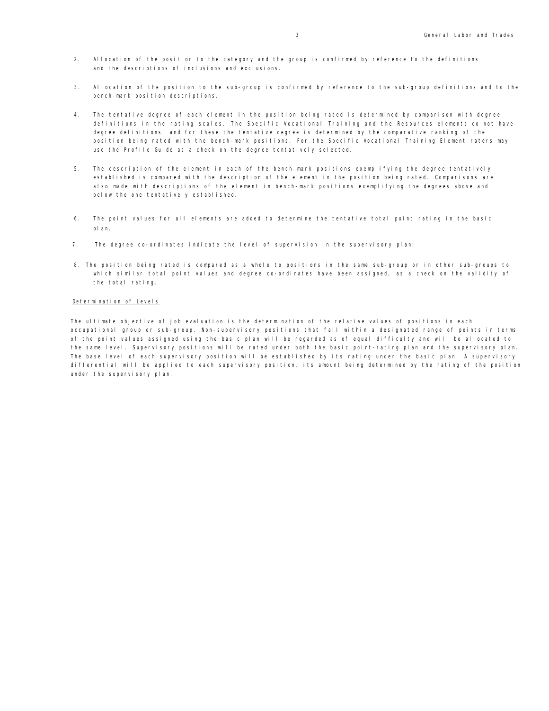- 2. Allocation of the position to the category and the group is confirmed by reference to the definitions and the descriptions of inclusions and exclusions.
- 3. Allocation of the position to the sub-group is confirmed by reference to the sub-group definitions and to the bench-mark position descriptions.
- 4. The tentative degree of each element in the position being rated is determined by comparison with degree definitions in the rating scales. The Specific Vocational Training and the Resources elements do not have degree definitions, and for these the tentative degree is determined by the comparative ranking of the position being rated with the bench-mark positions. For the Specific Vocational Training Element raters may use the Profile Guide as a check on the degree tentatively selected.
- 5. The description of the element in each of the bench-mark positions exemplifying the degree tentatively established is compared with the description of the element in the position being rated. Comparisons are also made with descriptions of the element in bench-mark positions exemplifying the degrees above and below the one tentatively established.
- 6. The point values for all elements are added to determine the tentative total point rating in the basic plan.
- 7. The degree co-ordinates indicate the level of supervision in the supervisory plan.
- 8. The position being rated is compared as a whole to positions in the same sub-group or in other sub-groups to which similar total point values and degree co-ordinates have been assigned, as a check on the validity of the total rating.

#### Determination of Levels

The ultimate objective of job evaluation is the determination of the relative values of positions in each occupational group or sub-group. Non-supervisory positions that fall within a designated range of points in terms of the point values assigned using the basic plan will be regarded as of equal difficulty and will be allocated to the same level. Supervisory positions will be rated under both the basic point-rating plan and the supervisory plan. The base level of each supervisory position will be established by its rating under the basic plan. A supervisory differential will be applied to each supervisory position, its amount being determined by the rating of the position under the supervisory plan.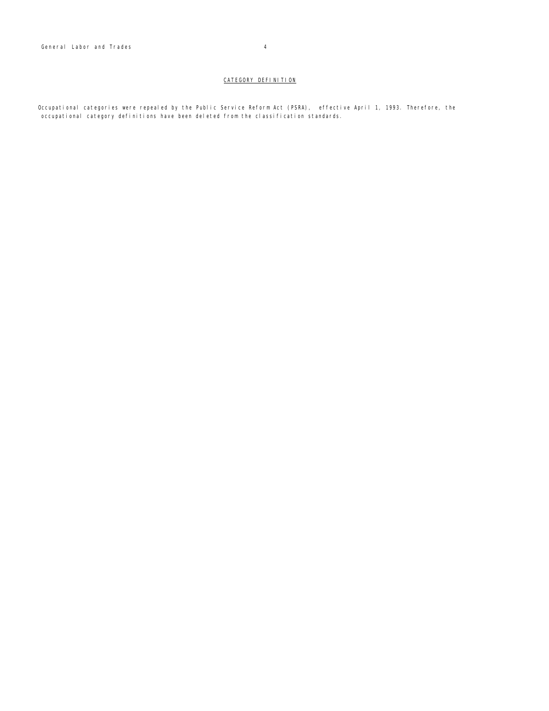Occupational categories were repealed by the Public Service Reform Act (PSRA), effective April 1, 1993. Therefore, the occupational category definitions have been deleted from the classification standards.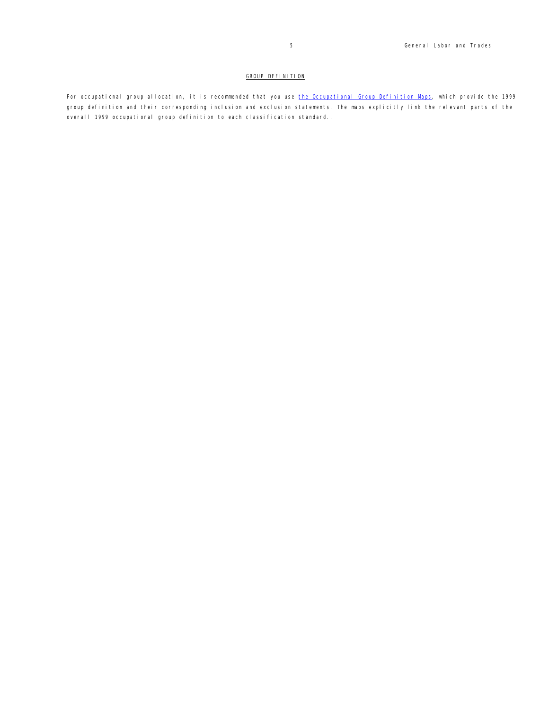## GROUP DEFINITION

For occupational group allocation, it is recommended that you use the Occupational Group Definition Maps, which provide the 1999 group definition and their corresponding inclusion and exclusion statements. The maps explicitly link the relevant parts of the overall 1999 occupational group definition to each classification standard..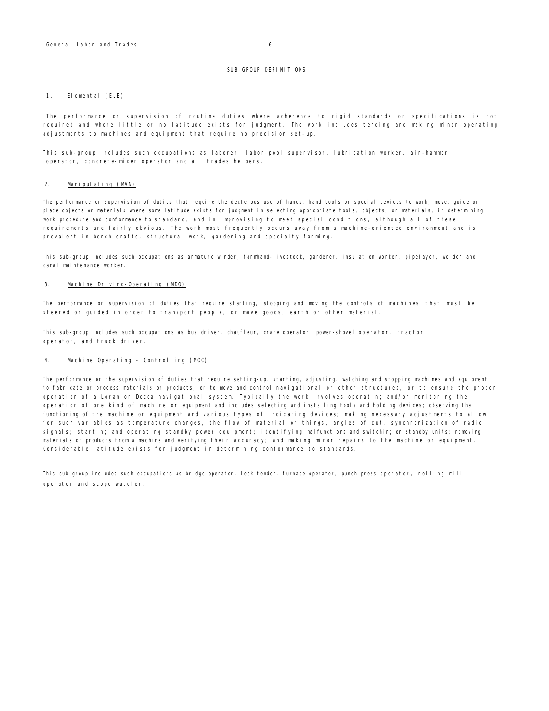#### 1. Elemental (ELE)

The performance or supervision of routine duties where adherence to rigid standards or specifications is not required and where little or no latitude exists for judgment. The work includes tending and making minor operating adjustments to machines and equipment that require no precision set-up.

This sub-group includes such occupations as laborer, labor-pool supervisor, lubrication worker, air-hammer operator, concrete-mixer operator and all trades helpers.

#### 2. Manipulating (MAN)

The performance or supervision of duties that require the dexterous use of hands, hand tools or special devices to work, move, guide or place objects or materials where some latitude exists for judgment in selecting appropriate tools, objects, or materials, in determining work procedure and conformance to standard, and in improvising to meet special conditions, although all of these requirements are fairly obvious. The work most frequently occurs away from a machine-oriented environment and is prevalent in bench-crafts, structural work, gardening and specialty farming.

This sub-group includes such occupations as armature winder, farmhand-livestock, gardener, insulation worker, pipelayer, welder and canal maintenance worker.

#### 3. Machine Driving-Operating (MDO)

The performance or supervision of duties that require starting, stopping and moving the controls of machines that must be steered or guided in order to transport people, or move goods, earth or other material.

This sub-group includes such occupations as bus driver, chauffeur, crane operator, power-shovel operator, tractor operator, and truck driver.

## 4. Machine Operating - Controlling (MOC)

The performance or the supervision of duties that require setting-up, starting, adjusting, watching and stopping machines and equipment to fabricate or process materials or products, or to move and control navigational or other structures, or to ensure the proper operation of a Loran or Decca navigational system. Typically the work involves operating and/or monitoring the operation of one kind of machine or equipment and includes selecting and installing tools and holding devices; observing the functioning of the machine or equipment and various types of indicating devices; making necessary adjustments to allow for such variables as temperature changes, the flow of material or things, angles of cut, synchronization of radio signals; starting and operating standby power equipment; identifying malfunctions and switching on standby units; removing materials or products from a machine and verifying their accuracy; and making minor repairs to the machine or equipment. Considerable latitude exists for judgment in determining conformance to standards.

This sub-group includes such occupations as bridge operator, lock tender, furnace operator, punch-press operator, rolling-mill operator and scope watcher.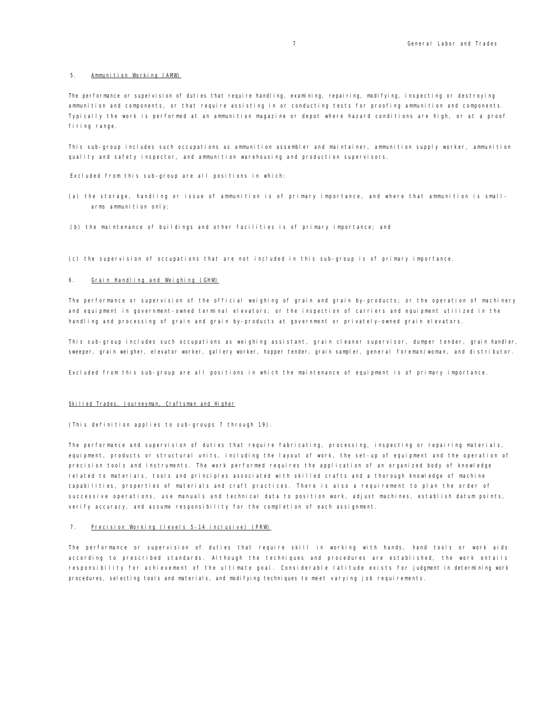#### 5. Ammunition Working (AMW)

The performance or supervision of duties that require handling, examining, repairing, modifying, inspecting or destroying ammunition and components, or that require assisting in or conducting tests for proofing ammunition and components. Typically the work is performed at an ammunition magazine or depot where hazard conditions are high, or at a proof firing range.

This sub-group includes such occupations as ammunition assembler and maintainer, ammunition supply worker, ammunition quality and safety inspector, and ammunition warehousing and production supervisors.

Excluded from this sub-group are all positions in which:

- (a) the storage, handling or issue of ammunition is of primary importance, and where that ammunition is smallarms ammunition only;
- (b) the maintenance of buildings and other facilities is of primary importance; and
- (c) the supervision of occupations that are not included in this sub-group is of primary importance.

#### 6. Grain Handling and Weighing (GHW)

The performance or supervision of the official weighing of grain and grain by-products; or the operation of machinery and equipment in government-owned terminal elevators; or the inspection of carriers and equipment utilized in the handling and processing of grain and grain by-products at government or privately-owned grain elevators.

This sub-group includes such occupations as weighing assistant, grain cleaner supervisor, dumper tender, grain handler, sweeper, grain weigher, elevator worker, gallery worker, hopper tender, grain sampler, general foreman/woman, and distributor.

Excluded from this sub-group are all positions in which the maintenance of equipment is of primary importance.

## Skilled Trades, Journeyman, Craftsman and Higher

(This definition applies to sub-groups 7 through 19).

The performance and supervision of duties that require fabricating, processing, inspecting or repairing materials, equipment, products or structural units, including the layout of work, the set-up of equipment and the operation of precision tools and instruments. The work performed requires the application of an organized body of knowledge related to materials, tools and principles associated with skilled crafts and a thorough knowledge of machine capabilities, properties of materials and craft practices. There is also a requirement to plan the order of successive operations, use manuals and technical data to position work, adjust machines, establish datum points, verify accuracy, and assume responsibility for the completion of each assignment.

#### 7. Precision Working (levels 5-14 inclusive) (PRW)

The performance or supervision of duties that require skill in working with hands, hand tools or work aids according to prescribed standards. Although the techniques and procedures are established, the work entails responsibility for achievement of the ultimate goal. Considerable latitude exists for judgment in determining work procedures, selecting tools and materials, and modifying techniques to meet varying job requirements.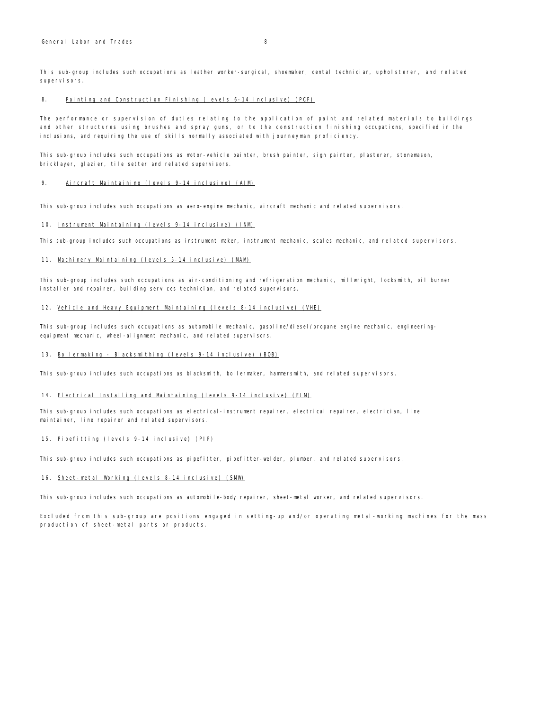This sub-group includes such occupations as leather worker-surgical, shoemaker, dental technician, upholsterer, and related supervisors.

#### 8. Painting and Construction Finishing (levels 6-14 inclusive) (PCF)

The performance or supervision of duties relating to the application of paint and related materials to buildings and other structures using brushes and spray guns, or to the construction finishing occupations, specified in the inclusions, and requiring the use of skills normally associated with journeyman proficiency.

This sub-group includes such occupations as motor-vehicle painter, brush painter, sign painter, plasterer, stonemason, bricklayer, glazier, tile setter and related supervisors.

#### 9. Aircraft Maintaining (levels 9-14 inclusive) (AIM)

This sub-group includes such occupations as aero-engine mechanic, aircraft mechanic and related supervisors.

## 10. Instrument Maintaining (levels 9-14 inclusive) (INM)

This sub-group includes such occupations as instrument maker, instrument mechanic, scales mechanic, and related supervisors.

#### 11. Machinery Maintaining (levels 5-14 inclusive) (MAM)

This sub-group includes such occupations as air-conditioning and refrigeration mechanic, millwright, locksmith, oil burner installer and repairer, building services technician, and related supervisors.

#### 12. Vehicle and Heavy Equipment Maintaining (levels 8-14 inclusive) (VHE)

This sub-group includes such occupations as automobile mechanic, gasoline/diesel/propane engine mechanic, engineeringequipment mechanic, wheel-alignment mechanic, and related supervisors.

#### 13. Boilermaking - Blacksmithing (levels 9-14 inclusive) (BOB)

This sub-group includes such occupations as blacksmith, boilermaker, hammersmith, and related supervisors.

#### 14. Electrical Installing and Maintaining (levels 9-14 inclusive) (EIM)

This sub-group includes such occupations as electrical-instrument repairer, electrical repairer, electrician, line maintainer, line repairer and related supervisors.

## 15. Pipefitting (levels 9-14 inclusive) (PIP)

This sub-group includes such occupations as pipefitter, pipefitter-welder, plumber, and related supervisors.

#### 16. Sheet-metal Working (levels 8-14 inclusive) (SMW)

This sub-group includes such occupations as automobile-body repairer, sheet-metal worker, and related supervisors.

Excluded from this sub-group are positions engaged in setting-up and/or operating metal-working machines for the mass production of sheet-metal parts or products.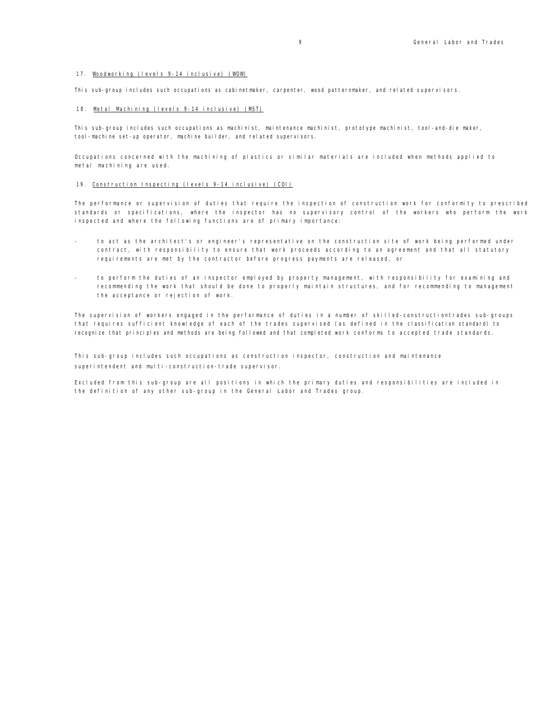## 17. Woodworking (levels 9-14 inclusive) (WOW)

This sub-group includes such occupations as cabinetmaker, carpenter, wood patternmaker, and related supervisors.

## 18. Metal Machining (levels 9-14 inclusive) (MST)

This sub-group includes such occupations as machinist, maintenance machinist, prototype machinist, tool-and-die maker, tool-machine set-up operator, machine builder, and related supervisors.

Occupations concerned with the machining of plastics or similar materials are included when methods applied to metal machining are used.

#### 19. Construction Inspecting (levels 9-14 inclusive) (COI)

The performance or supervision of duties that require the inspection of construction work for conformity to prescribed standards or specifications, where the inspector has no supervisory control of the workers who perform the work inspected and where the following functions are of primary importance:

- to act as the architect's or engineer's representative on the construction site of work being performed under contract, with responsibility to ensure that work proceeds according to an agreement and that all statutory requirements are met by the contractor before progress payments are released, or
- to perform the duties of an inspector employed by property management, with responsibility for examining and recommending the work that should be done to properly maintain structures, and for recommending to management the acceptance or rejection of work.

The supervision of workers engaged in the performance of duties in a number of skilled-constructiontrades sub-groups that requires sufficient knowledge of each of the trades supervised (as defined in the classification standard) to recognize that principles and methods are being followed and that completed work conforms to accepted trade standards.

This sub-group includes such occupations as construction inspector, construction and maintenance superintendent and multi-construction-trade supervisor.

Excluded from this sub-group are all positions in which the primary duties and responsibilities are included in the definition of any other sub-group in the General Labor and Trades group.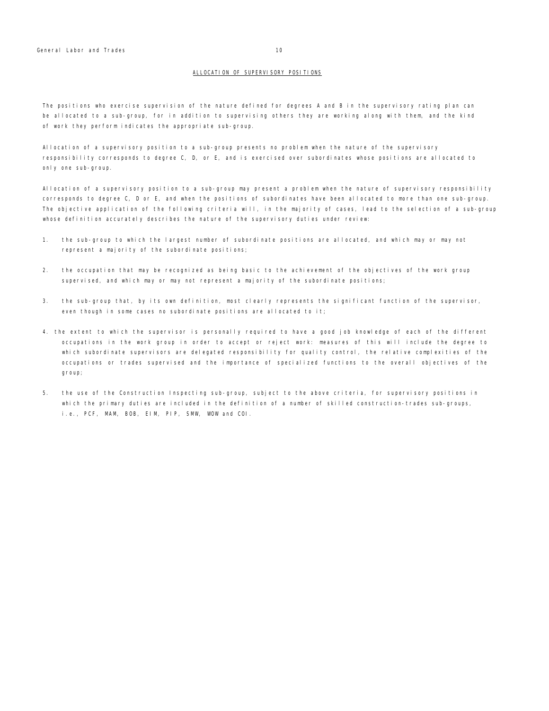## ALLOCATION OF SUPERVISORY POSITIONS

The positions who exercise supervision of the nature defined for degrees A and B in the supervisory rating plan can be allocated to a sub-group, for in addition to supervising others they are working along with them, and the kind of work they perform indicates the appropriate sub-group.

Allocation of a supervisory position to a sub-group presents no problem when the nature of the supervisory responsibility corresponds to degree C, D, or E, and is exercised over subordinates whose positions are allocated to only one sub-group.

Allocation of a supervisory position to a sub-group may present a problem when the nature of supervisory responsibility corresponds to degree C, D or E, and when the positions of subordinates have been allocated to more than one sub-group. The objective application of the following criteria will, in the majority of cases, lead to the selection of a sub-group whose definition accurately describes the nature of the supervisory duties under review:

- 1. the sub-group to which the largest number of subordinate positions are allocated, and which may or may not represent a majority of the subordinate positions;
- 2. the occupation that may be recognized as being basic to the achievement of the objectives of the work group supervised, and which may or may not represent a majority of the subordinate positions;
- 3. the sub-group that, by its own definition, most clearly represents the significant function of the supervisor, even though in some cases no subordinate positions are allocated to it;
- 4. the extent to which the supervisor is personally required to have a good job knowledge of each of the different occupations in the work group in order to accept or reject work: measures of this will include the degree to which subordinate supervisors are delegated responsibility for quality control, the relative complexities of the occupations or trades supervised and the importance of specialized functions to the overall objectives of the group;
- 5. the use of the Construction Inspecting sub-group, subject to the above criteria, for supervisory positions in which the primary duties are included in the definition of a number of skilled construction-trades sub-groups, i.e., PCF, MAM, BOB, EIM, PIP, SMW, WOW and COI.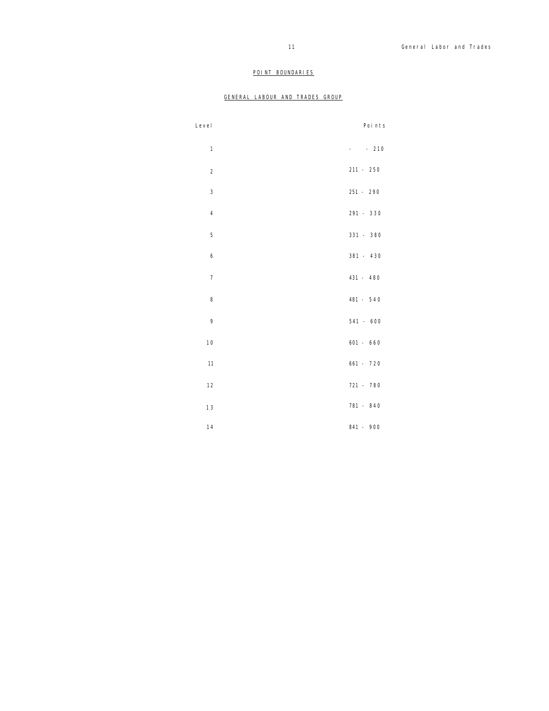## POINT BOUNDARIES

## GENERAL LABOUR AND TRADES GROUP

| Level          |            | Points      |
|----------------|------------|-------------|
| $\mathbf{1}$   | $\sim 100$ | $-210$      |
| $\overline{2}$ |            | $211 - 250$ |
| 3              |            | 251 - 290   |
| $\overline{4}$ |            | 291 - 330   |
| 5              |            | 331 - 380   |
| 6              |            | 381 - 430   |
| $\overline{7}$ |            | 431 - 480   |
| 8              |            | 481 - 540   |
| 9              |            | $541 - 600$ |
| 10             |            | $601 - 660$ |
| 11             |            | $661 - 720$ |
| 12             |            | 721 - 780   |
| 13             |            | 781 - 840   |
| 14             |            | 841 - 900   |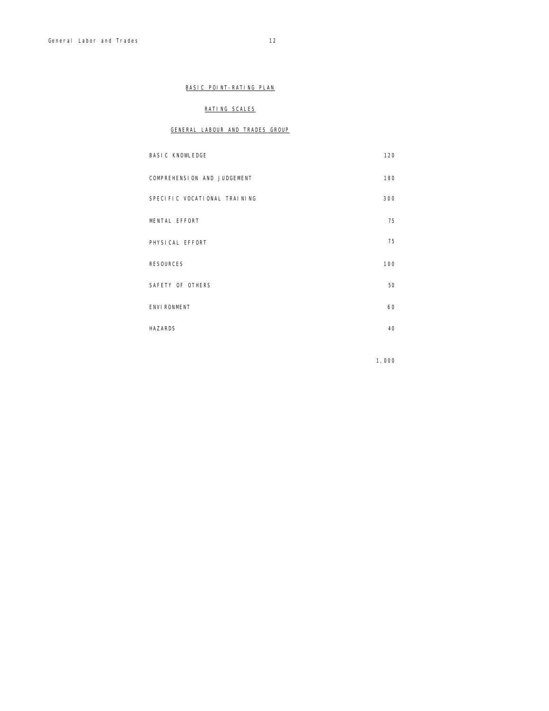## BASIC POINT-RATING PLAN

## RATING SCALES

## GENERAL LABOUR AND TRADES GROUP

| <b>BASIC KNOWLEDGE</b>       | 120 |
|------------------------------|-----|
| COMPREHENSION AND JUDGEMENT  | 180 |
| SPECIFIC VOCATIONAL TRAINING | 300 |
| MENTAL EFFORT                | 75  |
| PHYSICAL EFFORT              | 75  |
| <b>RESOURCES</b>             | 100 |
| SAFETY OF OTHERS             | 50  |
| <b>ENVI RONMENT</b>          | 60  |
| <b>HAZARDS</b>               | 40  |

1,000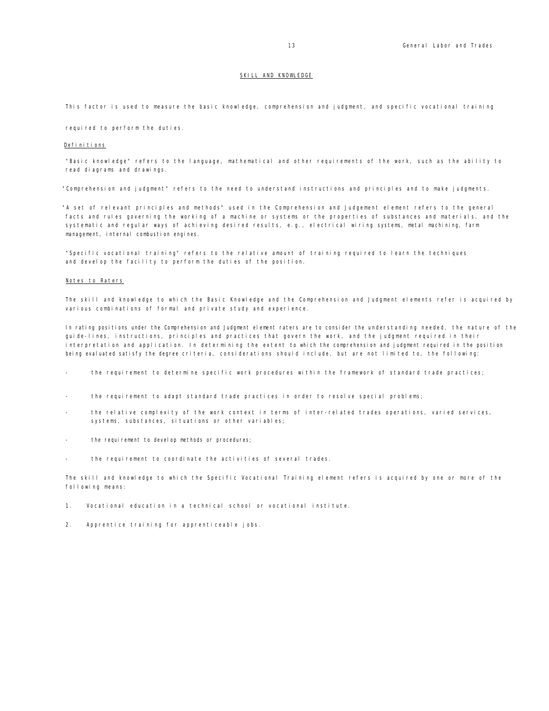#### SKILL AND KNOWLEDGE

This factor is used to measure the basic knowledge, comprehension and judgment, and specific vocational training

required to perform the duties.

#### Definitions

"Basic knowledge" refers to the language, mathematical and other requirements of the work, such as the ability to read diagrams and drawings.

"Comprehension and judgment" refers to the need to understand instructions and principles and to make judgments.

"A set of relevant principles and methods" used in the Comprehension and Judgement element refers to the general facts and rules governing the working of a machine or systems or the properties of substances and materials, and the systematic and regular ways of achieving desired results, e.g., electrical wiring systems, metal machining, farm management, internal combustion engines.

"Specific vocational training" refers to the relative amount of training required to learn the techniques and develop the facility to perform the duties of the position.

#### Notes to Raters

The skill and knowledge to which the Basic Knowledge and the Comprehension and Judgment elements refer is acquired by various combinations of formal and private study and experience.

In rating positions under the Comprehension and Judgment element raters are to consider the understanding needed, the nature of the guide-lines, instructions, principles and practices that govern the work, and the judgment required in their interpretation and application. In determining the extent to which the comprehension and judgment required in the position being evaluated satisfy the degree criteria, considerations should include, but are not limited to, the following:

- the requirement to determine specific work procedures within the framework of standard trade practices;
- the requirement to adapt standard trade practices in order to resolve special problems;
- the relative complexity of the work context in terms of inter-related trades operations, varied services, systems, substances, situations or other variables;
- the requirement to develop methods or procedures;
- the requirement to coordinate the activities of several trades.

The skill and knowledge to which the Specific Vocational Training element refers is acquired by one or more of the following means:

- 1. Vocational education in a technical school or vocational institute.
- 2. Apprentice training for apprenticeable jobs.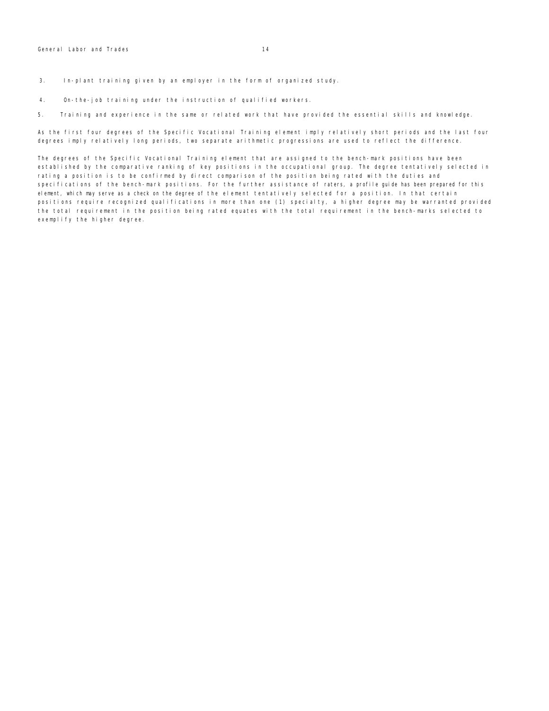3. In-plant training given by an employer in the form of organized study.

4. On-the-job training under the instruction of qualified workers.

5. Training and experience in the same or related work that have provided the essential skills and knowledge.

As the first four degrees of the Specific Vocational Training element imply relatively short periods and the last four degrees imply relatively long periods, two separate arithmetic progressions are used to reflect the difference.

The degrees of the Specific Vocational Training element that are assigned to the bench-mark positions have been established by the comparative ranking of key positions in the occupational group. The degree tentatively selected in rating a position is to be confirmed by direct comparison of the position being rated with the duties and specifications of the bench-mark positions. For the further assistance of raters, a profile guide has been prepared for this element, which may serve as a check on the degree of the element tentatively selected for a position. In that certain positions require recognized qualifications in more than one (1) specialty, a higher degree may be warranted provided the total requirement in the position being rated equates with the total requirement in the bench-marks selected to exemplify the higher degree.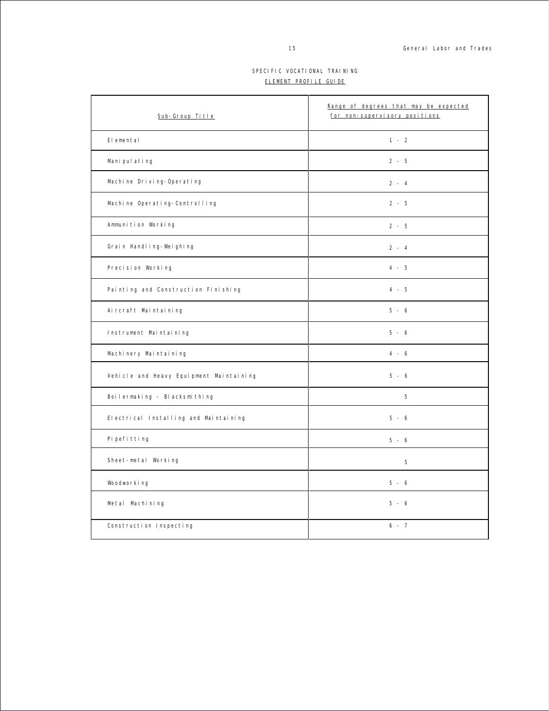## SPECIFIC VOCATIONAL TRAINING ELEMENT PROFILE GUIDE

| Sub-Group Title                         | Range of degrees that may be expected<br>for non-supervisory positions |
|-----------------------------------------|------------------------------------------------------------------------|
| Elemental                               | $1 - 2$                                                                |
| Mani pul ating                          | $2 - 5$                                                                |
| Machine Driving-Operating               | $2 - 4$                                                                |
| Machine Operating-Controlling           | $2 - 5$                                                                |
| Ammunition Working                      | $2 - 5$                                                                |
| Grain Handling-Weighing                 | $2 - 4$                                                                |
| Precision Working                       | $4 - 5$                                                                |
| Painting and Construction Finishing     | $4 - 5$                                                                |
| Aircraft Maintaining                    | $5 - 6$                                                                |
| Instrument Maintaining                  | $5 - 6$                                                                |
| Machinery Maintaining                   | $4 - 6$                                                                |
| Vehicle and Heavy Equipment Maintaining | $5 - 6$                                                                |
| Boilermaking - Blacksmithing            | 5                                                                      |
| Electrical Installing and Maintaining   | $5 - 6$                                                                |
| Pi pefi tti ng                          | $5 - 6$                                                                |
| Sheet-metal Working                     | 5                                                                      |
| Woodworking                             | $5 - 6$                                                                |
| Metal Machining                         | $5 - 6$                                                                |
| Construction Inspecting                 | $6 - 7$                                                                |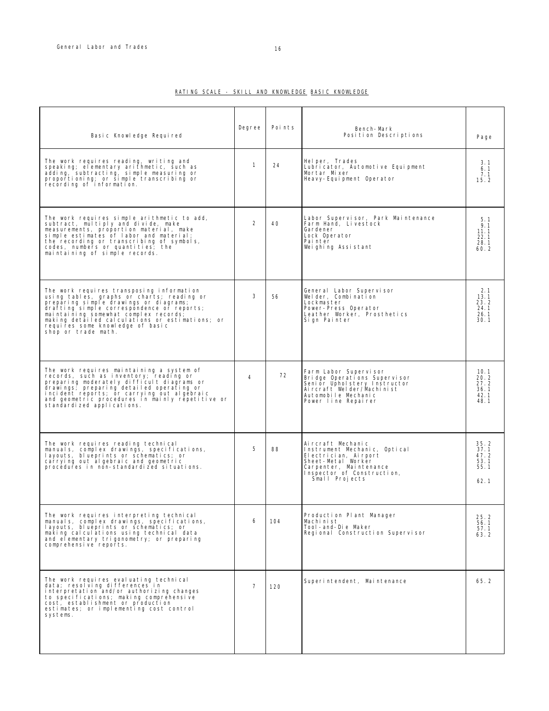## RATING SCALE - SKILL AND KNOWLEDGE BASIC KNOWLEDGE

| Basic Knowledge Required                                                                                                                                                                                                                                                                                                               | Degree         | Points | Bench-Mark<br>Position Descriptions                                                                                                                                        | Page                                         |
|----------------------------------------------------------------------------------------------------------------------------------------------------------------------------------------------------------------------------------------------------------------------------------------------------------------------------------------|----------------|--------|----------------------------------------------------------------------------------------------------------------------------------------------------------------------------|----------------------------------------------|
| The work requires reading, writing and<br>speaking; elementary arithmetic, such as<br>adding, subtracting, simple measuring or<br>proportioning; or simple transcribing or<br>recording of information.                                                                                                                                | $\mathbf{1}$   | 24     | Helper, Trades<br>Lubricator, Automotive Equipment<br>Mortar Mixer<br>Heavy-Equipment Operator                                                                             | 3.1<br>6.1<br>7.1<br>15.2                    |
| The work requires simple arithmetic to add,<br>subtract, multiply and divide, make<br>measurements, proportion material, make<br>simple estimates of labor and material;<br>the recording or transcribing of symbols,<br>codes, numbers or quantities; the<br>maintaining of simple records.                                           | 2              | 40     | Labor Supervisor, Park Maintenance<br>Farm Hand, Livestock<br>Gardener<br>Lock Operator<br>Painter<br>Weighing Assistant                                                   | 5.1<br>9.1<br>11.1<br>22.1<br>28.1<br>60.2   |
| The work requires transposing information<br>using tables, graphs or charts; reading or<br>preparing simple drawings or diagrams;<br>drafting simple correspondence or reports:<br>maintaining somewhat complex records;<br>making detailed calculations or estimations; or<br>requires some knowledge of basic<br>shop or trade math. | 3              | 56     | General Labor Supervisor<br>Welder, Combination<br>Lockmaster<br>Power-Press Operator<br>Leather Worker, Prosthetics<br>Sign Painter                                       | 2.1<br>13.1<br>23.2<br>24.1<br>26.1<br>30.1  |
| The work requires maintaining a system of<br>records, such as inventory; reading or<br>preparing moderately difficult diagrams or<br>drawings; preparing detailed operating or<br>incident reports; or carrying out algebraic<br>and geometric procedures in mainly repetitive or<br>standardized applications.                        | 4              | 72     | Farm Labor Supervisor<br>Bridge Operations Supervisor<br>Senior Upholstery Instructor<br>Aircraft Welder/Machinist<br>Automobile Mechanic<br>Power line Repairer           | 10.1<br>20.2<br>27.2<br>36.1<br>42.1<br>48.1 |
| The work requires reading technical<br>manuals, complex drawings, specifications,<br>layouts, blueprints or schematics; or<br>carrying out algebraic and geometric<br>procedures in non-standardized situations.                                                                                                                       | 5              | 88     | Aircraft Mechanic<br>Instrument Mechanic, Optical<br>El ectrician, Airport<br>Sheet-Metal Worker<br>Carpenter, Maintenance<br>Inspector of Construction,<br>Small Projects | 35.2<br>37.1<br>47.2<br>53.1<br>55.1<br>62.1 |
| The work requires interpreting technical<br>manuals, complex drawings, specifications,<br>layouts, blueprints or schematics; or<br>making calculations using technical data<br>and elementary trigonometry; or preparing<br>comprehensive reports.                                                                                     | 6              | 104    | Production Plant Manager<br>Machinist<br>Tool-and-Die Maker<br>Regional Construction Supervisor                                                                            | 25.2<br>56.1<br>57.1<br>63.2                 |
| The work requires evaluating technical<br>data; resolving differences in<br>interpretation and/or authorizing changes<br>to specifications; making comprehensive<br>cost, establishment or production<br>estimates; or implementing cost control<br>systems.                                                                           | $\overline{7}$ | 120    | Superintendent, Maintenance                                                                                                                                                | 65.2                                         |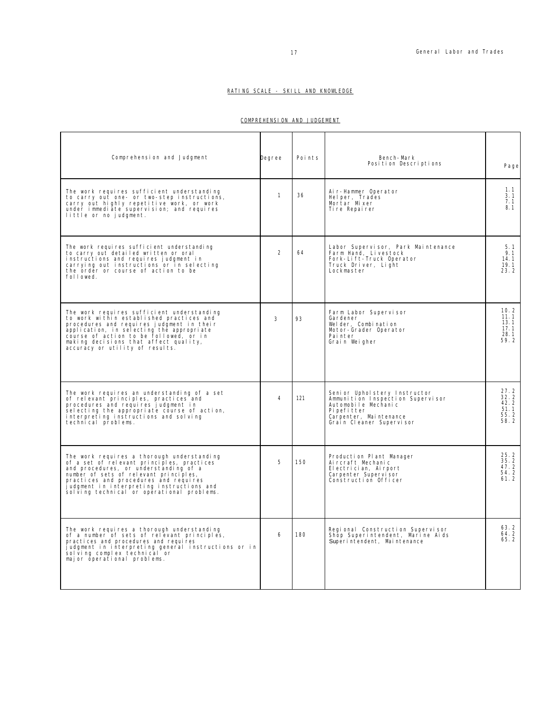## RATING SCALE - SKILL AND KNOWLEDGE

## COMPREHENSION AND JUDGEMENT

| Comprehension and Judgment                                                                                                                                                                                                                                                                                       | Degree         | Points | Bench-Mark<br>Position Descriptions                                                                                                                          | Page                                             |
|------------------------------------------------------------------------------------------------------------------------------------------------------------------------------------------------------------------------------------------------------------------------------------------------------------------|----------------|--------|--------------------------------------------------------------------------------------------------------------------------------------------------------------|--------------------------------------------------|
| The work requires sufficient understanding<br>to carry out one- or two-step instructions,<br>carry out highly repetitive work, or work<br>under immediate supervision; and requires<br>little or no judgment.                                                                                                    | $\mathbf{1}$   | 36     | Air-Hammer Operator<br>Helper, Trades<br>Mortar Mixer<br>Ti re Repai rer                                                                                     | 1.1<br>3.1<br>7.1<br>8.1                         |
| The work requires sufficient understanding<br>to carry out detailed written or oral<br>instructions and requires judgment in<br>carrying out instructions or in selecting<br>the order or course of action to be<br>followed.                                                                                    | $\overline{2}$ | 64     | Labor Supervisor, Park Maintenance<br>Farm Hand, Livestock<br>Fork-Lift-Truck Operator<br>Truck Driver, Light<br>Lockmaster                                  | 5.1<br>9.1<br>14.1<br>19.1<br>23.2               |
| The work requires sufficient understanding<br>to work within established practices and<br>procedures and requires judgment in their<br>application, in selecting the appropriate<br>course of action to be followed, or in<br>making decisions that affect quality,<br>accuracy or utility of results.           | 3              | 93     | Farm Labor Supervisor<br>Gardener<br>Welder, Combination<br>Motor-Grader Operator<br>Pai nter<br>Grain Weigher                                               | 10.2<br>11.1<br>13.1<br>17.1<br>$28.1$<br>$59.2$ |
| The work requires an understanding of a set<br>of relevant principles, practices and<br>procedures and requires judgment in<br>selecting the appropriate course of action,<br>interpreting instructions and solving<br>technical problems.                                                                       | $\overline{4}$ | 121    | Senior Upholstery Instructor<br>Ammunition Inspection Supervisor<br>Automobile Mechanic<br>Pi pefitter<br>Carpenter, Maintenance<br>Grain Cleaner Supervisor | 27.2<br>32.2<br>42.2<br>51.1<br>55.2<br>58.2     |
| The work requires a thorough understanding<br>of a set of relevant principles, practices<br>and procedures, or understanding of a<br>number of sets of relevant principles,<br>practices and procedures and requires<br>judgment in interpreting instructions and<br>sol ving technical or operational problems. | 5              | 150    | Production Plant Manager<br>Ai rcraft Mechanic<br>El ectrician, Airport<br>Carpenter Supervisor<br>Construction Officer                                      | $25.2$<br>$35.2$<br>47.2<br>54.2<br>61.2         |
| The work requires a thorough understanding<br>of a number of sets of relevant principles,<br>practices and procedures and requires<br>judgment in interpreting general instructions or in<br>sol ving complex technical or<br>major operational problems.                                                        | 6              | 180    | Regional Construction Supervisor<br>Shop Superintendent, Marine Aids<br>Superintendent, Maintenance                                                          | 63.2<br>$64.2$<br>65.2                           |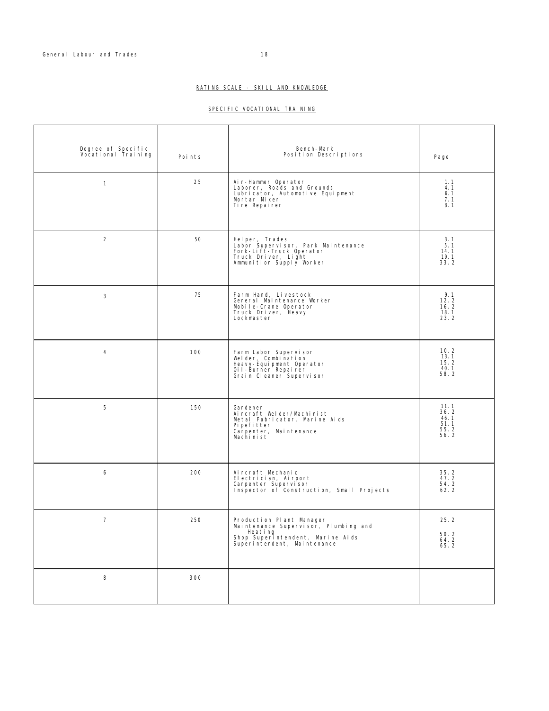## SPECIFIC VOCATIONAL TRAINING

| Degree of Specific<br>Vocational Training | Points | Bench-Mark<br>Position Descriptions                                                                                                            | Page                                         |
|-------------------------------------------|--------|------------------------------------------------------------------------------------------------------------------------------------------------|----------------------------------------------|
| $\mathbf{1}$                              | 25     | Air-Hammer Operator<br>Laborer, Roads and Grounds<br>Lubricator, Automotive Equipment<br>Mortar Mixer<br>Tire Repairer                         | 1.1<br>4.1<br>6.1<br>7.1<br>8.1              |
| $\overline{2}$                            | 50     | Helper, Trades<br>Labor Supervisor, Park Maintenance<br>Fork-Lift-Truck Operator<br>Truck Driver, Light<br>Ammunition Supply Worker            | 3.1<br>5.1<br>14.1<br>19.1<br>33.2           |
| 3                                         | 75     | Farm Hand, Livestock<br>General Maintenance Worker<br>Mobile-Crane Operator<br>Truck Driver, Heavy<br>Lockmaster                               | 9.1<br>12.2<br>16.2<br>18.1<br>23.2          |
| $\overline{4}$                            | 100    | Farm Labor Supervisor<br>Welder, Combination<br>Heavy-Equipment Operator<br>Qil-Burner Repairer<br>Grain Cleaner Supervisor                    | 10.2<br>13.1<br>15.2<br>40.1<br>58.2         |
| 5                                         | 150    | Gardener<br>Aircraft Welder/Machinist<br>Metal Fabricator, Marine Aids<br>Pi pefi tter<br>Carpenter, Maintenance<br>Machinist                  | 11.1<br>36.2<br>46.1<br>51.1<br>55.2<br>56.2 |
| 6                                         | 200    | Aircraft Mechanic<br>Electrician, Airport<br>Carpenter Supervisor<br>Inspector of Construction, Small Projects                                 | 35.2<br>47.2<br>54.2<br>62.2                 |
| $\overline{7}$                            | 250    | Production Plant Manager<br>Maintenance Supervisor, Plumbing and<br>Heating<br>Shop Superintendent, Marine Aids<br>Superintendent, Maintenance | 25.2<br>$50.2$<br>64.2<br>65.2               |
| 8                                         | 300    |                                                                                                                                                |                                              |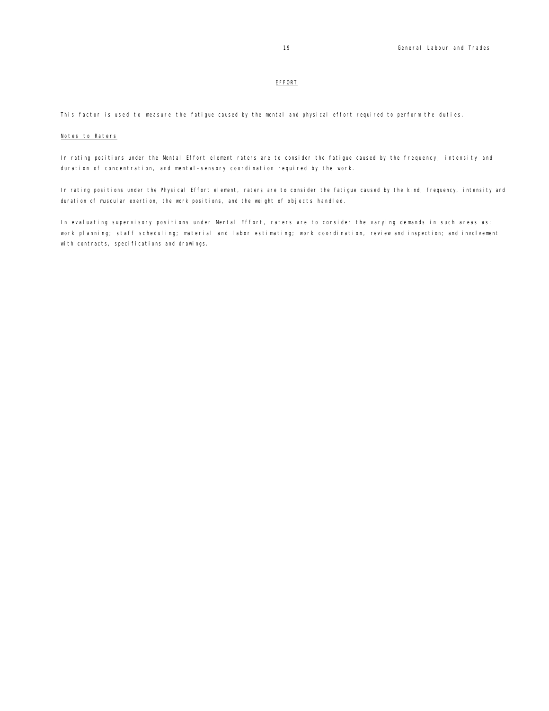## EFFORT

This factor is used to measure the fatigue caused by the mental and physical effort required to perform the duties.

## Notes to Raters

In rating positions under the Mental Effort element raters are to consider the fatigue caused by the frequency, intensity and duration of concentration, and mental-sensory coordination required by the work.

In rating positions under the Physical Effort element, raters are to consider the fatigue caused by the kind, frequency, intensity and duration of muscular exertion, the work positions, and the weight of objects handled.

In evaluating supervisory positions under Mental Effort, raters are to consider the varying demands in such areas as: work planning; staff scheduling; material and labor estimating; work coordination, review and inspection; and involvement with contracts, specifications and drawings.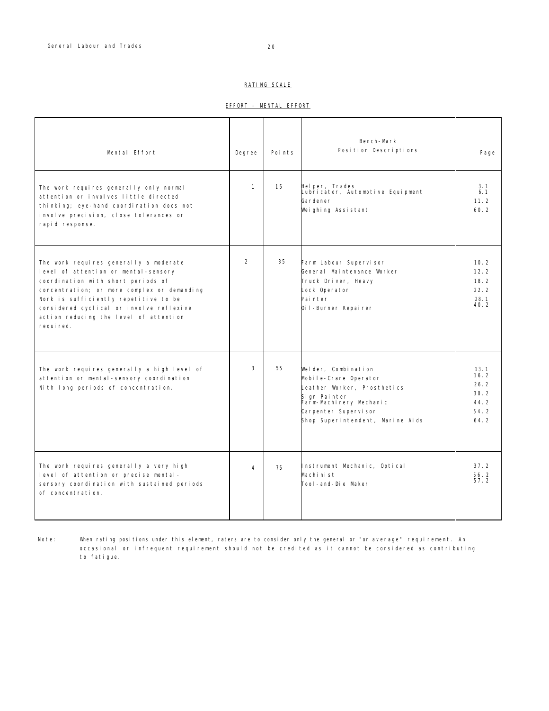## RATING SCALE

| MENTAL EFFORT<br>EFFORT |
|-------------------------|
|-------------------------|

| Mental Effort                                                                                                                                                                                                                                                                                                   | Degree         | Points | Bench-Mark<br>Position Descriptions                                                                                                                                                | Page                                                 |
|-----------------------------------------------------------------------------------------------------------------------------------------------------------------------------------------------------------------------------------------------------------------------------------------------------------------|----------------|--------|------------------------------------------------------------------------------------------------------------------------------------------------------------------------------------|------------------------------------------------------|
| The work requires generally only normal<br>attention or involves little directed<br>thinking; eye-hand coordination does not<br>involve precision, close tolerances or<br>rapid response.                                                                                                                       | $\mathbf{1}$   | 15     | Helper, Trades<br>Lubricator, Automotive Equipment<br>Gardener<br>Weighing Assistant                                                                                               | 3.1<br>6.1<br>11.2<br>60.2                           |
| The work requires generally a moderate<br>level of attention or mental-sensory<br>coordination with short periods of<br>concentration; or more complex or demanding<br>Nork is sufficiently repetitive to be<br>considered cyclical or involve reflexive<br>action reducing the level of attention<br>required. | $\overline{2}$ | 35     | Farm Labour Supervisor<br>General Maintenance Worker<br>Truck Driver, Heavy<br>Lock Operator<br>Painter<br>Oil-Burner Repairer                                                     | 10.2<br>12.2<br>18.2<br>22.2<br>28.1<br>40.2         |
| The work requires generally a high level of<br>attention or mental-sensory coordination<br>Nith long periods of concentration.                                                                                                                                                                                  | 3              | 55     | Welder, Combination<br>Mobile-Crane Operator<br>Leather Worker, Prosthetics<br>Sign Painter<br>Farm-Machinery Mechanic<br>Carpenter Supervisor<br>Shop Superintendent, Marine Aids | 13.1<br>16.2<br>26.2<br>30.2<br>44.2<br>54.2<br>64.2 |
| The work requires generally a very high<br>level of attention or precise mental-<br>sensory coordination with sustained periods<br>of concentration.                                                                                                                                                            | 4              | 75     | Instrument Mechanic, Optical<br>Machinist<br>Tool-and-Die Maker                                                                                                                    | 37.2<br>56.2<br>57 2                                 |

Note: When rating positions under this element, raters are to consider only the general or "on average" requirement. An occasional or infrequent requirement should not be credited as it cannot be considered as contributing to fatigue.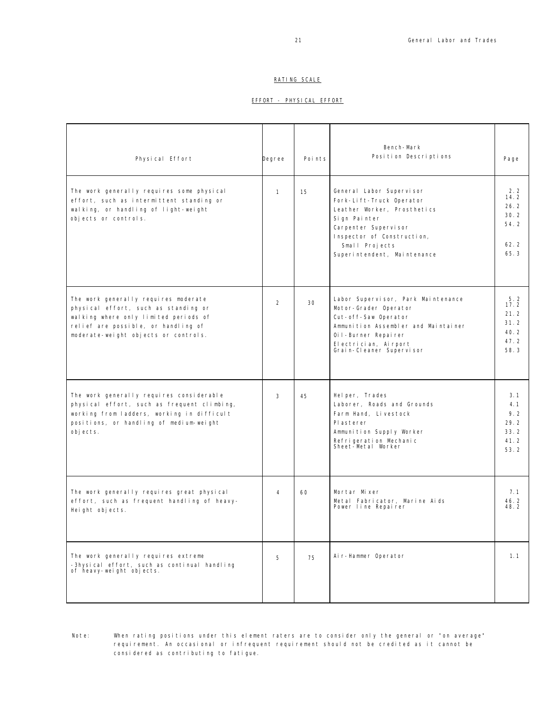## RATING SCALE

## EFFORT - PHYSICAL EFFORT

| Physical Effort                                                                                                                                                                                      | Degree       | Points | Bench-Mark<br>Position Descriptions                                                                                                                                                                        | Page                                                |
|------------------------------------------------------------------------------------------------------------------------------------------------------------------------------------------------------|--------------|--------|------------------------------------------------------------------------------------------------------------------------------------------------------------------------------------------------------------|-----------------------------------------------------|
| The work generally requires some physical<br>effort, such as intermittent standing or<br>walking, or handling of light-weight<br>objects or controls.                                                | $\mathbf{1}$ | 15     | General Labor Supervisor<br>Fork-Lift-Truck Operator<br>Leather Worker, Prosthetics<br>Sign Painter<br>Carpenter Supervisor<br>Inspector of Construction,<br>Small Projects<br>Superintendent, Maintenance | 2.2<br>14.2<br>26.2<br>30.2<br>54.2<br>62.2<br>65.3 |
| The work generally requires moderate<br>physical effort, such as standing or<br>walking where only limited periods of<br>relief are possible, or handling of<br>moderate-weight objects or controls. | 2            | 30     | Labor Supervisor, Park Maintenance<br>Motor-Grader Operator<br>Cut-off-Saw Operator<br>Ammunition Assembler and Maintainer<br>Oil-Burner Repairer<br>Electrician, Airport<br>Grain-Cleaner Supervisor      | 5.2<br>17.2<br>21.2<br>31.2<br>40.2<br>47.2<br>58.3 |
| The work generally requires considerable<br>physical effort, such as frequent climbing,<br>working from ladders, working in difficult<br>positions, or handling of medium-weight<br>objects.         | 3            | 45     | Helper, Trades<br>Laborer, Roads and Grounds<br>Farm Hand, Livestock<br>PI asterer<br>Ammunition Supply Worker<br>Refrigeration Mechanic<br>Sheet-Metal Worker                                             | 3.1<br>4.1<br>9.2<br>29.2<br>33.2<br>41.2<br>53.2   |
| The work generally requires great physical<br>effort, such as frequent handling of heavy-<br>Height objects.                                                                                         | 4            | 60     | Mortar Mixer<br>Metal Fabricator, Marine Aids<br>Power line Repairer                                                                                                                                       | 7.1<br>46.2<br>48.2                                 |
| The work generally requires extreme<br>-3hysical effort, such as continual handling<br>of heavy-weight objects.                                                                                      | 5            | 75     | Air-Hammer Operator                                                                                                                                                                                        | 1.1                                                 |

Note: When rating positions under this element raters are to consider only the general or "on average" requirement. An occasional or infrequent requirement should not be credited as it cannot be considered as contributing to fatigue.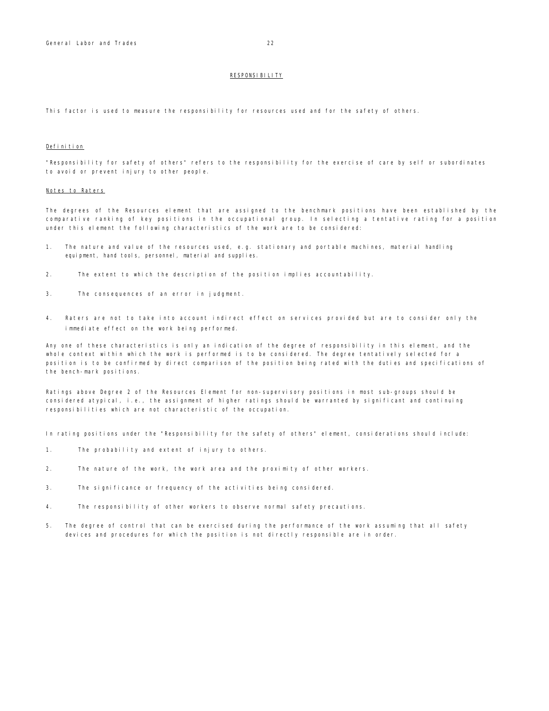#### RESPONSIBILITY

This factor is used to measure the responsibility for resources used and for the safety of others.

## Definition

"Responsibility for safety of others" refers to the responsibility for the exercise of care by self or subordinates to avoid or prevent injury to other people.

#### Notes to Raters

The degrees of the Resources element that are assigned to the benchmark positions have been established by the comparative ranking of key positions in the occupational group. In selecting a tentative rating for a position under this element the following characteristics of the work are to be considered:

- 1. The nature and value of the resources used, e.g. stationary and portable machines, material handling equipment, hand tools, personnel, material and supplies.
- 2. The extent to which the description of the position implies accountability.
- 3. The consequences of an error in judgment.
- 4. Raters are not to take into account indirect effect on services provided but are to consider only the immediate effect on the work being performed.

Any one of these characteristics is only an indication of the degree of responsibility in this element, and the whole context within which the work is performed is to be considered. The degree tentatively selected for a position is to be confirmed by direct comparison of the position being rated with the duties and specifications of the bench-mark positions.

Ratings above Degree 2 of the Resources Element for non-supervisory positions in most sub-groups should be considered atypical, i.e., the assignment of higher ratings should be warranted by significant and continuing responsibilities which are not characteristic of the occupation.

In rating positions under the "Responsibility for the safety of others" element, considerations should include:

- 1. The probability and extent of injury to others.
- 2. The nature of the work, the work area and the proximity of other workers.
- 3. The significance or frequency of the activities being considered.
- 4. The responsibility of other workers to observe normal safety precautions.
- 5. The degree of control that can be exercised during the performance of the work assuming that all safety devices and procedures for which the position is not directly responsible are in order.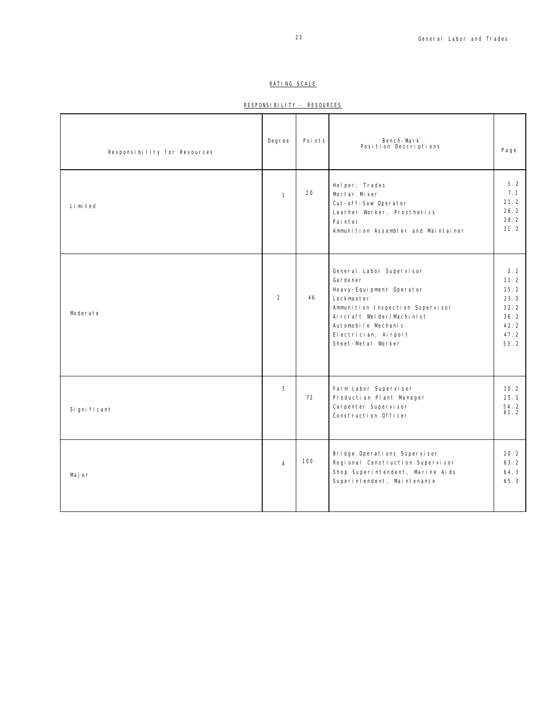## RATING SCALE

## RESPONSIBILITY - RESOURCES

| Responsibility for Resources | Degree         | Points | Bench-Mark<br>Position Descriptions                                                                                                                                                                                   | Page                                                                |
|------------------------------|----------------|--------|-----------------------------------------------------------------------------------------------------------------------------------------------------------------------------------------------------------------------|---------------------------------------------------------------------|
| Limited                      | $\mathbf{1}$   | 20     | Helper, Trades<br>Mortar Mixer<br>Cut-off-Saw Operator<br>Leather Worker, Prosthetics<br>Painter<br>Ammunition Assembler and Maintainer                                                                               | 3.2<br>7.1<br>21.2<br>26.2<br>28.2<br>31.2                          |
| Moderate                     | $\overline{2}$ | 46     | General Labor Supervisor<br>Gardener<br>Heavy-Equipment Operator<br>Lockmaster<br>Ammunition Inspection Supervisor<br>Aircraft Welder/Machinist<br>Automobile Mechanic<br>El ectrician, Airport<br>Sheet-Metal Worker | 2.2<br>11.2<br>15.2<br>23.3<br>32.2<br>36.2<br>42.2<br>47.2<br>53.2 |
| Si gni fi cant               | 3              | 72     | Farm Labor Supervisor<br>Production Plant Manager<br>Carpenter Supervisor<br>Construction Officer                                                                                                                     | 10.2<br>25.3<br>54.2<br>61.2                                        |
| Maj or                       | $\overline{4}$ | 100    | Bridge Operations Supervisor<br>Regional Construction Supervisor<br>Shop Superintendent, Marine Aids<br>Superintendent, Maintenance                                                                                   | 20.2<br>63.2<br>64.3<br>65.3                                        |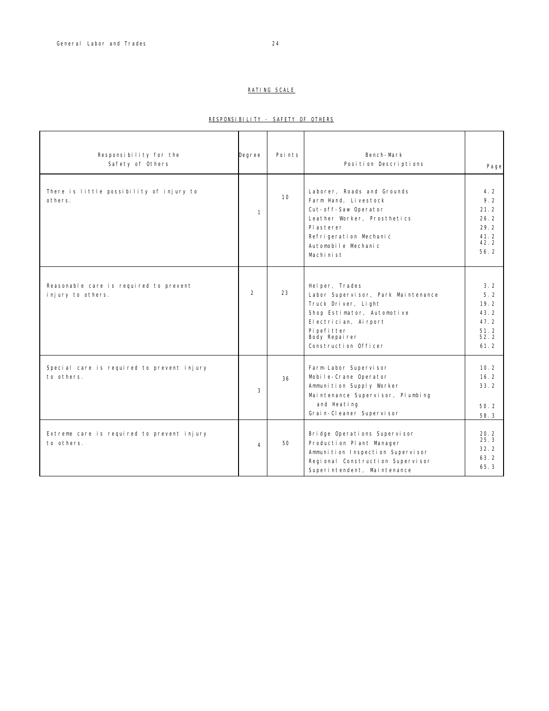## RATING SCALE

## RESPONSIBILITY - SAFETY OF OTHERS

| Responsibility for the<br>Safety of Others                  | Degree         | Points | Bench-Mark<br>Position Descriptions                                                                                                                                                         | Page                                                       |
|-------------------------------------------------------------|----------------|--------|---------------------------------------------------------------------------------------------------------------------------------------------------------------------------------------------|------------------------------------------------------------|
| There is little possibility of injury to<br>others.         | $\mathbf{1}$   | 10     | Laborer, Roads and Grounds<br>Farm Hand, Livestock<br>Cut-off-Saw Operator<br>Leather Worker, Prosthetics<br>Pl asterer<br>Refrigeration Mechanic<br>Automobile Mechanic<br>Machinist       | 4.2<br>9.2<br>21.2<br>26.2<br>29.2<br>41.2<br>42.2<br>56.2 |
| Reasonable care is required to prevent<br>injury to others. | $\overline{2}$ | 23     | Helper, Trades<br>Labor Supervisor, Park Maintenance<br>Truck Driver, Light<br>Shop Estimator, Automotive<br>El ectrician, Airport<br>Pi pefi tter<br>Body Repairer<br>Construction Officer | 3.2<br>5.2<br>19.2<br>43.2<br>47.2<br>51.2<br>52.2<br>61.2 |
| Special care is required to prevent injury<br>to others.    | 3              | 36     | Farm-Labor Supervisor<br>Mobile-Crane Operator<br>Ammunition Supply Worker<br>Maintenance Supervisor, Plumbing<br>and Heating<br>Grain-Cleaner Supervisor                                   | 10.2<br>16.2<br>33.2<br>50.2<br>58.3                       |
| Extreme care is required to prevent injury<br>to others.    | $\overline{4}$ | 50     | Bridge Operations Supervisor<br>Production Plant Manager<br>Ammunition Inspection Supervisor<br>Regional Construction Supervisor<br>Superintendent, Maintenance                             | 20.2<br>25.3<br>32.2<br>63.2<br>65.3                       |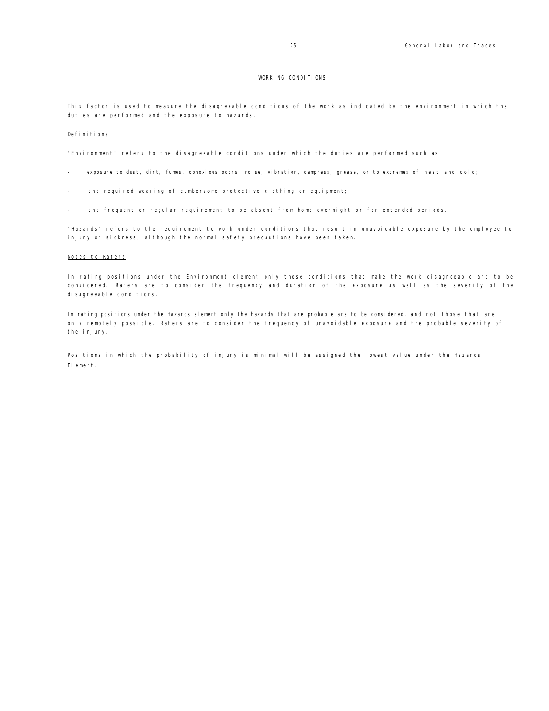### WORKING CONDITIONS

This factor is used to measure the disagreeable conditions of the work as indicated by the environment in which the duties are performed and the exposure to hazards.

## Definitions

"Environment" refers to the disagreeable conditions under which the duties are performed such as:

- exposure to dust, dirt, fumes, obnoxious odors, noise, vibration, dampness, grease, or to extremes of heat and cold;
- the required wearing of cumbersome protective clothing or equipment;
- the frequent or regular requirement to be absent from home overnight or for extended periods.

"Hazards" refers to the requirement to work under conditions that result in unavoidable exposure by the employee to injury or sickness, although the normal safety precautions have been taken.

#### Notes to Raters

In rating positions under the Environment element only those conditions that make the work disagreeable are to be considered. Raters are to consider the frequency and duration of the exposure as well as the severity of the di sagreeable conditions.

In rating positions under the Hazards element only the hazards that are probable are to be considered, and not those that are only remotely possible. Raters are to consider the frequency of unavoidable exposure and the probable severity of the injury.

Positions in which the probability of injury is minimal will be assigned the lowest value under the Hazards Element.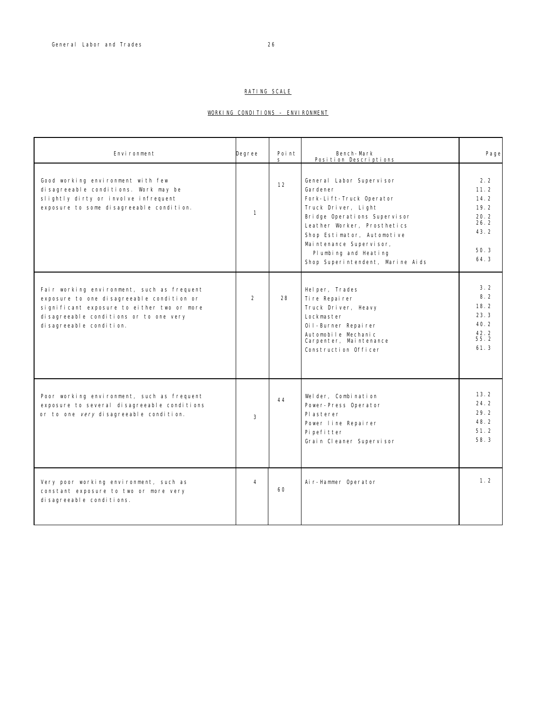## RATING SCALE

## WORKING CONDITIONS – ENVIRONMENT

| Environment                                                                                                                                                                                                 | Degree         | Point<br>S | Bench-Mark<br>Position Descriptions                                                                                                                                                                                                                                         | Page                                                                |
|-------------------------------------------------------------------------------------------------------------------------------------------------------------------------------------------------------------|----------------|------------|-----------------------------------------------------------------------------------------------------------------------------------------------------------------------------------------------------------------------------------------------------------------------------|---------------------------------------------------------------------|
| Good working environment with few<br>disagreeable conditions. Work may be<br>slightly dirty or involve infrequent<br>exposure to some disagreeable condition.                                               | $\mathbf{1}$   | 12         | General Labor Supervisor<br>Gardener<br>Fork-Lift-Truck Operator<br>Truck Driver, Light<br>Bridge Operations Supervisor<br>Leather Worker, Prosthetics<br>Shop Estimator, Automotive<br>Maintenance Supervisor,<br>Plumbing and Heating<br>Shop Superintendent, Marine Aids | 2.2<br>11.2<br>14.2<br>19.2<br>20.2<br>26.2<br>43.2<br>50.3<br>64.3 |
| Fair working environment, such as frequent<br>exposure to one disagreeable condition or<br>significant exposure to either two or more<br>disagreeable conditions or to one very<br>di sagreeable condition. | $\overline{2}$ | 28         | Helper, Trades<br>Ti re Repai rer<br>Truck Driver, Heavy<br>Lockmaster<br>Oil-Burner Repairer<br>Automobile Mechanic<br>Carpenter, Maintenance<br>Construction Officer                                                                                                      | 3.2<br>8.2<br>18.2<br>23.3<br>40.2<br>42.2<br>55.2<br>61.3          |
| Poor working environment, such as frequent<br>exposure to several disagreeable conditions<br>or to one very disagreeable condition.                                                                         | 3              | 44         | Welder, Combination<br>Power-Press Operator<br>Plasterer<br>Power line Repairer<br>Pi pefitter<br>Grain Cleaner Supervisor                                                                                                                                                  | 13.2<br>24.2<br>29.2<br>48.2<br>51.2<br>58.3                        |
| Very poor working environment, such as<br>constant exposure to two or more very<br>di sagreeable conditions.                                                                                                | 4              | 60         | Air-Hammer Operator                                                                                                                                                                                                                                                         | 1.2                                                                 |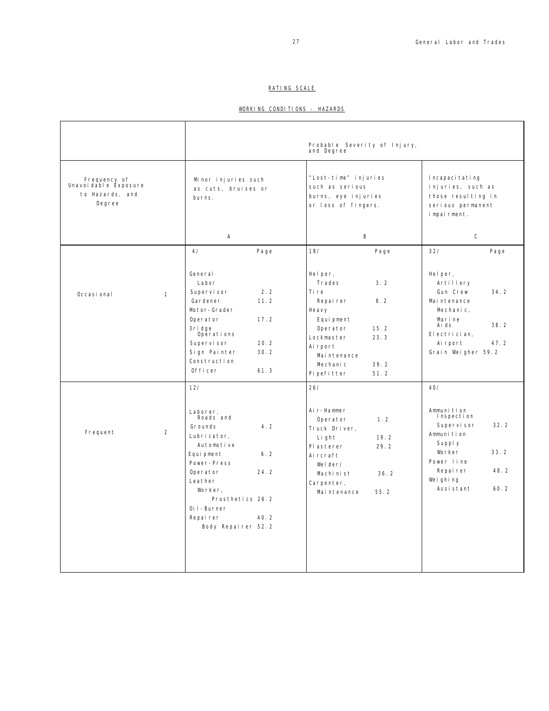## RATING SCALE

## WORKING CONDITIONS - HAZARDS

|                                                                   |              |                                                                                                                                                                                                                                       | Probable Severity of Injury,<br>and Degree                                                                                                                                                    |                                                                                                                                                                    |
|-------------------------------------------------------------------|--------------|---------------------------------------------------------------------------------------------------------------------------------------------------------------------------------------------------------------------------------------|-----------------------------------------------------------------------------------------------------------------------------------------------------------------------------------------------|--------------------------------------------------------------------------------------------------------------------------------------------------------------------|
| Frequency of<br>Unavoidable Exposure<br>to Hazards, and<br>Degree |              | Minor injuries such<br>as cuts, bruises or<br>burns.                                                                                                                                                                                  | "Lost-time" injuries<br>such as serious<br>burns, eye injuries<br>or loss of fingers.                                                                                                         | Incapacitating<br>injuries, such as<br>those resulting in<br>serious permanent<br>impairment.                                                                      |
|                                                                   |              | Α                                                                                                                                                                                                                                     | B                                                                                                                                                                                             | $\mathsf C$                                                                                                                                                        |
|                                                                   |              | 4/<br>Page                                                                                                                                                                                                                            | 18/<br>Page                                                                                                                                                                                   | 32/<br>Page                                                                                                                                                        |
| Occasi onal                                                       | $\mathbf{1}$ | General<br>Labor<br>Supervi sor<br>2.2<br>11.2<br>Gardener<br>Motor-Grader<br>17.2<br>Operator<br>3ri dge<br>Operations<br>20.2<br>Supervi sor<br>30.2<br>Sign Painter<br>Construction<br>0fficer<br>61.3                             | Helper,<br>3.2<br>Trades<br>Ti re<br>8.2<br>Repairer<br>Heavy<br>Equi pment<br>Operator<br>15.2<br>23.3<br>Lockmaster<br>Ai rport<br>Mai ntenance<br>Mechanic<br>39.2<br>Pi pefi tter<br>51.2 | Helper,<br>Artillery<br>Gun Crew<br>34.2<br>Mai ntenance<br>Mechanic,<br>Marine<br>38.2<br>Ai ds<br>El ectrician,<br>47.2<br>Ai rport<br>Grain Weigher 59.2        |
| Frequent                                                          | 2            | 12/<br>Laborer,<br>Roads and<br>Grounds<br>4.2<br>Lubricator,<br>Automotive<br>Equi pment<br>6.2<br>Power-Press<br>Operator<br>24.2<br>Leather<br>Worker.<br>Prosthetics 26.2<br>Oil-Burner<br>40.2<br>Repairer<br>Body Repairer 52.2 | 26/<br>Air-Hammer<br>Operator<br>1.2<br>Truck Driver,<br>Light<br>19.2<br>29.2<br>Pl asterer<br>Ai rcraft<br>Welder/<br>Machinist<br>36.2<br>Carpenter,<br>Maintenance<br>55.2                | 40/<br>Ammunition<br>Inspection<br>Supervisor<br>32.2<br>Ammunition<br>Supply<br>33.2<br>Worker<br>Power line<br>48.2<br>Repairer<br>Weighing<br>Assistant<br>60.2 |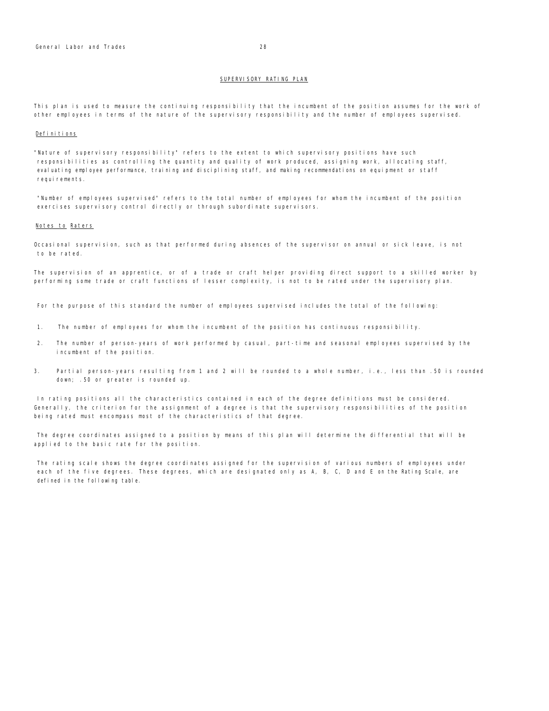#### SUPERVISORY RATING PLAN

This plan is used to measure the continuing responsibility that the incumbent of the position assumes for the work of other employees in terms of the nature of the supervisory responsibility and the number of employees supervised.

#### Definitions

"Nature of supervisory responsibility" refers to the extent to which supervisory positions have such responsibilities as controlling the quantity and quality of work produced, assigning work, allocating staff, evaluating employee performance, training and disciplining staff, and making recommendations on equipment or staff requirements.

"Number of employees supervised" refers to the total number of employees for whom the incumbent of the position exercises supervisory control directly or through subordinate supervisors.

## Notes to Raters

Occasional supervision, such as that performed during absences of the supervisor on annual or sick leave, is not to be rated.

The supervision of an apprentice, or of a trade or craft helper providing direct support to a skilled worker by performing some trade or craft functions of lesser complexity, is not to be rated under the supervisory plan.

For the purpose of this standard the number of employees supervised includes the total of the following:

- 1. The number of employees for whom the incumbent of the position has continuous responsibility.
- 2. The number of person-years of work performed by casual, part-time and seasonal employees supervised by the incumbent of the position.
- 3. Partial person-years resulting from 1 and 2 will be rounded to a whole number, i.e., less than .50 is rounded down; .50 or greater is rounded up.

In rating positions all the characteristics contained in each of the degree definitions must be considered. Generally, the criterion for the assignment of a degree is that the supervisory responsibilities of the position being rated must encompass most of the characteristics of that degree.

The degree coordinates assigned to a position by means of this plan will determine the differential that will be applied to the basic rate for the position.

The rating scale shows the degree coordinates assigned for the supervision of various numbers of employees under each of the five degrees. These degrees, which are designated only as A, B, C, D and E on the Rating Scale, are defined in the following table.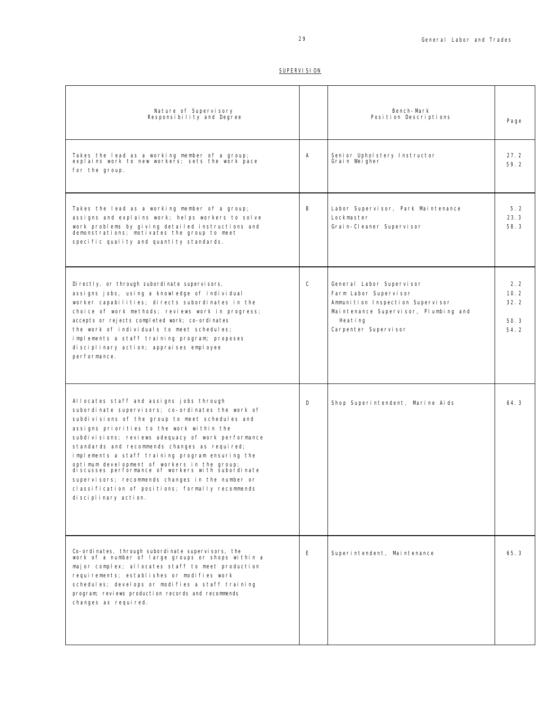## SUPERVISION

| Nature of Supervisory<br>Responsibility and Degree                                                                                                                                                                                                                                                                                                                                                                                                                                                                                                                                            |              | Bench-Mark<br>Position Descriptions                                                                                                                              | Page                                |
|-----------------------------------------------------------------------------------------------------------------------------------------------------------------------------------------------------------------------------------------------------------------------------------------------------------------------------------------------------------------------------------------------------------------------------------------------------------------------------------------------------------------------------------------------------------------------------------------------|--------------|------------------------------------------------------------------------------------------------------------------------------------------------------------------|-------------------------------------|
| Takes the lead as a working member of a group;<br>explains work to new workers; sets the work pace<br>for the group.                                                                                                                                                                                                                                                                                                                                                                                                                                                                          | А            | Senior Upholstery Instructor<br>Grain Weigher                                                                                                                    | 27.2<br>59.2                        |
| Takes the lead as a working member of a group;<br>assigns and explains work; helps workers to solve<br>work problems by giving detailed instructions and<br>demonstrations; motivates the group to meet<br>specific quality and quantity standards.                                                                                                                                                                                                                                                                                                                                           | B            | Labor Supervisor, Park Maintenance<br>Lockmaster<br>Grain-Cleaner Supervisor                                                                                     | 5.2<br>23.3<br>58.3                 |
| Di rectly, or through subordinate supervisors,<br>assigns jobs, using a knowledge of individual<br>worker capabilities; directs subordinates in the<br>choice of work methods; reviews work in progress;<br>accepts or rejects completed work; co-ordinates<br>the work of individuals to meet schedules;<br>implements a staff training program; proposes<br>disciplinary action; appraises employee<br>performance.                                                                                                                                                                         | $\mathsf{C}$ | General Labor Supervisor<br>Farm Labor Supervisor<br>Ammunition Inspection Supervisor<br>Maintenance Supervisor, Plumbing and<br>Heating<br>Carpenter Supervisor | 2.2<br>10.2<br>32.2<br>50.3<br>54.2 |
| Allocates staff and assigns jobs through<br>subordinate supervisors; co-ordinates the work of<br>subdivisions of the group to meet schedules and<br>assigns priorities to the work within the<br>subdivisions; reviews adequacy of work performance<br>standards and recommends changes as required;<br>implements a staff training program ensuring the<br>optimum development of workers in the group;<br>discusses performance of workers with subordinate<br>supervisors; recommends changes in the number or<br>classification of positions; formally recommends<br>disciplinary action. | D            | Shop Superintendent, Marine Aids                                                                                                                                 | 64.3                                |
| Co-ordinates, through subordinate supervisors, the<br>work of a number of large groups or shops within a<br>major complex; allocates staff to meet production<br>requirements; establishes or modifies work<br>schedules; develops or modifies a staff training<br>program; reviews production records and recommends<br>changes as required.                                                                                                                                                                                                                                                 | E            | Superintendent, Maintenance                                                                                                                                      | 65.3                                |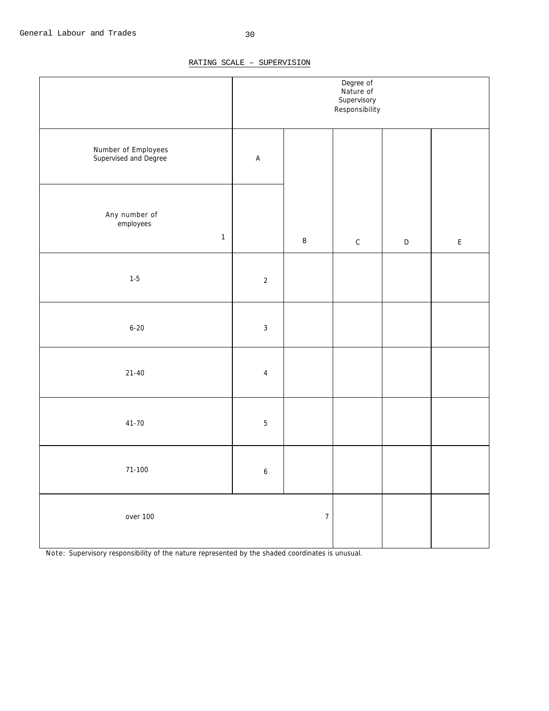## RATING SCALE – SUPERVISION

|                                              | Degree of<br>Nature of<br>Supervisory<br>Responsibility |                  |              |             |                                            |
|----------------------------------------------|---------------------------------------------------------|------------------|--------------|-------------|--------------------------------------------|
| Number of Employees<br>Supervised and Degree | $\mathsf A$                                             |                  |              |             |                                            |
| Any number of<br>employees<br>$\mathbf{1}$   |                                                         | $\sf B$          | $\mathtt{C}$ | $\mathsf D$ | $\mathsf{E}% _{0}\left( \mathsf{E}\right)$ |
| $1-5$                                        | $\sqrt{2}$                                              |                  |              |             |                                            |
| $6 - 20$                                     | $\sqrt{3}$                                              |                  |              |             |                                            |
| $21 - 40$                                    | $\overline{4}$                                          |                  |              |             |                                            |
| $41 - 70$                                    | $\sqrt{5}$                                              |                  |              |             |                                            |
| $71-100$                                     | $\boldsymbol{6}$                                        |                  |              |             |                                            |
| over 100                                     |                                                         | $\boldsymbol{7}$ |              |             |                                            |

Note: Supervisory responsibility of the nature represented by the shaded coordinates is unusual.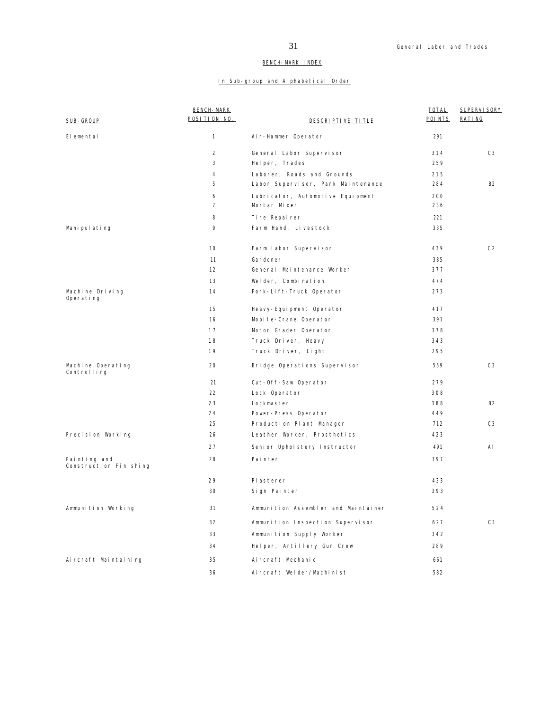## BENCH-MARK INDEX

## In Sub-group and Alphabetical Order

|                                        | <b>BENCH-MARK</b> |                                     | TOTAL   | SUPERVI SORY   |
|----------------------------------------|-------------------|-------------------------------------|---------|----------------|
| SUB-GROUP                              | POSITION NO.      | DESCRIPTIVE TITLE                   | POI NTS | RATING         |
| Elemental                              | 1                 | Air-Hammer Operator                 | 291     |                |
|                                        | $\overline{2}$    | General Labor Supervisor            | 314     | C <sub>3</sub> |
|                                        | 3                 | Helper, Trades                      | 259     |                |
|                                        | 4                 | Laborer, Roads and Grounds          | 215     |                |
|                                        | 5                 | Labor Supervisor, Park Maintenance  | 284     | <b>B2</b>      |
|                                        | 6                 | Lubricator, Automotive Equipment    | 200     |                |
|                                        | $\overline{7}$    | Mortar Mixer                        | 236     |                |
|                                        | 8                 | Tire Repairer                       | 221     |                |
| Manipulating                           | 9                 | Farm Hand, Livestock                | 335     |                |
|                                        | 10                | Farm Labor Supervisor               | 439     | C <sub>2</sub> |
|                                        | 11                | Gardener                            | 385     |                |
|                                        | 12                | General Maintenance Worker          | 377     |                |
|                                        | 13                | Welder, Combination                 | 474     |                |
| Machine Driving<br>Operating           | 14                | Fork-Lift-Truck Operator            | 273     |                |
|                                        | 15                | Heavy-Equipment Operator            | 417     |                |
|                                        | 16                | Mobile-Crane Operator               | 391     |                |
|                                        | 17                | Motor Grader Operator               | 378     |                |
|                                        | 18                | Truck Driver, Heavy                 | 343     |                |
|                                        | 19                | Truck Driver, Light                 | 295     |                |
| Machine Operating<br>Controlling       | 20                | Bridge Operations Supervisor        | 559     | C <sub>3</sub> |
|                                        | 21                | Cut-Off-Saw Operator                | 279     |                |
|                                        | 22                | Lock Operator                       | 308     |                |
|                                        | 23                | Lockmaster                          | 388     | <b>B2</b>      |
|                                        | 24                | Power-Press Operator                | 449     |                |
|                                        | 25                | Production Plant Manager            | 712     | C <sub>3</sub> |
| Precision Working                      | 26                | Leather Worker, Prosthetics         | 423     |                |
|                                        | 27                | Senior Upholstery Instructor        | 491     | AI             |
| Painting and<br>Construction Finishing | 28                | Painter                             | 397     |                |
|                                        | 29                | Pl asterer                          | 433     |                |
|                                        | 30                | Sign Painter                        | 393     |                |
| Ammunition Working                     | 31                | Ammunition Assembler and Maintainer | 524     |                |
|                                        | 32                | Ammunition Inspection Supervisor    | 627     | C3             |
|                                        | 33                | Ammunition Supply Worker            | 342     |                |
|                                        | 34                | Helper, Artillery Gun Crew          | 289     |                |
| Aircraft Maintaining                   | 35                | Ai rcraft Mechanic                  | 661     |                |
|                                        | 36                | Aircraft Welder/Machinist           | 582     |                |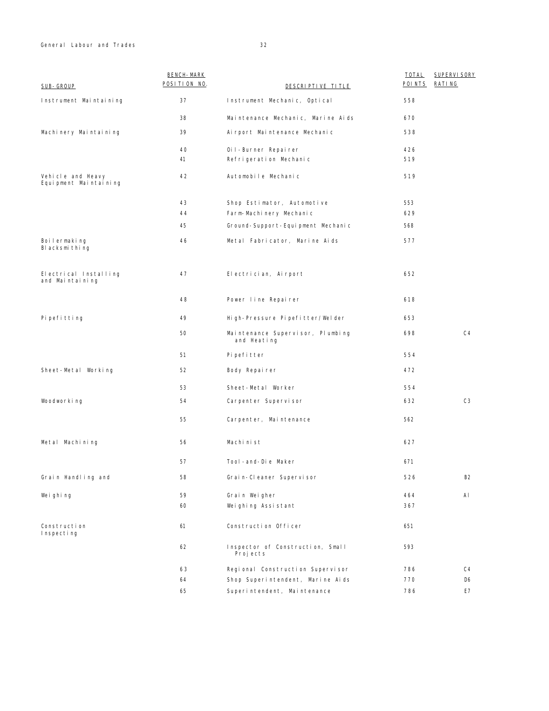General Labour and Trades 32

| SUB-GROUP                                  | <b>BENCH-MARK</b><br>POSITION NO. | DESCRIPTIVE TITLE                               | <b>TOTAL</b><br>POINTS | <b>SUPERVI SORY</b><br><b>RATING</b> |
|--------------------------------------------|-----------------------------------|-------------------------------------------------|------------------------|--------------------------------------|
| Instrument Maintaining                     | 37                                | Instrument Mechanic, Optical                    | 558                    |                                      |
|                                            | 38                                | Maintenance Mechanic, Marine Aids               | 670                    |                                      |
| Machinery Maintaining                      | 39                                | Ai rport Mai ntenance Mechanic                  | 538                    |                                      |
|                                            | 40                                | Oil-Burner Repairer                             | 426                    |                                      |
|                                            | 41                                | Refrigeration Mechanic                          | 519                    |                                      |
| Vehicle and Heavy<br>Equipment Maintaining | 42                                | Automobile Mechanic                             | 519                    |                                      |
|                                            | 43                                | Shop Estimator, Automotive                      | 553                    |                                      |
|                                            | 44                                | Farm-Machinery Mechanic                         | 629                    |                                      |
|                                            | 45                                | Ground-Support-Equipment Mechanic               | 568                    |                                      |
| Boilermaking<br>Blacksmithing              | 46                                | Metal Fabricator, Marine Aids                   | 577                    |                                      |
| Electrical Installing<br>and Maintaining   | 47                                | Electrician, Airport                            | 652                    |                                      |
|                                            | 48                                | Power line Repairer                             | 618                    |                                      |
| Pi pefitting                               | 49                                | High-Pressure Pipefitter/Welder                 | 653                    |                                      |
|                                            | 50                                | Maintenance Supervisor, Plumbing<br>and Heating | 698                    | C <sub>4</sub>                       |
|                                            | 51                                | Pi pefitter                                     | 554                    |                                      |
| Sheet-Metal Working                        | 52                                | Body Repairer                                   | 472                    |                                      |
|                                            | 53                                | Sheet-Metal Worker                              | 554                    |                                      |
| Woodworking                                | 54                                | Carpenter Supervisor                            | 632                    | C <sub>3</sub>                       |
|                                            | 55                                | Carpenter, Maintenance                          | 562                    |                                      |
| Metal Machining                            | 56                                | Machinist                                       | 627                    |                                      |
|                                            | 57                                | Tool-and-Die Maker                              | 671                    |                                      |
| Grain Handling and                         | 58                                | Grain-Cleaner Supervisor                        | 526                    | <b>B2</b>                            |
| Weighing                                   | 59                                | Grain Weigher                                   | 464                    | AI                                   |
|                                            | 60                                | Weighing Assistant                              | 367                    |                                      |
| Construction<br>Inspecting                 | 61                                | Construction Officer                            | 651                    |                                      |
|                                            | 62                                | Inspector of Construction, Small<br>Projects    | 593                    |                                      |
|                                            | 63                                | Regional Construction Supervisor                | 786                    | C4                                   |
|                                            | 64                                | Shop Superintendent, Marine Aids                | 770                    | D6                                   |
|                                            | 65                                | Superintendent, Maintenance                     | 786                    | E7                                   |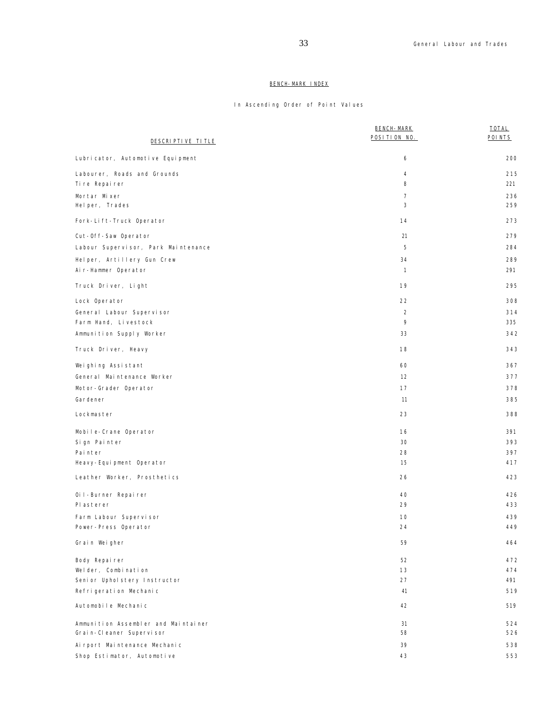# BENCH-MARK INDEX

# In Ascending Order of Point Values

| DESCRIPTIVE TITLE                              | <b>BENCH-MARK</b><br>POSITION NO. | <b>TOTAL</b><br>POI NTS |
|------------------------------------------------|-----------------------------------|-------------------------|
| Lubricator, Automotive Equipment               | 6                                 | 200                     |
|                                                |                                   |                         |
| Labourer, Roads and Grounds<br>Ti re Repai rer | 4<br>8                            | 215<br>221              |
| Mortar Mixer                                   | $\overline{7}$                    | 236                     |
| Helper, Trades                                 | 3                                 | 259                     |
| Fork-Lift-Truck Operator                       | 14                                | 273                     |
| Cut-Off-Saw Operator                           | 21                                | 279                     |
| Labour Supervisor, Park Maintenance            | 5                                 | 284                     |
| Helper, Artillery Gun Crew                     | 34                                | 289                     |
| Air-Hammer Operator                            | $\mathbf{1}$                      | 291                     |
|                                                |                                   |                         |
| Truck Driver, Light                            | 19                                | 295                     |
| Lock Operator                                  | 22                                | 308                     |
| General Labour Supervisor                      | $\overline{2}$                    | 314                     |
| Farm Hand, Livestock                           | 9                                 | 335                     |
| Ammunition Supply Worker                       | 33                                | 342                     |
| Truck Driver, Heavy                            | 18                                | 343                     |
| Weighing Assistant                             | 60                                | 367                     |
| General Maintenance Worker                     | 12                                | 377                     |
| Motor-Grader Operator                          | 17                                | 378                     |
| Gardener                                       | 11                                | 385                     |
| Lockmaster                                     | 23                                | 388                     |
| Mobile-Crane Operator                          | 16                                | 391                     |
| Sign Painter                                   | 30                                | 393                     |
| Painter                                        | 28                                | 397                     |
| Heavy-Equipment Operator                       | 15                                | 417                     |
| Leather Worker, Prosthetics                    | 26                                | 423                     |
| Oil-Burner Repairer                            | 40                                | 426                     |
| Pl asterer                                     | 29                                | 433                     |
| Farm Labour Supervisor                         | 10                                | 439                     |
| Power-Press Operator                           | 24                                | 449                     |
| Grain Weigher                                  | 59                                | 464                     |
| Body Repairer                                  | 52                                | 472                     |
| Welder, Combination                            | 13                                | 474                     |
| Senior Upholstery Instructor                   | 27                                | 491                     |
| Refrigeration Mechanic                         | 41                                | 519                     |
| Automobile Mechanic                            | 42                                | 519                     |
| Ammunition Assembler and Maintainer            | 31                                | 524                     |
| Grain-Cleaner Supervisor                       | 58                                | 526                     |
| Ai rport Mai ntenance Mechanic                 | 39                                | 538                     |
| Shop Estimator, Automotive                     | 43                                | 553                     |
|                                                |                                   |                         |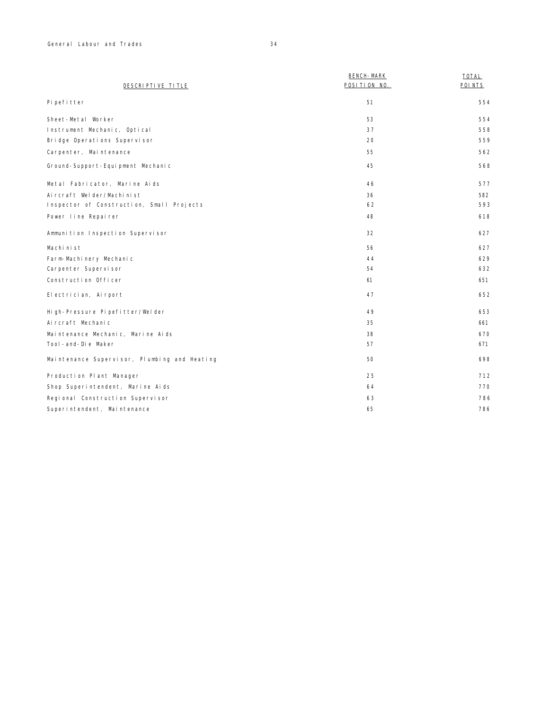| DESCRIPTIVE TITLE                 | <b>BENCH-MARK</b><br>POSITION NO. | <b>TOTAL</b><br>POI NTS |
|-----------------------------------|-----------------------------------|-------------------------|
| Pi pefitter                       | 51                                | 554                     |
| Sheet-Metal Worker                | 53                                | 554                     |
| Instrument Mechanic, Optical      | 37                                | 558                     |
| Bridge Operations Supervisor      | 20                                | 559                     |
| Carpenter, Maintenance            | 55                                | 562                     |
| Ground-Support-Equipment Mechanic | 45                                | 568                     |

| Ground-Support-Equipment Mechanic            | 45 | 568 |
|----------------------------------------------|----|-----|
|                                              |    |     |
| Metal Fabricator, Marine Aids                | 46 | 577 |
| Aircraft Welder/Machinist                    | 36 | 582 |
| Inspector of Construction, Small Projects    | 62 | 593 |
| Power line Repairer                          | 48 | 618 |
| Ammunition Inspection Supervisor             | 32 | 627 |
| Machinist                                    | 56 | 627 |
| Farm-Machinery Mechanic                      | 44 | 629 |
| Carpenter Supervisor                         | 54 | 632 |
| Construction Officer                         | 61 | 651 |
| El ectrician, Airport                        | 47 | 652 |
| High-Pressure Pipefitter/Welder              | 49 | 653 |
| Ai rcraft Mechanic                           | 35 | 661 |
| Maintenance Mechanic, Marine Aids            | 38 | 670 |
| Tool-and-Die Maker                           | 57 | 671 |
| Maintenance Supervisor, Plumbing and Heating | 50 | 698 |
| Production Plant Manager                     | 25 | 712 |
| Shop Superintendent, Marine Aids             | 64 | 770 |
| Regional Construction Supervisor             | 63 | 786 |
| Superintendent, Maintenance                  | 65 | 786 |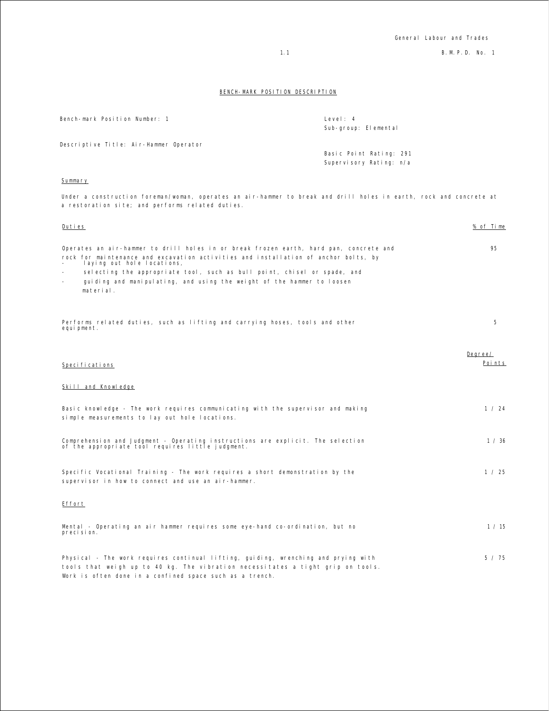1.1 B.M.P.D. No. 1

## BENCH-MARK POSITION DESCRIPTION

| Bench-mark Position Number: 1                                                                                                                                                                                                                                                                                                                                                  | Level: 4<br>Sub-group: Elemental                   |                   |
|--------------------------------------------------------------------------------------------------------------------------------------------------------------------------------------------------------------------------------------------------------------------------------------------------------------------------------------------------------------------------------|----------------------------------------------------|-------------------|
| Descriptive Title: Air-Hammer Operator                                                                                                                                                                                                                                                                                                                                         | Basic Point Rating: 291<br>Supervisory Rating: n/a |                   |
| Summary                                                                                                                                                                                                                                                                                                                                                                        |                                                    |                   |
| Under a construction foreman/woman, operates an air-hammer to break and drill holes in earth, rock and concrete at<br>a restoration site; and performs related duties.                                                                                                                                                                                                         |                                                    |                   |
| Duties                                                                                                                                                                                                                                                                                                                                                                         |                                                    | % of Time         |
| Operates an air-hammer to drill holes in or break frozen earth, hard pan, concrete and<br>rock for maintenance and excavation activities and installation of anchor bolts, by<br>laying out hole locations,<br>selecting the appropriate tool, such as bull point, chisel or spade, and<br>guiding and manipulating, and using the weight of the hammer to loosen<br>material. |                                                    | 95                |
| Performs related duties, such as lifting and carrying hoses, tools and other<br>equi pment.                                                                                                                                                                                                                                                                                    |                                                    | 5                 |
| Speci fi cati ons                                                                                                                                                                                                                                                                                                                                                              |                                                    | Degree/<br>Points |
| Skill and Knowledge                                                                                                                                                                                                                                                                                                                                                            |                                                    |                   |
| Basic knowledge - The work requires communicating with the supervisor and making<br>simple measurements to lay out hole locations.                                                                                                                                                                                                                                             |                                                    | 1 / 24            |
| Comprehension and Judgment - Operating instructions are explicit. The selection<br>of the appropriate tool requires little judgment.                                                                                                                                                                                                                                           |                                                    | 1 / 36            |
| Specific Vocational Training - The work requires a short demonstration by the<br>supervisor in how to connect and use an air-hammer.                                                                                                                                                                                                                                           |                                                    | 1 / 25            |
| Effort                                                                                                                                                                                                                                                                                                                                                                         |                                                    |                   |
| Mental - Operating an air hammer requires some eye-hand co-ordination, but no<br>precision.                                                                                                                                                                                                                                                                                    |                                                    | 1 / 15            |
| Physical - The work requires continual lifting, guiding, wrenching and prying with<br>tools that weigh up to 40 kg. The vibration necessitates a tight grip on tools.<br>Work is often done in a confined space such as a trench.                                                                                                                                              |                                                    | 5 / 75            |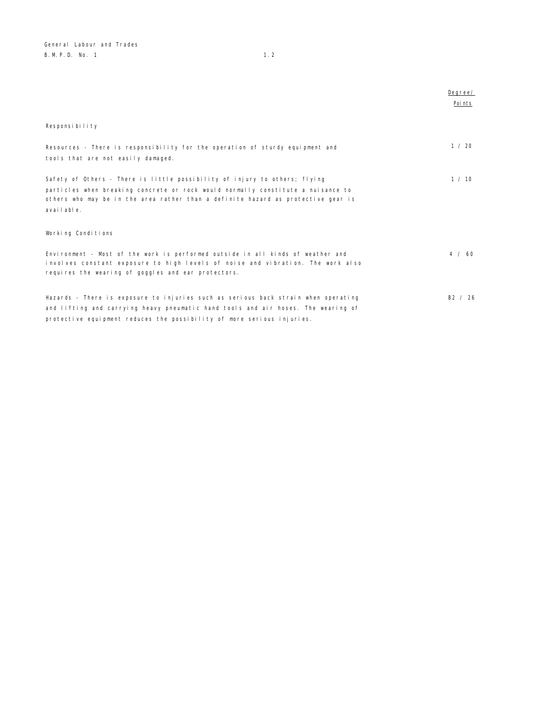|                                                                                    | Degree/ |
|------------------------------------------------------------------------------------|---------|
|                                                                                    | Poi nts |
|                                                                                    |         |
| Responsibility                                                                     |         |
|                                                                                    |         |
| Resources - There is responsibility for the operation of sturdy equipment and      | 1 / 20  |
| tools that are not easily damaged.                                                 |         |
|                                                                                    |         |
| Safety of Others - There is little possibility of injury to others; flying         | 1 / 10  |
| particles when breaking concrete or rock would normally constitute a nuisance to   |         |
| others who may be in the area rather than a definite hazard as protective gear is  |         |
| available.                                                                         |         |
|                                                                                    |         |
| Working Conditions                                                                 |         |
|                                                                                    |         |
| Environment - Most of the work is performed outside in all kinds of weather and    | 4 / 60  |
| involves constant exposure to high levels of noise and vibration. The work also    |         |
| requires the wearing of goggles and ear protectors.                                |         |
|                                                                                    |         |
| Hazards - There is exposure to injuries such as serious back strain when operating | B2 / 26 |
| and lifting and carrying heavy pneumatic hand tools and air hoses. The wearing of  |         |
| protective equipment reduces the possibility of more serious injuries.             |         |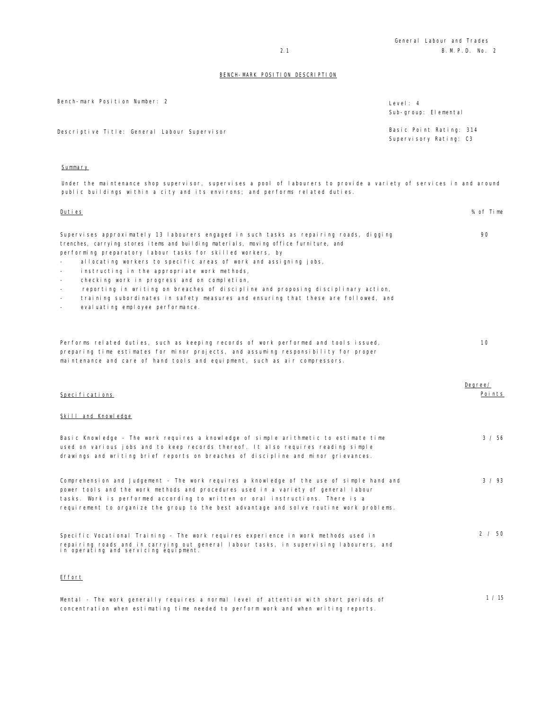| Bench-mark Position Number: 2                | Level: 4<br>Sub-group: Elemental                  |
|----------------------------------------------|---------------------------------------------------|
| Descriptive Title: General Labour Supervisor | Basic Point Rating: 314<br>Supervisory Rating: C3 |

## Summary

Under the maintenance shop supervisor, supervises a pool of labourers to provide a variety of services in and around public buildings within a city and its environs; and performs related duties.

Duties % of Time

| Supervises approximately 13 labourers engaged in such tasks as repairing roads, digging<br>trenches, carrying stores items and building materials, moving office furniture, and<br>performing preparatory labour tasks for skilled workers, by<br>allocating workers to specific areas of work and assigning jobs,<br>instructing in the appropriate work methods,<br>checking work in progress and on completion,<br>reporting in writing on breaches of discipline and proposing disciplinary action,<br>training subordinates in safety measures and ensuring that these are followed, and<br>evaluating employee performance.<br>$\equiv$ | 90                |
|-----------------------------------------------------------------------------------------------------------------------------------------------------------------------------------------------------------------------------------------------------------------------------------------------------------------------------------------------------------------------------------------------------------------------------------------------------------------------------------------------------------------------------------------------------------------------------------------------------------------------------------------------|-------------------|
| Performs related duties, such as keeping records of work performed and tools issued,<br>preparing time estimates for minor projects, and assuming responsibility for proper<br>maintenance and care of hand tools and equipment, such as air compressors.                                                                                                                                                                                                                                                                                                                                                                                     | 10                |
| Specifications                                                                                                                                                                                                                                                                                                                                                                                                                                                                                                                                                                                                                                | Degree/<br>Points |
| Skill and Knowledge                                                                                                                                                                                                                                                                                                                                                                                                                                                                                                                                                                                                                           |                   |
| Basic Knowledge - The work requires a knowledge of simple arithmetic to estimate time<br>used on various jobs and to keep records thereof. It also requires reading simple<br>drawings and writing brief reports on breaches of discipline and minor grievances.                                                                                                                                                                                                                                                                                                                                                                              | 3 / 56            |
| Comprehension and Judgement - The work requires a knowledge of the use of simple hand and<br>power tools and the work methods and procedures used in a variety of general labour<br>tasks. Work is performed according to written or oral instructions. There is a<br>requirement to organize the group to the best advantage and solve routine work problems.                                                                                                                                                                                                                                                                                | 3 / 93            |
| Specific Vocational Training - The work requires experience in work methods used in<br>repairing roads and in carrying out general labour tasks, in supervising labourers, and<br>in operating and servicing equipment.                                                                                                                                                                                                                                                                                                                                                                                                                       | 2 / 50            |
| Effort                                                                                                                                                                                                                                                                                                                                                                                                                                                                                                                                                                                                                                        |                   |
| Mental - The work generally requires a normal level of attention with short periods of<br>concentration when estimating time needed to perform work and when writing reports.                                                                                                                                                                                                                                                                                                                                                                                                                                                                 | 1 / 15            |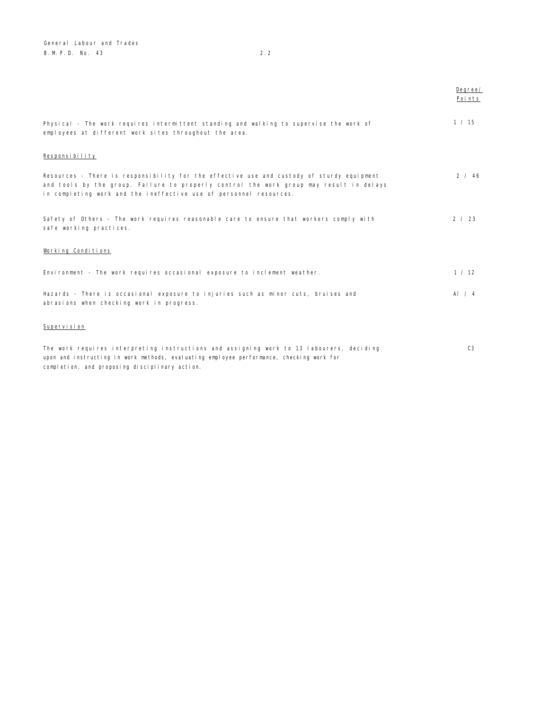General Labour and Trades B.M.P.D. No. 43 2.2

|                                                                                                                                                                                                                                                            | Degree/<br>Points |
|------------------------------------------------------------------------------------------------------------------------------------------------------------------------------------------------------------------------------------------------------------|-------------------|
| Physical - The work requires intermittent standing and walking to supervise the work of<br>employees at different work sites throughout the area.                                                                                                          | 1 / 15            |
| Responsibility                                                                                                                                                                                                                                             |                   |
| Resources - There is responsibility for the effective use and custody of sturdy equipment<br>and tools by the group. Failure to properly control the work group may result in delays<br>in completing work and the ineffective use of personnel resources. | 2 / 46            |
| Safety of Others - The work requires reasonable care to ensure that workers comply with<br>safe working practices.                                                                                                                                         | 2 / 23            |
| Working Conditions                                                                                                                                                                                                                                         |                   |
| Environment - The work requires occasional exposure to inclement weather.                                                                                                                                                                                  | 1 / 12            |
| Hazards - There is occasional exposure to injuries such as minor cuts, bruises and<br>abrasions when checking work in progress.                                                                                                                            | Al $/4$           |
| Supervision                                                                                                                                                                                                                                                |                   |
| The work requires interpreting instructions and assigning work to 13 labourers, deciding<br>upon and instructing in work methods, evaluating employee performance, checking work for<br>completion, and proposing disciplinary action.                     | C <sub>3</sub>    |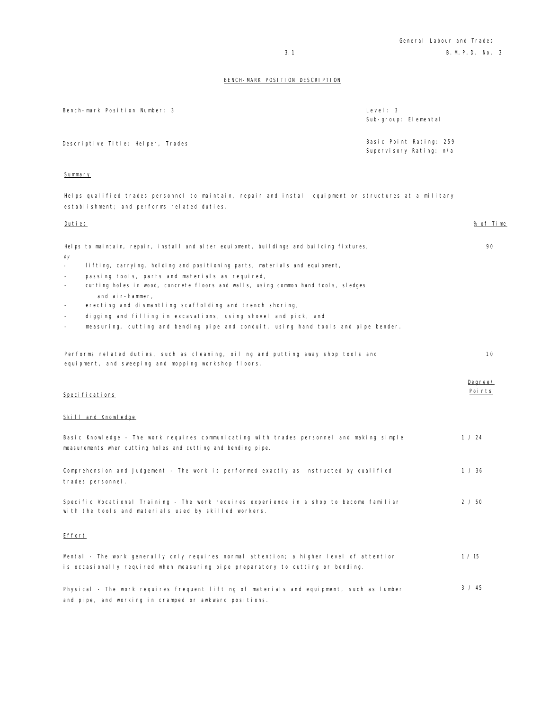| Bench-mark Position Number: 3     | Level: 3<br>Sub-group: Elemental                   |
|-----------------------------------|----------------------------------------------------|
| Descriptive Title: Helper, Trades | Basic Point Rating: 259<br>Supervisory Rating: n/a |

## Summary

Helps qualified trades personnel to maintain, repair and install equipment or structures at a military establishment; and performs related duties.

| Duties                                                                                                                                                     | <u>% of Time</u>  |
|------------------------------------------------------------------------------------------------------------------------------------------------------------|-------------------|
| Helps to maintain, repair, install and alter equipment, buildings and building fixtures,<br>by                                                             | 90                |
| lifting, carrying, holding and positioning parts, materials and equipment,<br>$\overline{a}$                                                               |                   |
| passing tools, parts and materials as required,<br>$\overline{\phantom{a}}$                                                                                |                   |
| cutting holes in wood, concrete floors and walls, using common hand tools, sledges<br>$\overline{\phantom{a}}$<br>and air-hammer,                          |                   |
| erecting and dismantling scaffolding and trench shoring,<br>$\overline{\phantom{m}}$                                                                       |                   |
| digging and filling in excavations, using shovel and pick, and<br>$\overline{\phantom{a}}$                                                                 |                   |
| measuring, cutting and bending pipe and conduit, using hand tools and pipe bender.<br>$\equiv$                                                             |                   |
| Performs related duties, such as cleaning, oiling and putting away shop tools and<br>equipment, and sweeping and mopping workshop floors.                  | 10                |
| Speci fi cati ons                                                                                                                                          | Degree/<br>Points |
| Skill and Knowledge                                                                                                                                        |                   |
| Basic Knowledge - The work requires communicating with trades personnel and making simple<br>measurements when cutting holes and cutting and bending pipe. | 1 / 24            |
| Comprehension and Judgement - The work is performed exactly as instructed by qualified<br>trades personnel.                                                | 1 / 36            |
| Specific Vocational Training - The work requires experience in a shop to become familiar<br>with the tools and materials used by skilled workers.          | 2 / 50            |
| Effort                                                                                                                                                     |                   |
| Mental - The work generally only requires normal attention; a higher level of attention                                                                    | 1 / 15            |
| is occasionally required when measuring pipe preparatory to cutting or bending.                                                                            |                   |
| Physical - The work requires frequent lifting of materials and equipment, such as lumber<br>and pipe, and working in cramped or awkward positions.         | 3 / 45            |
|                                                                                                                                                            |                   |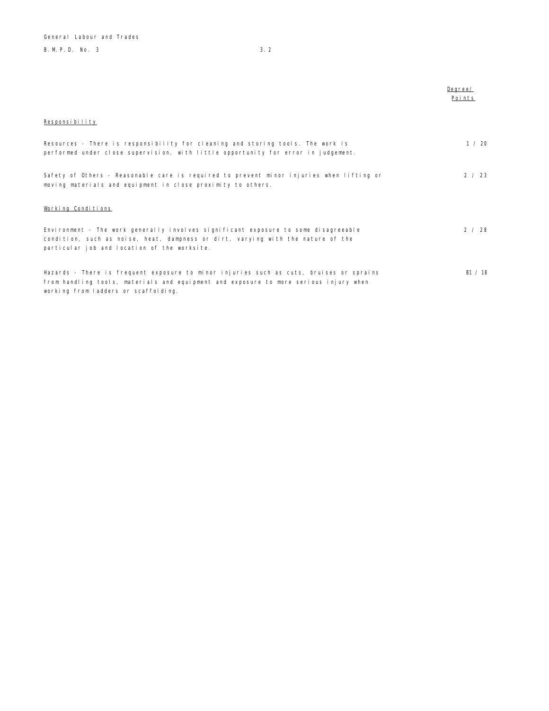B. M. P. D. No. 3 3.2

|                                                                                                                                                                                                                          | Degree/<br>Points |
|--------------------------------------------------------------------------------------------------------------------------------------------------------------------------------------------------------------------------|-------------------|
| Responsibility                                                                                                                                                                                                           |                   |
| Resources - There is responsibility for cleaning and storing tools. The work is<br>performed under close supervision, with little opportunity for error in judgement.                                                    | 1 / 20            |
| Safety of Others - Reasonable care is required to prevent minor injuries when lifting or<br>moving materials and equipment in close proximity to others.                                                                 | 2 / 23            |
| Working Conditions                                                                                                                                                                                                       |                   |
| Environment - The work generally involves significant exposure to some disagreeable<br>condition, such as noise, heat, dampness or dirt, varying with the nature of the<br>particular job and location of the worksite.  | 2 / 28            |
| Hazards - There is frequent exposure to minor injuries such as cuts, bruises or sprains<br>from handling tools, materials and equipment and exposure to more serious injury when<br>working from ladders or scaffolding. | B1 / 18           |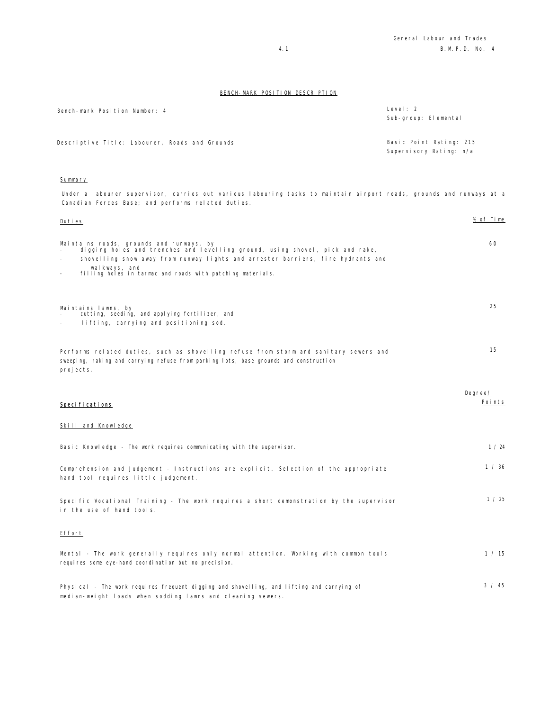| Bench-mark Position Number: 4                  | Level: 2<br>Sub-group: Elemental                   |
|------------------------------------------------|----------------------------------------------------|
| Descriptive Title: Labourer, Roads and Grounds | Basic Point Rating: 215<br>Supervisory Rating: n/a |

#### Summary

Under a labourer supervisor, carries out various labouring tasks to maintain airport roads, grounds and runways at a Canadian Forces Base; and performs related duties.

| Duties                                                                                                                                                                                                                                                                                                                   | % of Time         |
|--------------------------------------------------------------------------------------------------------------------------------------------------------------------------------------------------------------------------------------------------------------------------------------------------------------------------|-------------------|
| Maintains roads, grounds and runways, by<br>digging holes and trenches and levelling ground, using shovel, pick and rake,<br>shovelling snow away from runway lights and arrester barriers, fire hydrants and<br>walkways, and<br>filling holes in tarmac and roads with patching materials.<br>$\overline{\phantom{0}}$ | 60                |
| Maintains lawns, by<br>cutting, seeding, and applying fertilizer, and<br>lifting, carrying and positioning sod.                                                                                                                                                                                                          | 25                |
| Performs related duties, such as shovelling refuse from storm and sanitary sewers and<br>sweeping, raking and carrying refuse from parking lots, base grounds and construction<br>projects.                                                                                                                              | 15                |
| Speci fi cati ons                                                                                                                                                                                                                                                                                                        | Degree/<br>Points |
| Skill and Knowledge                                                                                                                                                                                                                                                                                                      |                   |
| Basic Knowledge - The work requires communicating with the supervisor.                                                                                                                                                                                                                                                   | 1 / 24            |
| Comprehension and Judgement - Instructions are explicit. Selection of the appropriate<br>hand tool requires little judgement.                                                                                                                                                                                            | 1 / 36            |
| Specific Vocational Training - The work requires a short demonstration by the supervisor<br>in the use of hand tools.                                                                                                                                                                                                    | 1 / 25            |
| Effort                                                                                                                                                                                                                                                                                                                   |                   |
| Mental - The work generally requires only normal attention. Working with common tools<br>requires some eye-hand coordination but no precision.                                                                                                                                                                           | 1 / 15            |
| Physical - The work requires frequent digging and shovelling, and lifting and carrying of<br>median-weight loads when sodding lawns and cleaning sewers.                                                                                                                                                                 | 3 / 45            |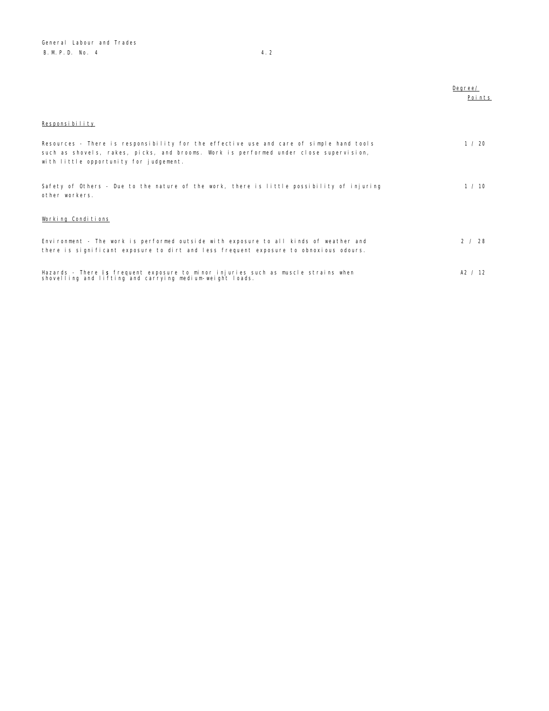|                                                                                                                                                                                                                            | Degree/<br>Points |
|----------------------------------------------------------------------------------------------------------------------------------------------------------------------------------------------------------------------------|-------------------|
| Responsibility                                                                                                                                                                                                             |                   |
| Resources - There is responsibility for the effective use and care of simple hand tools<br>such as shovels, rakes, picks, and brooms. Work is performed under close supervision,<br>with little opportunity for judgement. | 1 / 20            |
| Safety of Others - Due to the nature of the work, there is little possibility of injuring<br>other workers.                                                                                                                | 1 / 10            |
| Working Conditions                                                                                                                                                                                                         |                   |
| Environment - The work is performed outside with exposure to all kinds of weather and<br>there is significant exposure to dirt and less frequent exposure to obnoxious odours.                                             | 2 / 28            |
| Hazards - There is frequent exposure to minor injuries such as muscle strains when<br>shovelling and lifting and carrying medium-weight loads.                                                                             | A2 / 12           |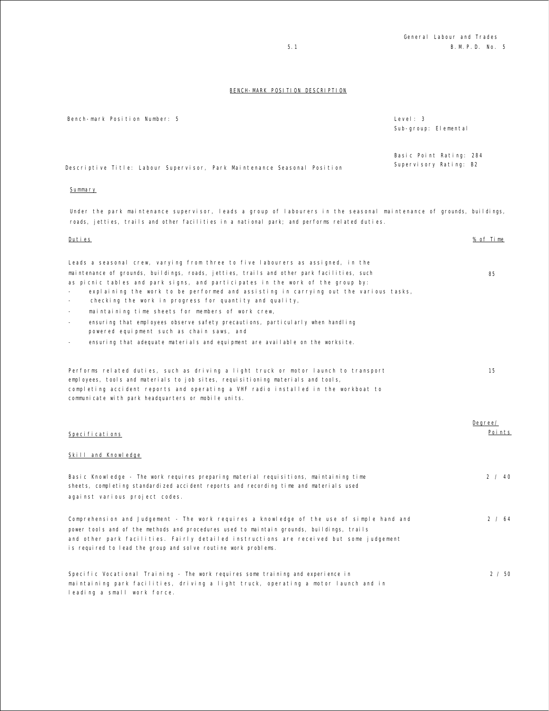| Bench-mark Position Number: 5                                            | Level: $3$<br>Sub-group: Elemental                |
|--------------------------------------------------------------------------|---------------------------------------------------|
| Descriptive Title: Labour Supervisor, Park Maintenance Seasonal Position | Basic Point Rating: 284<br>Supervisory Rating: B2 |

#### Summary

Under the park maintenance supervisor, leads a group of labourers in the seasonal maintenance of grounds, buildings, roads, jetties, trails and other facilities in a national park; and performs related duties.

| Duties                                                                                                                                                                                                                                                        | % of Time |
|---------------------------------------------------------------------------------------------------------------------------------------------------------------------------------------------------------------------------------------------------------------|-----------|
| Leads a seasonal crew, varying from three to five labourers as assigned, in the<br>maintenance of grounds, buildings, roads, jetties, trails and other park facilities, such                                                                                  | 85        |
| as picnic tables and park signs, and participates in the work of the group by:<br>explaining the work to be performed and assisting in carrying out the various tasks,<br>checking the work in progress for quantity and quality,<br>$\overline{\phantom{a}}$ |           |
| maintaining time sheets for members of work crew,<br>$\overline{\phantom{a}}$                                                                                                                                                                                 |           |
| ensuring that employees observe safety precautions, particularly when handling<br>$\overline{\phantom{a}}$<br>powered equipment such as chain saws, and                                                                                                       |           |
| ensuring that adequate materials and equipment are available on the worksite.<br>$\equiv$                                                                                                                                                                     |           |
| Performs related duties, such as driving a light truck or motor launch to transport                                                                                                                                                                           | 15        |
| employees, tools and materials to job sites, requisitioning materials and tools,                                                                                                                                                                              |           |
| completing accident reports and operating a VHF radio installed in the workboat to<br>communicate with park headquarters or mobile units.                                                                                                                     |           |
|                                                                                                                                                                                                                                                               |           |
|                                                                                                                                                                                                                                                               | Degree/   |
| Specifications                                                                                                                                                                                                                                                | Points    |
| Skill and Knowledge                                                                                                                                                                                                                                           |           |
| Basic Knowledge - The work requires preparing material requisitions, maintaining time                                                                                                                                                                         | 2 / 40    |
| sheets, completing standardized accident reports and recording time and materials used                                                                                                                                                                        |           |
| against various project codes.                                                                                                                                                                                                                                |           |
| Comprehension and Judgement - The work requires a knowledge of the use of simple hand and                                                                                                                                                                     | 2 / 64    |
| power tools and of the methods and procedures used to maintain grounds, buildings, trails                                                                                                                                                                     |           |
| and other park facilities. Fairly detailed instructions are received but some judgement<br>is required to lead the group and solve routine work problems.                                                                                                     |           |
| Specific Vocational Training - The work requires some training and experience in                                                                                                                                                                              | 2/50      |
| maintaining park facilities, driving a light truck, operating a motor launch and in                                                                                                                                                                           |           |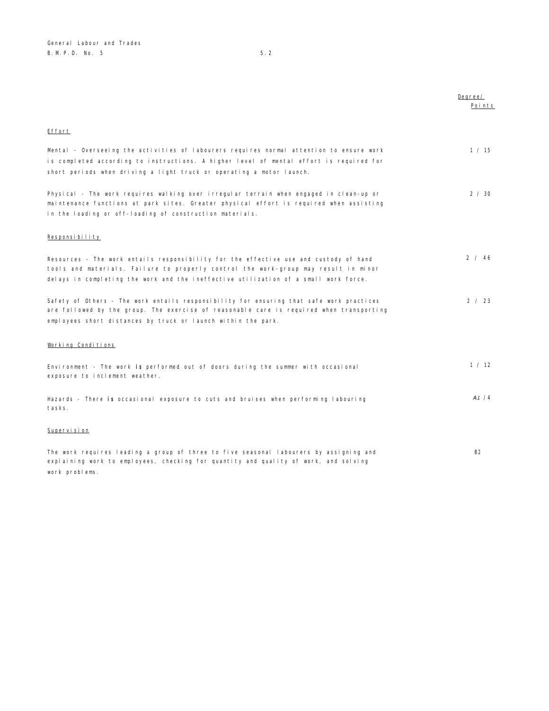|                                                                                                                                                                                                                                                                      | Degree/<br>Points |
|----------------------------------------------------------------------------------------------------------------------------------------------------------------------------------------------------------------------------------------------------------------------|-------------------|
| Effort                                                                                                                                                                                                                                                               |                   |
| Mental - Overseeing the activities of labourers requires normal attention to ensure work<br>is completed according to instructions. A higher level of mental effort is required for<br>short periods when driving a light truck or operating a motor launch.         | 1 / 15            |
| Physical - The work requires walking over irregular terrain when engaged in clean-up or<br>maintenance functions at park sites. Greater physical effort is required when assisting<br>in the loading or off-loading of construction materials.                       | 2 / 30            |
| Responsibility                                                                                                                                                                                                                                                       |                   |
| Resources - The work entails responsibility for the effective use and custody of hand<br>tools and materials. Failure to properly control the work-group may result in minor<br>delays in completing the work and the ineffective utilization of a small work force. | 2 / 46            |
| Safety of Others - The work entails responsibility for ensuring that safe work practices<br>are followed by the group. The exercise of reasonable care is required when transporting<br>employees short distances by truck or launch within the park.                | 2 / 23            |
| Working Conditions                                                                                                                                                                                                                                                   |                   |
| Environment - The work is performed out of doors during the summer with occasional<br>exposure to inclement weather.                                                                                                                                                 | 1 / 12            |
| Hazards - There is occasional exposure to cuts and bruises when performing labouring<br>tasks.                                                                                                                                                                       | A1/4              |
| Supervision                                                                                                                                                                                                                                                          |                   |
| The work requires leading a group of three to five seasonal labourers by assigning and<br>explaining work to employees, checking for quantity and quality of work, and solving<br>work problems.                                                                     | <b>B2</b>         |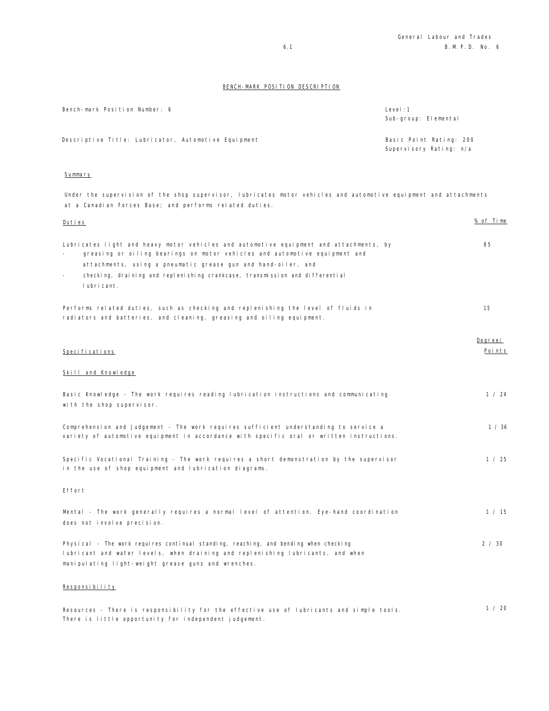| Bench-mark Position Number: 6                       | Level:1<br>Sub-group: Elemental                    |
|-----------------------------------------------------|----------------------------------------------------|
| Descriptive Title: Lubricator, Automotive Equipment | Basic Point Rating: 200<br>Supervisory Rating: n/a |

# Summary

Under the supervision of the shop supervisor, lubricates motor vehicles and automotive equipment and attachments at a Canadian Forces Base; and performs related duties.

| <u>Duties</u>                                                                                                                                                                                                                                                                                                                                               | <u>% of Time</u>  |
|-------------------------------------------------------------------------------------------------------------------------------------------------------------------------------------------------------------------------------------------------------------------------------------------------------------------------------------------------------------|-------------------|
| Lubricates light and heavy motor vehicles and automotive equipment and attachments, by<br>greasing or oiling bearings on motor vehicles and automotive equipment and<br>$\sim$<br>attachments, using a pneumatic grease gun and hand-oiler, and<br>checking, draining and replenishing crankcase, transmission and differential<br>$\omega$<br>I ubri cant. | 85                |
| Performs related duties, such as checking and replenishing the level of fluids in<br>radiators and batteries, and cleaning, greasing and oiling equipment.                                                                                                                                                                                                  | 15                |
| Speci fi cati ons                                                                                                                                                                                                                                                                                                                                           | Degree/<br>Points |
| Skill and Knowledge                                                                                                                                                                                                                                                                                                                                         |                   |
| Basic Knowledge - The work requires reading lubrication instructions and communicating<br>with the shop supervisor.                                                                                                                                                                                                                                         | 1 / 24            |
| Comprehension and Judgement - The work requires sufficient understanding to service a<br>variety of automotive equipment in accordance with specific oral or written instructions.                                                                                                                                                                          | 1 / 36            |
| Specific Vocational Training - The work requires a short demonstration by the supervisor<br>in the use of shop equipment and Iubrication diagrams.                                                                                                                                                                                                          | 1 / 25            |
| Effort                                                                                                                                                                                                                                                                                                                                                      |                   |
| Mental - The work generally requires a normal level of attention. Eye-hand coordination<br>does not involve precision.                                                                                                                                                                                                                                      | 1 / 15            |
| Physical - The work requires continual standing, reaching, and bending when checking<br>lubricant and water levels, when draining and replenishing lubricants, and when<br>manipulating light-weight grease guns and wrenches.                                                                                                                              | 2 / 30            |
| Responsibility                                                                                                                                                                                                                                                                                                                                              |                   |
| Resources - There is responsibility for the effective use of lubricants and simple tools.<br>There is little opportunity for independent judgement.                                                                                                                                                                                                         | 1 / 20            |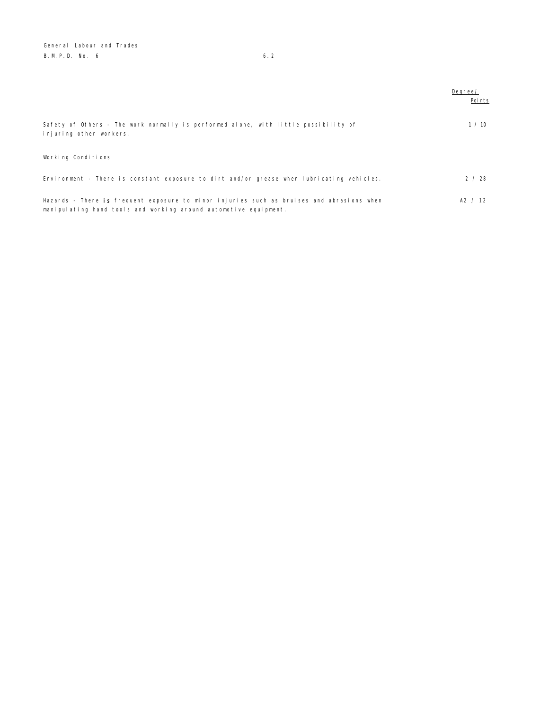General Labour and Trades B. M. P. D. No. 6 6.2

|                                                                                                                                                               | Degree/<br>Poi nts |
|---------------------------------------------------------------------------------------------------------------------------------------------------------------|--------------------|
| Safety of Others - The work normally is performed alone, with little possibility of<br>injuring other workers.                                                | 1 / 10             |
| Working Conditions                                                                                                                                            |                    |
| Environment - There is constant exposure to dirt and/or grease when lubricating vehicles.                                                                     | 2/28               |
| Hazards - There is frequent exposure to minor injuries such as bruises and abrasions when<br>manipulating hand tools and working around automotive equipment. | A2 / 12            |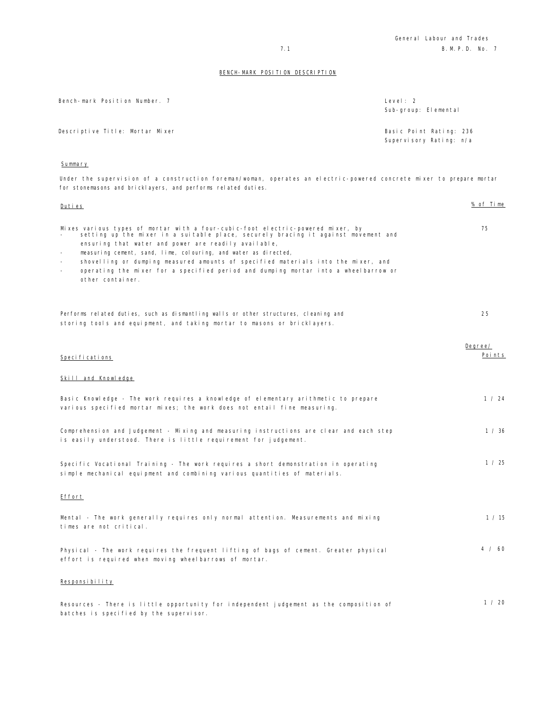| Bench-mark Position Number. 7   | Level: 2<br>Sub-group: Elemental                   |
|---------------------------------|----------------------------------------------------|
| Descriptive Title: Mortar Mixer | Basic Point Rating: 236<br>Supervisory Rating: n/a |

## Summary

Under the supervision of a construction foreman/woman, operates an electric-powered concrete mixer to prepare mortar for stonemasons and bricklayers, and performs related duties.

| Duties                                                                                                                                                                                                                                                                                                                                                                                                                                                                                                     | <u>% of Time</u>  |
|------------------------------------------------------------------------------------------------------------------------------------------------------------------------------------------------------------------------------------------------------------------------------------------------------------------------------------------------------------------------------------------------------------------------------------------------------------------------------------------------------------|-------------------|
| Mixes various types of mortar with a four-cubic-foot electric-powered mixer, by<br>setting up the mixer in a suitable place, securely bracing it against movement and<br>ensuring that water and power are readily available,<br>measuring cement, sand, lime, colouring, and water as directed,<br>$\sim$<br>shovelling or dumping measured amounts of specified materials into the mixer, and<br>operating the mixer for a specified period and dumping mortar into a wheelbarrow or<br>other container. | 75                |
| Performs related duties, such as dismantling walls or other structures, cleaning and<br>storing tools and equipment, and taking mortar to masons or bricklayers.                                                                                                                                                                                                                                                                                                                                           | 25                |
| Specifications                                                                                                                                                                                                                                                                                                                                                                                                                                                                                             | Degree/<br>Points |
| Skill and Knowledge                                                                                                                                                                                                                                                                                                                                                                                                                                                                                        |                   |
| Basic Knowledge - The work requires a knowledge of elementary arithmetic to prepare<br>various specified mortar mixes; the work does not entail fine measuring.                                                                                                                                                                                                                                                                                                                                            | 1 / 24            |
| Comprehension and Judgement - Mixing and measuring instructions are clear and each step<br>is easily understood. There is little requirement for judgement.                                                                                                                                                                                                                                                                                                                                                | 1 / 36            |
| Specific Vocational Training - The work requires a short demonstration in operating<br>simple mechanical equipment and combining various quantities of materials.                                                                                                                                                                                                                                                                                                                                          | 1 / 25            |
| Effort                                                                                                                                                                                                                                                                                                                                                                                                                                                                                                     |                   |
| Mental - The work generally requires only normal attention. Measurements and mixing<br>times are not critical.                                                                                                                                                                                                                                                                                                                                                                                             | 1 / 15            |
| Physical - The work requires the frequent lifting of bags of cement. Greater physical<br>effort is required when moving wheelbarrows of mortar.                                                                                                                                                                                                                                                                                                                                                            | 4 / 60            |
| Responsibility                                                                                                                                                                                                                                                                                                                                                                                                                                                                                             |                   |
| Resources - There is little opportunity for independent judgement as the composition of<br>batches is specified by the supervisor.                                                                                                                                                                                                                                                                                                                                                                         | 1 / 20            |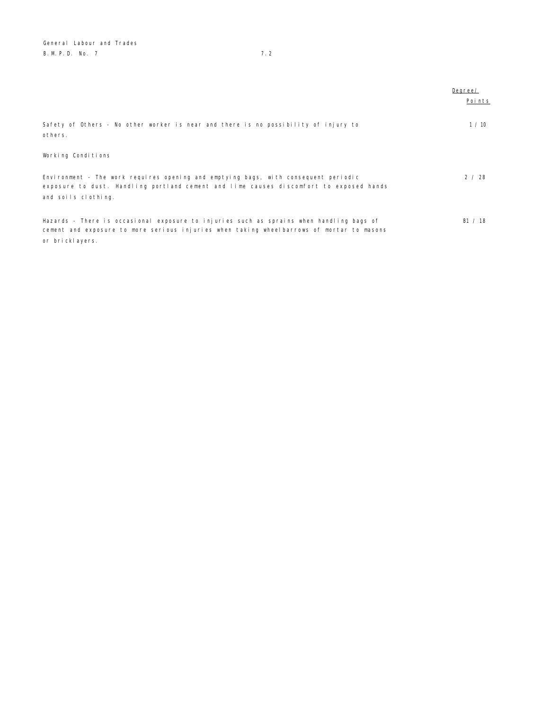General Labour and Trades B. M. P. D. No. 7 7. 2

|                                                                                                                                                                                                          | Degree/<br>Points |
|----------------------------------------------------------------------------------------------------------------------------------------------------------------------------------------------------------|-------------------|
| Safety of Others - No other worker is near and there is no possibility of injury to<br>others.                                                                                                           | 1/10              |
| Working Conditions                                                                                                                                                                                       |                   |
| Environment - The work requires opening and emptying bags, with consequent periodic<br>exposure to dust. Handling portland cement and lime causes discomfort to exposed hands<br>and soils clothing.     | 2 / 28            |
| Hazards - There is occasional exposure to injuries such as sprains when handling bags of<br>cement and exposure to more serious injuries when taking wheelbarrows of mortar to masons<br>or bricklayers. | B1 $/$ 18         |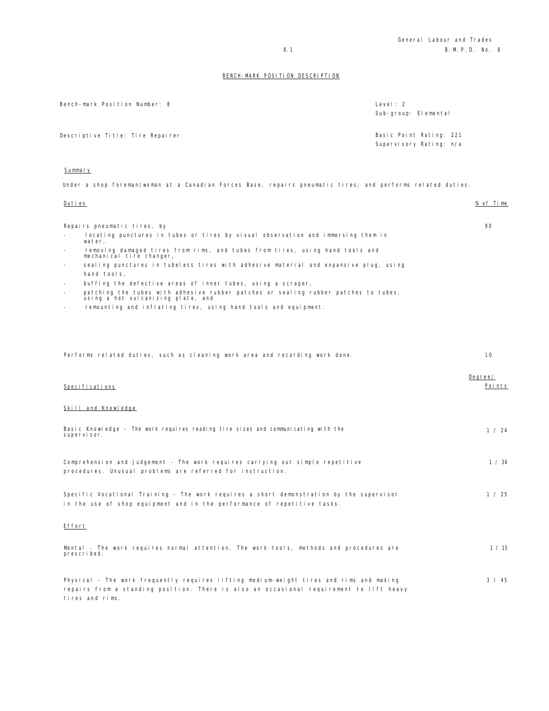| Bench-mark Position Number: 8    | Level: $2$<br>Sub-group: Elemental                 |
|----------------------------------|----------------------------------------------------|
| Descriptive Title: Tire Repairer | Basic Point Rating: 221<br>Supervisory Rating: n/a |
| Summary                          |                                                    |

Under a shop foreman/woman at a Canadian Forces Base, repairs pneumatic tires; and performs related duties.

| <u>Duties</u>                                                                                                                                                                                                                                                                                                                                                                                                                                                                                                                                                                                                | <u>% of Time</u>  |
|--------------------------------------------------------------------------------------------------------------------------------------------------------------------------------------------------------------------------------------------------------------------------------------------------------------------------------------------------------------------------------------------------------------------------------------------------------------------------------------------------------------------------------------------------------------------------------------------------------------|-------------------|
| Repairs pneumatic tires, by<br>locating punctures in tubes or tires by visual observation and immersing them in<br>water.<br>removing damaged tires from rims, and tubes from tires, using hand tools and<br>mechanical tire changer,<br>sealing punctures in tubeless tires with adhesive material and expansive plug, using<br>hand tools,<br>buffing the defective areas of inner tubes, using a scraper,<br>patching the tubes with adhesive rubber patches or sealing rubber patches to tubes,<br>using a hot vulcanizing plate, and<br>remounting and inflating tires, using hand tools and equipment. | 90                |
| Performs related duties, such as cleaning work area and recording work done.                                                                                                                                                                                                                                                                                                                                                                                                                                                                                                                                 | 10                |
| Specifications<br>Skill and Knowledge                                                                                                                                                                                                                                                                                                                                                                                                                                                                                                                                                                        | Degree/<br>Points |
| Basic Knowledge - The work requires reading tire sizes and communicating with the<br>supervisor.                                                                                                                                                                                                                                                                                                                                                                                                                                                                                                             | 1 / 24            |
| Comprehension and Judgement - The work requires carrying out simple repetitive<br>procedures. Unusual problems are referred for instruction.                                                                                                                                                                                                                                                                                                                                                                                                                                                                 | 1 / 36            |
| Specific Vocational Training - The work requires a short demonstration by the supervisor<br>in the use of shop equipment and in the performance of repetitive tasks.                                                                                                                                                                                                                                                                                                                                                                                                                                         | 1 / 25            |
| <b>Effort</b>                                                                                                                                                                                                                                                                                                                                                                                                                                                                                                                                                                                                |                   |
| Mental - The work requires normal attention. The work tools, methods and procedures are<br>prescribed.                                                                                                                                                                                                                                                                                                                                                                                                                                                                                                       | 1 / 15            |
|                                                                                                                                                                                                                                                                                                                                                                                                                                                                                                                                                                                                              |                   |

Physical - The work frequently requires lifting medium-weight tires and rims and making repairs from a standing position. There is also an occasional requirement to lift heavy tires and rims. 3 / 45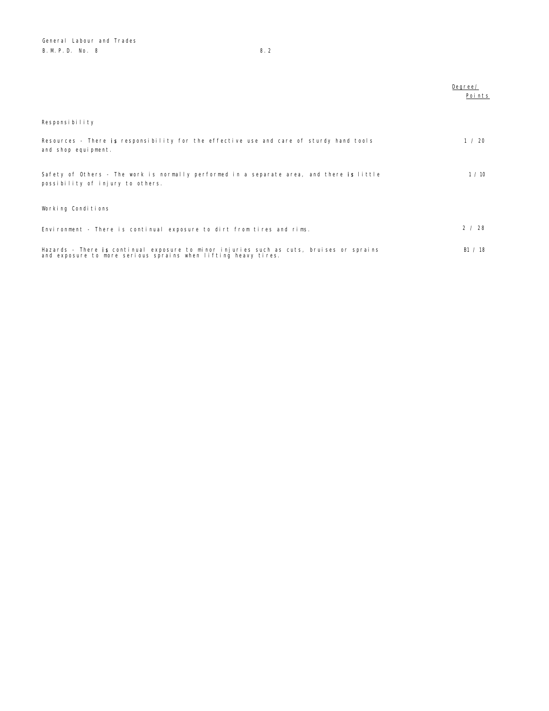|                                                                                                                                                            | Degree/<br>Points |
|------------------------------------------------------------------------------------------------------------------------------------------------------------|-------------------|
| Responsibility                                                                                                                                             |                   |
| Resources - There is responsibility for the effective use and care of sturdy hand tools<br>and shop equipment.                                             | 1 / 20            |
| Safety of Others - The work is normally performed in a separate area, and there is little<br>possibility of injury to others.                              | 1/10              |
| Working Conditions                                                                                                                                         |                   |
| Environment - There is continual exposure to dirt from tires and rims.                                                                                     | 2/28              |
| Hazards - There is continual exposure to minor injuries such as cuts, bruises or sprains<br>and exposure to more serious sprains when lifting heavy tires. | B1 / 18           |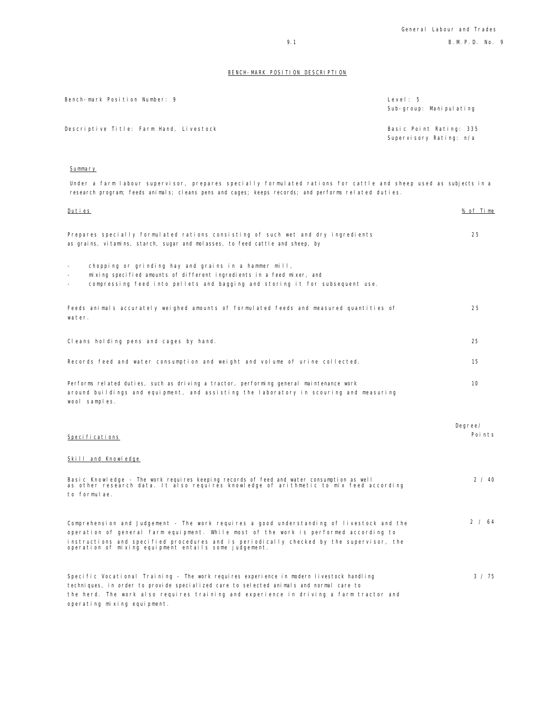| Bench-mark Position Number: 9           | Level: 5<br>Sub-group: Manipulating                |
|-----------------------------------------|----------------------------------------------------|
| Descriptive Title: Farm Hand, Livestock | Basic Point Rating: 335<br>Supervisory Rating: n/a |

Summary

Under a farm labour supervisor, prepares specially formulated rations for cattle and sheep used as subjects in a research program; feeds animals; cleans pens and cages; keeps records; and performs related duties.

Duties % of Time

| Prepares specially formulated rations consisting of such wet and dry ingredients<br>as grains, vitamins, starch, sugar and molasses, to feed cattle and sheep, by                                                                                                                                                                       | 25                |
|-----------------------------------------------------------------------------------------------------------------------------------------------------------------------------------------------------------------------------------------------------------------------------------------------------------------------------------------|-------------------|
| chopping or grinding hay and grains in a hammer mill,<br>$\overline{\phantom{0}}$<br>mixing specified amounts of different ingredients in a feed mixer, and<br>compressing feed into pellets and bagging and storing it for subsequent use.                                                                                             |                   |
| Feeds animals accurately weighed amounts of formulated feeds and measured quantities of<br>water.                                                                                                                                                                                                                                       | 25                |
| Cleans holding pens and cages by hand.                                                                                                                                                                                                                                                                                                  | 25                |
| Records feed and water consumption and weight and volume of urine collected.                                                                                                                                                                                                                                                            | 15                |
| Performs related duties, such as driving a tractor, performing general maintenance work<br>around buildings and equipment, and assisting the laboratory in scouring and measuring<br>wool samples.                                                                                                                                      | 10                |
| Specifications                                                                                                                                                                                                                                                                                                                          | Degree/<br>Points |
| Skill and Knowledge                                                                                                                                                                                                                                                                                                                     |                   |
| Basic Knowledge - The work requires keeping records of feed and water consumption as well<br>as other research data. It also requires knowledge of arithmetic to mix feed according<br>to formulae.                                                                                                                                     | 2 / 40            |
| Comprehension and Judgement - The work requires a good understanding of livestock and the<br>operation of general farm equipment. While most of the work is performed according to<br>instructions and specified procedures and is periodically checked by the supervisor, the<br>operation of mixing equipment entails some judgement. | 2 / 64            |
| Specific Vocational Training – The work requires experience in modern livestock handling<br>techniques, in order to provide specialized care to selected animals and normal care to<br>the herd. The work also requires training and experience in driving a farm tractor and<br>operating mixing equipment.                            | $3 \times 75$     |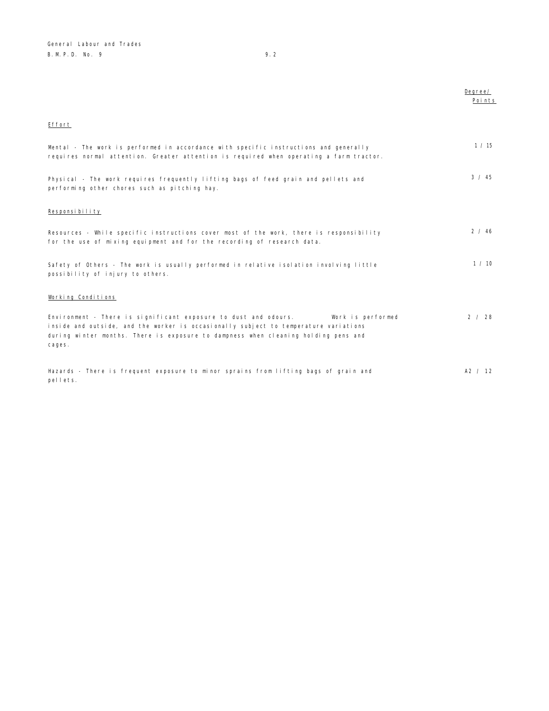Degree/ e<br><u>Points</u>

## Effort

| Mental - The work is performed in accordance with specific instructions and generally<br>requires normal attention. Greater attention is required when operating a farm tractor.                                                                                             | 1/15          |
|------------------------------------------------------------------------------------------------------------------------------------------------------------------------------------------------------------------------------------------------------------------------------|---------------|
| Physical - The work requires frequently lifting bags of feed grain and pellets and<br>performing other chores such as pitching hay.                                                                                                                                          | $3 \times 45$ |
| Responsibility                                                                                                                                                                                                                                                               |               |
| Resources - While specific instructions cover most of the work, there is responsibility<br>for the use of mixing equipment and for the recording of research data.                                                                                                           | 2 / 46        |
| Safety of Others - The work is usually performed in relative isolation involving little<br>possibility of injury to others.                                                                                                                                                  | 1/10          |
| Working Conditions                                                                                                                                                                                                                                                           |               |
| Environment - There is significant exposure to dust and odours.<br>Work is performed<br>inside and outside, and the worker is occasionally subject to temperature variations<br>during winter months. There is exposure to dampness when cleaning holding pens and<br>cages. | 2 / 28        |
| Hazards - There is frequent exposure to minor sprains from lifting bags of grain and<br>pellets.                                                                                                                                                                             | A2 / 12       |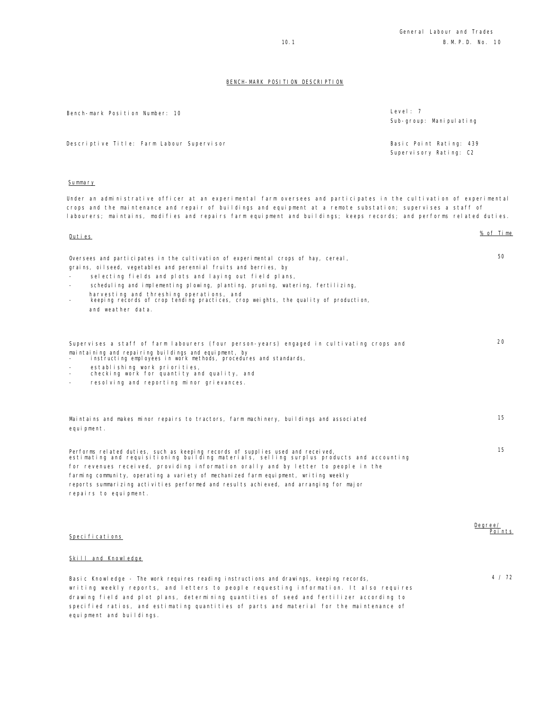| Bench-mark Position Number: 10            | Level: $7$<br>Sub-group: Manipulating             |
|-------------------------------------------|---------------------------------------------------|
| Descriptive Title: Farm Labour Supervisor | Basic Point Rating: 439<br>Supervisory Rating: C2 |

### Summary

equipment and buildings.

Under an administrative officer at an experimental farm oversees and participates in the cultivation of experimental crops and the maintenance and repair of buildings and equipment at a remote substation; supervises a staff of labourers; maintains, modifies and repairs farm equipment and buildings; keeps records; and performs related duties.

| Duties                                                                                                                                                                       | % of Time |
|------------------------------------------------------------------------------------------------------------------------------------------------------------------------------|-----------|
| Oversees and participates in the cultivation of experimental crops of hay, cereal,                                                                                           | 50        |
| grains, oilseed, vegetables and perennial fruits and berries, by                                                                                                             |           |
| selecting fields and plots and laying out field plans,                                                                                                                       |           |
| scheduling and implementing plowing, planting, pruning, watering, fertilizing,<br>$\overline{\phantom{a}}$                                                                   |           |
| harvesting and threshing operations, and<br>keeping records of crop tending practices, crop weights, the quality of production,<br>$\overline{\phantom{0}}$                  |           |
| and weather data.                                                                                                                                                            |           |
|                                                                                                                                                                              |           |
| Supervises a staff of farm labourers (four person-years) engaged in cultivating crops and                                                                                    | 20        |
| maintaining and repairing buildings and equipment, by<br>instructing employees in work methods, procedures and standards,                                                    |           |
| establishing work priorities,<br>checking work for quantity and quality, and<br>$\overline{\phantom{a}}$                                                                     |           |
| resolving and reporting minor grievances.                                                                                                                                    |           |
|                                                                                                                                                                              |           |
| Maintains and makes minor repairs to tractors, farm machinery, buildings and associated                                                                                      | 15        |
| equipment.                                                                                                                                                                   |           |
| Performs related duties, such as keeping records of supplies used and received,<br>estimating and requisitioning building materials, selling surplus products and accounting | 15        |
| for revenues received, providing information orally and by letter to people in the                                                                                           |           |
| farming community, operating a variety of mechanized farm equipment, writing weekly                                                                                          |           |
| reports summarizing activities performed and results achieved, and arranging for major                                                                                       |           |
| repairs to equipment.                                                                                                                                                        |           |
|                                                                                                                                                                              |           |
|                                                                                                                                                                              |           |
|                                                                                                                                                                              |           |

| Specifications                                                                                                                                                                    | <u>Degree/</u><br>Points |
|-----------------------------------------------------------------------------------------------------------------------------------------------------------------------------------|--------------------------|
| Skill and Knowledge                                                                                                                                                               |                          |
| Basic Knowledge - The work requires reading instructions and drawings, keeping records,<br>writing weekly reports, and letters to people requesting information. It also requires | 4 / 72                   |

drawing field and plot plans, determining quantities of seed and fertilizer according to specified ratios, and estimating quantities of parts and material for the maintenance of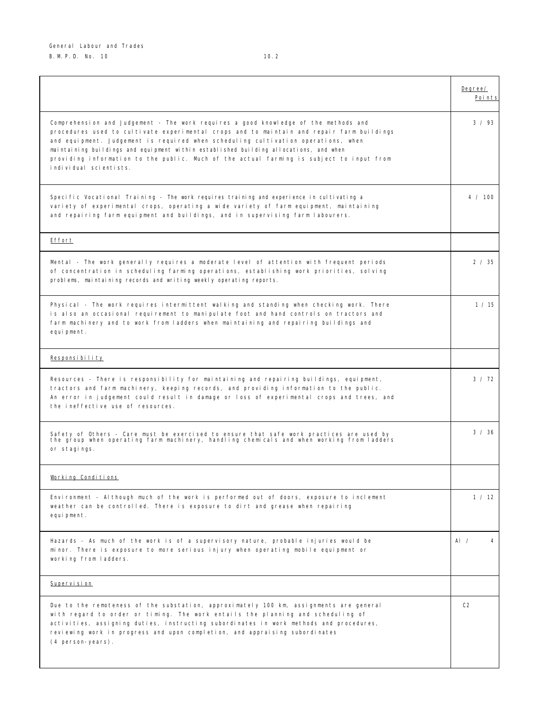$\mathsf{l}$ 

|                                                                                                                                                                                                                                                                                                                                                                                                                                                                                      | Degree/<br>Points |
|--------------------------------------------------------------------------------------------------------------------------------------------------------------------------------------------------------------------------------------------------------------------------------------------------------------------------------------------------------------------------------------------------------------------------------------------------------------------------------------|-------------------|
| Comprehension and Judgement - The work requires a good knowledge of the methods and<br>procedures used to cultivate experimental crops and to maintain and repair farm buildings<br>and equipment. Judgement is required when scheduling cultivation operations, when<br>maintaining buildings and equipment within established building allocations, and when<br>providing information to the public. Much of the actual farming is subject to input from<br>individual scientists. | 3 / 93            |
| Specific Vocational Training - The work requires training and experience in cultivating a<br>variety of experimental crops, operating a wide variety of farm equipment, maintaining<br>and repairing farm equipment and buildings, and in supervising farm labourers.                                                                                                                                                                                                                | 4 / 100           |
| Effort                                                                                                                                                                                                                                                                                                                                                                                                                                                                               |                   |
| Mental - The work generally requires a moderate level of attention with frequent periods<br>of concentration in scheduling farming operations, establishing work priorities, solving<br>problems, maintaining records and writing weekly operating reports.                                                                                                                                                                                                                          | 2 / 35            |
| Physical - The work requires intermittent walking and standing when checking work. There<br>is also an occasional requirement to manipulate foot and hand controls on tractors and<br>farm machinery and to work from ladders when maintaining and repairing buildings and<br>equipment.                                                                                                                                                                                             | 1 / 15            |
| Responsibility                                                                                                                                                                                                                                                                                                                                                                                                                                                                       |                   |
| Resources - There is responsibility for maintaining and repairing buildings, equipment,<br>tractors and farm machinery, keeping records, and providing information to the public.<br>An error in judgement could result in damage or loss of experimental crops and trees, and<br>the ineffective use of resources.                                                                                                                                                                  | $3 \times 72$     |
| Safety of Others - Care must be exercised to ensure that safe work practices are used by<br>the group when operating farm machinery, handling chemicals and when working from ladders<br>or stagings.                                                                                                                                                                                                                                                                                | 3 / 36            |
| Working Conditions                                                                                                                                                                                                                                                                                                                                                                                                                                                                   |                   |
| Environment - Although much of the work is performed out of doors, exposure to inclement<br>weather can be controlled. There is exposure to dirt and grease when repairing<br>equipment.                                                                                                                                                                                                                                                                                             | 1 / 12            |
| Hazards - As much of the work is of a supervisory nature, probable injuries would be<br>minor. There is exposure to more serious injury when operating mobile equipment or<br>working from ladders.                                                                                                                                                                                                                                                                                  | Al $\prime$<br>4  |
| Supervision                                                                                                                                                                                                                                                                                                                                                                                                                                                                          |                   |
| Due to the remoteness of the substation, approximately 100 km, assignments are general<br>with regard to order or timing. The work entails the planning and scheduling of<br>activities, assigning duties, instructing subordinates in work methods and procedures,<br>reviewing work in progress and upon completion, and appraising subordinates<br>(4 person-years).                                                                                                              | C2                |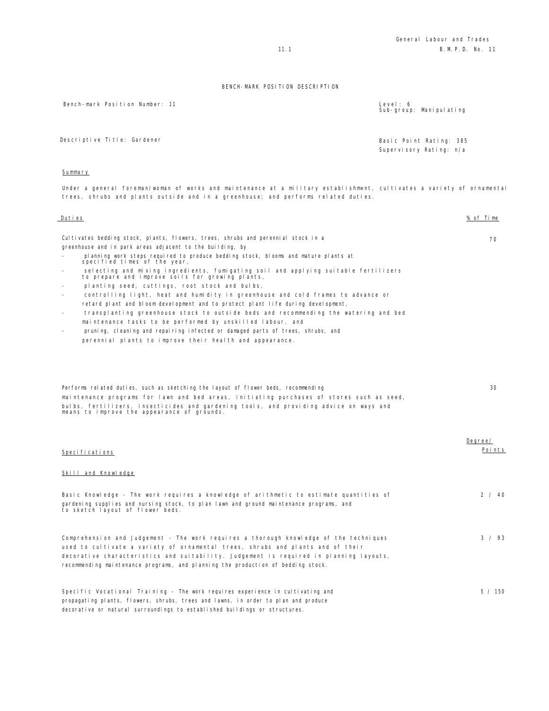Bench-mark Position Number: 11 Level: 6

Sub-group: Manipulating

Descriptive Title: Gardener **Basic Point Rating: 385** 

Supervisory Rating: n/a

### Summary

Under a general foreman/woman of works and maintenance at a military establishment, cultivates a variety of ornamental trees, shrubs and plants outside and in a greenhouse; and performs related duties.

| Duties                                                                                                                                                                                                                                                                                                                                                                                                                                                                                                                                                                                                                                                                                                                                                                                                                                                                                                                                           | % of Time         |
|--------------------------------------------------------------------------------------------------------------------------------------------------------------------------------------------------------------------------------------------------------------------------------------------------------------------------------------------------------------------------------------------------------------------------------------------------------------------------------------------------------------------------------------------------------------------------------------------------------------------------------------------------------------------------------------------------------------------------------------------------------------------------------------------------------------------------------------------------------------------------------------------------------------------------------------------------|-------------------|
| Cultivates bedding stock, plants, flowers, trees, shrubs and perennial stock in a<br>greenhouse and in park areas adjacent to the building, by<br>pl anning work steps required to produce bedding stock, blooms and mature pl ants at<br>specified times of the year,<br>selecting and mixing ingredients, fumigating soil and applying suitable fertilizers<br>to prepare and improve soils for growing plants,<br>planting seed, cuttings, root stock and bulbs,<br>controlling light, heat and humidity in greenhouse and cold frames to advance or<br>retard plant and bloom development and to protect plant life during development,<br>transplanting greenhouse stock to outside beds and recommending the watering and bed<br>maintenance tasks to be performed by unskilled labour, and<br>pruning, cleaning and repairing infected or damaged parts of trees, shrubs, and<br>perennial plants to improve their health and appearance. | 70                |
| Performs related duties, such as sketching the layout of flower beds, recommending<br>maintenance programs for lawn and bed areas, initiating purchases of stores such as seed,<br>bulbs, fertilizers, insecticides and gardening tools, and providing advice on ways and<br>means to improve the appearance of grounds.                                                                                                                                                                                                                                                                                                                                                                                                                                                                                                                                                                                                                         | 30                |
| Specifications                                                                                                                                                                                                                                                                                                                                                                                                                                                                                                                                                                                                                                                                                                                                                                                                                                                                                                                                   | Degree/<br>Points |
| Skill and Knowledge<br>Basic Knowledge - The work requires a knowledge of arithmetic to estimate quantities of<br>gardening supplies and nursing stock, to plan lawn and ground maintenance programs, and<br>to sketch layout of flower beds.                                                                                                                                                                                                                                                                                                                                                                                                                                                                                                                                                                                                                                                                                                    | 2 / 40            |
| Comprehension and Judgement - The work requires a thorough knowledge of the techniques<br>used to cultivate a variety of ornamental trees, shrubs and plants and of their<br>decorative characteristics and suitability. Judgement is required in planning layouts,                                                                                                                                                                                                                                                                                                                                                                                                                                                                                                                                                                                                                                                                              | $3 \times 93$     |

Specific Vocational Training - The work requires experience in cultivating and

recommending maintenance programs, and planning the production of bedding stock.

propagating plants, flowers, shrubs, trees and lawns, in order to plan and produce decorative or natural surroundings to established buildings or structures. 5 / 150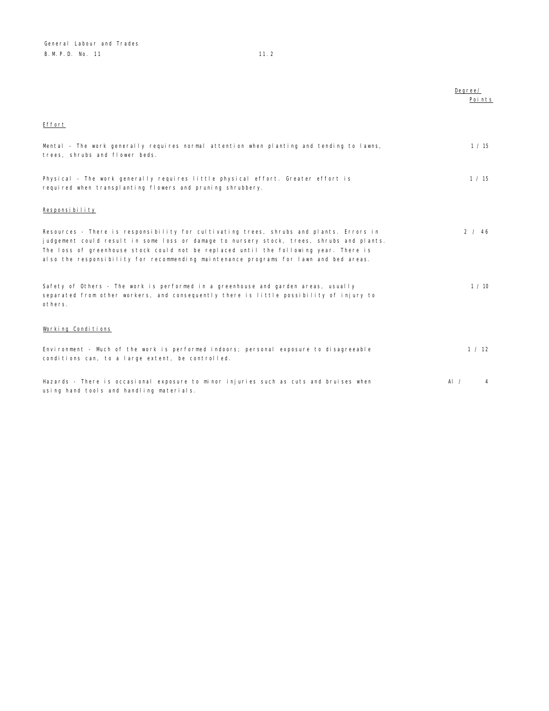|                                                                                                                                                                                                                                                                                                                                                                        | Degree/<br>Points |
|------------------------------------------------------------------------------------------------------------------------------------------------------------------------------------------------------------------------------------------------------------------------------------------------------------------------------------------------------------------------|-------------------|
| Effort                                                                                                                                                                                                                                                                                                                                                                 |                   |
| Mental - The work generally requires normal attention when planting and tending to lawns,<br>trees, shrubs and flower beds.                                                                                                                                                                                                                                            | 1 / 15            |
| Physical - The work generally requires little physical effort. Greater effort is<br>required when transplanting flowers and pruning shrubbery.                                                                                                                                                                                                                         | 1 / 15            |
| Responsibility                                                                                                                                                                                                                                                                                                                                                         |                   |
| Resources - There is responsibility for cultivating trees, shrubs and plants. Errors in<br>judgement could result in some loss or damage to nursery stock, trees, shrubs and plants.<br>The loss of greenhouse stock could not be replaced until the following year. There is<br>also the responsibility for recommending maintenance programs for lawn and bed areas. | 2 / 46            |
| Safety of Others - The work is performed in a greenhouse and garden areas, usually<br>separated from other workers, and consequently there is little possibility of injury to<br>others.                                                                                                                                                                               | 1/10              |
| Working Conditions                                                                                                                                                                                                                                                                                                                                                     |                   |
| Environment - Much of the work is performed indoors; personal exposure to disagreeable<br>conditions can, to a large extent, be controlled.                                                                                                                                                                                                                            | 1 / 12            |
| Hazards - There is occasional exposure to minor injuries such as cuts and bruises when<br>using hand tools and handling materials.                                                                                                                                                                                                                                     | Al $\prime$<br>4  |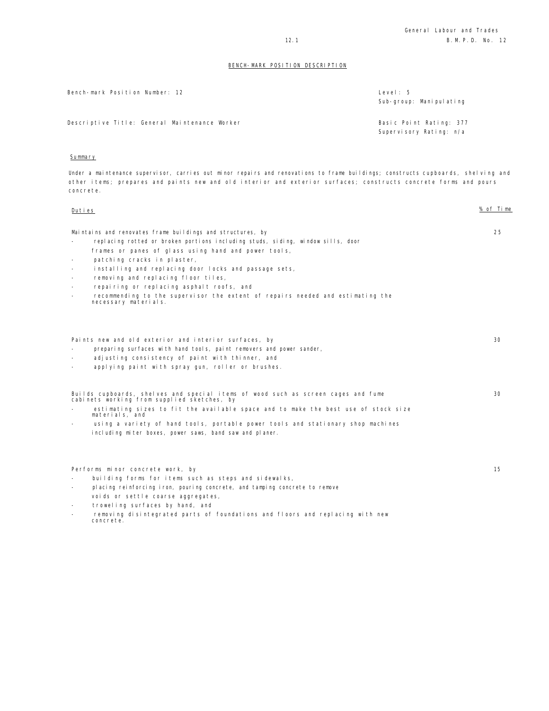| Bench-mark Position Number: 12                | Level: 5<br>Sub-group: Manipulating                |
|-----------------------------------------------|----------------------------------------------------|
| Descriptive Title: General Maintenance Worker | Basic Point Rating: 377<br>Supervisory Rating: n/a |

## Summary

Under a maintenance supervisor, carries out minor repairs and renovations to frame buildings; constructs cupboards, shelving and other items; prepares and paints new and old interior and exterior surfaces; constructs concrete forms and pours concrete.

| Duties                   |                                                                                                                                  | % of Time |
|--------------------------|----------------------------------------------------------------------------------------------------------------------------------|-----------|
|                          | Maintains and renovates frame buildings and structures, by                                                                       | 25        |
|                          | replacing rotted or broken portions including studs, siding, window sills, door                                                  |           |
|                          | frames or panes of glass using hand and power tools,                                                                             |           |
| $\overline{\phantom{a}}$ | patching cracks in plaster,                                                                                                      |           |
| $\sim$                   | installing and replacing door locks and passage sets,                                                                            |           |
| $\sim$                   | removing and replacing floor tiles,                                                                                              |           |
|                          | repairing or replacing asphalt roofs, and                                                                                        |           |
| $\overline{\phantom{0}}$ | recommending to the supervisor the extent of repairs needed and estimating the<br>necessary materials.                           |           |
|                          |                                                                                                                                  |           |
|                          | Paints new and old exterior and interior surfaces, by                                                                            | 30        |
|                          | preparing surfaces with hand tools, paint removers and power sander,                                                             |           |
|                          | adjusting consistency of paint with thinner, and                                                                                 |           |
| $\overline{\phantom{0}}$ | applying paint with spray gun, roller or brushes.                                                                                |           |
|                          | Builds cupboards, shelves and special items of wood such as screen cages and fume<br>cabinets working from supplied sketches, by | 30        |
|                          | estimating sizes to fit the available space and to make the best use of stock size<br>materials, and                             |           |
|                          | using a variety of hand tools, portable power tools and stationary shop machines                                                 |           |
|                          | including miter boxes, power saws, band saw and planer.                                                                          |           |
|                          |                                                                                                                                  |           |
|                          | Performs minor concrete work, by                                                                                                 | 15        |
| $\overline{\phantom{a}}$ | building forms for items such as steps and sidewalks,                                                                            |           |
| Ξ.                       | placing reinforcing iron, pouring concrete, and tamping concrete to remove                                                       |           |
|                          | voids or settle coarse aggregates,                                                                                               |           |
| $\sim$                   | troweling surfaces by hand, and                                                                                                  |           |
|                          | removing disintegrated parts of foundations and floors and replacing with new<br>concrete.                                       |           |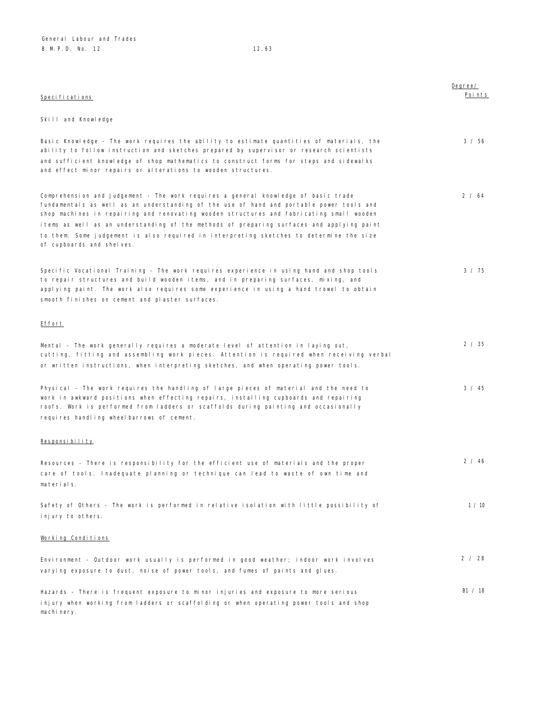| Specifications                                                                                                                                                                                                                                                                                                                                                                                                                                                                                  | Degree/<br>Points |
|-------------------------------------------------------------------------------------------------------------------------------------------------------------------------------------------------------------------------------------------------------------------------------------------------------------------------------------------------------------------------------------------------------------------------------------------------------------------------------------------------|-------------------|
| Skill and Knowledge                                                                                                                                                                                                                                                                                                                                                                                                                                                                             |                   |
| Basic Knowledge - The work requires the ability to estimate quantities of materials, the<br>ability to follow instruction and sketches prepared by supervisor or research scientists<br>and sufficient knowledge of shop mathematics to construct forms for steps and sidewalks<br>and effect minor repairs or alterations to wooden structures.                                                                                                                                                | 3 / 56            |
| Comprehension and Judgement - The work requires a general knowledge of basic trade<br>fundamentals as well as an understanding of the use of hand and portable power tools and<br>shop machines in repairing and renovating wooden structures and fabricating small wooden<br>items as well as an understanding of the methods of preparing surfaces and applying paint<br>to them. Some judgement is also required in interpreting sketches to determine the size<br>of cupboards and shelves. | 2 / 64            |
| Specific Vocational Training - The work requires experience in using hand and shop tools<br>to repair structures and build wooden items, and in preparing surfaces, mixing, and<br>applying paint. The work also requires some experience in using a hand trowel to obtain<br>smooth finishes on cement and plaster surfaces.                                                                                                                                                                   | 3 / 75            |
| <u>Effort</u>                                                                                                                                                                                                                                                                                                                                                                                                                                                                                   |                   |
| Mental - The work generally requires a moderate level of attention in laying out,<br>cutting, fitting and assembling work pieces. Attention is required when receiving verbal<br>or written instructions, when interpreting sketches, and when operating power tools.                                                                                                                                                                                                                           | 2 / 35            |
| Physical - The work requires the handling of large pieces of material and the need to<br>work in awkward positions when effecting repairs, installing cupboards and repairing<br>roofs. Work is performed from ladders or scaffolds during painting and occasionally<br>requires handling wheelbarrows of cement.                                                                                                                                                                               | 3 / 45            |
| <u>Responsibility</u>                                                                                                                                                                                                                                                                                                                                                                                                                                                                           |                   |
| Resources - There is responsibility for the efficient use of materials and the proper<br>care of tools. Inadequate planning or technique can lead to waste of own time and<br>materials.                                                                                                                                                                                                                                                                                                        | 2 / 46            |
| Safety of Others - The work is performed in relative isolation with little possibility of<br>injury to others.                                                                                                                                                                                                                                                                                                                                                                                  | 1 / 10            |
| Working Conditions                                                                                                                                                                                                                                                                                                                                                                                                                                                                              |                   |
| Environment - Outdoor work usually is performed in good weather; indoor work involves<br>varying exposure to dust, noise of power tools, and fumes of paints and glues.                                                                                                                                                                                                                                                                                                                         | 2 / 28            |
| Hazards - There is frequent exposure to minor injuries and exposure to more serious<br>injury when working from ladders or scaffolding or when operating power tools and shop                                                                                                                                                                                                                                                                                                                   | B1 / 18           |

machinery.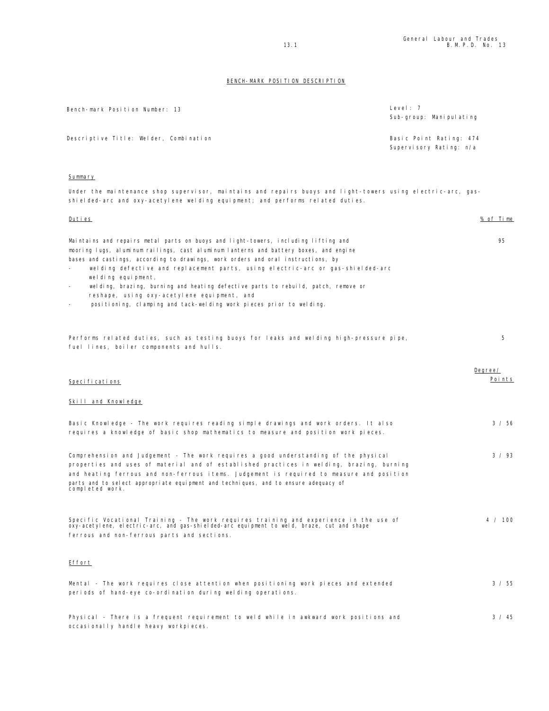| Bench-mark Position Number: 13         | Level: $7$<br>Sub-group: Manipulating |
|----------------------------------------|---------------------------------------|
| Descriptive Title: Welder, Combination | Basic Point Rating: 474               |
|                                        | Supervisory Rating: n/a               |

### Summary

Under the maintenance shop supervisor, maintains and repairs buoys and light-towers using electric-arc, gasshielded-arc and oxy-acetylene welding equipment; and performs related duties.

| <u>Duties</u>                                                                                                                                                                                                                                                                                                                                                                                                                                                                                                                                                                         | <u>% of Time</u>  |
|---------------------------------------------------------------------------------------------------------------------------------------------------------------------------------------------------------------------------------------------------------------------------------------------------------------------------------------------------------------------------------------------------------------------------------------------------------------------------------------------------------------------------------------------------------------------------------------|-------------------|
| Maintains and repairs metal parts on buoys and light-towers, including lifting and<br>mooring lugs, aluminum railings, cast aluminum lanterns and battery boxes, and engine<br>bases and castings, according to drawings, work orders and oral instructions, by<br>welding defective and replacement parts, using electric-arc or gas-shielded-arc<br>welding equipment,<br>welding, brazing, burning and heating defective parts to rebuild, patch, remove or<br>reshape, using oxy-acetylene equipment, and<br>positioning, clamping and tack-welding work pieces prior to welding. | 95                |
| Performs related duties, such as testing buoys for leaks and welding high-pressure pipe,<br>fuel lines, boiler components and hulls.                                                                                                                                                                                                                                                                                                                                                                                                                                                  | 5                 |
| Specifications                                                                                                                                                                                                                                                                                                                                                                                                                                                                                                                                                                        | Degree/<br>Points |
| Skill and Knowledge                                                                                                                                                                                                                                                                                                                                                                                                                                                                                                                                                                   |                   |
| Basic Knowledge - The work requires reading simple drawings and work orders. It also<br>requires a knowledge of basic shop mathematics to measure and position work pieces.                                                                                                                                                                                                                                                                                                                                                                                                           | 3 / 56            |
| Comprehension and Judgement - The work requires a good understanding of the physical<br>properties and uses of material and of established practices in welding, brazing, burning<br>and heating ferrous and non-ferrous items. Judgement is required to measure and position<br>parts and to select appropriate equipment and techniques, and to ensure adequacy of<br>completed work.                                                                                                                                                                                               | 3 / 93            |
| Specific Vocational Training - The work requires training and experience in the use of<br>oxy-acetylene, electric-arc, and gas-shielded-arc equipment to weld, braze, cut and shape<br>ferrous and non-ferrous parts and sections.                                                                                                                                                                                                                                                                                                                                                    | 4 / 100           |
| Effort                                                                                                                                                                                                                                                                                                                                                                                                                                                                                                                                                                                |                   |
| Mental - The work requires close attention when positioning work pieces and extended<br>periods of hand-eye co-ordination during welding operations.                                                                                                                                                                                                                                                                                                                                                                                                                                  | 3 / 55            |
| Physical - There is a frequent requirement to weld while in awkward work positions and                                                                                                                                                                                                                                                                                                                                                                                                                                                                                                | 3 / 45            |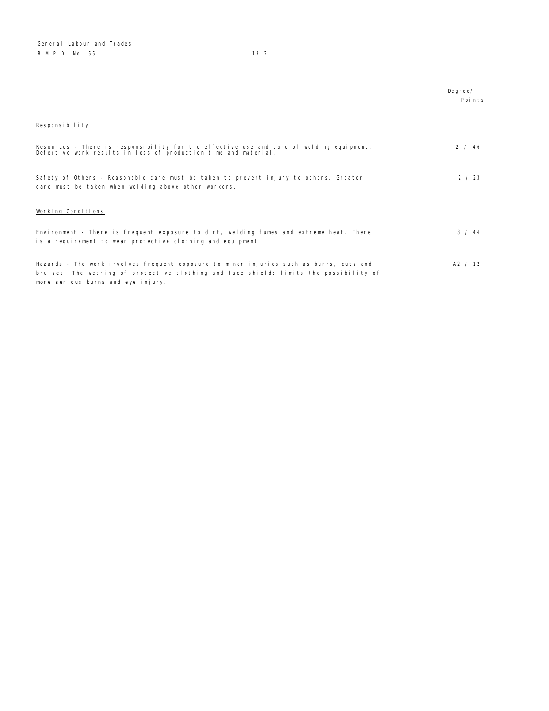|                                                                                                                                                                                                                         | Degree/<br>Points |
|-------------------------------------------------------------------------------------------------------------------------------------------------------------------------------------------------------------------------|-------------------|
| Responsibility                                                                                                                                                                                                          |                   |
| Resources - There is responsibility for the effective use and care of welding equipment.<br>Defective work results in loss of production time and material.                                                             | 2 / 46            |
| Safety of Others - Reasonable care must be taken to prevent injury to others. Greater<br>care must be taken when welding above other workers.                                                                           | 2 / 23            |
| Working Conditions                                                                                                                                                                                                      |                   |
| Environment - There is frequent exposure to dirt, welding fumes and extreme heat. There<br>is a requirement to wear protective clothing and equipment.                                                                  | 3 / 44            |
| Hazards - The work involves frequent exposure to minor injuries such as burns, cuts and<br>bruises. The wearing of protective clothing and face shields limits the possibility of<br>more serious burns and eye injury. | A2 / 12           |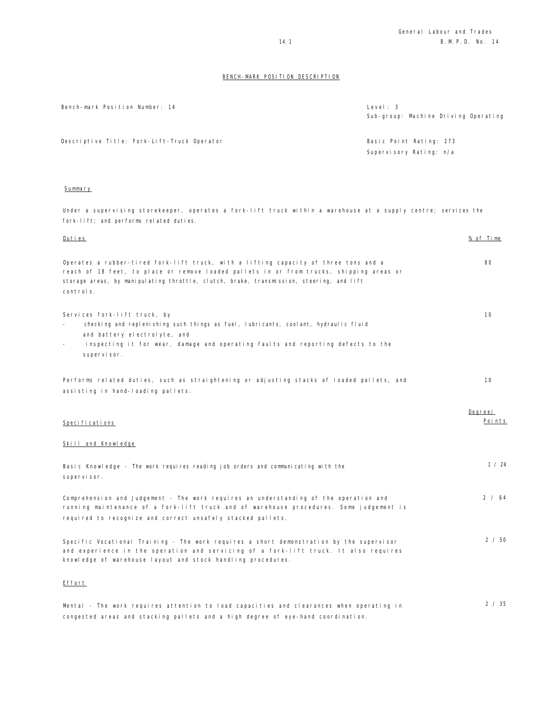Sub-group: Machine Driving Operating

## BENCH-MARK POSITION DESCRIPTION

Bench-mark Position Number: 14 Level: 3

| Descriptive Title: Fork-Lift-Truck Operator                                                                                                                                                                                                                                               | Basic Point Rating: 273<br>Supervisory Rating: n/a |                   |
|-------------------------------------------------------------------------------------------------------------------------------------------------------------------------------------------------------------------------------------------------------------------------------------------|----------------------------------------------------|-------------------|
| Summary                                                                                                                                                                                                                                                                                   |                                                    |                   |
| Under a supervising storekeeper, operates a fork-lift truck within a warehouse at a supply centre; services the<br>fork-lift; and performs related duties.                                                                                                                                |                                                    |                   |
| <u>Duties</u>                                                                                                                                                                                                                                                                             |                                                    | % of Time         |
| Operates a rubber-tired fork-lift truck, with a lifting capacity of three tons and a<br>reach of 18 feet, to place or remove loaded pallets in or from trucks, shipping areas or<br>storage areas, by manipulating throttle, clutch, brake, transmission, steering, and lift<br>controls. |                                                    | 80                |
| Services fork-lift truck, by<br>checking and replenishing such things as fuel, lubricants, coolant, hydraulic fluid<br>and battery electrolyte, and<br>inspecting it for wear, damage and operating faults and reporting defects to the<br>supervisor.                                    |                                                    | 10                |
| Performs related duties, such as straightening or adjusting stacks of loaded pallets, and<br>assisting in hand-loading pallets.                                                                                                                                                           |                                                    | 10                |
| Specifications                                                                                                                                                                                                                                                                            |                                                    | Degree/<br>Points |
| Skill and Knowledge                                                                                                                                                                                                                                                                       |                                                    |                   |
| Basic Knowledge - The work requires reading job orders and communicating with the<br>supervisor.                                                                                                                                                                                          |                                                    | 1 / 24            |
| Comprehension and Judgement - The work requires an understanding of the operation and<br>running maintenance of a fork-lift truck and of warehouse procedures. Some judgement is<br>required to recognize and correct unsafely stacked pallets.                                           |                                                    | 2 / 64            |
| Specific Vocational Training - The work requires a short demonstration by the supervisor<br>and experience in the operation and servicing of a fork-lift truck. It also requires<br>knowledge of warehouse layout and stock handling procedures.                                          |                                                    | 2 / 50            |
| Effort                                                                                                                                                                                                                                                                                    |                                                    |                   |
| Mental - The work requires attention to load capacities and clearances when operating in                                                                                                                                                                                                  |                                                    | 2 / 35            |

congested areas and stacking pallets and a high degree of eye-hand coordination.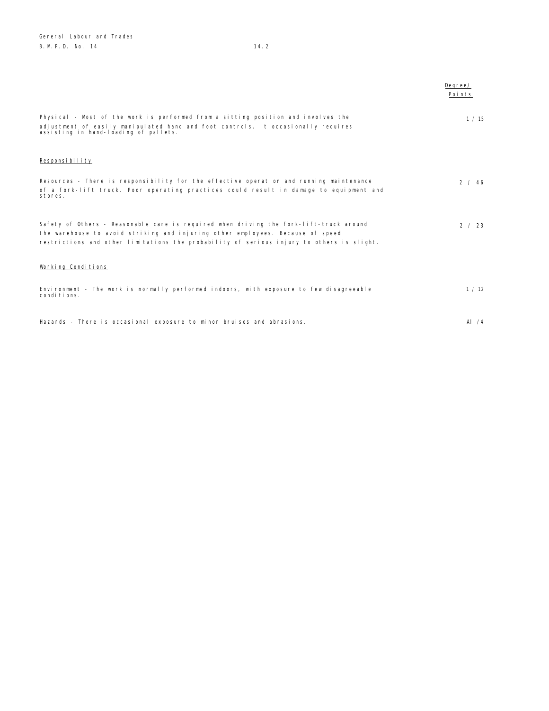|                                                                                                                                                                                                                                                                       | Degree/<br>Points |
|-----------------------------------------------------------------------------------------------------------------------------------------------------------------------------------------------------------------------------------------------------------------------|-------------------|
| Physical - Most of the work is performed from a sitting position and involves the<br>adjustment of easily manipulated hand and foot controls. It occasionally requires<br>assisting in hand-loading of pallets.                                                       | 1/15              |
| Responsibility                                                                                                                                                                                                                                                        |                   |
| Resources - There is responsibility for the effective operation and running maintenance<br>of a fork-lift truck. Poor operating practices could result in damage to equipment and<br>stores.                                                                          | 2 / 46            |
| Safety of Others - Reasonable care is required when driving the fork-lift-truck around<br>the warehouse to avoid striking and injuring other employees. Because of speed<br>restrictions and other limitations the probability of serious injury to others is slight. | 2 / 23            |
| Working Conditions                                                                                                                                                                                                                                                    |                   |
| Environment - The work is normally performed indoors, with exposure to few disagreeable<br>conditions.                                                                                                                                                                | 1 / 12            |
| Hazards - There is occasional exposure to minor bruises and abrasions.                                                                                                                                                                                                | AI $/4$           |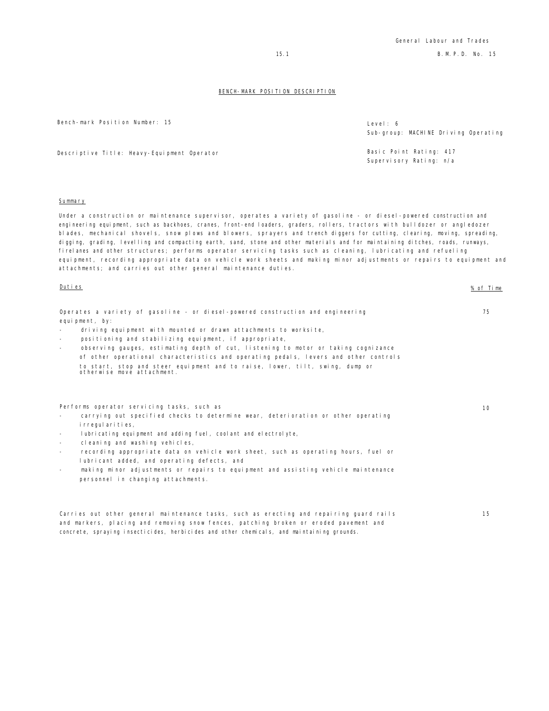Bench-mark Position Number: 15

| Level: 6                             |  |  |
|--------------------------------------|--|--|
| Sub-group: MACHINE Driving Operating |  |  |

Supervisory Rating: n/a

Descriptive Title: Heavy-Equipment Operator and Basic Point Rating: 417

#### **Summary**

Under a construction or maintenance supervisor, operates a variety of gasoline - or diesel-powered construction and engineering equipment, such as backhoes, cranes, front-end loaders, graders, rollers, tractors with bulldozer or angledozer blades, mechanical shovels, snow plows and blowers, sprayers and trench diggers for cutting, clearing, moving, spreading, digging, grading, levelling and compacting earth, sand, stone and other materials and for maintaining ditches, roads, runways, firelanes and other structures; performs operator servicing tasks such as cleaning, lubricating and refueling equipment, recording appropriate data on vehicle work sheets and making minor adjustments or repairs to equipment and attachments; and carries out other general maintenance duties.

| Duties                                                                                                                                                                                                                                                                                                                                                                                                                                                                                                                                                                                                   | % of Time |
|----------------------------------------------------------------------------------------------------------------------------------------------------------------------------------------------------------------------------------------------------------------------------------------------------------------------------------------------------------------------------------------------------------------------------------------------------------------------------------------------------------------------------------------------------------------------------------------------------------|-----------|
| Operates a variety of gasoline - or diesel-powered construction and engineering<br>equipment, by:<br>driving equipment with mounted or drawn attachments to worksite,<br>positioning and stabilizing equipment, if appropriate,<br>$\overline{\phantom{a}}$<br>observing gauges, estimating depth of cut, listening to motor or taking cognizance<br>of other operational characteristics and operating pedals, levers and other controls<br>to start, stop and steer equipment and to raise, lower, tilt, swing, dump or<br>otherwise move attachment.                                                  | 75        |
| Performs operator servicing tasks, such as<br>carrying out specified checks to determine wear, deterioration or other operating<br>i rregul ari ti es,<br>lubricating equipment and adding fuel, coolant and electrolyte,<br>$\overline{\phantom{a}}$<br>cleaning and washing vehicles,<br>$\sim$<br>recording appropriate data on vehicle work sheet, such as operating hours, fuel or<br>$\overline{\phantom{a}}$<br>lubricant added, and operating defects, and<br>making minor adjustments or repairs to equipment and assisting vehicle maintenance<br>$\sim$<br>personnel in changing attachments. | 10        |
| Carries out other general maintenance tasks, such as erecting and repairing guard rails<br>and markers, placing and removing snow fences, patching broken or eroded pavement and<br>concrete, spraying insecticides, herbicides and other chemicals, and maintaining grounds.                                                                                                                                                                                                                                                                                                                            | 15        |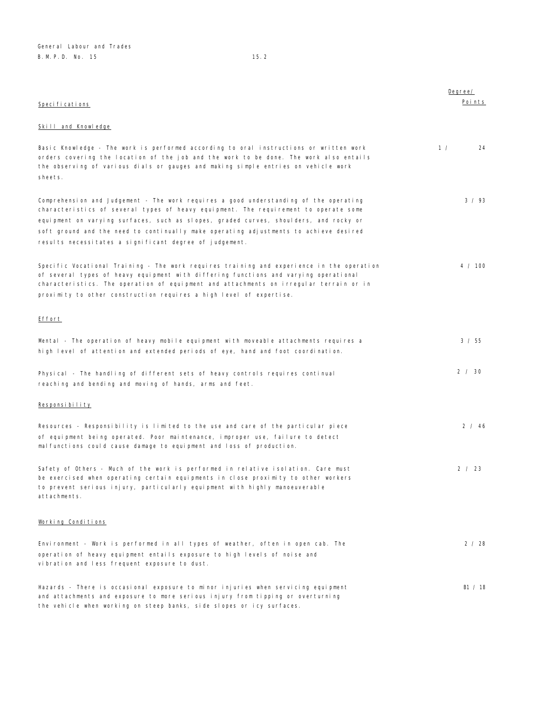| Specifications                                                                                                                                                                                                                                                                                                                                                                                                             | Degree/<br>Points |
|----------------------------------------------------------------------------------------------------------------------------------------------------------------------------------------------------------------------------------------------------------------------------------------------------------------------------------------------------------------------------------------------------------------------------|-------------------|
| <b>Skill and Knowledge</b>                                                                                                                                                                                                                                                                                                                                                                                                 |                   |
| Basic Knowledge - The work is performed according to oral instructions or written work<br>orders covering the location of the job and the work to be done. The work also entails<br>the observing of various dials or gauges and making simple entries on vehicle work<br>sheets.                                                                                                                                          | 1 /<br>24         |
| Comprehension and Judgement - The work requires a good understanding of the operating<br>characteristics of several types of heavy equipment. The requirement to operate some<br>equipment on varying surfaces, such as slopes, graded curves, shoulders, and rocky or<br>soft ground and the need to continually make operating adjustments to achieve desired<br>results necessitates a significant degree of judgement. | 3 / 93            |
| Specific Vocational Training - The work requires training and experience in the operation<br>of several types of heavy equipment with differing functions and varying operational<br>characteristics. The operation of equipment and attachments on irregular terrain or in<br>proximity to other construction requires a high level of expertise.                                                                         | 4 / 100           |
| <u>Effort</u>                                                                                                                                                                                                                                                                                                                                                                                                              |                   |
| Mental - The operation of heavy mobile equipment with moveable attachments requires a<br>high level of attention and extended periods of eye, hand and foot coordination.                                                                                                                                                                                                                                                  | 3 / 55            |
| Physical - The handling of different sets of heavy controls requires continual<br>reaching and bending and moving of hands, arms and feet.                                                                                                                                                                                                                                                                                 | 2 / 30            |
| Responsibility                                                                                                                                                                                                                                                                                                                                                                                                             |                   |
| Resources - Responsibility is limited to the use and care of the particular piece<br>of equipment being operated. Poor maintenance, improper use, failure to detect<br>malfunctions could cause damage to equipment and loss of production.                                                                                                                                                                                | 2 / 46            |
| Safety of Others - Much of the work is performed in relative isolation. Care must<br>be exercised when operating certain equipments in close proximity to other workers<br>to prevent serious injury, particularly equipment with highly manoeuverable<br>attachments.                                                                                                                                                     | 2 / 23            |
| Working Conditions                                                                                                                                                                                                                                                                                                                                                                                                         |                   |
| Environment - Work is performed in all types of weather, often in open cab. The<br>operation of heavy equipment entails exposure to high levels of noise and<br>vibration and less frequent exposure to dust.                                                                                                                                                                                                              | 2 / 28            |
| Hazards - There is occasional exposure to minor injuries when servicing equipment<br>and attachments and exposure to more serious injury from tipping or overturning<br>the vehicle when working on steep banks, side slopes or icy surfaces.                                                                                                                                                                              | B1 / 18           |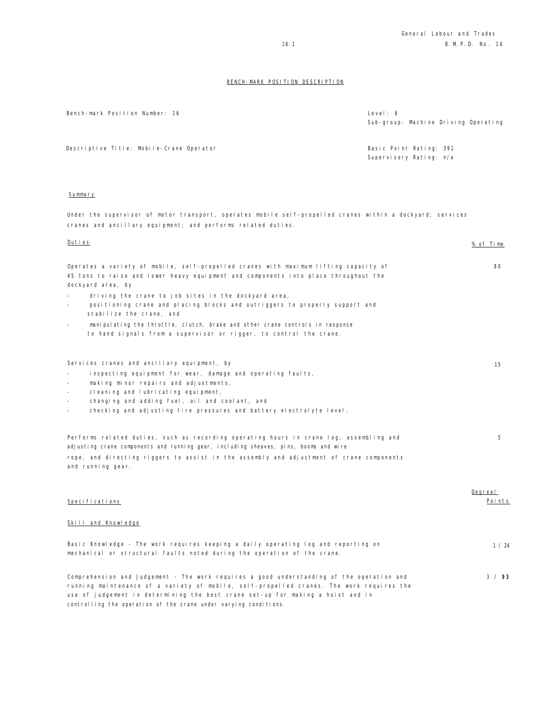| Bench-mark Position Number: 16                                                                                                                                                                                                                                                                                                               | Level: 6<br>Sub-group: Machine Driving Operating   |
|----------------------------------------------------------------------------------------------------------------------------------------------------------------------------------------------------------------------------------------------------------------------------------------------------------------------------------------------|----------------------------------------------------|
| Descriptive Title: Mobile-Crane Operator                                                                                                                                                                                                                                                                                                     | Basic Point Rating: 391<br>Supervisory Rating: n/a |
| Summary                                                                                                                                                                                                                                                                                                                                      |                                                    |
| Under the supervisor of motor transport, operates mobile self-propelled cranes within a dockyard; services<br>cranes and ancillary equipment; and performs related duties.                                                                                                                                                                   |                                                    |
| <u>Duties</u>                                                                                                                                                                                                                                                                                                                                | % of Time                                          |
| Operates a variety of mobile, self-propelled cranes with maximum lifting capacity of<br>45 tons to raise and lower heavy equipment and components into place throughout the<br>dockyard area, by<br>driving the crane to job sites in the dockyard area,<br>positioning crane and placing blocks and outriggers to properly support and      | 80                                                 |
| stabilize the crane, and<br>manipulating the throttle, clutch, brake and other crane controls in response<br>$\overline{\phantom{m}}$<br>to hand signals from a supervisor or rigger, to control the crane.                                                                                                                                  |                                                    |
| Services cranes and ancillary equipment, by<br>inspecting equipment for wear, damage and operating faults,<br>making minor repairs and adjustments,<br>cleaning and lubricating equipment,<br>changing and adding fuel, oil and coolant, and<br>checking and adjusting tire pressures and battery electrolyte level.                         | 15                                                 |
| Performs related duties, such as recording operating hours in crane log, assembling and<br>adjusting crane components and running gear, including sheaves, pins, booms and wire<br>rope, and directing riggers to assist in the assembly and adjustment of crane components<br>and running gear.                                             | 5                                                  |
| Specifications                                                                                                                                                                                                                                                                                                                               | Degree/<br>Points                                  |
| Skill and Knowledge                                                                                                                                                                                                                                                                                                                          |                                                    |
| Basic Knowledge - The work requires keeping a daily operating log and reporting on<br>mechanical or structural faults noted during the operation of the crane.                                                                                                                                                                               | 1 / 24                                             |
| Comprehension and Judgement - The work requires a good understanding of the operation and<br>running maintenance of a variety of mobile, self-propelled cranes. The work requires the<br>use of judgement in determining the best crane set-up for making a hoist and in<br>controlling the operation of the crane under varying conditions. | 3 / 93                                             |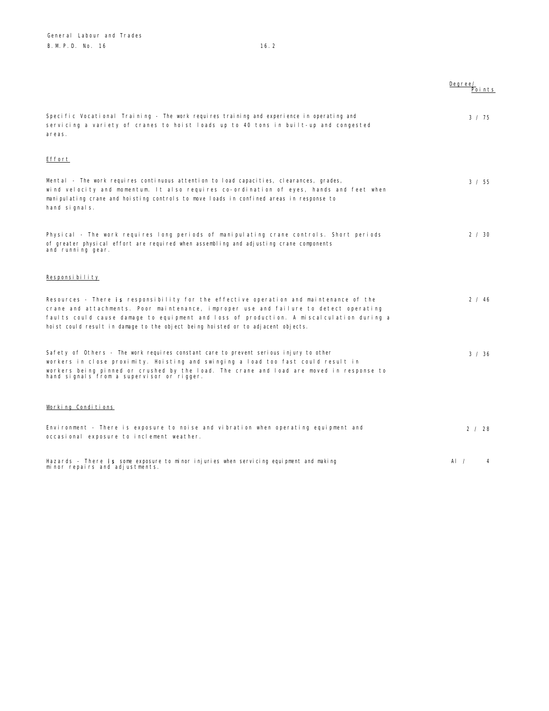|                                                                                                                                                                                                                                                                                                                                                                 | Degree/<br>Points |
|-----------------------------------------------------------------------------------------------------------------------------------------------------------------------------------------------------------------------------------------------------------------------------------------------------------------------------------------------------------------|-------------------|
| Specific Vocational Training - The work requires training and experience in operating and<br>servicing a variety of cranes to hoist loads up to 40 tons in built-up and congested<br>areas.                                                                                                                                                                     | $3 \times 75$     |
| Effort                                                                                                                                                                                                                                                                                                                                                          |                   |
| Mental - The work requires continuous attention to load capacities, clearances, grades,<br>wind velocity and momentum. It also requires co-ordination of eyes, hands and feet when<br>manipulating crane and hoisting controls to move loads in confined areas in response to<br>hand signals.                                                                  | 3 / 55            |
| Physical - The work requires long periods of manipulating crane controls. Short periods<br>of greater physical effort are required when assembling and adjusting crane components<br>and running gear.                                                                                                                                                          | 2 / 30            |
| Responsibility                                                                                                                                                                                                                                                                                                                                                  |                   |
| Resources - There is responsibility for the effective operation and maintenance of the<br>crane and attachments. Poor maintenance, improper use and failure to detect operating<br>faults could cause damage to equipment and loss of production. A miscalculation during a<br>hoist could result in damage to the object being hoisted or to adjacent objects. | 2 / 46            |
| Safety of Others - The work requires constant care to prevent serious injury to other<br>workers in close proximity. Hoisting and swinging a load too fast could result in<br>workers being pinned or crushed by the load. The crane and load are moved in response to<br>hand signals from a supervisor or rigger.                                             | 3 / 36            |
| Working Conditions                                                                                                                                                                                                                                                                                                                                              |                   |
| Environment - There is exposure to noise and vibration when operating equipment and<br>occasional exposure to inclement weather.                                                                                                                                                                                                                                | 2 / 28            |
| Hazards - There is some exposure to minor injuries when servicing equipment and making<br>minor repairs and adjustments.                                                                                                                                                                                                                                        | AI $\prime$<br>4  |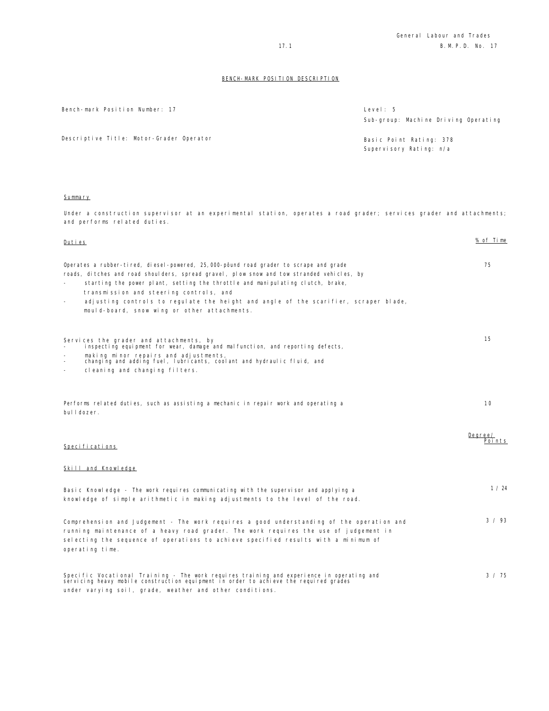Bench-mark Position Number: 17

| Level: 5                             |
|--------------------------------------|
| Sub-group: Machine Driving Operating |
| Basic Point Rating: 378              |
| Supervisory Rating: n/a              |

Descriptive Title: Motor-Grader Operator

### Summary

Under a construction supervisor at an experimental station, operates a road grader; services grader and attachments; and performs related duties.

| Duties                                                                                                                                                                                                                                                                                                                                                                                                                                                                                | % of Time         |
|---------------------------------------------------------------------------------------------------------------------------------------------------------------------------------------------------------------------------------------------------------------------------------------------------------------------------------------------------------------------------------------------------------------------------------------------------------------------------------------|-------------------|
| Operates a rubber-ti red, di esel-powered, 25,000-pôund road grader to scrape and grade<br>roads, ditches and road shoulders, spread gravel, plow snow and tow stranded vehicles, by<br>starting the power plant, setting the throttle and manipulating clutch, brake,<br>transmission and steering controls, and<br>adjusting controls to regulate the height and angle of the scarifier, scraper blade,<br>$\overline{\phantom{a}}$<br>mould-board, snow wing or other attachments. | 75                |
| Services the grader and attachments, by<br>inspecting equipment for wear, damage and malfunction, and reporting defects,<br>making minor repairs and adjustments,                                                                                                                                                                                                                                                                                                                     | 15                |
| changing and adding fuel, lubricants, coolant and hydraulic fluid, and<br>cleaning and changing filters.                                                                                                                                                                                                                                                                                                                                                                              |                   |
| Performs related duties, such as assisting a mechanic in repair work and operating a<br>bulldozer.                                                                                                                                                                                                                                                                                                                                                                                    | 10                |
| Specifications                                                                                                                                                                                                                                                                                                                                                                                                                                                                        | Degree/<br>Points |
| Skill and Knowledge                                                                                                                                                                                                                                                                                                                                                                                                                                                                   |                   |
| Basic Knowledge - The work requires communicating with the supervisor and applying a<br>knowledge of simple arithmetic in making adjustments to the level of the road.                                                                                                                                                                                                                                                                                                                | 1 / 24            |
| Comprehension and Judgement - The work requires a good understanding of the operation and<br>running maintenance of a heavy road grader. The work requires the use of judgement in<br>selecting the sequence of operations to achieve specified results with a minimum of<br>operating time.                                                                                                                                                                                          | 3 / 93            |
| Specific Vocational Training - The work requires training and experience in operating and<br>servicing heavy mobile construction equipment in order to achieve the required grades<br>under varying soil, grade, weather and other conditions.                                                                                                                                                                                                                                        | $3 \times 75$     |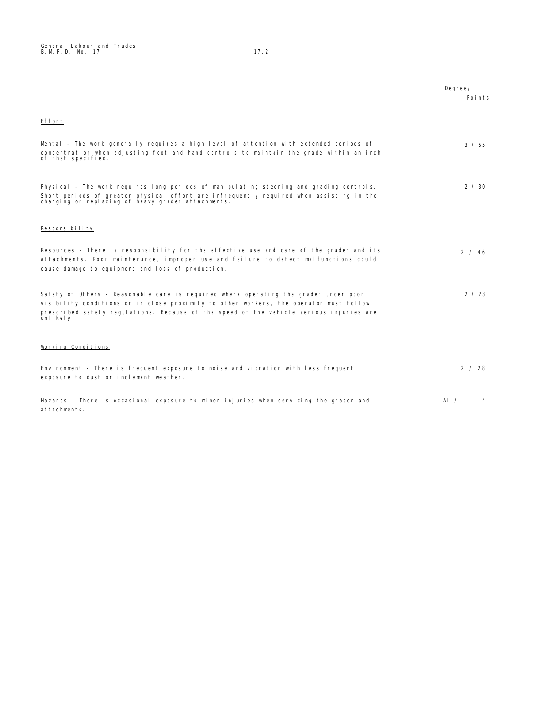|                                                                                                                                                                                                                                                                                        | Degree/<br>Points |
|----------------------------------------------------------------------------------------------------------------------------------------------------------------------------------------------------------------------------------------------------------------------------------------|-------------------|
| Effort                                                                                                                                                                                                                                                                                 |                   |
| Mental - The work generally requires a high level of attention with extended periods of<br>concentration when adjusting foot and hand controls to maintain the grade within an inch<br>of that specified.                                                                              | 3 / 55            |
| Physical - The work requires long periods of manipulating steering and grading controls.<br>Short periods of greater physical effort are infrequently required when assisting in the changing or replacing of heavy grader attachments.                                                | $2 \times 30$     |
| Responsibility                                                                                                                                                                                                                                                                         |                   |
| Resources - There is responsibility for the effective use and care of the grader and its<br>attachments. Poor maintenance, improper use and failure to detect malfunctions could<br>cause damage to equipment and loss of production.                                                  | 2 / 46            |
| Safety of Others - Reasonable care is required where operating the grader under poor<br>visibility conditions or in close proximity to other workers, the operator must follow<br>prescribed safety regulations. Because of the speed of the vehicle serious injuries are<br>unlikely. | 2 / 23            |
| Working Conditions                                                                                                                                                                                                                                                                     |                   |
| Environment - There is frequent exposure to noise and vibration with less frequent<br>exposure to dust or inclement weather.                                                                                                                                                           | 2 / 28            |
| Hazards - There is occasional exposure to minor injuries when servicing the grader and<br>attachments.                                                                                                                                                                                 | Al $\prime$<br>4  |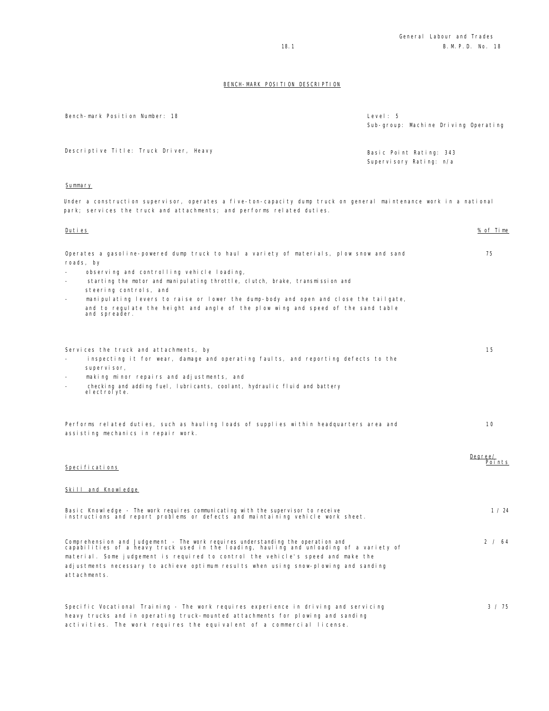| Bench-mark Position Number: 18                                                                                                                                                                                                                                                                                                                                                                                                                                                  | Level: 5<br>Sub-group: Machine Driving Operating   |
|---------------------------------------------------------------------------------------------------------------------------------------------------------------------------------------------------------------------------------------------------------------------------------------------------------------------------------------------------------------------------------------------------------------------------------------------------------------------------------|----------------------------------------------------|
| Descriptive Title: Truck Driver, Heavy                                                                                                                                                                                                                                                                                                                                                                                                                                          | Basic Point Rating: 343<br>Supervisory Rating: n/a |
| Summary                                                                                                                                                                                                                                                                                                                                                                                                                                                                         |                                                    |
| Under a construction supervisor, operates a five-ton-capacity dump truck on general maintenance work in a national<br>park; services the truck and attachments; and performs related duties.                                                                                                                                                                                                                                                                                    |                                                    |
| <u>Duties</u>                                                                                                                                                                                                                                                                                                                                                                                                                                                                   | % of Time                                          |
| Operates a gasoline-powered dump truck to haul a variety of materials, plow snow and sand<br>roads, by<br>observing and controlling vehicle loading,<br>starting the motor and manipulating throttle, clutch, brake, transmission and<br>steering controls, and<br>manipulating levers to raise or lower the dump-body and open and close the tailgate,<br>$\overline{a}$<br>and to regulate the height and angle of the plow wing and speed of the sand table<br>and spreader. | 75                                                 |
| Services the truck and attachments, by<br>inspecting it for wear, damage and operating faults, and reporting defects to the<br>supervisor,<br>making minor repairs and adjustments, and<br>checking and adding fuel, lubricants, coolant, hydraulic fluid and battery<br>$\overline{\phantom{m}}$<br>el ectrol yte.                                                                                                                                                             | 15                                                 |
| Performs related duties, such as hauling loads of supplies within headquarters area and<br>assisting mechanics in repair work.                                                                                                                                                                                                                                                                                                                                                  | 10                                                 |
| Specifications                                                                                                                                                                                                                                                                                                                                                                                                                                                                  | Degree/<br>Points                                  |
| <b>Skill and Knowledge</b>                                                                                                                                                                                                                                                                                                                                                                                                                                                      |                                                    |
| Basic Knowledge - The work requires communicating with the supervisor to receive<br>instructions and report problems or defects and maintaining vehicle work sheet.                                                                                                                                                                                                                                                                                                             | 1 / 24                                             |
| Comprehension and Judgement - The work requires understanding the operation and<br>capabilities of a heavy truck used in the loading, hauling and unloading of a variety of<br>material. Some judgement is required to control the vehicle's speed and make the<br>adjustments necessary to achieve optimum results when using snow-plowing and sanding<br>attachments.                                                                                                         | 2 / 64                                             |
| Specific Vocational Training - The work requires experience in driving and servicing<br>heavy trucks and in operating truck-mounted attachments for plowing and sanding<br>activities. The work requires the equivalent of a commercial license.                                                                                                                                                                                                                                | 3 / 75                                             |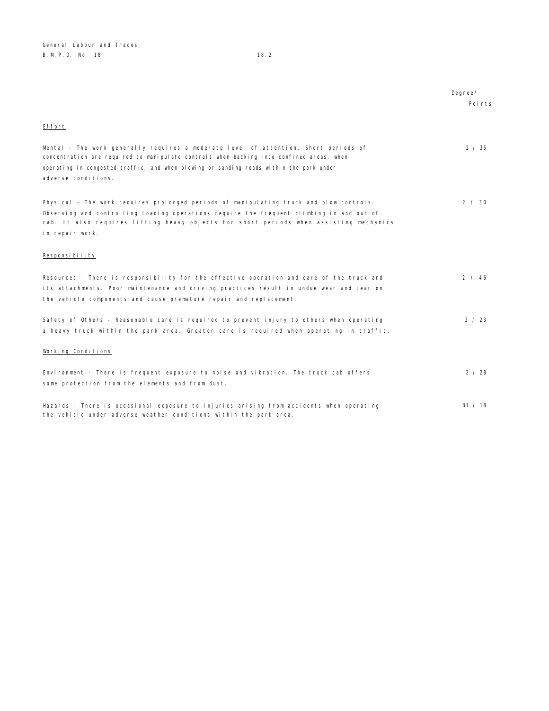|                                                                                                                                                                                                                                                                                                    | Degree/ |
|----------------------------------------------------------------------------------------------------------------------------------------------------------------------------------------------------------------------------------------------------------------------------------------------------|---------|
|                                                                                                                                                                                                                                                                                                    | Points  |
| Effort                                                                                                                                                                                                                                                                                             |         |
| Mental - The work generally requires a moderate level of attention. Short periods of<br>concentration are required to manipulate controls when backing into confined areas, when<br>operating in congested traffic, and when plowing or sanding roads within the park under<br>adverse conditions. | 2 / 35  |
| Physical - The work requires prolonged periods of manipulating truck and plow controls.<br>Observing and controlling loading operations require the frequent climbing in and out of<br>cab. It also requires lifting heavy objects for short periods when assisting mechanics<br>in repair work.   | 2 / 30  |
| Responsibility                                                                                                                                                                                                                                                                                     |         |
| Resources - There is responsibility for the effective operation and care of the truck and<br>its attachments. Poor maintenance and driving practices result in undue wear and tear on<br>the vehicle components and cause premature repair and replacement.                                        | 2 / 46  |
| Safety of Others - Reasonable care is required to prevent injury to others when operating<br>a heavy truck within the park area. Greater care is required when operating in traffic.                                                                                                               | 2 / 23  |
| Working Conditions                                                                                                                                                                                                                                                                                 |         |
| Environment - There is frequent exposure to noise and vibration. The truck cab offers<br>some protection from the elements and from dust.                                                                                                                                                          | 2 / 28  |
| Hazards - There is occasional exposure to injuries arising from accidents when operating<br>the vehicle under adverse weather conditions within the park area.                                                                                                                                     | B1 / 18 |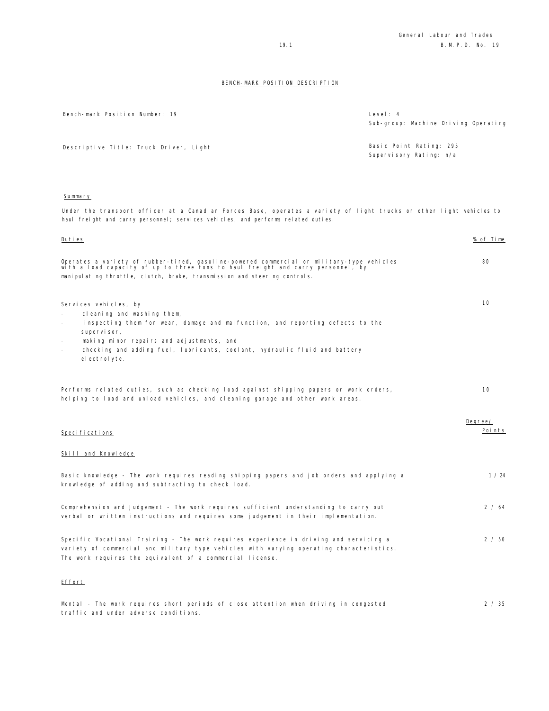| Bench-mark Position Number: 19 | Level: 4 |  |
|--------------------------------|----------|--|
|                                |          |  |

| Level: 4                             |  |  |
|--------------------------------------|--|--|
| Sub-group: Machine Driving Operating |  |  |
|                                      |  |  |
|                                      |  |  |

Descriptive Title: Truck Driver, Light Basic Point Rating: 295 Supervisory Rating: n/a

## Summary

Under the transport officer at a Canadian Forces Base, operates a variety of light trucks or other light vehicles to haul freight and carry personnel; services vehicles; and performs related duties.

| Duties                                                                                                                                                                                                                                                     | % of Time |
|------------------------------------------------------------------------------------------------------------------------------------------------------------------------------------------------------------------------------------------------------------|-----------|
| Operates a variety of rubber-tired, gasoline-powered commercial or military-type vehicles<br>with a load capacity of up to three tons to haul freight and carry personnel, by<br>manipulating throttle, clutch, brake, transmission and steering controls. | 80        |
|                                                                                                                                                                                                                                                            |           |
| Services vehicles, by<br>cleaning and washing them,<br>inspecting them for wear, damage and malfunction, and reporting defects to the<br>supervisor,<br>making minor repairs and adjustments, and<br>$\sim$                                                | 10        |
| checking and adding fuel, lubricants, coolant, hydraulic fluid and battery<br>$\sim$<br>el ectrol yte.                                                                                                                                                     |           |
|                                                                                                                                                                                                                                                            |           |
| Performs related duties, such as checking load against shipping papers or work orders,<br>helping to load and unload vehicles, and cleaning garage and other work areas.                                                                                   | 10        |
|                                                                                                                                                                                                                                                            | Degree/   |
| Specifications                                                                                                                                                                                                                                             | Points    |
| Skill and Knowledge                                                                                                                                                                                                                                        |           |
| Basic knowledge - The work requires reading shipping papers and job orders and applying a<br>knowledge of adding and subtracting to check load.                                                                                                            | 1 / 24    |
| Comprehension and Judgement - The work requires sufficient understanding to carry out<br>verbal or written instructions and requires some judgement in their implementation.                                                                               | 2/64      |
| Specific Vocational Training - The work requires experience in driving and servicing a<br>variety of commercial and military type vehicles with varying operating characteristics.<br>The work requires the equivalent of a commercial license.            | 2 / 50    |
| Effort                                                                                                                                                                                                                                                     |           |
| Mental - The work requires short periods of close attention when driving in congested<br>traffic and under adverse conditions.                                                                                                                             | 2 / 35    |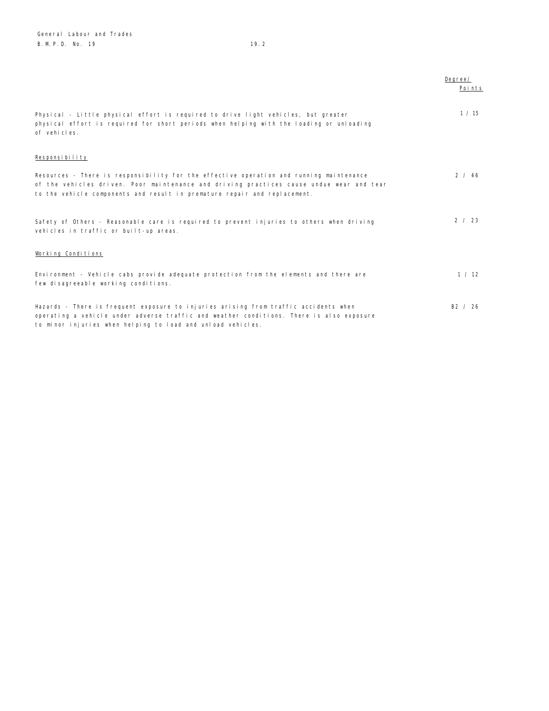|                                                                                                                                                                                                                                                                  | Degree/<br>Points |
|------------------------------------------------------------------------------------------------------------------------------------------------------------------------------------------------------------------------------------------------------------------|-------------------|
| Physical - Little physical effort is required to drive light vehicles, but greater<br>physical effort is required for short periods when helping with the loading or unloading<br>of vehicles.                                                                   | 1 / 15            |
| Responsibility                                                                                                                                                                                                                                                   |                   |
| Resources - There is responsibility for the effective operation and running maintenance<br>of the vehicles driven. Poor maintenance and driving practices cause undue wear and tear<br>to the vehicle components and result in premature repair and replacement. | 2 / 46            |
| Safety of Others - Reasonable care is required to prevent injuries to others when driving<br>vehicles in traffic or built-up areas.                                                                                                                              | 2 / 23            |
| Working Conditions                                                                                                                                                                                                                                               |                   |
| Environment - Vehicle cabs provide adequate protection from the elements and there are<br>few disagreeable working conditions.                                                                                                                                   | 1 / 12            |
| Hazards - There is frequent exposure to injuries arising from traffic accidents when<br>operating a vehicle under adverse traffic and weather conditions. There is also exposure<br>to minor injuries when helping to load and unload vehicles.                  | B2 / 26           |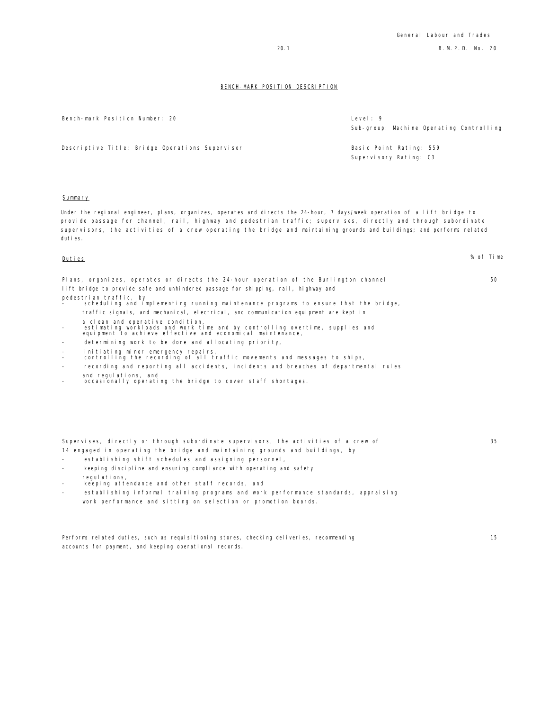Bench-mark Position Number: 20 Level: 9

Sub-group: Machine Operating Controlling

Descriptive Title: Bridge Operations Supervisor Basic Point Rating: 559 Supervisory Rating: C3

Summary

Under the regional engineer, plans, organizes, operates and directs the 24-hour, 7 days/week operation of a lift bridge to provide passage for channel, rail, highway and pedestrian traffic; supervises, directly and through subordinate supervisors, the activities of a crew operating the bridge and maintaining grounds and buildings; and performs related duties.

Duties % of Time

50

| Plans, organizes, operates or directs the 24-hour operation of the Burlington channel                               |
|---------------------------------------------------------------------------------------------------------------------|
| lift bridge to provide safe and unhindered passage for shipping, rail, highway and                                  |
| pedestrian traffic, by<br>-     scheduling and implementing running maintenance programs to ensure that the bridge, |
| traffic signals, and mechanical, electrical, and communication equipment are kept in                                |

- 
- a clean and operative condition, estimating workloads and work time and by controlling overtime, supplies and equipment to achieve effective and economical maintenance,
- determining work to be done and allocating priority,
- 
- initiating minor emergency repairs, controlling the recording of all traffic movements and messages to ships,
- recording and reporting all accidents, incidents and breaches of departmental rules
- 
- and regulations, and occasionally operating the bridge to cover staff shortages.

|  |  | Supervises, directly or through subordinate supervisors, the activities of a crew of |  |
|--|--|--------------------------------------------------------------------------------------|--|
|  |  | 14 engaged in operating the bridge and maintaining grounds and buildings, by         |  |

- establishing shift schedules and assigning personnel,
- keeping discipline and ensuring compliance with operating and safety
- regulations. keeping attendance and other staff records, and
- establishing informal training programs and work performance standards, appraising work performance and sitting on selection or promotion boards.

Performs related duties, such as requisitioning stores, checking deliveries, recommending accounts for payment, and keeping operational records.

15

35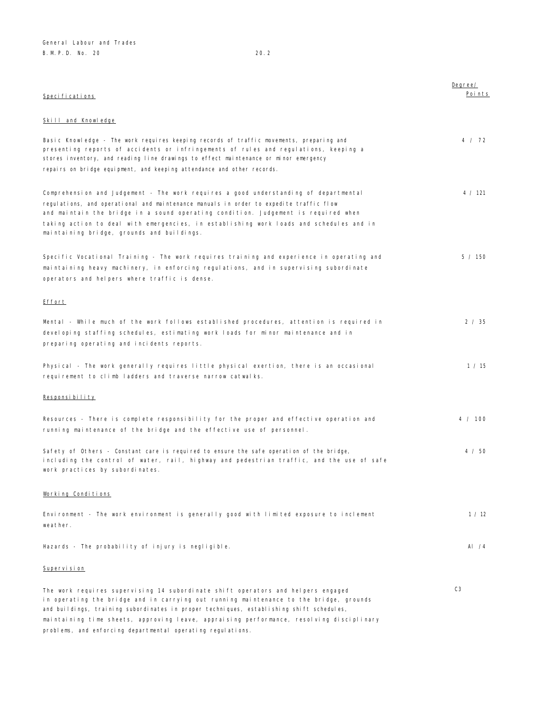| Specifications                                                                                                                                                                                                                                                                                                                                                                                                | Degree/<br>Points |
|---------------------------------------------------------------------------------------------------------------------------------------------------------------------------------------------------------------------------------------------------------------------------------------------------------------------------------------------------------------------------------------------------------------|-------------------|
| Skill and Knowledge                                                                                                                                                                                                                                                                                                                                                                                           |                   |
| Basic Knowledge - The work requires keeping records of traffic movements, preparing and<br>presenting reports of accidents or infringements of rules and regulations, keeping a<br>stores inventory, and reading line drawings to effect maintenance or minor emergency<br>repairs on bridge equipment, and keeping attendance and other records.                                                             | 4 / 72            |
| Comprehension and Judgement - The work requires a good understanding of departmental<br>regulations, and operational and maintenance manuals in order to expedite traffic flow<br>and maintain the bridge in a sound operating condition. Judgement is required when<br>taking action to deal with emergencies, in establishing work loads and schedules and in<br>maintaining bridge, grounds and buildings. | 4 / 121           |
| Specific Vocational Training - The work requires training and experience in operating and<br>maintaining heavy machinery, in enforcing regulations, and in supervising subordinate<br>operators and helpers where traffic is dense.                                                                                                                                                                           | 5 / 150           |
| <u>Effort</u>                                                                                                                                                                                                                                                                                                                                                                                                 |                   |
| Mental - While much of the work follows established procedures, attention is required in<br>developing staffing schedules, estimating work loads for minor maintenance and in<br>preparing operating and incidents reports.                                                                                                                                                                                   | 2 / 35            |
| Physical - The work generally requires little physical exertion, there is an occasional<br>requirement to climb ladders and traverse narrow catwalks.                                                                                                                                                                                                                                                         | 1 / 15            |
| Responsibility                                                                                                                                                                                                                                                                                                                                                                                                |                   |
| Resources - There is complete responsibility for the proper and effective operation and<br>running maintenance of the bridge and the effective use of personnel.                                                                                                                                                                                                                                              | 4 / 100           |
| Safety of Others - Constant care is required to ensure the safe operation of the bridge,<br>including the control of water, rail, highway and pedestrian traffic, and the use of safe<br>work practices by subordinates.                                                                                                                                                                                      | 4 / 50            |
| Working Conditions                                                                                                                                                                                                                                                                                                                                                                                            |                   |
| Environment - The work environment is generally good with limited exposure to inclement<br>weather.                                                                                                                                                                                                                                                                                                           | 1 / 12            |
| Hazards - The probability of injury is negligible.                                                                                                                                                                                                                                                                                                                                                            | AI $/4$           |
| Supervision                                                                                                                                                                                                                                                                                                                                                                                                   |                   |
| The work requires supervising 14 subordinate shift operators and helpers engaged<br>in operating the bridge and in carrying out running maintenance to the bridge, grounds<br>and buildings, training subordinates in proper techniques, establishing shift schedules,<br>maintaining time sheets, approving leave, appraising performance, resolving disciplinary                                            | C <sub>3</sub>    |
| problems, and enforcing departmental operating regulations.                                                                                                                                                                                                                                                                                                                                                   |                   |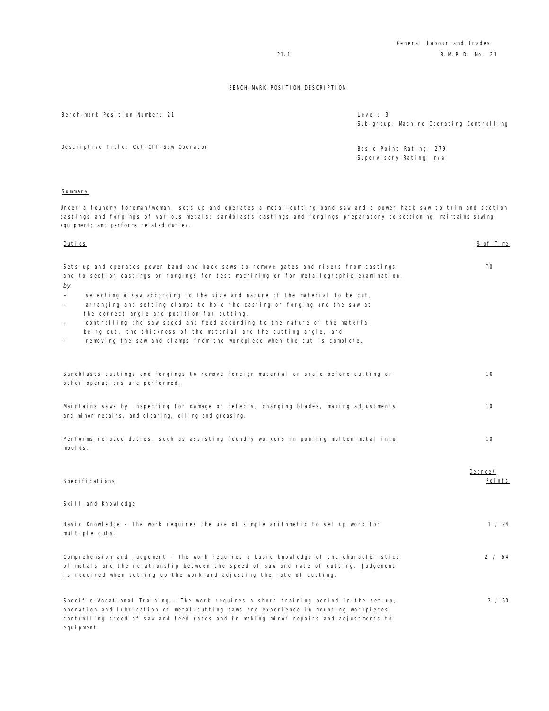| Bench-mark Position Number: 21                                                                                                                                                                                                                                                                                                                                                                                                                                                                                                                                                                                                         | Level: 3<br>Sub-group: Machine Operating Controlling |
|----------------------------------------------------------------------------------------------------------------------------------------------------------------------------------------------------------------------------------------------------------------------------------------------------------------------------------------------------------------------------------------------------------------------------------------------------------------------------------------------------------------------------------------------------------------------------------------------------------------------------------------|------------------------------------------------------|
| Descriptive Title: Cut-Off-Saw Operator                                                                                                                                                                                                                                                                                                                                                                                                                                                                                                                                                                                                | Basic Point Rating: 279<br>Supervisory Rating: n/a   |
| <u>Summary</u>                                                                                                                                                                                                                                                                                                                                                                                                                                                                                                                                                                                                                         |                                                      |
| Under a foundry foreman/woman, sets up and operates a metal-cutting band saw and a power hack saw to trim and section<br>castings and forgings of various metals; sandblasts castings and forgings preparatory to sectioning; maintains sawing<br>equipment; and performs related duties.                                                                                                                                                                                                                                                                                                                                              |                                                      |
| Duties                                                                                                                                                                                                                                                                                                                                                                                                                                                                                                                                                                                                                                 | % of Time                                            |
| Sets up and operates power band and hack saws to remove gates and risers from castings<br>and to section castings or forgings for test machining or for metallographic examination,<br>by<br>selecting a saw according to the size and nature of the material to be cut,<br>arranging and setting clamps to hold the casting or forging and the saw at<br>the correct angle and position for cutting,<br>controlling the saw speed and feed according to the nature of the material<br>being cut, the thickness of the material and the cutting angle, and<br>removing the saw and clamps from the workpiece when the cut is complete. | 70                                                   |
| Sandblasts castings and forgings to remove foreign material or scale before cutting or<br>other operations are performed.                                                                                                                                                                                                                                                                                                                                                                                                                                                                                                              | 10                                                   |
| Maintains saws by inspecting for damage or defects, changing blades, making adjustments<br>and minor repairs, and cleaning, oiling and greasing.                                                                                                                                                                                                                                                                                                                                                                                                                                                                                       | 10                                                   |
| Performs related duties, such as assisting foundry workers in pouring molten metal into<br>moulds.                                                                                                                                                                                                                                                                                                                                                                                                                                                                                                                                     | 10                                                   |
| Specifications                                                                                                                                                                                                                                                                                                                                                                                                                                                                                                                                                                                                                         | Degree/<br>Poi nts                                   |
| Skill and Knowledge                                                                                                                                                                                                                                                                                                                                                                                                                                                                                                                                                                                                                    |                                                      |
| Basic Knowledge - The work requires the use of simple arithmetic to set up work for<br>multiple cuts.                                                                                                                                                                                                                                                                                                                                                                                                                                                                                                                                  | 1 / 24                                               |
| Comprehension and Judgement - The work requires a basic knowledge of the characteristics<br>of metals and the relationship between the speed of saw and rate of cutting. Judgement<br>is required when setting up the work and adjusting the rate of cutting.                                                                                                                                                                                                                                                                                                                                                                          | 2 / 64                                               |
| Specific Vocational Training - The work requires a short training period in the set-up,<br>operation and lubrication of metal-cutting saws and experience in mounting workpieces,<br>controlling speed of saw and feed rates and in making minor repairs and adjustments to                                                                                                                                                                                                                                                                                                                                                            | 2 / 50                                               |

equipment.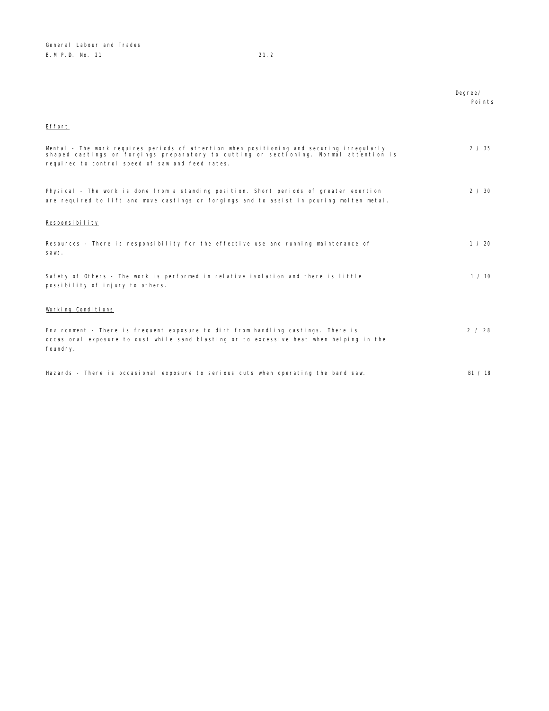|                                                                                                                                                                                                                                        | Degree/<br>Points |
|----------------------------------------------------------------------------------------------------------------------------------------------------------------------------------------------------------------------------------------|-------------------|
| Effort                                                                                                                                                                                                                                 |                   |
| Mental - The work requires periods of attention when positioning and securing irregularly<br>shaped castings or forgings preparatory to cutting or sectioning. Normal attention is<br>required to control speed of saw and feed rates. | 2 / 35            |
| Physical - The work is done from a standing position. Short periods of greater exertion<br>are required to lift and move castings or forgings and to assist in pouring molten metal.                                                   | $2 \times 30$     |
| Responsibility                                                                                                                                                                                                                         |                   |
| Resources - There is responsibility for the effective use and running maintenance of<br>saws.                                                                                                                                          | 1 / 20            |
| Safety of Others - The work is performed in relative isolation and there is little<br>possibility of injury to others.                                                                                                                 | 1/10              |
| Working Conditions                                                                                                                                                                                                                     |                   |
| Environment - There is frequent exposure to dirt from handling castings. There is<br>occasional exposure to dust while sand blasting or to excessive heat when helping in the<br>foundry.                                              | 2 / 28            |
| Hazards - There is occasional exposure to serious cuts when operating the band saw.                                                                                                                                                    | B1 / 18           |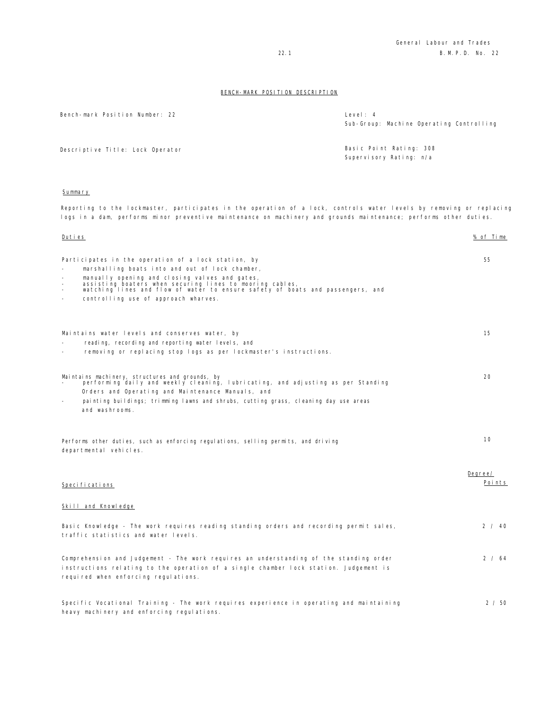| Bench-mark Position Number: 22   | Level: 4<br>Sub-Group: Machine Operating Controlling |
|----------------------------------|------------------------------------------------------|
| Descriptive Title: Lock Operator | Basic Point Rating: 308<br>Supervisory Rating: n/a   |

## Summary

Reporting to the lockmaster, participates in the operation of a lock, controls water levels by removing or replacing logs in a dam, performs minor preventive maintenance on machinery and grounds maintenance; performs other duties.

| <u>Duties</u> |                                                                                                                                                                                                                         | <u>% of Time</u>  |
|---------------|-------------------------------------------------------------------------------------------------------------------------------------------------------------------------------------------------------------------------|-------------------|
|               | Participates in the operation of a lock station, by                                                                                                                                                                     | 55                |
|               | marshalling boats into and out of lock chamber,                                                                                                                                                                         |                   |
|               | manually opening and closing valves and gates,<br>assisting boaters when securing lines to mooring cables,<br>watching lines and flow of water to ensure safety of boats and passengers, and                            |                   |
| $\equiv$      | controlling use of approach wharves.                                                                                                                                                                                    |                   |
|               | Maintains water levels and conserves water, by                                                                                                                                                                          | 15                |
|               | reading, recording and reporting water levels, and                                                                                                                                                                      |                   |
|               | removing or replacing stop logs as per lockmaster's instructions.                                                                                                                                                       |                   |
|               | Maintains machinery, structures and grounds, by<br>performing daily and weekly cleaning, lubricating, and adjusting as per Standing                                                                                     | 20                |
|               | Orders and Operating and Maintenance Manuals, and                                                                                                                                                                       |                   |
|               | painting buildings; trimming lawns and shrubs, cutting grass, cleaning day use areas<br>and washrooms.                                                                                                                  |                   |
|               | Performs other duties, such as enforcing regulations, selling permits, and driving<br>departmental vehicles.                                                                                                            | 10                |
|               | Speci fi cati ons                                                                                                                                                                                                       | Degree/<br>Points |
|               | Skill and Knowledge                                                                                                                                                                                                     |                   |
|               | Basic Knowledge - The work requires reading standing orders and recording permit sales,<br>traffic statistics and water levels.                                                                                         | 2 / 40            |
|               | Comprehension and Judgement - The work requires an understanding of the standing order<br>instructions relating to the operation of a single chamber lock station. Judgement is<br>required when enforcing regulations. | 2 / 64            |
|               | Specific Vocational Training - The work requires experience in operating and maintaining<br>heavy machinery and enforcing regulations.                                                                                  | 2 / 50            |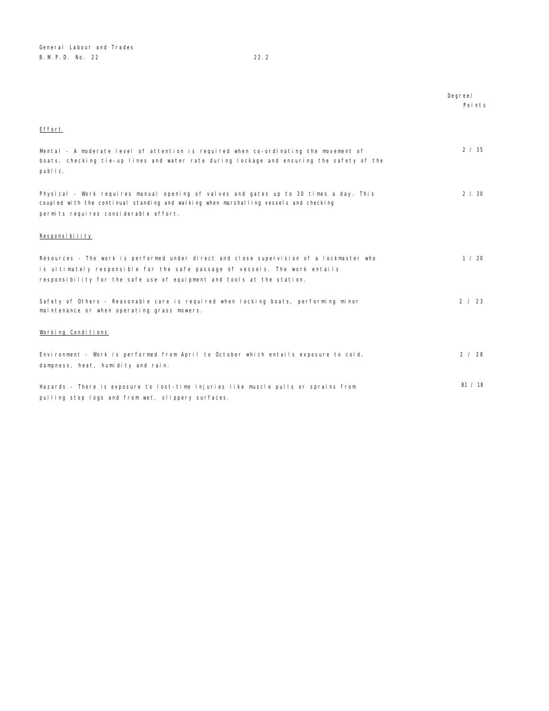|                                                                                                                                                                                                                                                   | Degree/<br>Points |
|---------------------------------------------------------------------------------------------------------------------------------------------------------------------------------------------------------------------------------------------------|-------------------|
| Effort                                                                                                                                                                                                                                            |                   |
| Mental - A moderate level of attention is required when co-ordinating the movement of<br>boats, checking tie-up lines and water rate during lockage and ensuring the safety of the<br>public.                                                     | 2 / 35            |
| Physical - Work requires manual opening of valves and gates up to 30 times a day. This<br>coupled with the continual standing and walking when marshalling vessels and checking<br>permits requires considerable effort.                          | 2 / 30            |
| Responsibility                                                                                                                                                                                                                                    |                   |
| Resources - The work is performed under direct and close supervision of a lockmaster who<br>is ultimately responsible for the safe passage of vessels. The work entails<br>responsibility for the safe use of equipment and tools at the station. | 1 / 20            |
| Safety of Others - Reasonable care is required when locking boats, performing minor<br>maintenance or when operating grass mowers.                                                                                                                | 2 / 23            |
| Working Conditions                                                                                                                                                                                                                                |                   |
| Environment - Work is performed from April to October which entails exposure to cold,<br>dampness, heat, humidity and rain.                                                                                                                       | 2 / 28            |
| Hazards - There is exposure to lost-time injuries like muscle pulls or sprains from<br>pulling stop logs and from wet, slippery surfaces.                                                                                                         | B1 / 18           |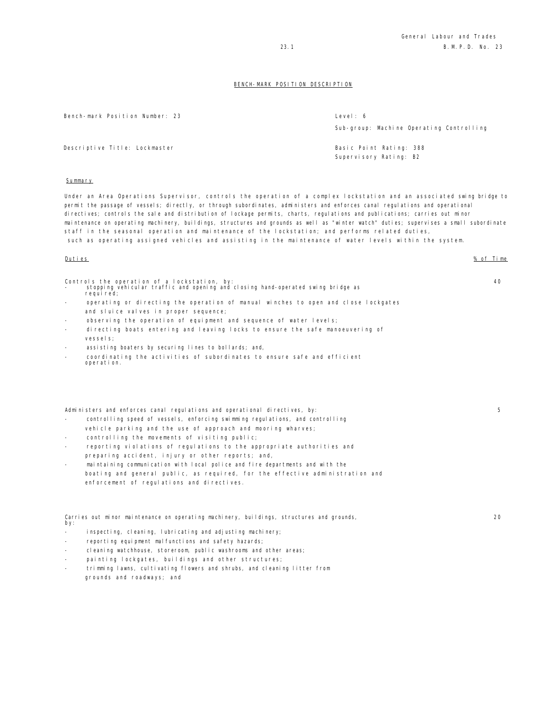Bench-mark Position Number: 23 Level: 6 Sub-group: Machine Operating Controlling Descriptive Title: Lockmaster Basic Point Rating: 388 Supervisory Rating: B2 Summary Under an Area Operations Supervisor, controls the operation of a complex lockstation and an associated swing bridge to

permit the passage of vessels; directly, or through subordinates, administers and enforces canal regulations and operational directives; controls the sale and distribution of lockage permits, charts, regulations and publications; carries out minor maintenance on operating machinery, buildings, structures and grounds as well as "winter watch" duties; supervises a small subordinate staff in the seasonal operation and maintenance of the lockstation; and performs related duties, such as operating assigned vehicles and assisting in the maintenance of water levels within the system.

#### Duties % of Time

Controls the operation of a lockstation, by: - stopping vehicular traffic and opening and closing hand-operated swing bridge as

- requi red; operating or directing the operation of manual winches to open and close lockgates and sluice valves in proper sequence;
- observing the operation of equipment and sequence of water levels;
- directing boats entering and leaving locks to ensure the safe manoeuvering of vessels;
- assisting boaters by securing lines to bollards; and,
- coordinating the activities of subordinates to ensure safe and efficient operation.

Administers and enforces canal regulations and operational directives, by:

- controlling speed of vessels, enforcing swimming regulations, and controlling vehicle parking and the use of approach and mooring wharves;
- controlling the movements of visiting public;
- reporting violations of regulations to the appropriate authorities and preparing accident, injury or other reports; and,
- maintaining communication with local police and fire departments and with the boating and general public, as required, for the effective administration and enforcement of regulations and directives.

Carries out minor maintenance on operating machinery, buildings, structures and grounds, by:

- inspecting, cleaning, lubricating and adjusting machinery;
- reporting equipment malfunctions and safety hazards;
- cleaning watchhouse, storeroom, public washrooms and other areas;
- painting lockgates, buildings and other structures;
- trimming lawns, cultivating flowers and shrubs, and cleaning litter from grounds and roadways; and

40

5

 $20$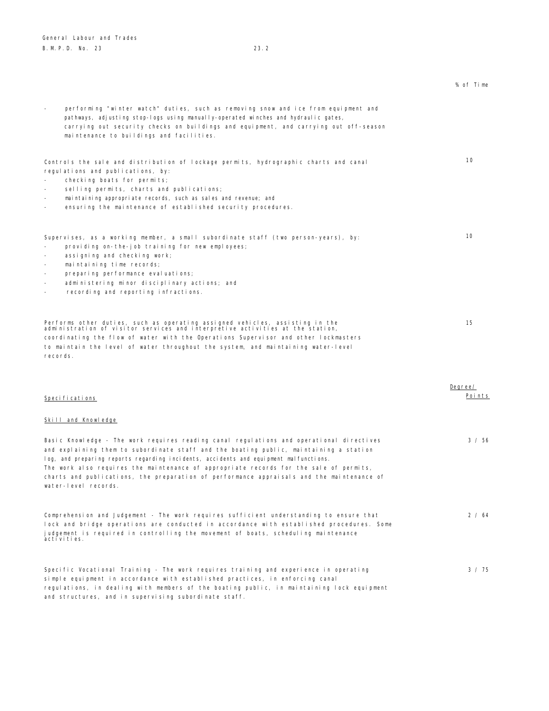# % of Time performing "winter watch" duties, such as removing snow and ice from equipment and pathways, adjusting stop-logs using manually-operated winches and hydraulic gates, carrying out security checks on buildings and equipment, and carrying out off-season maintenance to buildings and facilities. Controls the sale and distribution of lockage permits, hydrographic charts and canal regulations and publications, by: checking boats for permits; selling permits, charts and publications; maintaining appropriate records, such as sales and revenue; and ensuring the maintenance of established security procedures.  $10$ Supervises, as a working member, a small subordinate staff (two person-years), by: providing on-the-job training for new employees; - assigning and checking work; - maintaining time records; preparing performance evaluations; administering minor disciplinary actions; and recording and reporting infractions. 10 Performs other duties, such as operating assigned vehicles, assisting in the administration of visitor services and interpretive activities at the station, coordinating the flow of water with the Operations Supervisor and other lockmasters to maintain the level of water throughout the system, and maintaining water-level records. 15 Specifications Degree/ Points Skill and Knowledge Basic Knowledge - The work requires reading canal regulations and operational directives and explaining them to subordinate staff and the boating public, maintaining a station log, and preparing reports regarding incidents, accidents and equipment malfunctions. The work also requires the maintenance of appropriate records for the sale of permits, charts and publications, the preparation of performance appraisals and the maintenance of water-level records. 3 / 56 Comprehension and Judgement - The work requires sufficient understanding to ensure that lock and bridge operations are conducted in accordance with established procedures. Some judgement is required in controlling the movement of boats, scheduling maintenance activities. 2 / 64

Specific Vocational Training - The work requires training and experience in operating simple equipment in accordance with established practices, in enforcing canal regulations, in dealing with members of the boating public, in maintaining lock equipment and structures, and in supervising subordinate staff.

3 / 75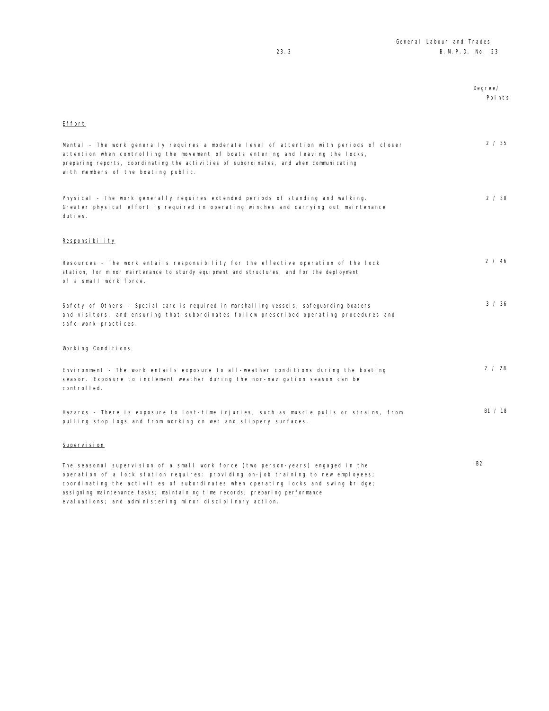|                                                                                                                                                                                                                                                                                                                                             | Degree/<br>Poi nts |
|---------------------------------------------------------------------------------------------------------------------------------------------------------------------------------------------------------------------------------------------------------------------------------------------------------------------------------------------|--------------------|
| Effort                                                                                                                                                                                                                                                                                                                                      |                    |
| Mental - The work generally requires a moderate level of attention with periods of closer<br>attention when controlling the movement of boats entering and leaving the locks,<br>preparing reports, coordinating the activities of subordinates, and when communicating<br>with members of the boating public.                              | 2 / 35             |
| Physical - The work generally requires extended periods of standing and walking.<br>Greater physical effort is required in operating winches and carrying out maintenance<br>duties.                                                                                                                                                        | 2 / 30             |
| Responsibility                                                                                                                                                                                                                                                                                                                              |                    |
| Resources - The work entails responsibility for the effective operation of the lock<br>station, for minor maintenance to sturdy equipment and structures, and for the deployment<br>of a small work force.                                                                                                                                  | 2 / 46             |
| Safety of Others - Special care is required in marshalling vessels, safeguarding boaters<br>and visitors, and ensuring that subordinates follow prescribed operating procedures and<br>safe work practices.                                                                                                                                 | 3 / 36             |
| Working Conditions                                                                                                                                                                                                                                                                                                                          |                    |
| Environment - The work entails exposure to all-weather conditions during the boating<br>season. Exposure to inclement weather during the non-navigation season can be<br>controlled.                                                                                                                                                        | 2 / 28             |
| Hazards - There is exposure to lost-time injuries, such as muscle pulls or strains, from<br>pulling stop logs and from working on wet and slippery surfaces.                                                                                                                                                                                | B1 / 18            |
| Supervision                                                                                                                                                                                                                                                                                                                                 |                    |
| The seasonal supervision of a small work force (two person-years) engaged in the<br>operation of a lock station requires: providing on-job training to new employees;<br>coordinating the activities of subordinates when operating locks and swing bridge;<br>assigning maintenance tasks; maintaining time records; preparing performance | <b>B2</b>          |

evaluations; and administering minor disciplinary action.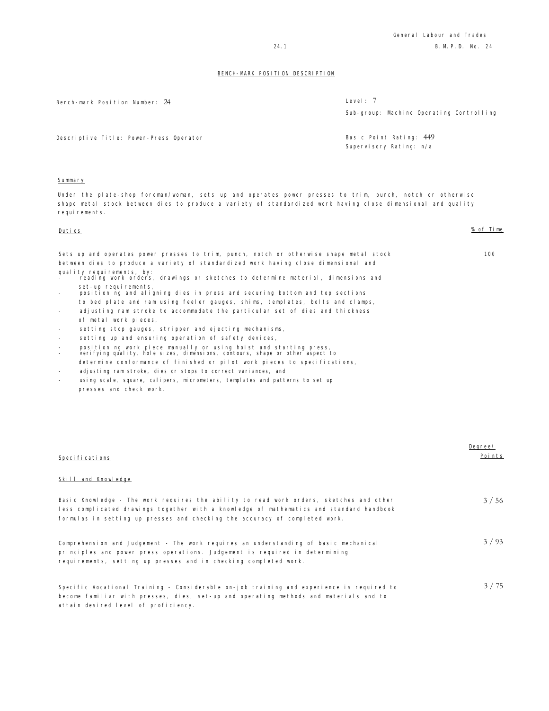Bench-mark Position Number: 24 Level: 7

Sub-group: Machine Operating Controlling

Supervisory Rating: n/a

Descriptive Title: Power-Press Operator Basic Point Rating: 449

#### **Summary**

Under the plate-shop foreman/woman, sets up and operates power presses to trim, punch, notch or otherwise shape metal stock between dies to produce a variety of standardized work having close dimensional and quality requirements.

| Duties                                               |                                                                                                                                                     | % of Time |
|------------------------------------------------------|-----------------------------------------------------------------------------------------------------------------------------------------------------|-----------|
|                                                      | Sets up and operates power presses to trim, punch, notch or otherwise shape metal stock                                                             | 100       |
|                                                      | between dies to produce a variety of standardized work having close dimensional and<br>quality requirements, by:                                    |           |
|                                                      | reading work orders, drawings or sketches to determine material, dimensions and                                                                     |           |
|                                                      | set-up requirements,<br>positioning and aligning dies in press and securing bottom and top sections                                                 |           |
|                                                      | to bed plate and ram using feeler gauges, shims, templates, bolts and clamps,                                                                       |           |
| $\overline{\phantom{a}}$                             | adjusting ram stroke to accommodate the particular set of dies and thickness                                                                        |           |
|                                                      | of metal work pieces,                                                                                                                               |           |
| $\overline{\phantom{a}}$                             | setting stop gauges, stripper and ejecting mechanisms,                                                                                              |           |
| $\overline{\phantom{a}}$                             | setting up and ensuring operation of safety devices,                                                                                                |           |
| $\overline{\phantom{a}}$<br>$\overline{\phantom{a}}$ | positioning work piece manually or using hoist and starting press,<br>verifying quality, hole sizes, dimensions, contours, shape or other aspect to |           |
|                                                      | determine conformance of finished or pilot work pieces to specifications,                                                                           |           |
| $\overline{\phantom{a}}$                             | adjusting ram stroke, dies or stops to correct variances, and                                                                                       |           |
|                                                      | using scale, square, caliners, micrometers, templates and patterns to set up.                                                                       |           |

using scale, square, calipers, micrometers, templates and patterns to set up presses and check work.

| Specifications                                                                                                                                                                                                                                                     | Degree/<br>Points |
|--------------------------------------------------------------------------------------------------------------------------------------------------------------------------------------------------------------------------------------------------------------------|-------------------|
| Skill and Knowledge                                                                                                                                                                                                                                                |                   |
| Basic Knowledge - The work requires the ability to read work orders, sketches and other<br>less complicated drawings together with a knowledge of mathematics and standard handbook<br>formulas in setting up presses and checking the accuracy of completed work. | 3/56              |
| Comprehension and Judgement - The work requires an understanding of basic mechanical<br>principles and power press operations. Judgement is required in determining<br>requirements, setting up presses and in checking completed work.                            | 3/93              |
| Specific Vocational Training - Considerable on-job training and experience is required to<br>become familiar with presses, dies, set-up and operating methods and materials and to<br>attain desired level of proficiency.                                         | 3/75              |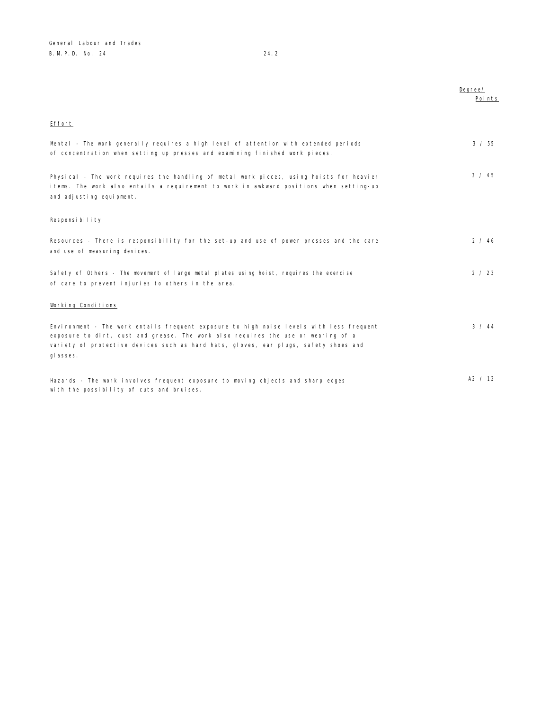|                                                                                                                                                                                                                                                                                    | Degree/<br>Points |
|------------------------------------------------------------------------------------------------------------------------------------------------------------------------------------------------------------------------------------------------------------------------------------|-------------------|
|                                                                                                                                                                                                                                                                                    |                   |
| Effort                                                                                                                                                                                                                                                                             |                   |
| Mental - The work generally requires a high level of attention with extended periods<br>of concentration when setting up presses and examining finished work pieces.                                                                                                               | $3 \times 55$     |
| Physical - The work requires the handling of metal work pieces, using hoists for heavier<br>items. The work also entails a requirement to work in awkward positions when setting-up<br>and adjusting equipment.                                                                    | $3 \times 45$     |
| Responsibility                                                                                                                                                                                                                                                                     |                   |
| Resources - There is responsibility for the set-up and use of power presses and the care<br>and use of measuring devices.                                                                                                                                                          | 2 / 46            |
| Safety of Others - The movement of large metal plates using hoist, requires the exercise<br>of care to prevent injuries to others in the area.                                                                                                                                     | 2 / 23            |
| Working Conditions                                                                                                                                                                                                                                                                 |                   |
| Environment - The work entails frequent exposure to high noise levels with less frequent<br>exposure to dirt, dust and grease. The work also requires the use or wearing of a<br>variety of protective devices such as hard hats, gloves, ear plugs, safety shoes and<br>gl asses. | 3 / 44            |
| Hazards - The work involves frequent exposure to moving objects and sharp edges<br>with the possibility of cuts and bruises.                                                                                                                                                       | A2 / 12           |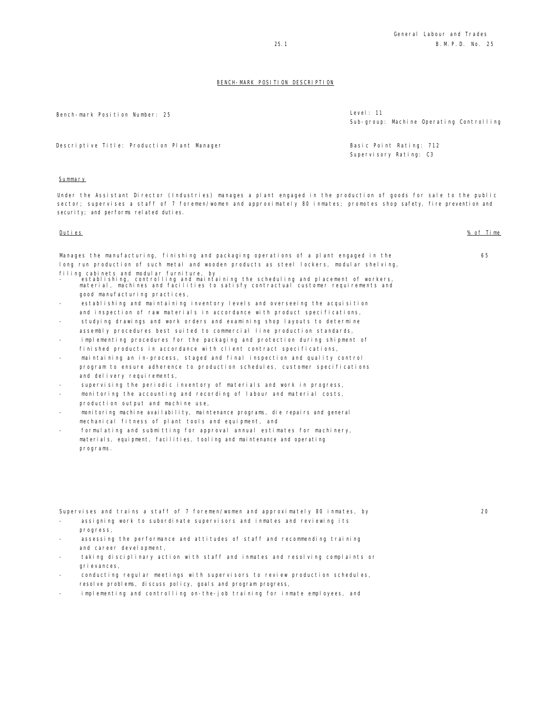20

#### BENCH-MARK POSITION DESCRIPTION

Bench-mark Position Number: 25 Level: 11

Sub-group: Machine Operating Controlling

Descriptive Title: Production Plant Manager Channel Communication Basic Point Rating: 712

Supervisory Rating: C3

**Summary** 

programs.

Under the Assistant Director (Industries) manages a plant engaged in the production of goods for sale to the public sector; supervises a staff of 7 foremen/women and approximately 80 inmates; promotes shop safety, fire prevention and security; and performs related duties.

| Duties                                                                                                                                                                                                                | % of Time |
|-----------------------------------------------------------------------------------------------------------------------------------------------------------------------------------------------------------------------|-----------|
| Manages the manufacturing, finishing and packaging operations of a plant engaged in the                                                                                                                               | 65        |
| long run production of such metal and wooden products as steel lockers, modular shelving,                                                                                                                             |           |
| filing cabinets and modular furniture, by<br>establishing, controlling and maintaining the scheduling and placement of workers,<br>material, machines and facilities to satisfy contractual customer requirements and |           |
| good manufacturing practices,                                                                                                                                                                                         |           |
| establishing and maintaining inventory levels and overseeing the acquisition                                                                                                                                          |           |
| and inspection of raw materials in accordance with product specifications,                                                                                                                                            |           |
| studying drawings and work orders and examining shop layouts to determine                                                                                                                                             |           |
| assembly procedures best suited to commercial line production standards,                                                                                                                                              |           |
| implementing procedures for the packaging and protection during shipment of<br>$\sim$                                                                                                                                 |           |
| finished products in accordance with client contract specifications,                                                                                                                                                  |           |
| maintaining an in-process, staged and final inspection and quality control<br>$\overline{\phantom{a}}$                                                                                                                |           |
| program to ensure adherence to production schedules, customer specifications                                                                                                                                          |           |
| and delivery requirements,                                                                                                                                                                                            |           |
| supervising the periodic inventory of materials and work in progress,<br>$\overline{\phantom{a}}$                                                                                                                     |           |
| monitoring the accounting and recording of labour and material costs,<br>$\overline{\phantom{a}}$                                                                                                                     |           |
| production output and machine use,                                                                                                                                                                                    |           |
| monitoring machine availability, maintenance programs, die repairs and general                                                                                                                                        |           |
| mechanical fitness of plant tools and equipment, and                                                                                                                                                                  |           |
| formulating and submitting for approval annual estimates for machinery,                                                                                                                                               |           |
| materials, equipment, facilities, tooling and maintenance and operating                                                                                                                                               |           |

Supervises and trains a staff of 7 foremen/women and approximately 80 inmates, by

- assigning work to subordinate supervisors and inmates and reviewing its progress,
- assessing the performance and attitudes of staff and recommending training and career development,
- taking disciplinary action with staff and inmates and resolving complaints or grievances,
- conducting regular meetings with supervisors to review production schedules, resolve problems, discuss policy, goals and program progress,
- implementing and controlling on-the-job training for inmate employees, and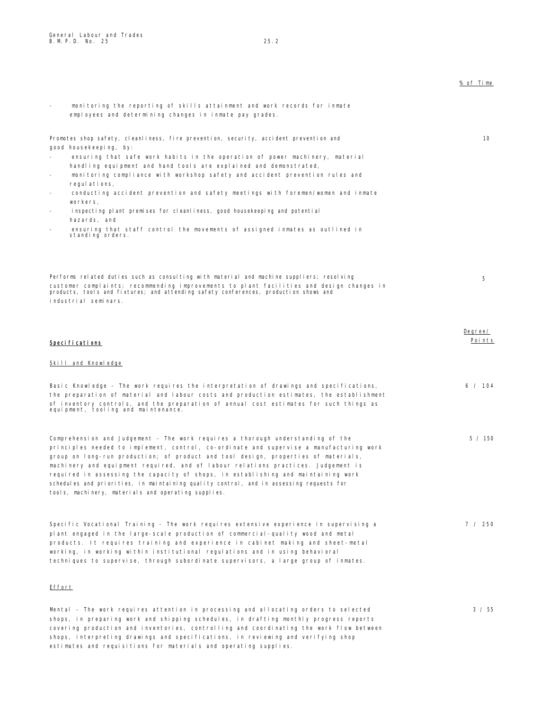|                                                                                                                                                                                                                                                                                                                                                                                                                                                                                                                                                                                                                                                                                                    | % of Time         |
|----------------------------------------------------------------------------------------------------------------------------------------------------------------------------------------------------------------------------------------------------------------------------------------------------------------------------------------------------------------------------------------------------------------------------------------------------------------------------------------------------------------------------------------------------------------------------------------------------------------------------------------------------------------------------------------------------|-------------------|
| monitoring the reporting of skills attainment and work records for inmate<br>$\overline{\phantom{a}}$<br>employees and determining changes in inmate pay grades.                                                                                                                                                                                                                                                                                                                                                                                                                                                                                                                                   |                   |
| Promotes shop safety, cleanliness, fire prevention, security, accident prevention and<br>good housekeeping, by:<br>ensuring that safe work habits in the operation of power machinery, material<br>handling equipment and hand tools are explained and demonstrated,<br>monitoring compliance with workshop safety and accident prevention rules and<br>regulations,<br>conducting accident prevention and safety meetings with foremen/women and inmate<br>$\overline{\phantom{a}}$<br>workers,<br>inspecting plant premises for cleanliness, good housekeeping and potential<br>hazards, and<br>ensuring that staff control the movements of assigned inmates as outlined in<br>standing orders. | 10                |
| Performs related duties such as consulting with material and machine suppliers; resolving<br>customer complaints; recommending improvements to plant facilities and design changes in<br>products, tool's and fixtures; and attending safety conferences, production shows and<br>industrial seminars.                                                                                                                                                                                                                                                                                                                                                                                             | 5                 |
| Specifications                                                                                                                                                                                                                                                                                                                                                                                                                                                                                                                                                                                                                                                                                     | Degree/<br>Points |
| Skill and Knowledge                                                                                                                                                                                                                                                                                                                                                                                                                                                                                                                                                                                                                                                                                |                   |
| Basic Knowledge - The work requires the interpretation of drawings and specifications,<br>the preparation of material and labour costs and production estimates, the establishment<br>of inventory controls, and the preparation of annual cost estimates for such things as<br>equipment, tooling and maintenance.                                                                                                                                                                                                                                                                                                                                                                                | 6 / 104           |
| Comprehension and Judgement - The work requires a thorough understanding of the<br>principles needed to implement, control, co-ordinate and supervise a manufacturing work<br>group on long-run production; of product and tool design, properties of materials,<br>machinery and equipment required, and of labour relations practices. Judgement is<br>required in assessing the capacity of shops, in establishing and maintaining work<br>schedules and priorities, in maintaining quality control, and in assessing requests for<br>tools, machinery, materials and operating supplies.                                                                                                       | 5 / 150           |
| Specific Vocational Training - The work requires extensive experience in supervising a<br>plant engaged in the large-scale production of commercial-quality wood and metal<br>products. It requires training and experience in cabinet making and sheet-metal<br>working, in working within institutional regulations and in using behavioral<br>techniques to supervise, through subordinate supervisors, a large group of inmates.                                                                                                                                                                                                                                                               | 7 / 250           |
| <u>Effort</u>                                                                                                                                                                                                                                                                                                                                                                                                                                                                                                                                                                                                                                                                                      |                   |
| Mental - The work requires attention in processing and allocating orders to selected<br>shops, in preparing work and shipping schedules, in drafting monthly progress reports<br>covering production and inventories, controlling and coordinating the work flow between<br>shops, interpreting drawings and specifications, in reviewing and verifying shop                                                                                                                                                                                                                                                                                                                                       | 3 / 55            |

estimates and requisitions for materials and operating supplies.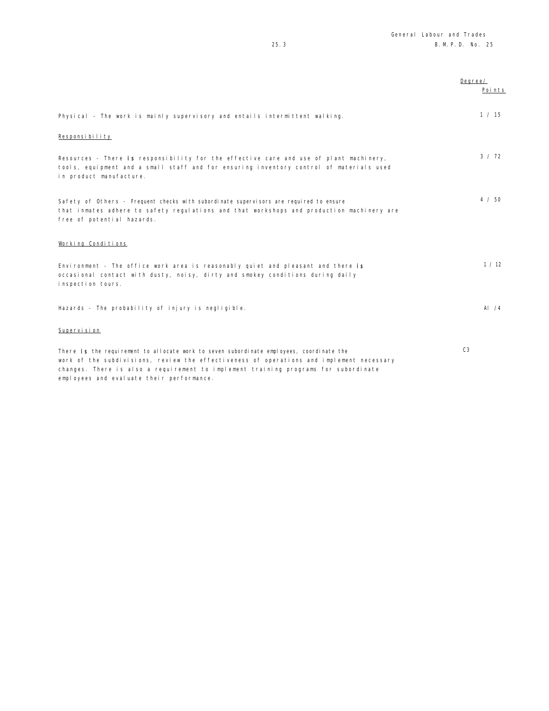|                                                                                                                                                                                                                                                                             | Degree/<br>Points |
|-----------------------------------------------------------------------------------------------------------------------------------------------------------------------------------------------------------------------------------------------------------------------------|-------------------|
| Physical - The work is mainly supervisory and entails intermittent walking.                                                                                                                                                                                                 | 1 / 15            |
| Responsibility                                                                                                                                                                                                                                                              |                   |
| Resources - There is responsibility for the effective care and use of plant machinery,<br>tools, equipment and a small staff and for ensuring inventory control of materials used<br>in product manufacture.                                                                | $3 \times 72$     |
| Safety of Others - Frequent checks with subordinate supervisors are required to ensure<br>that inmates adhere to safety regulations and that workshops and production machinery are<br>free of potential hazards.                                                           | $4 \times 50$     |
| Working Conditions                                                                                                                                                                                                                                                          |                   |
| Environment - The office work area is reasonably quiet and pleasant and there is<br>occasional contact with dusty, noisy, dirty and smokey conditions during daily<br>inspection tours.                                                                                     | 1 / 12            |
| Hazards - The probability of injury is negligible.                                                                                                                                                                                                                          | Al $/4$           |
| Supervision                                                                                                                                                                                                                                                                 |                   |
| There is the requirement to allocate work to seven subordinate employees, coordinate the<br>work of the subdivisions, review the effectiveness of operations and implement necessary<br>changes. There is also a requirement to implement training programs for subordinate | C <sub>3</sub>    |

employees and evaluate their performance.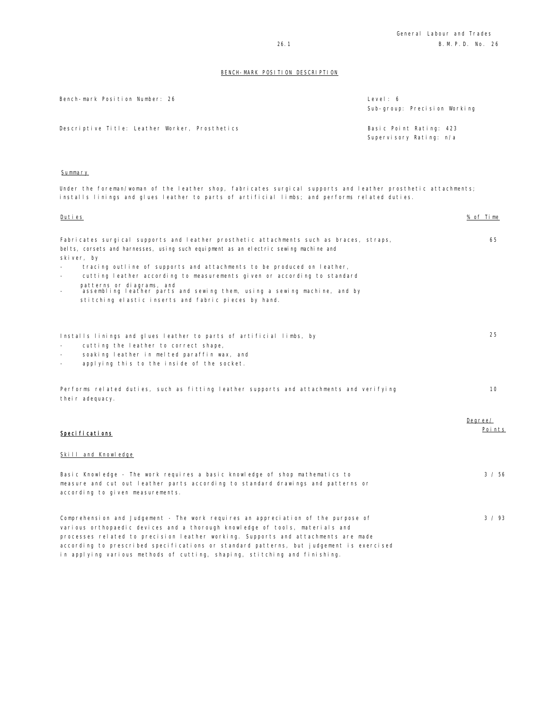| Level: 6                     |  |
|------------------------------|--|
| Sub-group: Precision Working |  |
|                              |  |

Descriptive Title: Leather Worker, Prosthetics **Basic Point Rating: 423** 

Bench-mark Position Number: 26

Supervisory Rating: n/a

#### Summary

Under the foreman/woman of the leather shop, fabricates surgical supports and leather prosthetic attachments; installs linings and glues leather to parts of artificial limbs; and performs related duties.

| <u>Duties</u>                                                                                                                                                                                                                                                                                                                                                                                                                  | % of Time         |
|--------------------------------------------------------------------------------------------------------------------------------------------------------------------------------------------------------------------------------------------------------------------------------------------------------------------------------------------------------------------------------------------------------------------------------|-------------------|
| Fabricates surgical supports and leather prosthetic attachments such as braces, straps,<br>belts, corsets and harnesses, using such equipment as an electric sewing machine and<br>skiver, by                                                                                                                                                                                                                                  | 65                |
| tracing outline of supports and attachments to be produced on leather,<br>cutting leather according to measurements given or according to standard<br>patterns or diagrams, and<br>assembling leather parts and sewing them, using a sewing machine, and by<br>stitching elastic inserts and fabric pieces by hand.                                                                                                            |                   |
| Installs linings and glues leather to parts of artificial limbs, by<br>cutting the leather to correct shape,<br>soaking leather in melted paraffin wax, and<br>applying this to the inside of the socket.                                                                                                                                                                                                                      | 25                |
| Performs related duties, such as fitting leather supports and attachments and verifying<br>their adequacy.                                                                                                                                                                                                                                                                                                                     | 10                |
| Speci fi cati ons<br>Skill and Knowledge                                                                                                                                                                                                                                                                                                                                                                                       | Degree/<br>Points |
| Basic Knowledge - The work requires a basic knowledge of shop mathematics to<br>measure and cut out leather parts according to standard drawings and patterns or<br>according to given measurements.                                                                                                                                                                                                                           | 3 / 56            |
| Comprehension and Judgement - The work requires an appreciation of the purpose of<br>various orthopaedic devices and a thorough knowledge of tools, materials and<br>processes related to precision leather working. Supports and attachments are made<br>according to prescribed specifications or standard patterns, but judgement is exercised<br>in applying various methods of cutting, shaping, stitching and finishing. | 3 / 93            |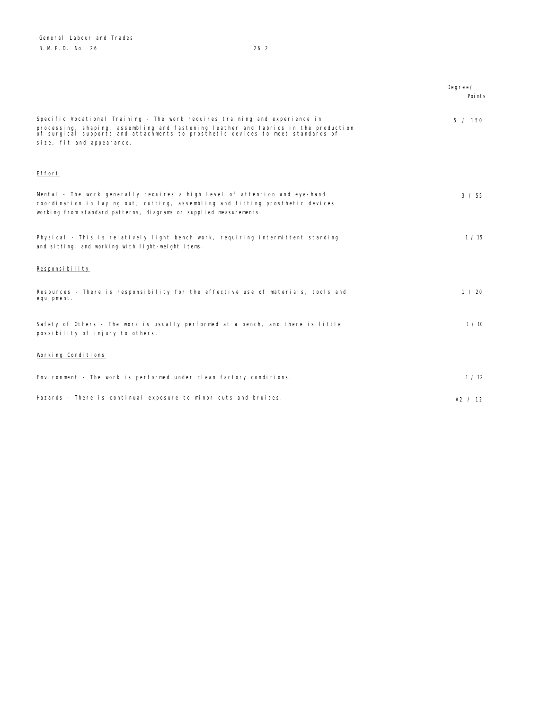|                                                                                                                                                                                                                                                                                    | Degree/<br>Poi nts |
|------------------------------------------------------------------------------------------------------------------------------------------------------------------------------------------------------------------------------------------------------------------------------------|--------------------|
| Specific Vocational Training - The work requires training and experience in<br>processing, shaping, assembling and fastening leather and fabrics in the production<br>of surgical supports and attachments to prosthetic devices to meet standards of<br>size, fit and appearance. | 5 / 150            |
| Effort                                                                                                                                                                                                                                                                             |                    |
| Mental - The work generally requires a high level of attention and eye-hand<br>coordination in laying out, cutting, assembling and fitting prosthetic devices<br>working from standard patterns, diagrams or supplied measurements.                                                | 3 / 55             |
| Physical - This is relatively light bench work, requiring intermittent standing<br>and sitting, and working with light-weight items.                                                                                                                                               | 1 / 15             |
| Responsibility                                                                                                                                                                                                                                                                     |                    |
| Resources - There is responsibility for the effective use of materials, tools and<br>equipment.                                                                                                                                                                                    | 1 / 20             |
| Safety of Others - The work is usually performed at a bench, and there is little<br>possibility of injury to others.                                                                                                                                                               | 1 / 10             |
| Working Conditions                                                                                                                                                                                                                                                                 |                    |
| Environment - The work is performed under clean factory conditions.                                                                                                                                                                                                                | 1 / 12             |
| Hazards - There is continual exposure to minor cuts and bruises.                                                                                                                                                                                                                   | A2 / 12            |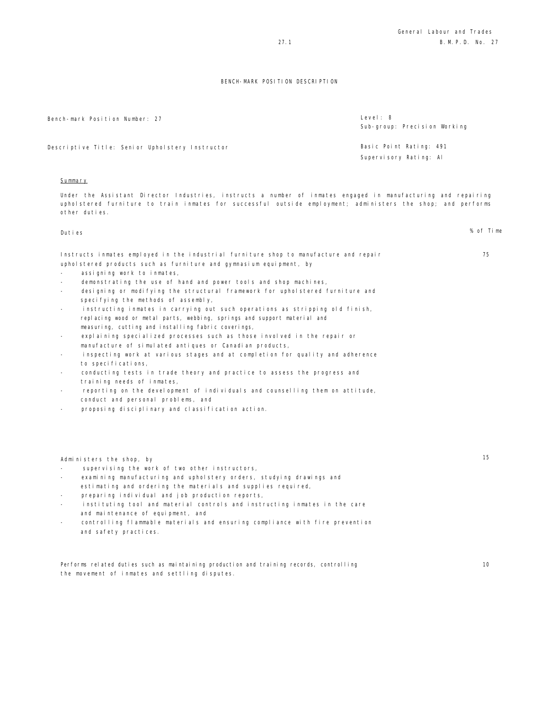| Bench-mark Position Number: 27                  | Level: 8<br>Sub-group: Precision Working |
|-------------------------------------------------|------------------------------------------|
| Descriptive Title: Senior Upholstery Instructor | Basic Point Rating: 491                  |
|                                                 | Supervisory Rating: Al                   |
|                                                 |                                          |

## **Summary**

Under the Assistant Director Industries, instructs a number of inmates engaged in manufacturing and repairing upholstered furniture to train inmates for successful outside employment; administers the shop; and performs other duties.

| Duties                                                                                                                                                                                                                                                                                                                                                                                                                                                                                                                                                                                                                                                                                                                                                                                                                                                                                                                                                                                                                                                                                                               | % of Time |
|----------------------------------------------------------------------------------------------------------------------------------------------------------------------------------------------------------------------------------------------------------------------------------------------------------------------------------------------------------------------------------------------------------------------------------------------------------------------------------------------------------------------------------------------------------------------------------------------------------------------------------------------------------------------------------------------------------------------------------------------------------------------------------------------------------------------------------------------------------------------------------------------------------------------------------------------------------------------------------------------------------------------------------------------------------------------------------------------------------------------|-----------|
| Instructs inmates employed in the industrial furniture shop to manufacture and repair<br>uphol stered products such as furniture and gymnasium equipment, by<br>assigning work to inmates,<br>demonstrating the use of hand and power tools and shop machines,<br>designing or modifying the structural framework for upholstered furniture and<br>specifying the methods of assembly,<br>instructing inmates in carrying out such operations as stripping old finish,<br>replacing wood or metal parts, webbing, springs and support material and<br>measuring, cutting and installing fabric coverings,<br>explaining specialized processes such as those involved in the repair or<br>$\overline{\phantom{a}}$<br>manufacture of simulated antiques or Canadian products,<br>inspecting work at various stages and at completion for quality and adherence<br>to specifications,<br>conducting tests in trade theory and practice to assess the progress and<br>training needs of inmates,<br>reporting on the development of individuals and counselling them on attitude,<br>conduct and personal problems, and | 75        |
| proposing disciplinary and classification action.                                                                                                                                                                                                                                                                                                                                                                                                                                                                                                                                                                                                                                                                                                                                                                                                                                                                                                                                                                                                                                                                    |           |
| Administers the shop, by                                                                                                                                                                                                                                                                                                                                                                                                                                                                                                                                                                                                                                                                                                                                                                                                                                                                                                                                                                                                                                                                                             | 15        |

- supervising the work of two other instructors,
- examining manufacturing and upholstery orders, studying drawings and estimating and ordering the materials and supplies required,
- preparing individual and job production reports,
- instituting tool and material controls and instructing inmates in the care and maintenance of equipment, and
- controlling flammable materials and ensuring compliance with fire prevention and safety practices.

Performs related duties such as maintaining production and training records, controlling the movement of inmates and settling disputes.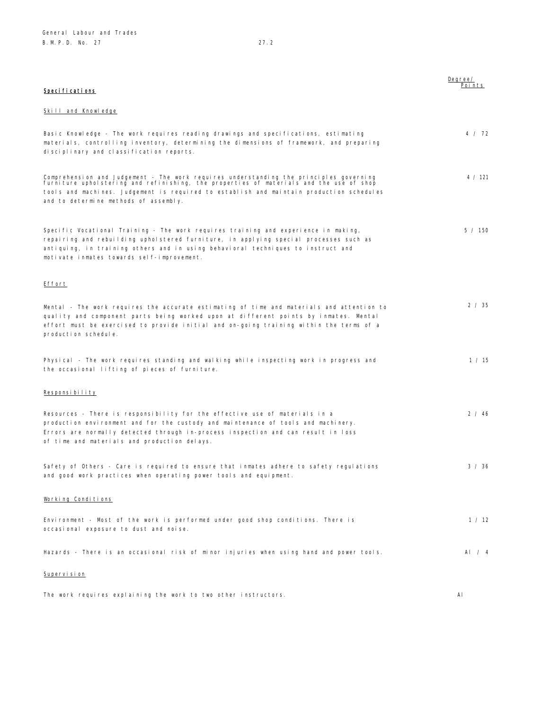Degree/ Points

| Specifications |  |  |
|----------------|--|--|
|                |  |  |

#### Skill and Knowledge

| Basic Knowledge - The work requires reading drawings and specifications, estimating                                                                                               | 4 / 72  |
|-----------------------------------------------------------------------------------------------------------------------------------------------------------------------------------|---------|
| materials, controlling inventory, determining the dimensions of framework, and preparing                                                                                          |         |
| disciplinary and classification reports.                                                                                                                                          |         |
|                                                                                                                                                                                   |         |
| Comprehension and Judgement - The work requires understanding the principles governing<br>furniture upholstering and refinishing, the properties of materials and the use of shop | 4 / 121 |
| tools and machines. Judgement is required to establish and maintain production schedules                                                                                          |         |
| and to determine methods of assembly.                                                                                                                                             |         |
|                                                                                                                                                                                   |         |
| Specific Vocational Training - The work requires training and experience in making,                                                                                               | 5 / 150 |
| repairing and rebuilding upholstered furniture, in applying special processes such as                                                                                             |         |
| antiquing, in training others and in using behavioral techniques to instruct and                                                                                                  |         |
| motivate inmates towards self-improvement.                                                                                                                                        |         |
|                                                                                                                                                                                   |         |
|                                                                                                                                                                                   |         |
| Effort                                                                                                                                                                            |         |
|                                                                                                                                                                                   |         |
| Mental - The work requires the accurate estimating of time and materials and attention to                                                                                         | 2 / 35  |
| quality and component parts being worked upon at different points by inmates. Mental                                                                                              |         |
| effort must be exercised to provide initial and on-going training within the terms of a                                                                                           |         |
| production schedule.                                                                                                                                                              |         |
|                                                                                                                                                                                   |         |
| Physical - The work requires standing and walking while inspecting work in progress and                                                                                           | 1 / 15  |
| the occasional lifting of pieces of furniture.                                                                                                                                    |         |
|                                                                                                                                                                                   |         |
| Responsibility                                                                                                                                                                    |         |
|                                                                                                                                                                                   |         |
| Resources - There is responsibility for the effective use of materials in a                                                                                                       | 2 / 46  |
| production environment and for the custody and maintenance of tools and machinery.                                                                                                |         |
| Errors are normally detected through in-process inspection and can result in loss                                                                                                 |         |
| of time and materials and production delays.                                                                                                                                      |         |
|                                                                                                                                                                                   |         |
| Safety of Others - Care is required to ensure that inmates adhere to safety regulations                                                                                           | 3 / 36  |
| and good work practices when operating power tools and equipment.                                                                                                                 |         |
|                                                                                                                                                                                   |         |
| Working Conditions                                                                                                                                                                |         |
|                                                                                                                                                                                   |         |
| Environment - Most of the work is performed under good shop conditions. There is                                                                                                  | 1 / 12  |
| occasional exposure to dust and noise.                                                                                                                                            |         |
|                                                                                                                                                                                   |         |
| Hazards – There is an occasional risk of minor injuries when using hand and power tools.                                                                                          | Al $/4$ |
|                                                                                                                                                                                   |         |
| Supervision                                                                                                                                                                       |         |
|                                                                                                                                                                                   |         |

The work requires explaining the work to two other instructors. Al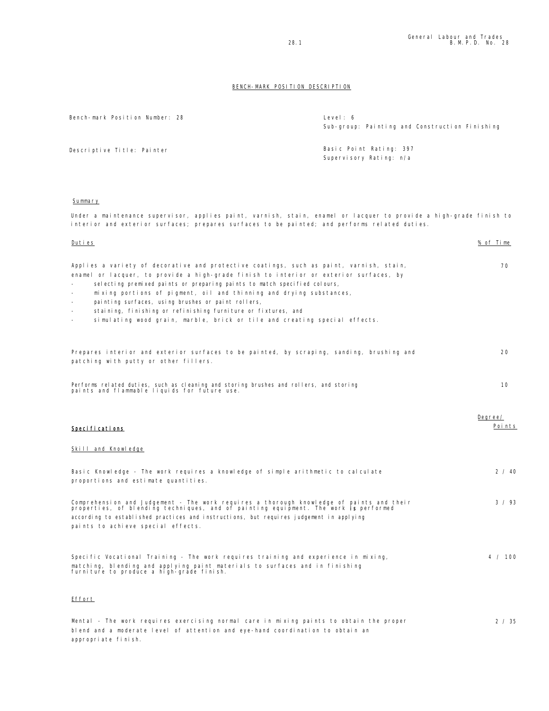| Bench-mark Position Number: 28                                                                                                                                                                                                                                                                                                                                                                                                                                                                                                                  | Level: 6<br>Sub-group: Painting and Construction Finishing |
|-------------------------------------------------------------------------------------------------------------------------------------------------------------------------------------------------------------------------------------------------------------------------------------------------------------------------------------------------------------------------------------------------------------------------------------------------------------------------------------------------------------------------------------------------|------------------------------------------------------------|
| Descriptive Title: Painter                                                                                                                                                                                                                                                                                                                                                                                                                                                                                                                      | Basic Point Rating: 397<br>Supervisory Rating: n/a         |
| Summary                                                                                                                                                                                                                                                                                                                                                                                                                                                                                                                                         |                                                            |
| Under a maintenance supervisor, applies paint, varnish, stain, enamel or lacquer to provide a high-grade finish to<br>interior and exterior surfaces; prepares surfaces to be painted; and performs related duties.                                                                                                                                                                                                                                                                                                                             |                                                            |
| <u>Duties</u>                                                                                                                                                                                                                                                                                                                                                                                                                                                                                                                                   | % of Time                                                  |
| Applies a variety of decorative and protective coatings, such as paint, varnish, stain,<br>enamel or lacquer, to provide a high-grade finish to interior or exterior surfaces, by<br>selecting premixed paints or preparing paints to match specified colours,<br>mixing portions of pigment, oil and thinning and drying substances,<br>painting surfaces, using brushes or paint rollers,<br>staining, finishing or refinishing furniture or fixtures, and<br>simulating wood grain, marble, brick or tile and creating special effects.<br>٠ | 70                                                         |
| Prepares interior and exterior surfaces to be painted, by scraping, sanding, brushing and<br>patching with putty or other fillers.                                                                                                                                                                                                                                                                                                                                                                                                              | 20                                                         |
| Performs related duties, such as cleaning and storing brushes and rollers, and storing<br>paints and flammable liquids for future use.                                                                                                                                                                                                                                                                                                                                                                                                          | 10                                                         |
| Specifications                                                                                                                                                                                                                                                                                                                                                                                                                                                                                                                                  | Degree/<br>Points                                          |
| Skill and Knowledge                                                                                                                                                                                                                                                                                                                                                                                                                                                                                                                             |                                                            |
| Basic Knowledge - The work requires a knowledge of simple arithmetic to calculate<br>proportions and estimate quantities.                                                                                                                                                                                                                                                                                                                                                                                                                       | 2 / 40                                                     |
| Comprehension and Judgement - The work reguires a thorough knowledge of paints and their<br>properties, of blending techniques, and of painting equipment. The work <b>is</b> performed<br>according to established practices and instructions, but requires judgement in applying<br>paints to achieve special effects.                                                                                                                                                                                                                        | 3 / 93                                                     |
| Specific Vocational Training - The work requires training and experience in mixing,<br>matching, blending and applying paint materials to surfaces and in finishing<br>furniture to produce a high-grade finish.                                                                                                                                                                                                                                                                                                                                | 4 / 100                                                    |
| <b>Effort</b>                                                                                                                                                                                                                                                                                                                                                                                                                                                                                                                                   |                                                            |
| Mental - The work requires exercising normal care in mixing paints to obtain the proper<br>blend and a moderate level of attention and eye-hand coordination to obtain an<br>appropriate finish.                                                                                                                                                                                                                                                                                                                                                | 2 / 35                                                     |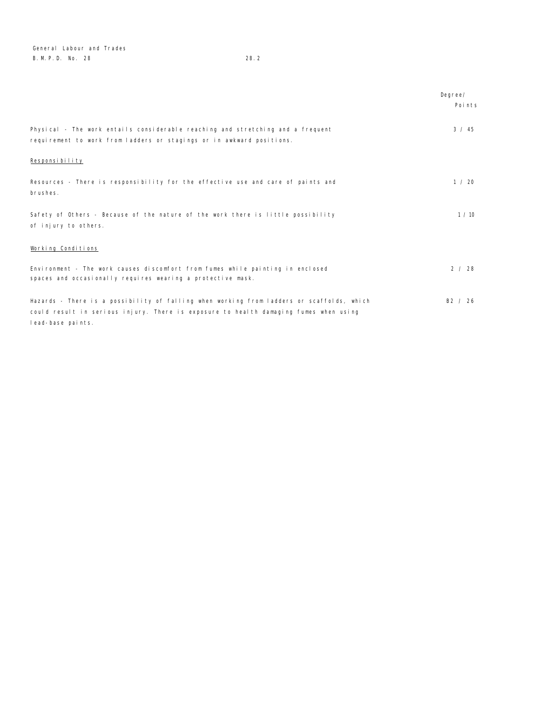General Labour and Trades B. M. P. D. No. 28 28.2

|                                                                                                                                                                                                         | Degree/<br>Points |
|---------------------------------------------------------------------------------------------------------------------------------------------------------------------------------------------------------|-------------------|
| Physical - The work entails considerable reaching and stretching and a frequent<br>requirement to work from ladders or stagings or in awkward positions.                                                | 3 / 45            |
| Responsibility                                                                                                                                                                                          |                   |
| Resources - There is responsibility for the effective use and care of paints and<br>brushes.                                                                                                            | 1 / 20            |
| Safety of Others - Because of the nature of the work there is little possibility<br>of injury to others.                                                                                                | 1/10              |
| Working Conditions                                                                                                                                                                                      |                   |
| Environment - The work causes discomfort from fumes while painting in enclosed<br>spaces and occasionally requires wearing a protective mask.                                                           | 2 / 28            |
| Hazards - There is a possibility of falling when working from ladders or scaffolds, which<br>could result in serious injury. There is exposure to health damaging fumes when using<br>lead-base paints. | B2 / 26           |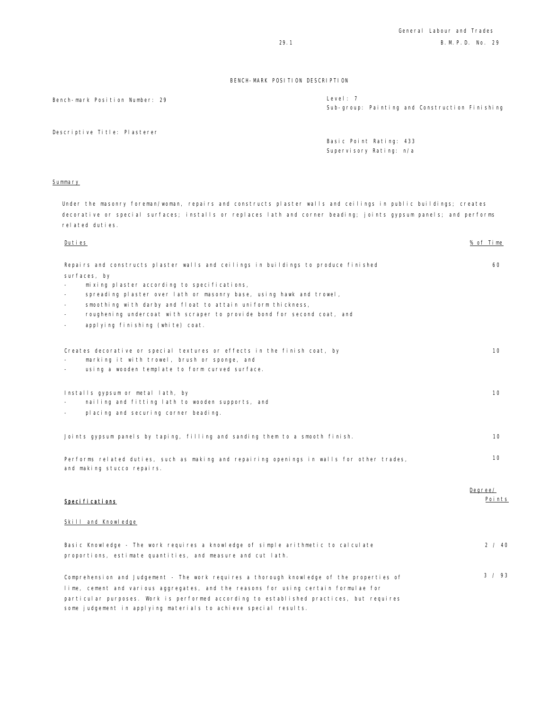Bench-mark Position Number: 29 **Level: 7** Level: 7

Sub-group: Painting and Construction Finishing

Descriptive Title: Plasterer

Basic Point Rating: 433 Supervisory Rating: n/a

#### Summary

Under the masonry foreman/woman, repairs and constructs plaster walls and ceilings in public buildings; creates decorative or special surfaces; installs or replaces lath and corner beading; joints gypsum panels; and performs related duties.

| Duties                                                                                                                                                                                                                                                                                                                                                                                                                                      | % of Time     |
|---------------------------------------------------------------------------------------------------------------------------------------------------------------------------------------------------------------------------------------------------------------------------------------------------------------------------------------------------------------------------------------------------------------------------------------------|---------------|
| Repairs and constructs plaster walls and ceilings in buildings to produce finished<br>surfaces, by<br>mixing plaster according to specifications,<br>spreading plaster over lath or masonry base, using hawk and trowel,<br>smoothing with darby and float to attain uniform thickness,<br>roughening undercoat with scraper to provide bond for second coat, and<br>$\overline{\phantom{a}}$<br>applying finishing (white) coat.<br>$\sim$ | 60            |
| Creates decorative or special textures or effects in the finish coat, by<br>marking it with trowel, brush or sponge, and<br>using a wooden template to form curved surface.                                                                                                                                                                                                                                                                 | 10            |
| Installs gypsum or metal lath, by<br>nailing and fitting lath to wooden supports, and<br>placing and securing corner beading.                                                                                                                                                                                                                                                                                                               | 10            |
| Joints gypsum panels by taping, filling and sanding them to a smooth finish.                                                                                                                                                                                                                                                                                                                                                                | 10            |
| Performs related duties, such as making and repairing openings in walls for other trades,<br>and making stucco repairs.                                                                                                                                                                                                                                                                                                                     | 10<br>Degree/ |
| Specifications                                                                                                                                                                                                                                                                                                                                                                                                                              | Points        |
| Skill and Knowledge                                                                                                                                                                                                                                                                                                                                                                                                                         |               |
| Basic Knowledge - The work requires a knowledge of simple arithmetic to calculate<br>proportions, estimate quantities, and measure and cut lath.                                                                                                                                                                                                                                                                                            | 2 / 40        |
| Comprehension and Judgement - The work requires a thorough knowledge of the properties of<br>lime, cement and various aggregates, and the reasons for using certain formulae for<br>particular purposes. Work is performed according to established practices, but requires<br>some judgement in applying materials to achieve special results.                                                                                             | 3 / 93        |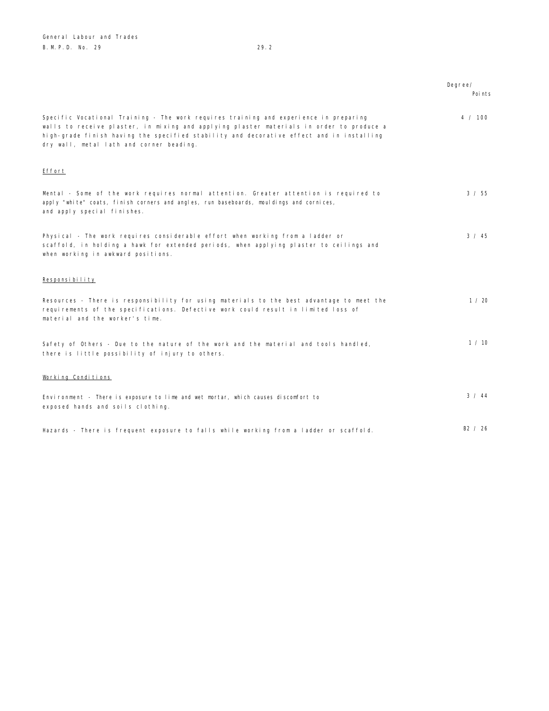Degree/ Points Specific Vocational Training - The work requires training and experience in preparing walls to receive plaster, in mixing and applying plaster materials in order to produce a high-grade finish having the specified stability and decorative effect and in installing dry wall, metal lath and corner beading. 4 / 100 Effort Mental - Some of the work requires normal attention. Greater attention is required to apply "white" coats, finish corners and angles, run baseboards, mouldings and cornices, and apply special finishes. 3 / 55 Physical - The work requires considerable effort when working from a ladder or scaffold, in holding a hawk for extended periods, when applying plaster to ceilings and when working in awkward positions.  $3 / 45$ Responsibility Resources - There is responsibility for using materials to the best advantage to meet the requirements of the specifications. Defective work could result in limited loss of material and the worker's time. 1 / 20 Safety of Others - Due to the nature of the work and the material and tools handled, there is little possibility of injury to others. 1 / 10 Working Conditions Environment - There is exposure to lime and wet mortar, which causes discomfort to exposed hands and soils clothing. 3 / 44

Hazards - There is frequent exposure to falls while working from a ladder or scaffold. B2 / 26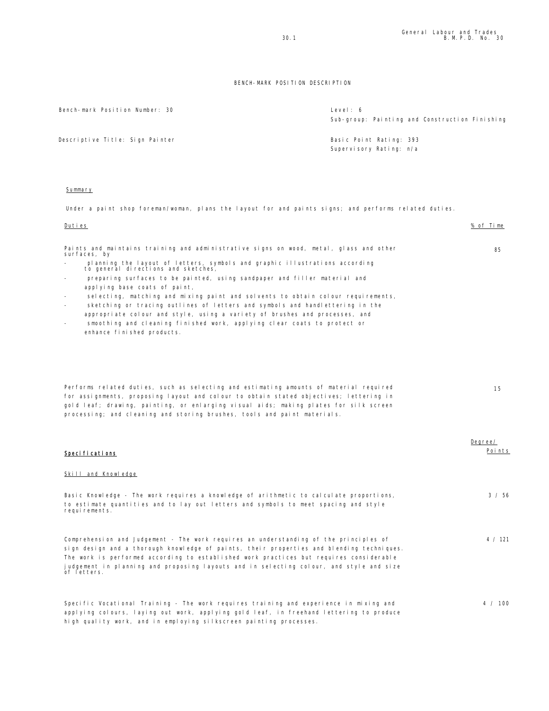4 / 100

#### BENCH-MARK POSITION DESCRIPTION

Bench-mark Position Number: 30

| Level: 6                                                                                    |  | Sub-group: Painting and Construction Finishing |  |
|---------------------------------------------------------------------------------------------|--|------------------------------------------------|--|
| $\text{Real} \cap \text{D} \cap \text{L} + \text{D} \cap \text{L} + \text{D} \cap \text{L}$ |  |                                                |  |

Descriptive Title: Sign Painter **Basic Point Rating: 393** 

Supervisory Rating: n/a

#### Summary

Under a paint shop foreman/woman, plans the layout for and paints signs; and performs related duties.

| Duties                                                                                                             | % of Time |
|--------------------------------------------------------------------------------------------------------------------|-----------|
| Paints and maintains training and administrative signs on wood, metal, glass and other<br>surfaces, by             | 85        |
| planning the layout of letters, symbols and graphic illustrations according<br>to general directions and sketches, |           |
| preparing surfaces to be painted, using sandpaper and filler material and<br>$\overline{\phantom{a}}$              |           |
| applying base coats of paint,                                                                                      |           |
| selecting, matching and mixing paint and solvents to obtain colour requirements,<br>$\overline{\phantom{a}}$       |           |
| sketching or tracing outlines of letters and symbols and handlettering in the<br>$\sim$                            |           |
| appropriate colour and style, using a variety of brushes and processes, and                                        |           |
| smoothing and cleaning finished work, applying clear coats to protect or<br>$\sim$                                 |           |
| enhance finished products.                                                                                         |           |
|                                                                                                                    |           |
| Performs related duties, such as selecting and estimating amounts of material required                             | 15        |
| for assignments, proposing layout and colour to obtain stated objectives; lettering in                             |           |
| gold leaf; drawing, painting, or enlarging visual aids; making plates for silk screen                              |           |
| processing; and cleaning and storing brushes, tools and paint materials.                                           |           |
|                                                                                                                    |           |
|                                                                                                                    | Degree/   |
| Speci fi cati ons                                                                                                  | Points    |
| Skill and Knowledge                                                                                                |           |
| Basic Knowledge - The work requires a knowledge of arithmetic to calculate proportions,                            | 3 / 56    |
| to estimate quantities and to lay out letters and symbols to meet spacing and style<br>requirements.               |           |
| Comprehension and Judgement - The work requires an understanding of the principles of                              | 4 / 121   |
|                                                                                                                    |           |

sign design and a thorough knowledge of paints, their properties and blending techniques. The work is performed according to established work practices but requires considerable judgement in planning and proposing layouts and in selecting colour, and style and size of letters.

Specific Vocational Training - The work requires training and experience in mixing and applying colours, laying out work, applying gold leaf, in freehand lettering to produce high quality work, and in employing silkscreen painting processes.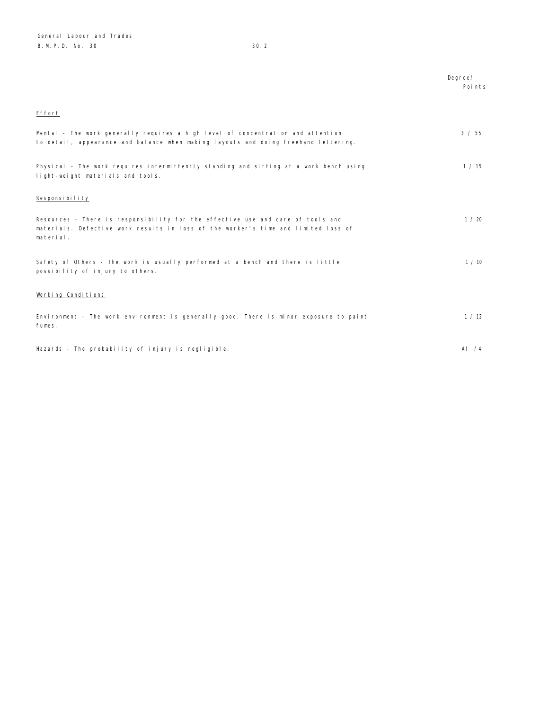|                                                                                                                                                                                    | Degree/ |
|------------------------------------------------------------------------------------------------------------------------------------------------------------------------------------|---------|
|                                                                                                                                                                                    | Points  |
|                                                                                                                                                                                    |         |
| Effort                                                                                                                                                                             |         |
| Mental - The work generally requires a high level of concentration and attention<br>to detail, appearance and balance when making layouts and doing freehand lettering.            | 3 / 55  |
| Physical - The work requires intermittently standing and sitting at a work bench using<br>light-weight materials and tools.                                                        | 1 / 15  |
| Responsibility                                                                                                                                                                     |         |
| Resources - There is responsibility for the effective use and care of tools and<br>materials. Defective work results in loss of the worker's time and limited loss of<br>material. | 1 / 20  |
| Safety of Others - The work is usually performed at a bench and there is little<br>possibility of injury to others.                                                                | 1 / 10  |
| Working Conditions                                                                                                                                                                 |         |
| Environment - The work environment is generally good. There is minor exposure to paint<br>fumes.                                                                                   | 1 / 12  |
| Hazards - The probability of injury is negligible.                                                                                                                                 | Al $/4$ |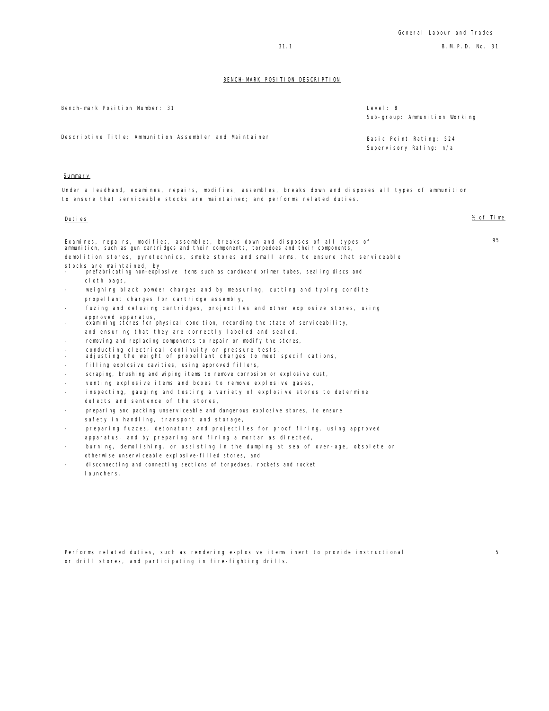5

## BENCH-MARK POSITION DESCRIPTION

|                          | Bench-mark Position Number: 31                                                                                                                                                                                                                                           | Level: 8<br>Sub-group: Ammunition Working          |
|--------------------------|--------------------------------------------------------------------------------------------------------------------------------------------------------------------------------------------------------------------------------------------------------------------------|----------------------------------------------------|
|                          | Descriptive Title: Ammunition Assembler and Maintainer                                                                                                                                                                                                                   | Basic Point Rating: 524<br>Supervisory Rating: n/a |
| Summary                  |                                                                                                                                                                                                                                                                          |                                                    |
|                          | Under a leadhand, examines, repairs, modifies, assembles, breaks down and disposes all types of ammunition<br>to ensure that serviceable stocks are maintained; and performs related duties.                                                                             |                                                    |
| Duties                   |                                                                                                                                                                                                                                                                          | % of Time                                          |
|                          | Examines, repairs, modifies, assembles, breaks down and disposes of all types of<br>ammunition, such as gun cartridges and their components, torpedoes and their components,<br>demolition stores, pyrotechnics, smoke stores and small arms, to ensure that serviceable | 95                                                 |
|                          | stocks are maintained, by<br>prefabricating non-explosive items such as cardboard primer tubes, sealing discs and                                                                                                                                                        |                                                    |
|                          | cloth bags,                                                                                                                                                                                                                                                              |                                                    |
|                          | weighing black powder charges and by measuring, cutting and typing cordite                                                                                                                                                                                               |                                                    |
|                          | propellant charges for cartridge assembly,                                                                                                                                                                                                                               |                                                    |
|                          | fuzing and defuzing cartridges, projectiles and other explosive stores, using                                                                                                                                                                                            |                                                    |
|                          | approved apparatus,<br>examining stores for physical condition, recording the state of serviceability,                                                                                                                                                                   |                                                    |
|                          | and ensuring that they are correctly labeled and sealed,                                                                                                                                                                                                                 |                                                    |
|                          | removing and replacing components to repair or modify the stores,                                                                                                                                                                                                        |                                                    |
| $\overline{\phantom{a}}$ | conducting electrical continuity or pressure tests,<br>adjusting the weight of propellant charges to meet specifications,                                                                                                                                                |                                                    |
| $\overline{\phantom{0}}$ | filling explosive cavities, using approved fillers,                                                                                                                                                                                                                      |                                                    |
|                          | scraping, brushing and wiping items to remove corrosion or explosive dust,                                                                                                                                                                                               |                                                    |
|                          | venting explosive items and boxes to remove explosive gases,                                                                                                                                                                                                             |                                                    |
|                          | inspecting, gauging and testing a variety of explosive stores to determine                                                                                                                                                                                               |                                                    |
|                          | defects and sentence of the stores,                                                                                                                                                                                                                                      |                                                    |
|                          | preparing and packing unserviceable and dangerous explosive stores, to ensure                                                                                                                                                                                            |                                                    |

- safety in handling, transport and storage,
- preparing fuzzes, detonators and projectiles for proof firing, using approved apparatus, and by preparing and firing a mortar as directed,
- burning, demolishing, or assisting in the dumping at sea of over-age, obsolete or otherwise unserviceable explosive-filled stores, and
- disconnecting and connecting sections of torpedoes, rockets and rocket launchers.

Performs related duties, such as rendering explosive items inert to provide instructional or drill stores, and participating in fire-fighting drills.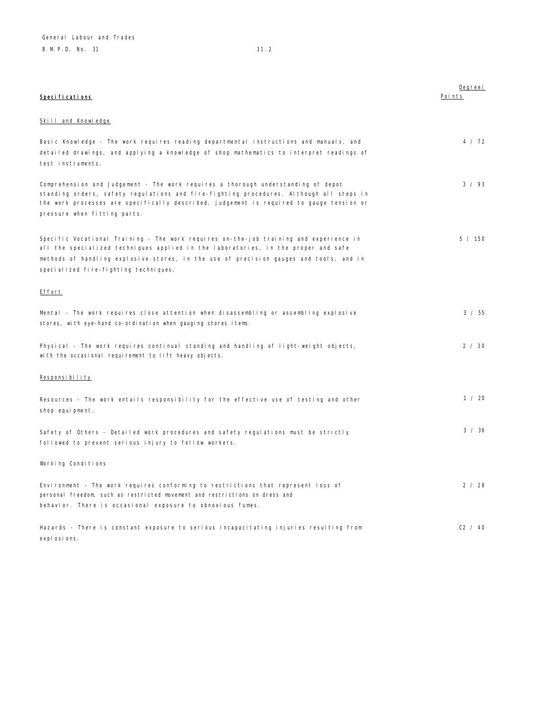| Specifications                                                                                                                                                                                                                                                                                                  | Degree/<br>Points |
|-----------------------------------------------------------------------------------------------------------------------------------------------------------------------------------------------------------------------------------------------------------------------------------------------------------------|-------------------|
| Skill and Knowledge                                                                                                                                                                                                                                                                                             |                   |
| Basic Knowledge - The work requires reading departmental instructions and manuals, and<br>detailed drawings, and applying a knowledge of shop mathematics to interpret readings of<br>test instruments.                                                                                                         | 4 / 72            |
| Comprehension and Judgement - The work requires a thorough understanding of depot<br>standing orders, safety regulations and fire-fighting procedures. Although all steps in<br>the work processes are specifically described, judgement is required to gauge tension or<br>pressure when fitting parts.        | 3 / 93            |
| Specific Vocational Training - The work requires on-the-job training and experience in<br>all the specialized techniques applied in the laboratories, in the proper and safe<br>methods of handling explosive stores, in the use of precision gauges and tools, and in<br>specialized fire-fighting techniques. | 5 / 150           |
| Effort                                                                                                                                                                                                                                                                                                          |                   |
| Mental - The work requires close attention when disassembling or assembling explosive<br>stores, with eye-hand co-ordination when gauging stores items.                                                                                                                                                         | 3 / 55            |
| Physical - The work requires continual standing and handling of light-weight objects,<br>with the occasional requirement to lift heavy objects.                                                                                                                                                                 | 2 / 30            |
| Responsibility                                                                                                                                                                                                                                                                                                  |                   |
| Resources - The work entails responsibility for the effective use of testing and other<br>shop equipment.                                                                                                                                                                                                       | 1 / 20            |
| Safety of Others - Detailed work procedures and safety regulations must be strictly<br>followed to prevent serious injury to fellow workers.                                                                                                                                                                    | 3 / 36            |
| Working Conditions                                                                                                                                                                                                                                                                                              |                   |
| Environment - The work requires conforming to restrictions that represent loss of<br>personal freedom, such as restricted movement and restrictions on dress and<br>behavior. There is occasional exposure to obnoxious fumes.                                                                                  | 2 / 28            |
| Hazards - There is constant exposure to serious incapacitating injuries resulting from<br>expl osi ons.                                                                                                                                                                                                         | C2 / 40           |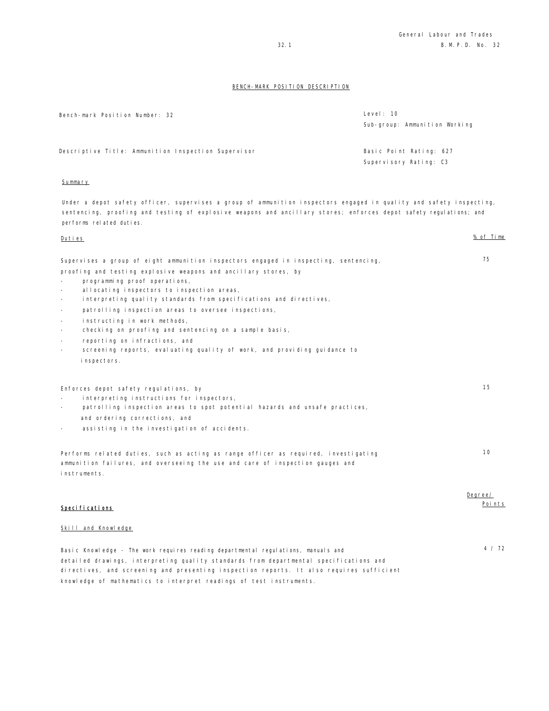| Bench-mark Position Number: 32                                                                                                                                                                                                                                                                                                                                                                                                                                                                                                                                                                                                                                                                              | Level: 10<br>Sub-group: Ammunition Working        |                   |
|-------------------------------------------------------------------------------------------------------------------------------------------------------------------------------------------------------------------------------------------------------------------------------------------------------------------------------------------------------------------------------------------------------------------------------------------------------------------------------------------------------------------------------------------------------------------------------------------------------------------------------------------------------------------------------------------------------------|---------------------------------------------------|-------------------|
| Descriptive Title: Ammunition Inspection Supervisor                                                                                                                                                                                                                                                                                                                                                                                                                                                                                                                                                                                                                                                         | Basic Point Rating: 627<br>Supervisory Rating: C3 |                   |
| Summary                                                                                                                                                                                                                                                                                                                                                                                                                                                                                                                                                                                                                                                                                                     |                                                   |                   |
| Under a depot safety officer, supervises a group of ammunition inspectors engaged in quality and safety inspecting,<br>sentencing, proofing and testing of explosive weapons and ancillary stores; enforces depot safety regulations; and<br>performs related duties.                                                                                                                                                                                                                                                                                                                                                                                                                                       |                                                   |                   |
| Duties                                                                                                                                                                                                                                                                                                                                                                                                                                                                                                                                                                                                                                                                                                      |                                                   | % of Time         |
| Supervises a group of eight ammunition inspectors engaged in inspecting, sentencing,<br>proofing and testing explosive weapons and ancillary stores, by<br>programming proof operations,<br>allocating inspectors to inspection areas,<br>$\sim$<br>interpreting quality standards from specifications and directives,<br>$\overline{\phantom{a}}$<br>patrolling inspection areas to oversee inspections,<br>$\overline{\phantom{a}}$<br>instructing in work methods,<br>$\overline{\phantom{a}}$<br>checking on proofing and sentencing on a sample basis,<br>$\sim$<br>reporting on infractions, and<br>$\sim$<br>screening reports, evaluating quality of work, and providing guidance to<br>inspectors. |                                                   | 75                |
| Enforces depot safety regulations, by<br>interpreting instructions for inspectors,<br>patrolling inspection areas to spot potential hazards and unsafe practices,<br>$\sim$<br>and ordering corrections, and<br>assisting in the investigation of accidents.<br>$\overline{\phantom{a}}$                                                                                                                                                                                                                                                                                                                                                                                                                    |                                                   | 15                |
| Performs related duties, such as acting as range officer as required, investigating<br>ammunition failures, and overseeing the use and care of inspection gauges and<br>instruments.                                                                                                                                                                                                                                                                                                                                                                                                                                                                                                                        |                                                   | 10                |
| Specifications<br>Skill and Knowledge                                                                                                                                                                                                                                                                                                                                                                                                                                                                                                                                                                                                                                                                       |                                                   | Degree/<br>Points |
| Basic Knowledge - The work requires reading departmental regulations, manuals and<br>detailed drawings, interpreting quality standards from departmental specifications and<br>directives, and screening and presenting inspection reports. It also requires sufficient                                                                                                                                                                                                                                                                                                                                                                                                                                     |                                                   | 4 / 72            |

knowledge of mathematics to interpret readings of test instruments.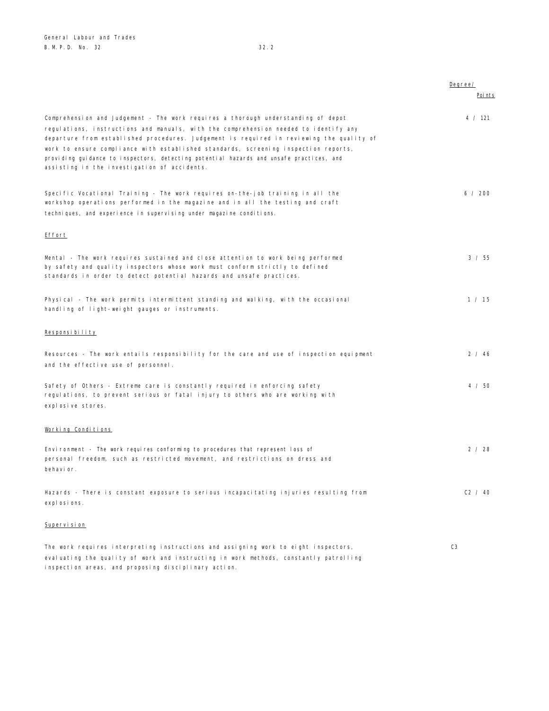|                                                                                                                                                                                                                                                                                                                            | Degree/        |
|----------------------------------------------------------------------------------------------------------------------------------------------------------------------------------------------------------------------------------------------------------------------------------------------------------------------------|----------------|
|                                                                                                                                                                                                                                                                                                                            | Poi nts        |
| Comprehension and Judgement - The work requires a thorough understanding of depot<br>regulations, instructions and manuals, with the comprehension needed to identify any                                                                                                                                                  | 4 / 121        |
| departure from established procedures. Judgement is required in reviewing the quality of<br>work to ensure compliance with established standards, screening inspection reports,<br>providing guidance to inspectors, detecting potential hazards and unsafe practices, and<br>assisting in the investigation of accidents. |                |
| Specific Vocational Training - The work requires on-the-job training in all the<br>workshop operations performed in the magazine and in all the testing and craft<br>techniques, and experience in supervising under magazine conditions.                                                                                  | 6 / 200        |
| Effort                                                                                                                                                                                                                                                                                                                     |                |
| Mental - The work requires sustained and close attention to work being performed<br>by safety and quality inspectors whose work must conform strictly to defined<br>standards in order to detect potential hazards and unsafe practices.                                                                                   | 3 / 55         |
| Physical - The work permits intermittent standing and walking, with the occasional<br>handling of light-weight gauges or instruments.                                                                                                                                                                                      | 1 / 15         |
| Responsibility                                                                                                                                                                                                                                                                                                             |                |
| Resources - The work entails responsibility for the care and use of inspection equipment<br>and the effective use of personnel.                                                                                                                                                                                            | 2 / 46         |
| Safety of Others - Extreme care is constantly required in enforcing safety<br>regulations, to prevent serious or fatal injury to others who are working with<br>explosive stores.                                                                                                                                          | 4 / 50         |
| Working Conditions                                                                                                                                                                                                                                                                                                         |                |
| Environment - The work requires conforming to procedures that represent loss of<br>personal freedom, such as restricted movement, and restrictions on dress and<br>behavi or.                                                                                                                                              | 2 / 28         |
| Hazards - There is constant exposure to serious incapacitating injuries resulting from<br>explosions.                                                                                                                                                                                                                      | C2 / 40        |
| Supervision                                                                                                                                                                                                                                                                                                                |                |
| The work requires interpreting instructions and assigning work to eight inspectors,<br>evaluating the quality of work and instructing in work methods, constantly patrolling                                                                                                                                               | C <sub>3</sub> |

inspection areas, and proposing disciplinary action.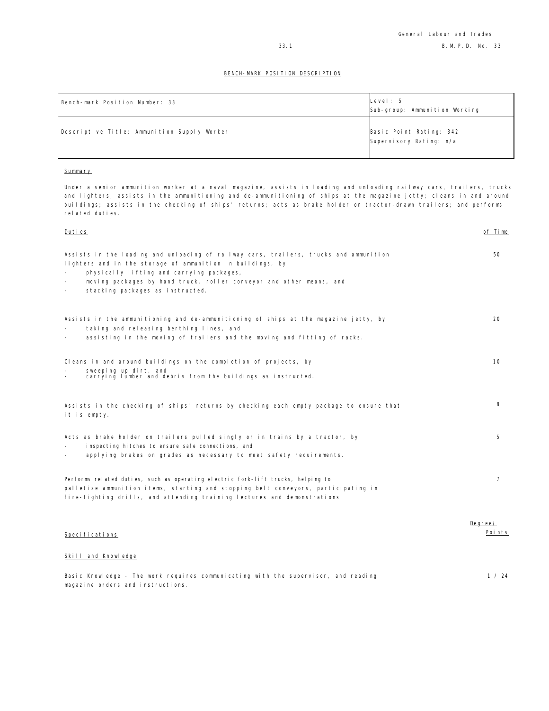| Bench-mark Position Number: 33              | Level: 5<br>Sub-group: Ammunition Working          |
|---------------------------------------------|----------------------------------------------------|
| Descriptive Title: Ammunition Supply Worker | Basic Point Rating: 342<br>Supervisory Rating: n/a |

## **Summary**

magazine orders and instructions.

Under a senior ammunition worker at a naval magazine, assists in loading and unloading railway cars, trailers, trucks and lighters; assists in the ammunitioning and de-ammunitioning of ships at the magazine jetty; cleans in and around buildings; assists in the checking of ships' returns; acts as brake holder on tractor-drawn trailers; and performs related duties.

| <u>Duties</u>                                                                                                                                                                                                                                                                                               | of Time           |
|-------------------------------------------------------------------------------------------------------------------------------------------------------------------------------------------------------------------------------------------------------------------------------------------------------------|-------------------|
| Assists in the loading and unloading of railway cars, trailers, trucks and ammunition<br>lighters and in the storage of ammunition in buildings, by<br>physically lifting and carrying packages,<br>moving packages by hand truck, roller conveyor and other means, and<br>stacking packages as instructed. | 50                |
| Assists in the ammunitioning and de-ammunitioning of ships at the magazine jetty, by<br>taking and releasing berthing lines, and<br>assisting in the moving of trailers and the moving and fitting of racks.                                                                                                | 20                |
| Cleans in and around buildings on the completion of projects, by<br>sweeping up dirt, and<br>carrying lumber and debris from the buildings as instructed.                                                                                                                                                   | 10                |
| Assists in the checking of ships' returns by checking each empty package to ensure that<br>it is empty.                                                                                                                                                                                                     | 8                 |
| Acts as brake holder on trailers pulled singly or in trains by a tractor, by<br>inspecting hitches to ensure safe connections, and<br>applying brakes on grades as necessary to meet safety requirements.                                                                                                   | 5                 |
| Performs related duties, such as operating electric fork-lift trucks, helping to<br>palletize ammunition items, starting and stopping belt conveyors, participating in<br>fire-fighting drills, and attending training lectures and demonstrations.                                                         | $\overline{7}$    |
| Specifications                                                                                                                                                                                                                                                                                              | Degree/<br>Points |
| Skill and Knowledge                                                                                                                                                                                                                                                                                         |                   |
| Basic Knowledge - The work requires communicating with the supervisor, and reading                                                                                                                                                                                                                          | 1 / 24            |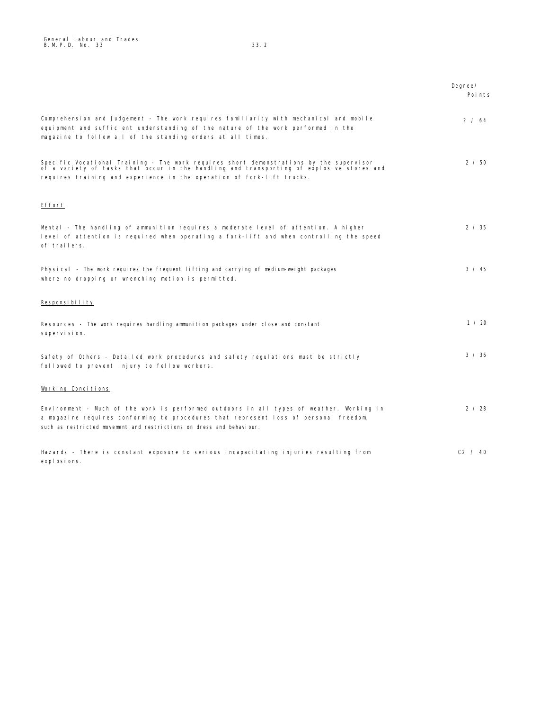|                                                                                                                                                                                                                                                                | Degree/<br>Points |
|----------------------------------------------------------------------------------------------------------------------------------------------------------------------------------------------------------------------------------------------------------------|-------------------|
| Comprehension and Judgement - The work reguires familiarity with mechanical and mobile<br>equipment and sufficient understanding of the nature of the work performed in the<br>magazine to follow all of the standing orders at all times.                     | 2 / 64            |
| Specific Vocational Training - The work requires short demonstrations by the supervisor<br>of a variety of tasks that occur in the handling and transporting of explosive stores and<br>requires training and experience in the operation of fork-lift trucks. | 2 / 50            |
| Effort                                                                                                                                                                                                                                                         |                   |
| Mental - The handling of ammunition requires a moderate level of attention. A higher<br>level of attention is required when operating a fork-lift and when controlling the speed<br>of trailers.                                                               | 2 / 35            |
| Physical - The work requires the frequent lifting and carrying of medium-weight packages<br>where no dropping or wrenching motion is permitted.                                                                                                                | $3 \times 45$     |
| Responsibility                                                                                                                                                                                                                                                 |                   |
| Resources - The work requires handling ammunition packages under close and constant<br>supervision.                                                                                                                                                            | 1 / 20            |
| Safety of Others - Detailed work procedures and safety regulations must be strictly<br>followed to prevent injury to fellow workers.                                                                                                                           | 3 / 36            |
| Working Conditions                                                                                                                                                                                                                                             |                   |
| Environment - Much of the work is performed outdoors in all types of weather. Working in<br>a magazine requires conforming to procedures that represent loss of personal freedom,<br>such as restricted movement and restrictions on dress and behaviour.      | 2 / 28            |
| Hazards - There is constant exposure to serious incapacitating injuries resulting from<br>explosions.                                                                                                                                                          | C2 / 40           |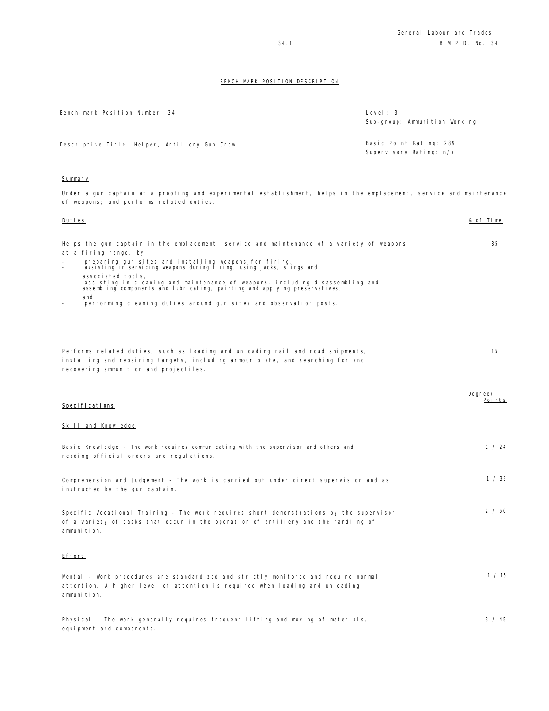| Bench-mark Position Number: 34                | Level: 3<br>Sub-group: Ammunition Working          |
|-----------------------------------------------|----------------------------------------------------|
| Descriptive Title: Helper, Artillery Gun Crew | Basic Point Rating: 289<br>Supervisory Rating: n/a |

## Summary

equipment and components.

Under a gun captain at a proofing and experimental establishment, helps in the emplacement, service and maintenance of weapons; and performs related duties.

| Duties                                                                                                                                                                                                       | % of Time         |
|--------------------------------------------------------------------------------------------------------------------------------------------------------------------------------------------------------------|-------------------|
| Helps the gun captain in the emplacement, service and maintenance of a variety of weapons<br>at a firing range, by                                                                                           | 85                |
| preparing gun sites and installing weapons for firing,<br>assisting in servicing weapons during firing, using jacks, slings and                                                                              |                   |
| associated tools,<br>assisting in cleaning and maintenance of weapons, including disassembling and<br>assembling components and lubricating, painting and applying preservatives,                            |                   |
| and<br>performing cleaning duties around gun sites and observation posts.                                                                                                                                    |                   |
| Performs related duties, such as loading and unloading rail and road shipments,<br>installing and repairing targets, including armour plate, and searching for and<br>recovering ammunition and projectiles. | 15                |
| Specifications                                                                                                                                                                                               | Degree/<br>Points |
| Skill and Knowledge                                                                                                                                                                                          |                   |
| Basic Knowledge - The work requires communicating with the supervisor and others and<br>reading official orders and regulations.                                                                             | 1 / 24            |
| Comprehension and Judgement - The work is carried out under direct supervision and as<br>instructed by the gun captain.                                                                                      | 1 / 36            |
| Specific Vocational Training - The work requires short demonstrations by the supervisor<br>of a variety of tasks that occur in the operation of artillery and the handling of<br>ammunition.                 | 2 / 50            |
| Effort                                                                                                                                                                                                       |                   |
| Mental - Work procedures are standardized and strictly monitored and require normal<br>attention. A higher level of attention is required when loading and unloading<br>ammunition.                          | 1 / 15            |
| Physical - The work generally requires frequent lifting and moving of materials,                                                                                                                             | 3 / 45            |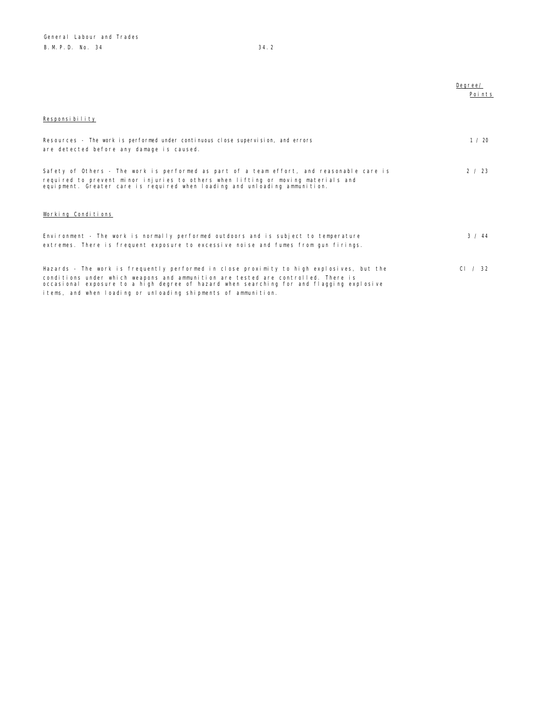|                                                                                                                                                                                                                                                                                                                                             | Dearee/<br>Points |
|---------------------------------------------------------------------------------------------------------------------------------------------------------------------------------------------------------------------------------------------------------------------------------------------------------------------------------------------|-------------------|
| Responsibility                                                                                                                                                                                                                                                                                                                              |                   |
| Resources - The work is performed under continuous close supervision, and errors<br>are detected before any damage is caused.                                                                                                                                                                                                               | 1 / 20            |
| Safety of Others - The work is performed as part of a team effort, and reasonable care is<br>required to prevent minor injuries to others when lifting or moving materials and<br>equipment. Greater care is required when loading and unloading ammunition.                                                                                | 2 / 23            |
| Working Conditions                                                                                                                                                                                                                                                                                                                          |                   |
| Environment - The work is normally performed outdoors and is subject to temperature<br>extremes. There is frequent exposure to excessive noise and fumes from qun firings.                                                                                                                                                                  | 3 / 44            |
| Hazards - The work is frequently performed in close proximity to high explosives, but the<br>conditions under which weapons and ammunition are tested are controlled. There is<br>occasional exposure to a high degree of hazard when searching for and flagging explosive<br>items, and when loading or unloading shipments of ammunition. | CI / 32           |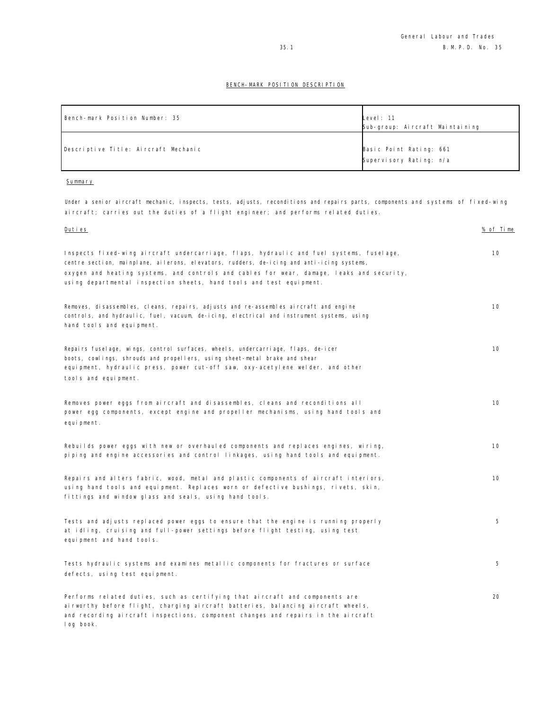| Bench-mark Position Number: 35       | Level: 11                       |
|--------------------------------------|---------------------------------|
|                                      | Sub-group: Aircraft Maintaining |
|                                      |                                 |
| Descriptive Title: Aircraft Mechanic | Basic Point Rating: 661         |
|                                      | Supervisory Rating: n/a         |
|                                      |                                 |

### Summary

Under a senior aircraft mechanic, inspects, tests, adjusts, reconditions and repairs parts, components and systems of fixed-wing aircraft; carries out the duties of a flight engineer; and performs related duties.

| Duties                                                                                                                                                                                                                                                                             | % of Time |
|------------------------------------------------------------------------------------------------------------------------------------------------------------------------------------------------------------------------------------------------------------------------------------|-----------|
| Inspects fixed-wing aircraft undercarriage, flaps, hydraulic and fuel systems, fuselage,<br>centre section, mainplane, ailerons, elevators, rudders, de-icing and anti-icing systems,<br>oxygen and heating systems, and controls and cables for wear, damage, leaks and security, | 10        |
| using departmental inspection sheets, hand tools and test equipment.                                                                                                                                                                                                               |           |
| Removes,disassembles,cleans,repairs,adjusts and re-assembles aircraft and engine<br>controls, and hydraulic, fuel, vacuum, de-icing, electrical and instrument systems, using<br>hand tools and equipment.                                                                         | 10        |
| Repairs fuselage, wings, control surfaces, wheels, undercarriage, flaps, de-icer<br>boots, cowlings, shrouds and propellers, using sheet-metal brake and shear<br>equipment, hydraulic press, power cut-off saw, oxy-acetylene welder, and other<br>tools and equipment.           | 10        |
| Removes power eggs from aircraft and disassembles, cleans and reconditions all<br>power egg components, except engine and propeller mechanisms, using hand tools and<br>equipment.                                                                                                 | 10        |
| Rebuilds power eggs with new or overhauled components and replaces engines, wiring,<br>piping and engine accessories and control linkages, using hand tools and equipment.                                                                                                         | 10        |
| Repairs and alters fabric, wood, metal and plastic components of aircraft interiors,<br>using hand tools and equipment. Replaces worn or defective bushings, rivets, skin,<br>fittings and window glass and seals, using hand tools.                                               | 10        |
| Tests and adjusts replaced power eggs to ensure that the engine is running properly<br>at idling, cruising and full-power settings before flight testing, using test<br>equipment and hand tools.                                                                                  | 5         |
| Tests hydraulic systems and examines metallic components for fractures or surface<br>defects, using test equipment.                                                                                                                                                                | 5         |
| Performs related duties, such as certifying that aircraft and components are<br>airworthy before flight, charging aircraft batteries, balancing aircraft wheels,<br>and recording aircraft inspections, component changes and repairs in the aircraft<br>log book.                 | 20        |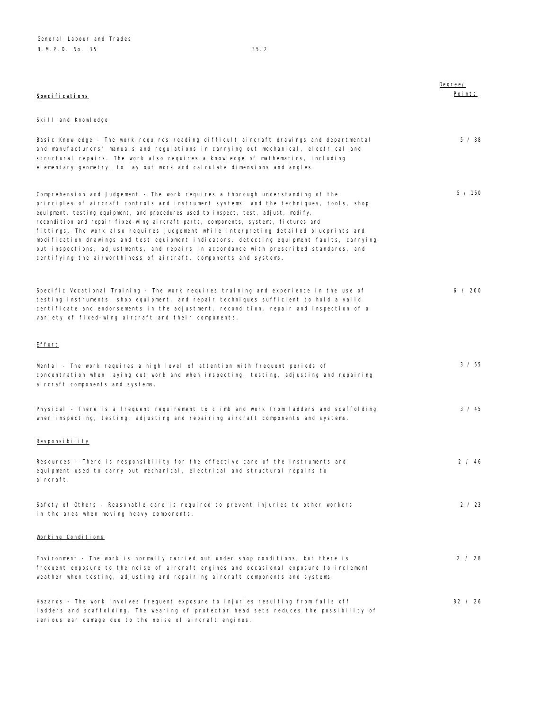Degree/ Points

# Specifications

# Skill and Knowledge

| Basic Knowledge - The work requires reading difficult aircraft drawings and departmental<br>and manufacturers' manuals and regulations in carrying out mechanical, electrical and<br>structural repairs. The work also requires a knowledge of mathematics, including<br>elementary geometry, to lay out work and calculate dimensions and angles.                                                                                                                                                                                                                                                                                                                                                            | $5 \times 88$ |
|---------------------------------------------------------------------------------------------------------------------------------------------------------------------------------------------------------------------------------------------------------------------------------------------------------------------------------------------------------------------------------------------------------------------------------------------------------------------------------------------------------------------------------------------------------------------------------------------------------------------------------------------------------------------------------------------------------------|---------------|
| Comprehension and Judgement - The work requires a thorough understanding of the<br>principles of aircraft controls and instrument systems, and the techniques, tools, shop<br>equipment, testing equipment, and procedures used to inspect, test, adjust, modify,<br>recondition and repair fixed-wing aircraft parts, components, systems, fixtures and<br>fittings. The work also requires judgement while interpreting detailed blueprints and<br>modification drawings and test equipment indicators, detecting equipment faults, carrying<br>out inspections, adjustments, and repairs in accordance with prescribed standards, and<br>certifying the airworthiness of aircraft, components and systems. | 5 / 150       |
| Specific Vocational Training - The work requires training and experience in the use of<br>testing instruments, shop equipment, and repair techniques sufficient to hold a valid<br>certificate and endorsements in the adjustment, recondition, repair and inspection of a<br>variety of fixed-wing aircraft and their components.                                                                                                                                                                                                                                                                                                                                                                            | 6 / 200       |
| <u>Effort</u>                                                                                                                                                                                                                                                                                                                                                                                                                                                                                                                                                                                                                                                                                                 |               |
| Mental - The work requires a high level of attention with frequent periods of<br>concentration when laying out work and when inspecting, testing, adjusting and repairing<br>aircraft components and systems.                                                                                                                                                                                                                                                                                                                                                                                                                                                                                                 | 3 / 55        |
| Physical - There is a frequent requirement to climb and work from ladders and scaffolding<br>when inspecting, testing, adjusting and repairing aircraft components and systems.                                                                                                                                                                                                                                                                                                                                                                                                                                                                                                                               | $3 \times 45$ |
| Responsibility                                                                                                                                                                                                                                                                                                                                                                                                                                                                                                                                                                                                                                                                                                |               |
| Resources - There is responsibility for the effective care of the instruments and<br>equipment used to carry out mechanical, electrical and structural repairs to<br>ai rcraft.                                                                                                                                                                                                                                                                                                                                                                                                                                                                                                                               | 2 / 46        |
| Safety of Others - Reasonable care is required to prevent injuries to other workers<br>in the area when moving heavy components.                                                                                                                                                                                                                                                                                                                                                                                                                                                                                                                                                                              | 2 / 23        |
| Working Conditions                                                                                                                                                                                                                                                                                                                                                                                                                                                                                                                                                                                                                                                                                            |               |
| Environment - The work is normally carried out under shop conditions, but there is<br>frequent exposure to the noise of aircraft engines and occasional exposure to inclement<br>weather when testing, adjusting and repairing aircraft components and systems.                                                                                                                                                                                                                                                                                                                                                                                                                                               | 2 / 28        |
| Hazards - The work involves frequent exposure to injuries resulting from falls off<br>ladders and scaffolding. The wearing of protector head sets reduces the possibility of<br>serious ear damage due to the noise of aircraft engines.                                                                                                                                                                                                                                                                                                                                                                                                                                                                      | B2 / 26       |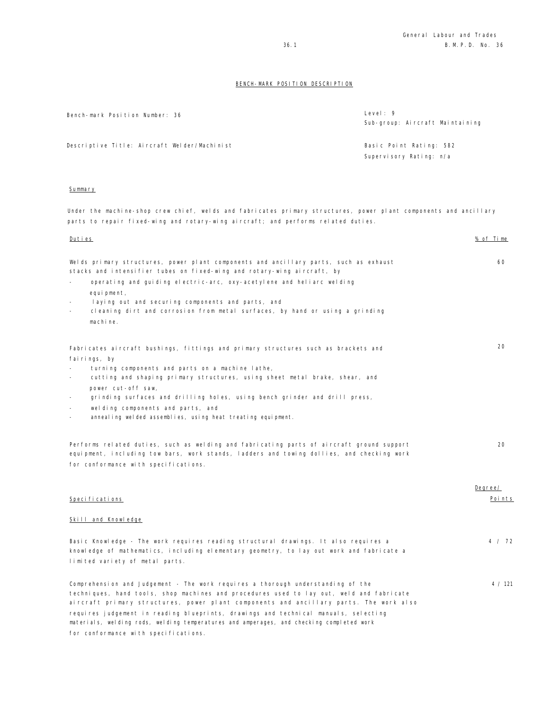| Bench-mark Position Number: 36               | Level: $9$<br>Sub-group: Aircraft Maintaining |
|----------------------------------------------|-----------------------------------------------|
| Descriptive Title: Aircraft Welder/Machinist | Basic Point Rating: 582                       |
|                                              | Supervisory Rating: n/a                       |
|                                              |                                               |

#### **Summary**

Under the machine-shop crew chief, welds and fabricates primary structures, power plant components and ancillary parts to repair fixed-wing and rotary-wing aircraft; and performs related duties.

| <u>Duties</u>                                                                                                                                                                                                                                                                                                                                                                                                                                            | % of Time |
|----------------------------------------------------------------------------------------------------------------------------------------------------------------------------------------------------------------------------------------------------------------------------------------------------------------------------------------------------------------------------------------------------------------------------------------------------------|-----------|
| Welds primary structures, power plant components and ancillary parts, such as exhaust<br>stacks and intensifier tubes on fixed-wing and rotary-wing aircraft, by                                                                                                                                                                                                                                                                                         | 60        |
| operating and guiding electric-arc, oxy-acetylene and heliarc welding<br>equipment,                                                                                                                                                                                                                                                                                                                                                                      |           |
| laying out and securing components and parts, and<br>$\sim$                                                                                                                                                                                                                                                                                                                                                                                              |           |
| cleaning dirt and corrosion from metal surfaces, by hand or using a grinding<br>$\overline{\phantom{a}}$<br>machine.                                                                                                                                                                                                                                                                                                                                     |           |
| Fabricates aircraft bushings, fittings and primary structures such as brackets and                                                                                                                                                                                                                                                                                                                                                                       | 20        |
| fairings, by                                                                                                                                                                                                                                                                                                                                                                                                                                             |           |
| turning components and parts on a machine lathe,<br>cutting and shaping primary structures, using sheet metal brake, shear, and                                                                                                                                                                                                                                                                                                                          |           |
| power cut-off saw,                                                                                                                                                                                                                                                                                                                                                                                                                                       |           |
| grinding surfaces and drilling holes, using bench grinder and drill press,                                                                                                                                                                                                                                                                                                                                                                               |           |
| welding components and parts, and                                                                                                                                                                                                                                                                                                                                                                                                                        |           |
| annealing welded assemblies, using heat treating equipment.<br>$\overline{\phantom{a}}$                                                                                                                                                                                                                                                                                                                                                                  |           |
| Performs related duties, such as welding and fabricating parts of aircraft ground support<br>equipment, including tow bars, work stands, ladders and towing dollies, and checking work<br>for conformance with specifications.                                                                                                                                                                                                                           | 20        |
|                                                                                                                                                                                                                                                                                                                                                                                                                                                          |           |
|                                                                                                                                                                                                                                                                                                                                                                                                                                                          | Degree/   |
| Specifications                                                                                                                                                                                                                                                                                                                                                                                                                                           | Points    |
| Skill and Knowledge                                                                                                                                                                                                                                                                                                                                                                                                                                      |           |
| Basic Knowledge - The work requires reading structural drawings. It also requires a<br>knowledge of mathematics, including elementary geometry, to lay out work and fabricate a<br>limited variety of metal parts.                                                                                                                                                                                                                                       | 4 / 72    |
| Comprehension and Judgement - The work requires a thorough understanding of the<br>techniques, hand tools, shop machines and procedures used to lay out, weld and fabricate<br>aircraft primary structures, power plant components and ancillary parts. The work also<br>requires judgement in reading blueprints, drawings and technical manuals, selecting<br>materials, welding rods, welding temperatures and amperages, and checking completed work | 4 / 121   |
|                                                                                                                                                                                                                                                                                                                                                                                                                                                          |           |

for conformance with specifications.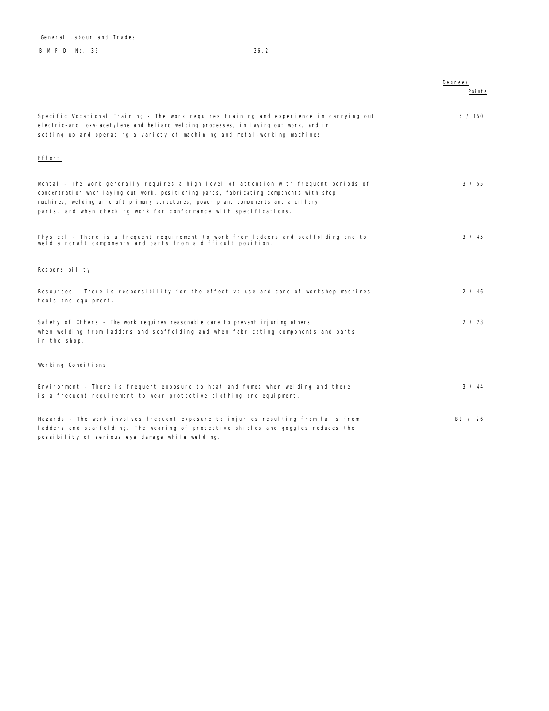B.M.P.D. No. 36 36.2 General Labour and Trades

|                                                                                                                                                                                                                                                                                                                                                 | Degree/       |
|-------------------------------------------------------------------------------------------------------------------------------------------------------------------------------------------------------------------------------------------------------------------------------------------------------------------------------------------------|---------------|
|                                                                                                                                                                                                                                                                                                                                                 | Poi nts       |
| Specific Vocational Training - The work requires training and experience in carrying out<br>electric-arc, oxy-acetylene and heliarc welding processes, in laying out work, and in<br>setting up and operating a variety of machining and metal-working machines.                                                                                | 5 / 150       |
| Effort                                                                                                                                                                                                                                                                                                                                          |               |
| Mental - The work generally requires a high level of attention with frequent periods of<br>concentration when laying out work, positioning parts, fabricating components with shop<br>machines, welding aircraft primary structures, power plant components and ancillary<br>parts, and when checking work for conformance with specifications. | 3 / 55        |
| Physical - There is a frequent requirement to work from ladders and scaffolding and to<br>weld aircraft components and parts from a difficult position.                                                                                                                                                                                         | $3 \times 45$ |
| Responsibility                                                                                                                                                                                                                                                                                                                                  |               |
| Resources - There is responsibility for the effective use and care of workshop machines,<br>tools and equipment.                                                                                                                                                                                                                                | 2 / 46        |
| Safety of Others - The work requires reasonable care to prevent injuring others<br>when welding from ladders and scaffolding and when fabricating components and parts<br>in the shop.                                                                                                                                                          | 2 / 23        |
| Working Conditions                                                                                                                                                                                                                                                                                                                              |               |
| Environment - There is frequent exposure to heat and fumes when welding and there<br>is a frequent requirement to wear protective clothing and equipment.                                                                                                                                                                                       | 3 / 44        |
| Hazards - The work involves frequent exposure to injuries resulting from falls from<br>ladders and scaffolding. The wearing of protective shields and goggles reduces the<br>possibility of serious eye damage while welding.                                                                                                                   | B2 / 26       |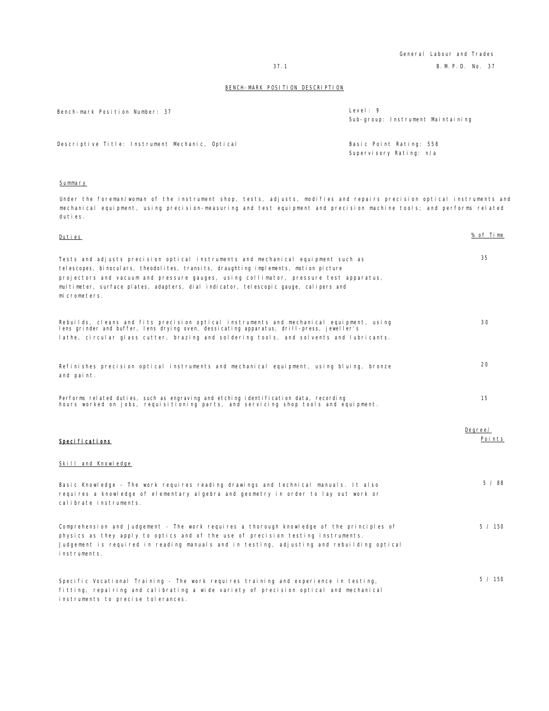General Labour and Trades 37.1 B.M.P.D. No. 37

### BENCH-MARK POSITION DESCRIPTION

| Bench-mark Position Number: 37                  | Level: $9$<br>Sub-group: Instrument Maintaining    |
|-------------------------------------------------|----------------------------------------------------|
| Descriptive Title: Instrument Mechanic, Optical | Basic Point Rating: 558<br>Supervisory Rating: n/a |

## Summary

Under the foreman/woman of the instrument shop, tests, adjusts, modifies and repairs precision optical instruments and mechanical equipment, using precision-measuring and test equipment and precision machine tools; and performs related duties.

| Duties                                                                                                                                                                                                                                                                                                                                                                    | % of Time         |
|---------------------------------------------------------------------------------------------------------------------------------------------------------------------------------------------------------------------------------------------------------------------------------------------------------------------------------------------------------------------------|-------------------|
| Tests and adjusts precision optical instruments and mechanical equipment such as<br>telescopes, binoculars, theodolites, transits, draughting implements, motion picture<br>projectors and vacuum and pressure gauges, using collimator, pressure test apparatus,<br>multimeter, surface plates, adapters, dial indicator, telescopic gauge, calipers and<br>micrometers. | 35                |
| Rebuilds, cleans and fits precision optical instruments and mechanical equipment, using<br>lens grinder and buffer, lens drying oven, dessicating apparatus, drill-press, jeweller's<br>lathe, circular glass cutter, brazing and soldering tools, and solvents and lubricants.                                                                                           | 30                |
| Refinishes precision optical instruments and mechanical equipment, using bluing, bronze<br>and paint.                                                                                                                                                                                                                                                                     | 20                |
| Performs related duties, such as engraving and etching identification data, recording<br>hours worked on jobs, requisitioning parts, and servicing shop tools and equipment.                                                                                                                                                                                              | 15                |
| Specifications                                                                                                                                                                                                                                                                                                                                                            | Degree/<br>Points |
| Skill and Knowledge                                                                                                                                                                                                                                                                                                                                                       |                   |
| Basic Knowledge - The work reguires reading drawings and technical manuals. It also<br>requires a knowledge of elementary algebra and geometry in order to lay out work or<br>calibrate instruments.                                                                                                                                                                      | 5/88              |
| Comprehension and Judgement - The work requires a thorough knowledge of the principles of<br>physics as they apply to optics and of the use of precision testing instruments.<br>Judgement is required in reading manuals and in testing, adjusting and rebuilding optical<br>instruments.                                                                                | 5 / 150           |
| Specific Vocational Training - The work requires training and experience in testing,<br>fitting, repairing and calibrating a wide variety of precision optical and mechanical<br>instruments to precise tolerances.                                                                                                                                                       | 5 / 150           |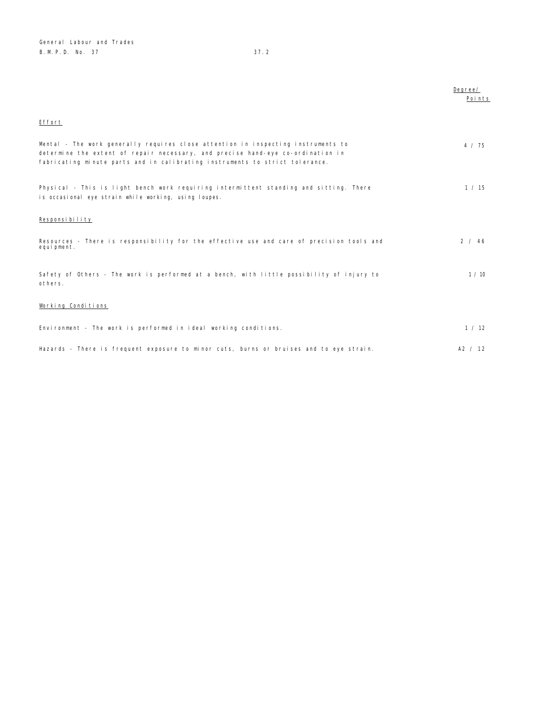|                                                                                                                                                                                                                                                      | Degree/<br>Points |
|------------------------------------------------------------------------------------------------------------------------------------------------------------------------------------------------------------------------------------------------------|-------------------|
| Effort                                                                                                                                                                                                                                               |                   |
| Mental - The work generally requires close attention in inspecting instruments to<br>determine the extent of repair necessary, and precise hand-eye co-ordination in<br>fabricating minute parts and in calibrating instruments to strict tolerance. | 4 / 75            |
| Physical - This is light bench work requiring intermittent standing and sitting. There<br>is occasional eye strain while working, using loupes.                                                                                                      | 1 / 15            |
| Responsibility                                                                                                                                                                                                                                       |                   |
| Resources - There is responsibility for the effective use and care of precision tools and<br>equipment.                                                                                                                                              | 2 / 46            |
| Safety of Others - The work is performed at a bench, with little possibility of injury to<br>others.                                                                                                                                                 | 1/10              |
| Working Conditions                                                                                                                                                                                                                                   |                   |
| Environment - The work is performed in ideal working conditions.                                                                                                                                                                                     | 1 / 12            |
| Hazards - There is frequent exposure to minor cuts, burns or bruises and to eye strain.                                                                                                                                                              | A2 / 12           |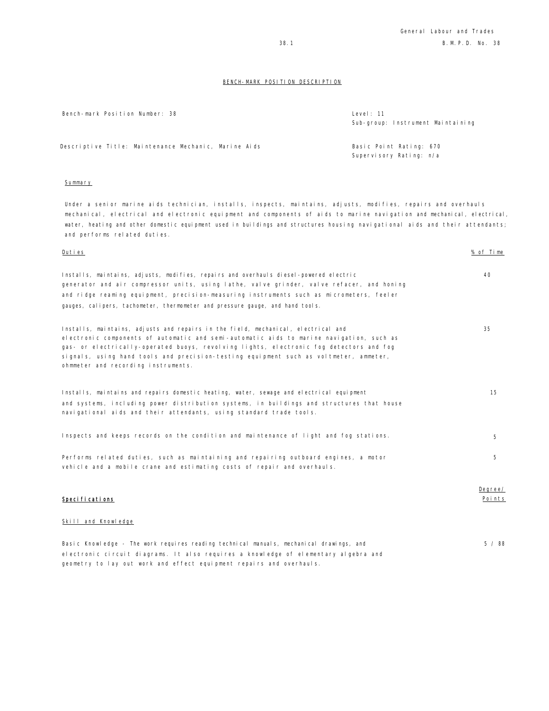| Bench-mark Position Number: 38                       | Level: 11<br>Sub-group: Instrument Maintaining     |
|------------------------------------------------------|----------------------------------------------------|
| Descriptive Title: Maintenance Mechanic, Marine Aids | Basic Point Rating: 670<br>Supervisory Rating: n/a |

## Summary

Under a senior marine aids technician, installs, inspects, maintains, adjusts, modifies, repairs and overhauls mechanical, electrical and electronic equipment and components of aids to marine navigation and mechanical, electrical, water, heating and other domestic equipment used in buildings and structures housing navigational aids and their attendants; and performs related duties.

| Duties                                                                                                                                                                                                                                                                                                                                                                                                   | % of Time         |
|----------------------------------------------------------------------------------------------------------------------------------------------------------------------------------------------------------------------------------------------------------------------------------------------------------------------------------------------------------------------------------------------------------|-------------------|
| Installs, maintains, adjusts, modifies, repairs and overhauls diesel-powered electric<br>generator and air compressor units, using lathe, valve grinder, valve refacer, and honing<br>and ridge reaming equipment, precision-measuring instruments such as micrometers, feeler<br>gauges, calipers, tachometer, thermometer and pressure gauge, and hand tools.                                          | 40                |
| Installs, maintains, adjusts and repairs in the field, mechanical, electrical and<br>electronic components of automatic and semi-automatic aids to marine navigation, such as<br>gas- or electrically-operated buoys, revolving lights, electronic fog detectors and fog<br>signals, using hand tools and precision-testing equipment such as voltmeter, ammeter,<br>ohmmeter and recording instruments. | 35                |
| Installs, maintains and repairs domestic heating, water, sewage and electrical equipment<br>and systems, including power distribution systems, in buildings and structures that house<br>navigational aids and their attendants, using standard trade tools.                                                                                                                                             | 15                |
| Inspects and keeps records on the condition and maintenance of light and fog stations.                                                                                                                                                                                                                                                                                                                   | 5                 |
| Performs related duties, such as maintaining and repairing outboard engines, a motor<br>vehicle and a mobile crane and estimating costs of repair and overhauls.                                                                                                                                                                                                                                         | 5                 |
| Specifications                                                                                                                                                                                                                                                                                                                                                                                           | Degree/<br>Points |
| Skill and Knowledge                                                                                                                                                                                                                                                                                                                                                                                      |                   |

Basic Knowledge - The work requires reading technical manuals, mechanical drawings, and electronic circuit diagrams. It also requires a knowledge of elementary algebra and geometry to lay out work and effect equipment repairs and overhauls. 5 / 88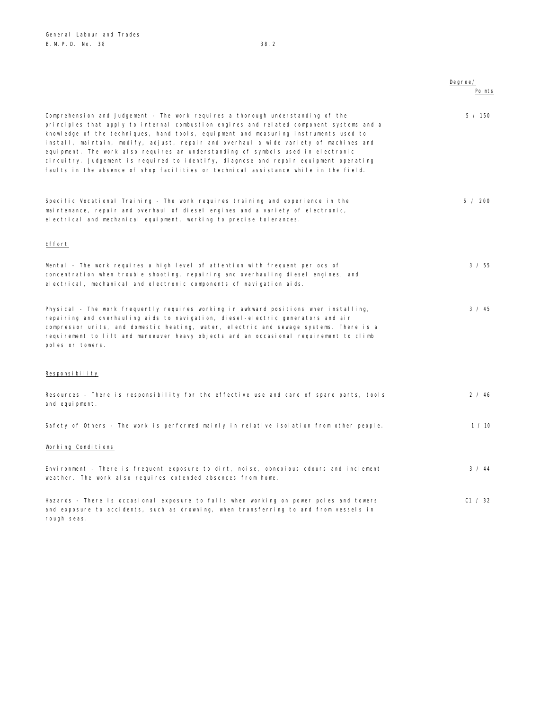rough seas.

|                                                                                                                                                                                                                                                                                                                                                                                                                                                                                                                                                                                                                                   | Degree/ |
|-----------------------------------------------------------------------------------------------------------------------------------------------------------------------------------------------------------------------------------------------------------------------------------------------------------------------------------------------------------------------------------------------------------------------------------------------------------------------------------------------------------------------------------------------------------------------------------------------------------------------------------|---------|
|                                                                                                                                                                                                                                                                                                                                                                                                                                                                                                                                                                                                                                   | Poi nts |
| Comprehension and Judgement - The work requires a thorough understanding of the<br>principles that apply to internal combustion engines and related component systems and a<br>knowledge of the techniques, hand tools, equipment and measuring instruments used to<br>install, maintain, modify, adjust, repair and overhaul a wide variety of machines and<br>equipment. The work also requires an understanding of symbols used in electronic<br>circuitry. Judgement is required to identify, diagnose and repair equipment operating<br>faults in the absence of shop facilities or technical assistance while in the field. | 5 / 150 |
| Specific Vocational Training - The work requires training and experience in the<br>maintenance, repair and overhaul of diesel engines and a variety of electronic,<br>electrical and mechanical equipment, working to precise tolerances.                                                                                                                                                                                                                                                                                                                                                                                         | 6 / 200 |
| Effort                                                                                                                                                                                                                                                                                                                                                                                                                                                                                                                                                                                                                            |         |
| Mental - The work requires a high level of attention with frequent periods of<br>concentration when trouble shooting, repairing and overhauling diesel engines, and<br>electrical, mechanical and electronic components of navigation aids.                                                                                                                                                                                                                                                                                                                                                                                       | 3 / 55  |
| Physical - The work frequently requires working in awkward positions when installing,<br>repairing and overhauling aids to navigation, diesel-electric generators and air<br>compressor units, and domestic heating, water, electric and sewage systems. There is a<br>requirement to lift and manoeuver heavy objects and an occasional requirement to climb<br>poles or towers.                                                                                                                                                                                                                                                 | 3 / 45  |
| Responsibility                                                                                                                                                                                                                                                                                                                                                                                                                                                                                                                                                                                                                    |         |
| Resources - There is responsibility for the effective use and care of spare parts, tools<br>and equipment.                                                                                                                                                                                                                                                                                                                                                                                                                                                                                                                        | 2 / 46  |
| Safety of Others - The work is performed mainly in relative isolation from other people.                                                                                                                                                                                                                                                                                                                                                                                                                                                                                                                                          | 1 / 10  |
| Working Conditions                                                                                                                                                                                                                                                                                                                                                                                                                                                                                                                                                                                                                |         |
| Environment - There is frequent exposure to dirt, noise, obnoxious odours and inclement<br>weather. The work also requires extended absences from home.                                                                                                                                                                                                                                                                                                                                                                                                                                                                           | 3 / 44  |
| Hazards - There is occasional exposure to falls when working on power poles and towers<br>and exposure to accidents, such as drowning, when transferring to and from vessels in                                                                                                                                                                                                                                                                                                                                                                                                                                                   | C1 / 32 |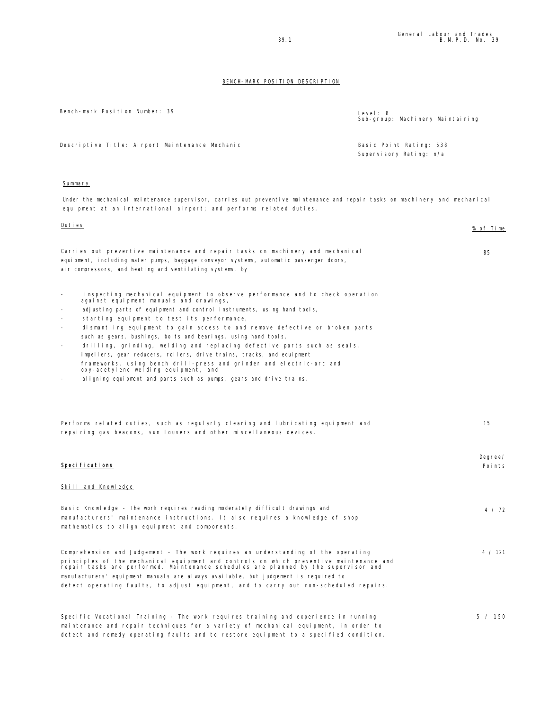| Bench-mark Position Number: 39                  | Level: 8<br>Sub-group: Machinery Maintaining       |
|-------------------------------------------------|----------------------------------------------------|
| Descriptive Title: Airport Maintenance Mechanic | Basic Point Rating: 538<br>Supervisory Rating: n/a |

## Summary

Under the mechanical maintenance supervisor, carries out preventive maintenance and repair tasks on machinery and mechanical equipment at an international airport; and performs related duties.

| Duties                                                                                                                                                                                                                                                                                                                                                                                                                                                                                                                                                                                                                                                                                                                                            | % of Time         |
|---------------------------------------------------------------------------------------------------------------------------------------------------------------------------------------------------------------------------------------------------------------------------------------------------------------------------------------------------------------------------------------------------------------------------------------------------------------------------------------------------------------------------------------------------------------------------------------------------------------------------------------------------------------------------------------------------------------------------------------------------|-------------------|
| Carries out preventive maintenance and repair tasks on machinery and mechanical<br>equipment, including water pumps, baggage conveyor systems, automatic passenger doors,<br>air compressors, and heating and ventilating systems, by                                                                                                                                                                                                                                                                                                                                                                                                                                                                                                             | 85                |
| inspecting mechanical equipment to observe performance and to check operation<br>against equipment manuals and drawings,<br>adjusting parts of equipment and control instruments, using hand tools,<br>starting equipment to test its performance,<br>dismantling equipment to gain access to and remove defective or broken parts<br>such as gears, bushings, bolts and bearings, using hand tools,<br>drilling, grinding, welding and replacing defective parts such as seals,<br>impellers, gear reducers, rollers, drive trains, tracks, and equipment<br>frameworks, using bench drill-press and grinder and electric-arc and<br>oxy-acetylene welding equipment, and<br>aligning equipment and parts such as pumps, gears and drive trains. |                   |
| Performs related duties, such as regularly cleaning and lubricating equipment and<br>repairing gas beacons, sun louvers and other miscellaneous devices.                                                                                                                                                                                                                                                                                                                                                                                                                                                                                                                                                                                          | 15                |
| Speci fi cati ons                                                                                                                                                                                                                                                                                                                                                                                                                                                                                                                                                                                                                                                                                                                                 | Degree/<br>Points |
| Skill and Knowledge                                                                                                                                                                                                                                                                                                                                                                                                                                                                                                                                                                                                                                                                                                                               |                   |
| Basic Knowledge - The work requires reading moderately difficult drawings and<br>manufacturers' maintenance instructions. It also requires a knowledge of shop<br>mathematics to align equipment and components.                                                                                                                                                                                                                                                                                                                                                                                                                                                                                                                                  | 4 / 72            |
| Comprehension and Judgement - The work requires an understanding of the operating<br>principles of the mechanical equipment and controls on which preventive maintenance and<br>repair tasks are performed. Maintenance schedules are planned by the supervisor and<br>manufacturers' equipment manuals are always available, but judgement is required to<br>detect operating faults, to adjust equipment, and to carry out non-scheduled repairs.                                                                                                                                                                                                                                                                                               | 4 / 121           |
| Specific Vocational Training - The work requires training and experience in running<br>maintenance and repair techniques for a variety of mechanical equipment, in order to                                                                                                                                                                                                                                                                                                                                                                                                                                                                                                                                                                       | 5 / 150           |

detect and remedy operating faults and to restore equipment to a specified condition.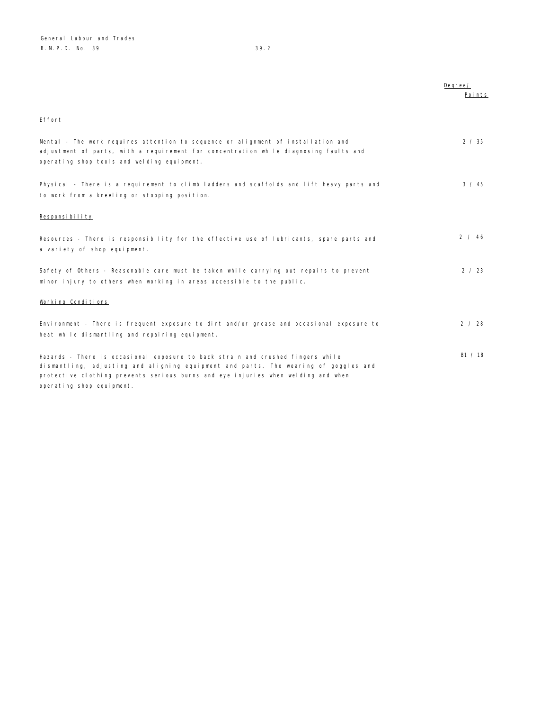|                                                                                                                                                                                                                                                             | Degree/<br>Points |
|-------------------------------------------------------------------------------------------------------------------------------------------------------------------------------------------------------------------------------------------------------------|-------------------|
| Effort                                                                                                                                                                                                                                                      |                   |
| Mental - The work requires attention to sequence or alignment of installation and<br>adjustment of parts, with a requirement for concentration while diagnosing faults and<br>operating shop tools and welding equipment.                                   | 2 / 35            |
| Physical - There is a requirement to climb ladders and scaffolds and lift heavy parts and<br>to work from a kneeling or stooping position.                                                                                                                  | 3 / 45            |
| Responsibility                                                                                                                                                                                                                                              |                   |
| Resources - There is responsibility for the effective use of lubricants, spare parts and<br>a variety of shop equipment.                                                                                                                                    | 2 / 46            |
| Safety of Others - Reasonable care must be taken while carrying out repairs to prevent<br>minor injury to others when working in areas accessible to the public.                                                                                            | 2 / 23            |
| Working Conditions                                                                                                                                                                                                                                          |                   |
| Environment - There is frequent exposure to dirt and/or grease and occasional exposure to<br>heat while dismantling and repairing equipment.                                                                                                                | 2 / 28            |
| Hazards - There is occasional exposure to back strain and crushed fingers while<br>dismantling, adjusting and aligning equipment and parts. The wearing of goggles and<br>protective clothing prevents serious burns and eye injuries when welding and when | B1 / 18           |

operating shop equipment.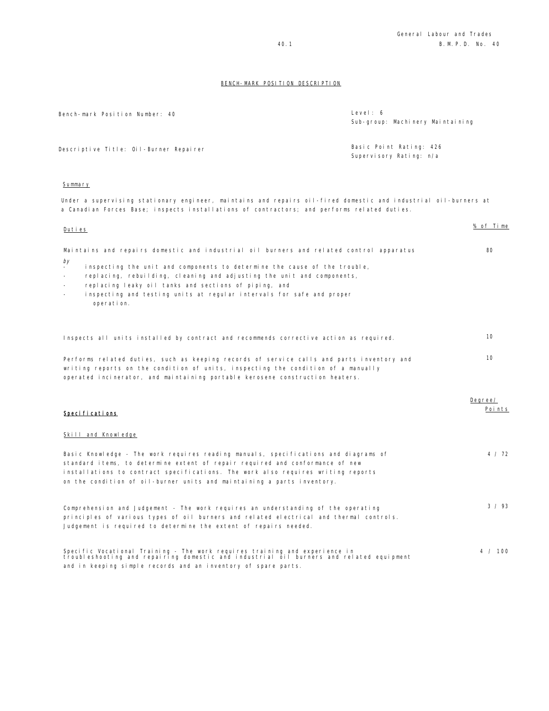| Bench-mark Position Number: 40                                                                                                                                                                                 | Level: 6<br>Sub-group: Machinery Maintaining       |
|----------------------------------------------------------------------------------------------------------------------------------------------------------------------------------------------------------------|----------------------------------------------------|
| Descriptive Title: Oil-Burner Repairer                                                                                                                                                                         | Basic Point Rating: 426<br>Supervisory Rating: n/a |
| Summary                                                                                                                                                                                                        |                                                    |
| Under a supervising stationary engineer, maintains and repairs oil-fired domestic and industrial oil-burners at<br>a Canadian Forces Base; inspects installations of contractors; and performs related duties. |                                                    |

| Duties                                                                                                                                                                                                                                                                                                                                                                                                                                                       | % of Time         |
|--------------------------------------------------------------------------------------------------------------------------------------------------------------------------------------------------------------------------------------------------------------------------------------------------------------------------------------------------------------------------------------------------------------------------------------------------------------|-------------------|
| Maintains and repairs domestic and industrial oil burners and related control apparatus<br>by<br>inspecting the unit and components to determine the cause of the trouble,<br>replacing, rebuilding, cleaning and adjusting the unit and components,<br>$\overline{\phantom{a}}$<br>replacing leaky oil tanks and sections of piping, and<br>$\overline{\phantom{a}}$<br>inspecting and testing units at regular intervals for safe and proper<br>operation. | 80                |
| Inspects all units installed by contract and recommends corrective action as required.                                                                                                                                                                                                                                                                                                                                                                       | 10 <sup>1</sup>   |
| Performs related duties, such as keeping records of service calls and parts inventory and<br>writing reports on the condition of units, inspecting the condition of a manually<br>operated incinerator, and maintaining portable kerosene construction heaters.                                                                                                                                                                                              | 10                |
| Specifications                                                                                                                                                                                                                                                                                                                                                                                                                                               | Degree/<br>Points |
| Skill and Knowledge                                                                                                                                                                                                                                                                                                                                                                                                                                          |                   |
| Basic Knowledge - The work requires reading manuals, specifications and diagrams of<br>standard items, to determine extent of repair required and conformance of new<br>installations to contract specifications. The work also requires writing reports<br>on the condition of oil-burner units and maintaining a parts inventory.                                                                                                                          | 4 / 72            |
|                                                                                                                                                                                                                                                                                                                                                                                                                                                              |                   |

Specific Vocational Training - The work requires training and experience in troubleshooting and repairing domestic and industrial oil burners and related equipment and in keeping simple records and an inventory of spare parts. 4 / 100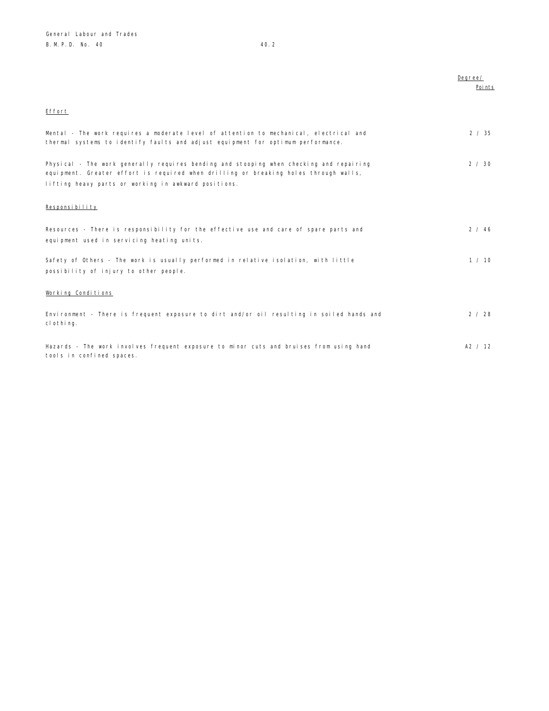|                                                                                                        | Degree/ |
|--------------------------------------------------------------------------------------------------------|---------|
|                                                                                                        | Poi nts |
|                                                                                                        |         |
| Effort                                                                                                 |         |
|                                                                                                        |         |
| Mental - The work requires a moderate level of attention to mechanical, electrical and                 | 2 / 35  |
| thermal systems to identify faults and adjust equipment for optimum performance.                       |         |
|                                                                                                        |         |
| Physical - The work generally requires bending and stooping when checking and repairing                | 2 / 30  |
| equipment. Greater effort is required when drilling or breaking holes through walls,                   |         |
| lifting heavy parts or working in awkward positions.                                                   |         |
|                                                                                                        |         |
| Responsibility                                                                                         |         |
|                                                                                                        |         |
|                                                                                                        |         |
| Resources - There is responsibility for the effective use and care of spare parts and                  | 2 / 46  |
| equipment used in servicing heating units.                                                             |         |
|                                                                                                        | 1 / 10  |
| Safety of Others - The work is usually performed in relative isolation, with little                    |         |
| possibility of injury to other people.                                                                 |         |
|                                                                                                        |         |
| Working Conditions                                                                                     |         |
|                                                                                                        |         |
| Environment - There is frequent exposure to dirt and/or oil resulting in soiled hands and<br>clothing. | 2 / 28  |
|                                                                                                        |         |
|                                                                                                        |         |
| Hazards - The work involves frequent exposure to minor cuts and bruises from using hand                | A2 / 12 |
| tools in confined spaces.                                                                              |         |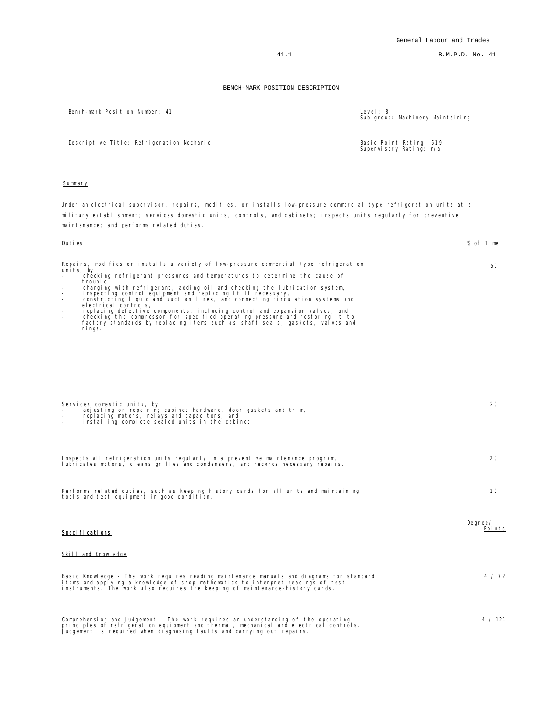41.1 B.M.P.D. No. 41

#### BENCH-MARK POSITION DESCRIPTION

Bench-mark Position Number: 41

| Level: $8$ | Sub-group: Machinery Maintaining |
|------------|----------------------------------|
|            |                                  |

Supervisory Rating: n/a

Descriptive Title: Refrigeration Mechanic **Basic Point Rating: 519** Basic Point Rating: 519

## Summary

Under an electrical supervisor, repairs, modifies, or installs low-pressure commercial type refrigeration units at a military establishment; services domestic units, controls, and cabinets; inspects units regularly for preventive maintenance; and performs related duties.

#### Duties % of Time

Repairs, modifies or installs a variety of low-pressure commercial type refrigeration<br>units, by<br>- checking refrigerant pressures and temperatures to determine the cause of 50

- 
- trouble,<br>- charging with refrigerant, adding oil and checking the lubrication system,<br>- inspecting control equipment and replacing it if necessary,<br>- constructing liquid and suction lines, and connecting circulation system

| Services domestic units, by<br>adjusting or repairing cabinet hardware, door gaskets and trim,<br>replacing motors, relays and capacitors, and<br>installing complete sealed units in the cabinet.                                                             | 20                 |
|----------------------------------------------------------------------------------------------------------------------------------------------------------------------------------------------------------------------------------------------------------------|--------------------|
| Inspects all refrigeration units regularly in a preventive maintenance program,<br>lubricates motors, cleans grilles and condensers, and records necessary repairs.                                                                                            | 20                 |
| Performs related duties, such as keeping history cards for all units and maintaining<br>tools and test equipment in good condition.                                                                                                                            | 10                 |
| Specifications                                                                                                                                                                                                                                                 | Degree/<br>Poi nts |
| Skill and Knowledge                                                                                                                                                                                                                                            |                    |
| Basic Knowledge - The work requires reading maintenance manuals and diagrams for standard<br>items and applying a knowledge of shop mathematics to interpret readings of test<br>instruments. The work also requires the keeping of maintenance-history cards. | 4 / 72             |

Comprehension and Judgement - The work requires an understanding of the operating<br>principles of refrigeration equipment and thermal, mechanical and electrical controls.<br>Judgement is required when diagnosing faults and carr 4 / 121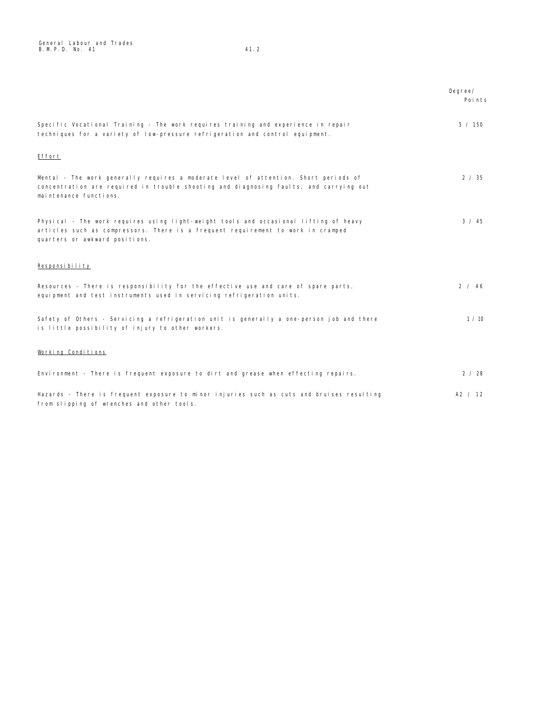General Labour and Trades B.M.P.D. No. 41 41.2

|                                                                                                                                                                                                             | Degree/<br>Points |
|-------------------------------------------------------------------------------------------------------------------------------------------------------------------------------------------------------------|-------------------|
| Specific Vocational Training - The work requires training and experience in repair<br>techniques for a variety of low-pressure refrigeration and control equipment.                                         | 5 / 150           |
| Effort                                                                                                                                                                                                      |                   |
| Mental - The work generally requires a moderate level of attention. Short periods of<br>concentration are required in trouble shooting and diagnosing faults, and carrying out<br>maintenance functions.    | 2 / 35            |
| Physical - The work requires using light-weight tools and occasional lifting of heavy<br>articles such as compressors. There is a frequent requirement to work in cramped<br>quarters or awkward positions. | $3 \times 45$     |
| Responsibility                                                                                                                                                                                              |                   |
| Resources - There is responsibility for the effective use and care of spare parts,<br>equipment and test instruments used in servicing refrigeration units.                                                 | 2 / 46            |
| Safety of Others - Servicing a refrigeration unit is generally a one-person job and there<br>is little possibility of injury to other workers.                                                              | 1/10              |
| Working Conditions                                                                                                                                                                                          |                   |
| Environment - There is frequent exposure to dirt and grease when effecting repairs.                                                                                                                         | 2/28              |
| Hazards - There is frequent exposure to minor injuries such as cuts and bruises resulting<br>from slipping of wrenches and other tools.                                                                     | A2 / 12           |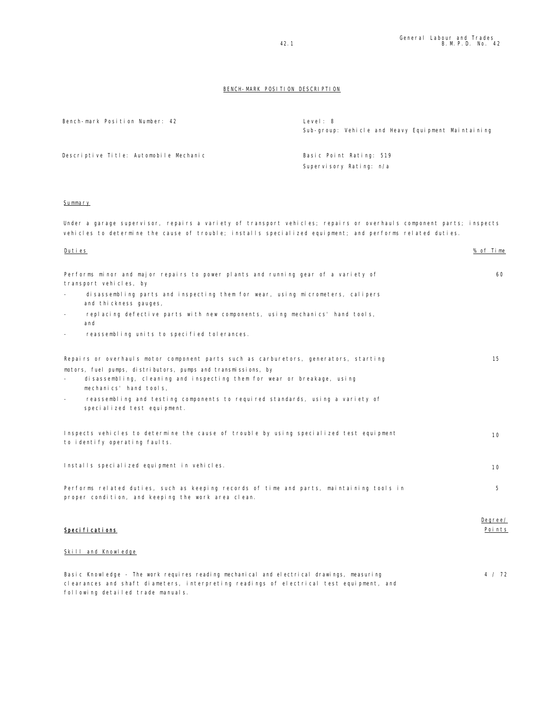Bench-mark Position Number: 42 Level: 8 Sub-group: Vehicle and Heavy Equipment Maintaining Descriptive Title: Automobile Mechanic **Basic Point Rating: 519** 

Supervisory Rating: n/a

#### **Summary**

Under a garage supervisor, repairs a variety of transport vehicles; repairs or overhauls component parts; inspects vehicles to determine the cause of trouble; installs specialized equipment; and performs related duties.

# Duties % of Time Performs minor and major repairs to power plants and running gear of a variety of transport vehicles, by disassembling parts and inspecting them for wear, using micrometers, calipers and thickness gauges, replacing defective parts with new components, using mechanics' hand tools, and reassembling units to specified tolerances. 60 Repairs or overhauls motor component parts such as carburetors, generators, starting motors, fuel pumps, distributors, pumps and transmissions, by disassembling, cleaning and inspecting them for wear or breakage, using mechanics' hand tools, reassembling and testing components to required standards, using a variety of specialized test equipment. 15 Inspects vehicles to determine the cause of trouble by using specialized test equipment to identify operating faults. 10 Installs specialized equipment in vehicles. 10 Performs related duties, such as keeping records of time and parts, maintaining tools in proper condition, and keeping the work area clean. 5 Specifications Degree/ Points Skill and Knowledge

Basic Knowledge - The work requires reading mechanical and electrical drawings, measuring clearances and shaft diameters, interpreting readings of electrical test equipment, and following detailed trade manuals. 4 / 72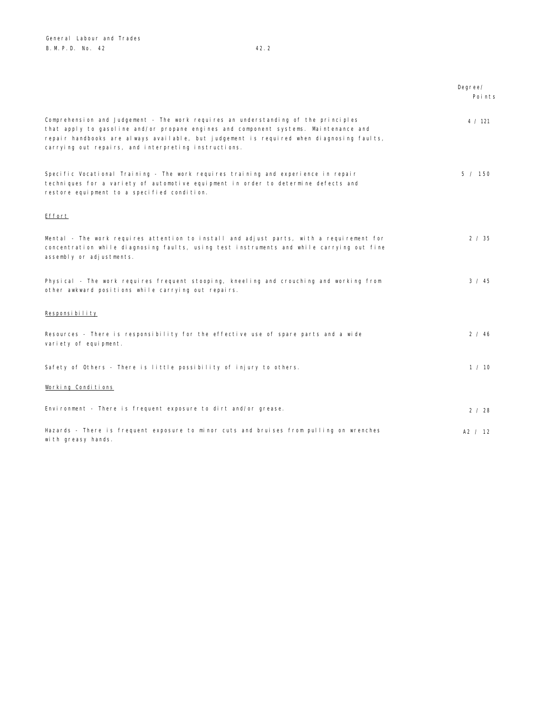with greasy hands.

|                                                                                                                                                                                                                                                                                                                                | Degree/<br>Points |
|--------------------------------------------------------------------------------------------------------------------------------------------------------------------------------------------------------------------------------------------------------------------------------------------------------------------------------|-------------------|
| Comprehension and Judgement - The work requires an understanding of the principles<br>that apply to gasoline and/or propane engines and component systems. Maintenance and<br>repair handbooks are always available, but judgement is required when diagnosing faults,<br>carrying out repairs, and interpreting instructions. | 4 / 121           |
| Specific Vocational Training - The work requires training and experience in repair<br>techniques for a variety of automotive equipment in order to determine defects and<br>restore equipment to a specified condition.                                                                                                        | 5 / 150           |
| Effort                                                                                                                                                                                                                                                                                                                         |                   |
| Mental - The work requires attention to install and adjust parts, with a requirement for<br>concentration while diagnosing faults, using test instruments and while carrying out fine<br>assembly or adjustments.                                                                                                              | 2 / 35            |
| Physical - The work requires frequent stooping, kneeling and crouching and working from<br>other awkward positions while carrying out repairs.                                                                                                                                                                                 | $3 \times 45$     |
| Responsibility                                                                                                                                                                                                                                                                                                                 |                   |
| Resources - There is responsibility for the effective use of spare parts and a wide<br>variety of equipment.                                                                                                                                                                                                                   | 2 / 46            |
| Safety of Others - There is little possibility of injury to others.                                                                                                                                                                                                                                                            | 1 / 10            |
| Working Conditions                                                                                                                                                                                                                                                                                                             |                   |
| Environment - There is frequent exposure to dirt and/or grease.                                                                                                                                                                                                                                                                | 2 / 28            |
| Hazards - There is frequent exposure to minor cuts and bruises from pulling on wrenches                                                                                                                                                                                                                                        | A2 / 12           |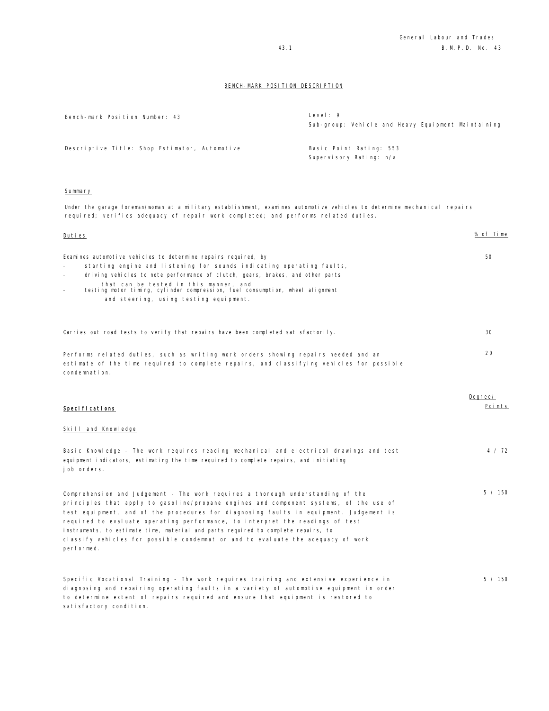| Bench-mark Position Number: 43                | Level: $9$<br>Sub-group: Vehicle and Heavy Equipment Maintaining |
|-----------------------------------------------|------------------------------------------------------------------|
| Descriptive Title: Shop Estimator, Automotive | Basic Point Rating: 553<br>Supervisory Rating: n/a               |

#### Summary

Under the garage foreman/woman at a military establishment, examines automotive vehicles to determine mechanical repairs required; verifies adequacy of repair work completed; and performs related duties.

| <u>Duties</u>                                                                                                                                                                                                                                                                                                                                                                                                                                                                                                                                | % of Time         |
|----------------------------------------------------------------------------------------------------------------------------------------------------------------------------------------------------------------------------------------------------------------------------------------------------------------------------------------------------------------------------------------------------------------------------------------------------------------------------------------------------------------------------------------------|-------------------|
| Examines automotive vehicles to determine repairs required, by<br>starting engine and listening for sounds indicating operating faults,<br>driving vehicles to note performance of clutch, gears, brakes, and other parts<br>that can be tested in this manner, and<br>testing motor timing, cylinder compression, fuel consumption, wheel alignment<br>$\equiv$<br>and steering, using testing equipment.                                                                                                                                   | 50                |
| Carries out road tests to verify that repairs have been completed satisfactorily.                                                                                                                                                                                                                                                                                                                                                                                                                                                            | 30                |
| Performs related duties, such as writing work orders showing repairs needed and an<br>estimate of the time required to complete repairs, and classifying vehicles for possible<br>condemnation.                                                                                                                                                                                                                                                                                                                                              | 20                |
| Specifications                                                                                                                                                                                                                                                                                                                                                                                                                                                                                                                               | Degree/<br>Points |
| Skill and Knowledge                                                                                                                                                                                                                                                                                                                                                                                                                                                                                                                          |                   |
| Basic Knowledge - The work requires reading mechanical and electrical drawings and test<br>equipment indicators, estimating the time required to complete repairs, and initiating<br>job orders.                                                                                                                                                                                                                                                                                                                                             | 4 / 72            |
| Comprehension and Judgement - The work requires a thorough understanding of the<br>principles that apply to gasoline/propane engines and component systems, of the use of<br>test equipment, and of the procedures for diagnosing faults in equipment. Judgement is<br>required to evaluate operating performance, to interpret the readings of test<br>instruments, to estimate time, material and parts required to complete repairs, to<br>classify vehicles for possible condemnation and to evaluate the adequacy of work<br>performed. | 5 / 150           |
| Specific Vocational Training - The work requires training and extensive experience in<br>diagnosing and repairing operating faults in a variety of automotive equipment in order<br>to determine extent of repairs required and ensure that equipment is restored to<br>satisfactory condition.                                                                                                                                                                                                                                              | 5 / 150           |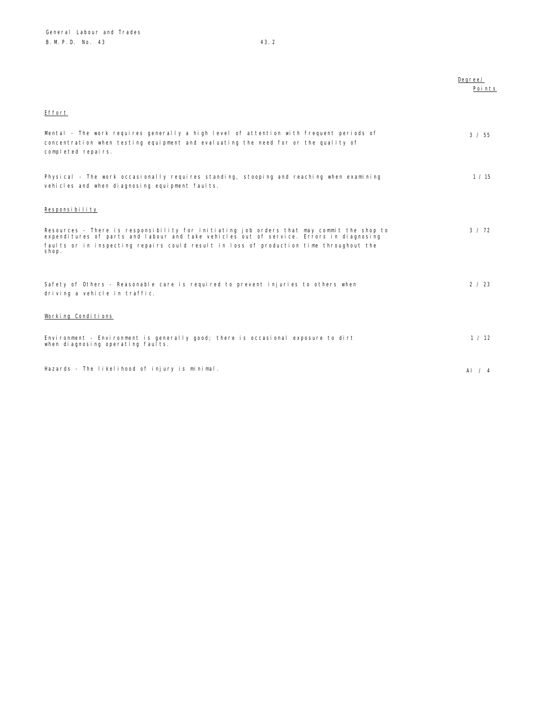|                                                                                                                                                                                                                                                                                         | Degree/<br>Points |
|-----------------------------------------------------------------------------------------------------------------------------------------------------------------------------------------------------------------------------------------------------------------------------------------|-------------------|
| Effort                                                                                                                                                                                                                                                                                  |                   |
| Mental - The work requires generally a high level of attention with frequent periods of<br>concentration when testing equipment and evaluating the need for or the quality of<br>completed repairs.                                                                                     | 3 / 55            |
| Physical - The work occasionally requires standing, stooping and reaching when examining<br>vehicles and when diagnosing equipment faults.                                                                                                                                              | 1 / 15            |
| Responsibility                                                                                                                                                                                                                                                                          |                   |
| Resources - There is responsibility for initiating job orders that may commit the shop to<br>expenditures of parts and labour and take vehicles out of service. Errors in diagnosing<br>faults or in inspecting repairs could result in loss of production time throughout the<br>shop. | 3 / 72            |
|                                                                                                                                                                                                                                                                                         |                   |
| Safety of Others - Reasonable care is required to prevent injuries to others when<br>driving a vehicle in traffic.                                                                                                                                                                      | 2 / 23            |
| Working Conditions                                                                                                                                                                                                                                                                      |                   |
| Environment - Environment is generally good; there is occasional exposure to dirt<br>when diagnosing operating faults.                                                                                                                                                                  | 1 / 12            |
| Hazards - The likelihood of injury is minimal.                                                                                                                                                                                                                                          | AI $\sqrt{4}$     |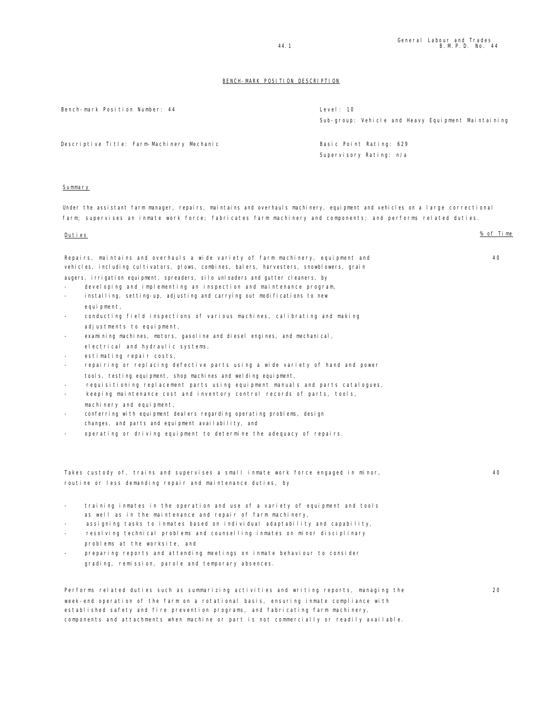| Bench-mark Position Number: 44                                                                                                                                                                                                                                                                                                                                                                                                                                                                                                                                                                                                                                                                                                                                                                                                                                                                                                                                                                                                                                                                                                                                                                                                                                                                                               | Level: 10<br>Sub-group: Vehicle and Heavy Equipment Maintaining |           |
|------------------------------------------------------------------------------------------------------------------------------------------------------------------------------------------------------------------------------------------------------------------------------------------------------------------------------------------------------------------------------------------------------------------------------------------------------------------------------------------------------------------------------------------------------------------------------------------------------------------------------------------------------------------------------------------------------------------------------------------------------------------------------------------------------------------------------------------------------------------------------------------------------------------------------------------------------------------------------------------------------------------------------------------------------------------------------------------------------------------------------------------------------------------------------------------------------------------------------------------------------------------------------------------------------------------------------|-----------------------------------------------------------------|-----------|
| Descriptive Title: Farm-Machinery Mechanic                                                                                                                                                                                                                                                                                                                                                                                                                                                                                                                                                                                                                                                                                                                                                                                                                                                                                                                                                                                                                                                                                                                                                                                                                                                                                   | Basic Point Rating: 629<br>Supervisory Rating: n/a              |           |
| Summary                                                                                                                                                                                                                                                                                                                                                                                                                                                                                                                                                                                                                                                                                                                                                                                                                                                                                                                                                                                                                                                                                                                                                                                                                                                                                                                      |                                                                 |           |
| Under the assistant farm manager, repairs, maintains and overhauls machinery, equipment and vehicles on a large correctional<br>farm; supervises an inmate work force; fabricates farm machinery and components; and performs related duties.                                                                                                                                                                                                                                                                                                                                                                                                                                                                                                                                                                                                                                                                                                                                                                                                                                                                                                                                                                                                                                                                                |                                                                 |           |
| Duties                                                                                                                                                                                                                                                                                                                                                                                                                                                                                                                                                                                                                                                                                                                                                                                                                                                                                                                                                                                                                                                                                                                                                                                                                                                                                                                       |                                                                 | % of Time |
| Repairs, maintains and overhauls a wide variety of farm machinery, equipment and<br>vehicles, including cultivators, plows, combines, balers, harvesters, snowblowers, grain<br>augers, irrigation equipment, spreaders, silo unloaders and gutter cleaners, by<br>developing and implementing an inspection and maintenance program,<br>installing, setting-up, adjusting and carrying out modifications to new<br>equipment,<br>conducting field inspections of various machines, calibrating and making<br>adjustments to equipment,<br>examining machines, motors, gasoline and diesel engines, and mechanical,<br>$\overline{\phantom{a}}$<br>electrical and hydraulic systems,<br>estimating repair costs,<br>repairing or replacing defective parts using a wide variety of hand and power<br>$\overline{\phantom{a}}$<br>tools, testing equipment, shop machines and welding equipment,<br>requisitioning replacement parts using equipment manuals and parts catalogues,<br>$\overline{\phantom{a}}$<br>keeping maintenance cost and inventory control records of parts, tools,<br>machinery and equipment,<br>conferring with equipment dealers regarding operating problems, design<br>changes, and parts and equipment availability, and<br>operating or driving equipment to determine the adequacy of repairs. |                                                                 | 40        |
| Takes custody of, trains and supervises a small inmate work force engaged in minor,<br>routine or less demanding repair and maintenance duties, by                                                                                                                                                                                                                                                                                                                                                                                                                                                                                                                                                                                                                                                                                                                                                                                                                                                                                                                                                                                                                                                                                                                                                                           |                                                                 | 40        |
| training inmates in the operation and use of a variety of equipment and tools<br>as well as in the maintenance and repair of farm machinery,<br>assigning tasks to inmates based on individual adaptability and capability,<br>resolving technical problems and counselling inmates on minor disciplinary<br>problems at the worksite, and<br>preparing reports and attending meetings on inmate behaviour to consider<br>$\overline{a}$<br>grading, remission, parole and temporary absences.                                                                                                                                                                                                                                                                                                                                                                                                                                                                                                                                                                                                                                                                                                                                                                                                                               |                                                                 |           |
| Performs related duties such as summarizing activities and writing reports, managing the<br>week-end operation of the farm on a rotational basis, ensuring inmate compliance with<br>established safety and fire prevention programs, and fabricating farm machinery,<br>components and attachments when machine or part is not commercially or readily available.                                                                                                                                                                                                                                                                                                                                                                                                                                                                                                                                                                                                                                                                                                                                                                                                                                                                                                                                                           |                                                                 | 20        |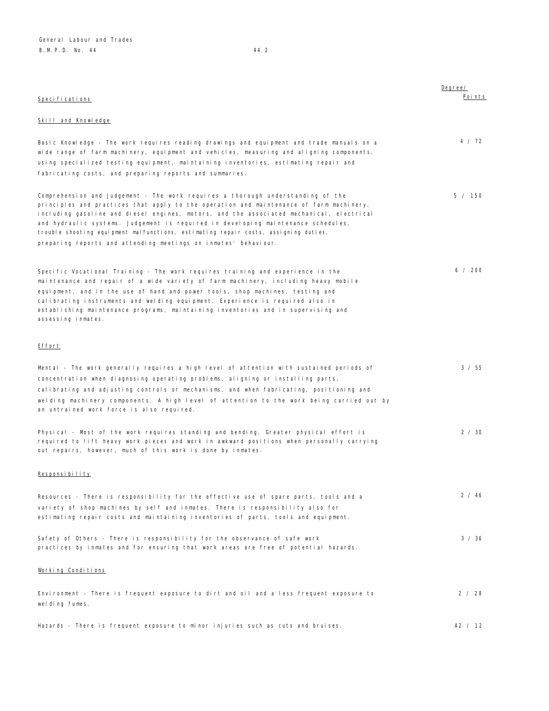| Specifications                                                                                                                                                                                                                                                                                                                                                                                                                                                                                                        | Degree/<br>Points |
|-----------------------------------------------------------------------------------------------------------------------------------------------------------------------------------------------------------------------------------------------------------------------------------------------------------------------------------------------------------------------------------------------------------------------------------------------------------------------------------------------------------------------|-------------------|
| <b>Skill and Knowledge</b>                                                                                                                                                                                                                                                                                                                                                                                                                                                                                            |                   |
| Basic Knowledge - The work requires reading drawings and equipment and trade manuals on a<br>wide range of farm machinery, equipment and vehicles, measuring and aligning components,<br>using specialized testing equipment, maintaining inventories, estimating repair and<br>fabricating costs, and preparing reports and summaries.                                                                                                                                                                               | 4 / 72            |
| Comprehension and Judgement - The work requires a thorough understanding of the<br>principles and practices that apply to the operation and maintenance of farm machinery,<br>including gasoline and diesel engines, motors, and the associated mechanical, electrical<br>and hydraulic systems. Judgement is required in developing maintenance schedules,<br>trouble shooting equipment malfunctions, estimating repair costs, assigning duties,<br>preparing reports and attending meetings on inmates' behaviour. | 5 / 150           |
| Specific Vocational Training - The work requires training and experience in the<br>maintenance and repair of a wide variety of farm machinery, including heavy mobile<br>equipment, and in the use of hand and power tools, shop machines, testing and<br>calibrating instruments and welding equipment. Experience is required also in<br>establishing maintenance programs, maintaining inventories and in supervising and<br>assessing inmates.                                                                    | 6 / 200           |
| <u>Effort</u>                                                                                                                                                                                                                                                                                                                                                                                                                                                                                                         |                   |
| Mental - The work generally requires a high level of attention with sustained periods of<br>concentration when diagnosing operating problems, aligning or installing parts,<br>calibrating and adjusting controls or mechanisms, and when fabricating, positioning and<br>welding machinery components. A high level of attention to the work being carried out by<br>an untrained work force is also required.                                                                                                       | 3 / 55            |
| Physical - Most of the work requires standing and bending. Greater physical effort is<br>required to lift heavy work pieces and work in awkward positions when personally carrying<br>out repairs, however, much of this work is done by inmates.                                                                                                                                                                                                                                                                     | 2 / 30            |
| Responsibility                                                                                                                                                                                                                                                                                                                                                                                                                                                                                                        |                   |
| Resources - There is responsibility for the effective use of spare parts, tools and a<br>variety of shop machines by self and inmates. There is responsibility also for<br>estimating repair costs and maintaining inventories of parts, tools and equipment.                                                                                                                                                                                                                                                         | 2 / 46            |
| Safety of Others - There is responsibility for the observance of safe work<br>practices by inmates and for ensuring that work areas are free of potential hazards.                                                                                                                                                                                                                                                                                                                                                    | 3 / 36            |
| Working Conditions                                                                                                                                                                                                                                                                                                                                                                                                                                                                                                    |                   |
| Environment - There is frequent exposure to dirt and oil and a less frequent exposure to<br>welding fumes.                                                                                                                                                                                                                                                                                                                                                                                                            | 2 / 28            |
| Hazards - There is frequent exposure to minor injuries such as cuts and bruises.                                                                                                                                                                                                                                                                                                                                                                                                                                      | A2 / 12           |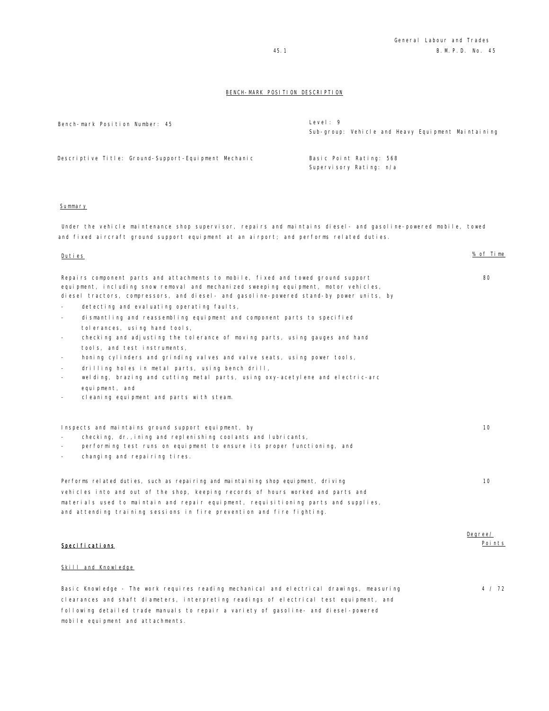| Bench-mark Position Number: 45                                                                                                        | Level: 9<br>Sub-group: Vehicle and Heavy Equipment Maintaining |
|---------------------------------------------------------------------------------------------------------------------------------------|----------------------------------------------------------------|
| Descriptive Title: Ground-Support-Equipment Mechanic                                                                                  | Basic Point Rating: 568<br>Supervisory Rating: n/a             |
| Summary<br>المستحل والطمس لمومستهم ومزاوموه المواطئ والمحافظ لموامعه الموامع المواصوص وموادي ومواصل والمستحدث والمناطر المطلب والموال |                                                                |

Under the vehicle maintenance shop supervisor, repairs and maintains diesel- and gasoline-powered mobile, towed and fixed aircraft ground support equipment at an airport; and performs related duties.

#### Duties % of Time

| 80<br>۰.<br>$\sim$<br>× |  |
|-------------------------|--|

Degree/ Points

| Repairs component parts and attachments to mobile, fixed and towed ground support       |
|-----------------------------------------------------------------------------------------|
| equipment, including snow removal and mechanized sweeping equipment, motor vehicles,    |
| diesel tractors, compressors, and diesel- and gasoline-powered stand-by power units, by |

- detecting and evaluating operating faults,
- dismantling and reassembling equipment and component parts to specified tolerances, using hand tools,
- checking and adjusting the tolerance of moving parts, using gauges and hand tools, and test instruments,
- honing cylinders and grinding valves and valve seats, using power tools,
- drilling holes in metal parts, using bench drill,
- welding, brazing and cutting metal parts, using oxy-acetylene and electric-arc equipment, and
- cleaning equipment and parts with steam.

| Inspects and maintains ground support equipment, by<br>checking, dr., ining and replenishing coolants and lubricants,<br>$\overline{\phantom{a}}$<br>performing test runs on equipment to ensure its proper functioning, and<br>$\overline{\phantom{a}}$<br>changing and repairing tires.<br>$\sim$ | 10 |
|-----------------------------------------------------------------------------------------------------------------------------------------------------------------------------------------------------------------------------------------------------------------------------------------------------|----|
| Performs related duties, such as repairing and maintaining shop equipment, driving<br>vehicles into and out of the shop, keeping records of hours worked and parts and<br>materials used to maintain and repair equipment, requisitioning parts and supplies,                                       | 10 |
| and attending training sessions in fire prevention and fire fighting.                                                                                                                                                                                                                               |    |

## Specifications

### Skill and Knowledge

Basic Knowledge - The work requires reading mechanical and electrical drawings, measuring clearances and shaft diameters, interpreting readings of electrical test equipment, and following detailed trade manuals to repair a variety of gasoline- and diesel-powered mobile equipment and attachments. 4 / 72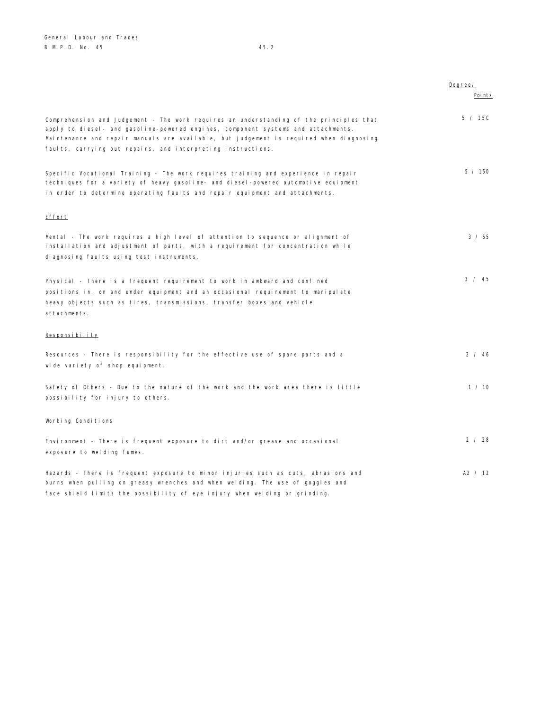|                                                                                                                                                                                                                                                                                                                                         | Degree/ |
|-----------------------------------------------------------------------------------------------------------------------------------------------------------------------------------------------------------------------------------------------------------------------------------------------------------------------------------------|---------|
|                                                                                                                                                                                                                                                                                                                                         | Poi nts |
| Comprehension and Judgement - The work requires an understanding of the principles that<br>apply to diesel- and gasoline-powered engines, component systems and attachments.<br>Maintenance and repair manuals are available, but judgement is required when diagnosing<br>faults, carrying out repairs, and interpreting instructions. | 5 / 15C |
| Specific Vocational Training - The work requires training and experience in repair<br>techniques for a variety of heavy gasoline- and diesel-powered automotive equipment<br>in order to determine operating faults and repair equipment and attachments.                                                                               | 5 / 150 |
| Effort                                                                                                                                                                                                                                                                                                                                  |         |
| Mental - The work requires a high level of attention to sequence or alignment of<br>installation and adjustment of parts, with a requirement for concentration while<br>diagnosing faults using test instruments.                                                                                                                       | 3 / 55  |
| Physical - There is a frequent requirement to work in awkward and confined<br>positions in, on and under equipment and an occasional requirement to manipulate<br>heavy objects such as tires, transmissions, transfer boxes and vehicle<br>attachments.                                                                                | 3 / 45  |
| Responsibility                                                                                                                                                                                                                                                                                                                          |         |
| Resources - There is responsibility for the effective use of spare parts and a<br>wide variety of shop equipment.                                                                                                                                                                                                                       | 2 / 46  |
| Safety of Others - Due to the nature of the work and the work area there is little<br>possibility for injury to others.                                                                                                                                                                                                                 | 1 / 10  |
| Working Conditions                                                                                                                                                                                                                                                                                                                      |         |
| Environment - There is frequent exposure to dirt and/or grease and occasional<br>exposure to welding fumes.                                                                                                                                                                                                                             | 2 / 28  |
| Hazards - There is frequent exposure to minor injuries such as cuts, abrasions and<br>burns when pulling on greasy wrenches and when welding. The use of goggles and<br>face shield limits the possibility of eye injury when welding or grinding.                                                                                      | A2 / 12 |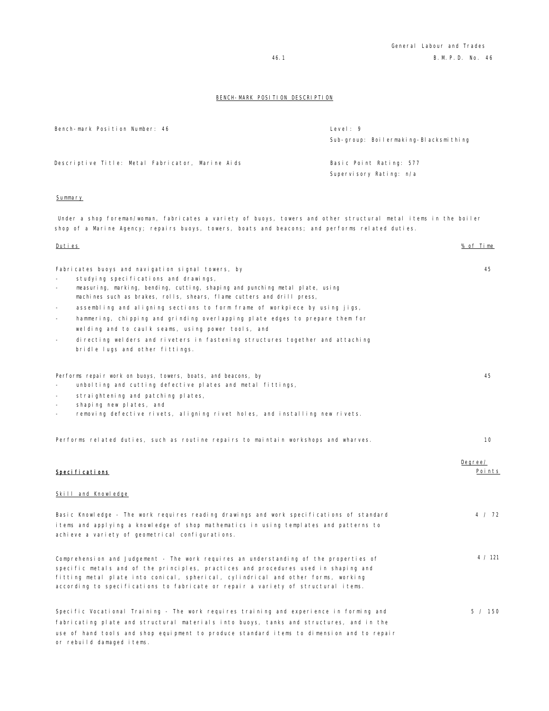| Bench-mark Position Number: 46                   | Level: $9$<br>Sub-group: Boilermaking-Blacksmithing |
|--------------------------------------------------|-----------------------------------------------------|
| Descriptive Title: Metal Fabricator, Marine Aids | Basic Point Rating: 577                             |
|                                                  | Supervisory Rating: n/a                             |
| Summary                                          |                                                     |

Under a shop foreman/woman, fabricates a variety of buoys, towers and other structural metal items in the boiler shop of a Marine Agency; repairs buoys, towers, boats and beacons; and performs related duties.

| <u>Duties</u>                                                                                                                                                 | % of Time         |
|---------------------------------------------------------------------------------------------------------------------------------------------------------------|-------------------|
|                                                                                                                                                               |                   |
| Fabricates buoys and navigation signal towers, by                                                                                                             | 45                |
| studying specifications and drawings,                                                                                                                         |                   |
| measuring, marking, bending, cutting, shaping and punching metal plate, using<br>÷.<br>machines such as brakes, rolls, shears, flame cutters and drill press, |                   |
| assembling and aligning sections to form frame of workpiece by using jigs,<br>$\overline{\phantom{a}}$                                                        |                   |
| hammering, chipping and grinding overlapping plate edges to prepare them for<br>$\overline{\phantom{a}}$                                                      |                   |
| welding and to caulk seams, using power tools, and                                                                                                            |                   |
| directing welders and riveters in fastening structures together and attaching<br>$\overline{\phantom{a}}$                                                     |                   |
| bridle lugs and other fittings.                                                                                                                               |                   |
|                                                                                                                                                               |                   |
| Performs repair work on buoys, towers, boats, and beacons, by                                                                                                 | 45                |
| unbolting and cutting defective plates and metal fittings,                                                                                                    |                   |
| straightening and patching plates,<br>shaping new plates, and<br>$\overline{\phantom{a}}$                                                                     |                   |
| removing defective rivets, aligning rivet holes, and installing new rivets.<br>$\equiv$                                                                       |                   |
|                                                                                                                                                               |                   |
| Performs related duties, such as routine repairs to maintain workshops and wharves.                                                                           | 10                |
|                                                                                                                                                               |                   |
|                                                                                                                                                               | Degree/<br>Points |
| Specifications                                                                                                                                                |                   |
| Skill and Knowledge                                                                                                                                           |                   |
| Basic Knowledge - The work requires reading drawings and work specifications of standard                                                                      | 4 / 72            |
| items and applying a knowledge of shop mathematics in using templates and patterns to                                                                         |                   |
| achieve a variety of geometrical configurations.                                                                                                              |                   |
| Comprehension and Judgement - The work requires an understanding of the properties of                                                                         | 4 / 121           |
| specific metals and of the principles, practices and procedures used in shaping and                                                                           |                   |
| fitting metal plate into conical, spherical, cylindrical and other forms, working                                                                             |                   |
| according to specifications to fabricate or repair a variety of structural items.                                                                             |                   |
| Specific Vocational Training - The work requires training and experience in forming and                                                                       | 5 / 150           |
| fabricating plate and structural materials into buoys, tanks and structures, and in the                                                                       |                   |
| use of hand tools and shop equipment to produce standard items to dimension and to repair                                                                     |                   |
| or rebuild damaged items.                                                                                                                                     |                   |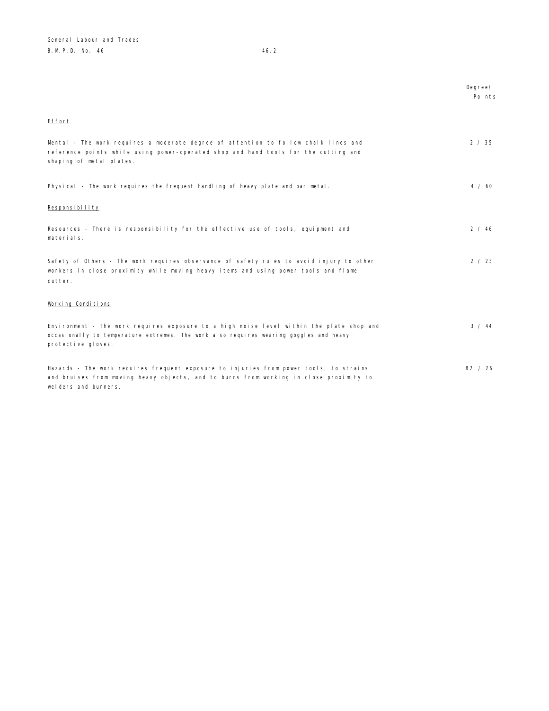Degree/ Points

# Effort

| Mental - The work requires a moderate degree of attention to follow chalk lines and<br>reference points while using power-operated shop and hand tools for the cutting and<br>shaping of metal plates.   | 2 / 35        |
|----------------------------------------------------------------------------------------------------------------------------------------------------------------------------------------------------------|---------------|
| Physical - The work requires the frequent handling of heavy plate and bar metal.                                                                                                                         | $4 \times 60$ |
| Responsibility                                                                                                                                                                                           |               |
| Resources - There is responsibility for the effective use of tools, equipment and<br>materials.                                                                                                          | 2 / 46        |
| Safety of Others - The work requires observance of safety rules to avoid injury to other<br>workers in close proximity while moving heavy items and using power tools and flame<br>cutter.               | 2 / 23        |
| Working Conditions                                                                                                                                                                                       |               |
| Environment - The work requires exposure to a high noise level within the plate shop and<br>occasionally to temperature extremes. The work also requires wearing goggles and heavy<br>protective gloves. | 3 / 44        |
| Hazards - The work requires frequent exposure to injuries from power tools, to strains<br>and bruises from moving heavy objects, and to burns from working in close proximity to<br>welders and burners. | B2 / 26       |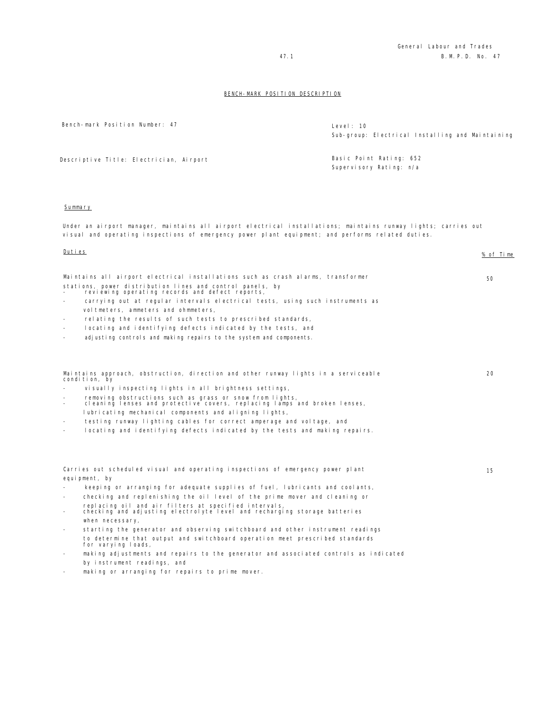Bench-mark Position Number: 47 Level: 10

Sub-group: Electrical Installing and Maintaining

Descriptive Title: Electrician, Airport Basic Point Rating: 652

Supervisory Rating: n/a

## Summary

Under an airport manager, maintains all airport electrical installations; maintains runway lights; carries out visual and operating inspections of emergency power plant equipment; and performs related duties.

## Duties % of Time

 $20$ 

15

| Maintains all airport electrical installations such as crash alarms, transformer                             | 50 |
|--------------------------------------------------------------------------------------------------------------|----|
| stations, power distribution lines and control panels, by<br>reviewing operating records and defect reports, |    |

- carrying out at regular intervals electrical tests, using such instruments as voltmeters, ammeters and ohmmeters,
- relating the results of such tests to prescribed standards,
- locating and identifying defects indicated by the tests, and
- adjusting controls and making repairs to the system and components.

Maintains approach, obstruction, direction and other runway lights in a serviceable condition, by

- visually inspecting lights in all brightness settings,
- removing obstructions such as grass or snow from lights, cleaning lenses and protective covers, replacing lamps and broken lenses, lubricating mechanical components and aligning lights,
- testing runway lighting cables for correct amperage and voltage, and
- locating and identifying defects indicated by the tests and making repairs.

Carries out scheduled visual and operating inspections of emergency power plant equipment, by

- keeping or arranging for adequate supplies of fuel, lubricants and coolants,
- checking and replenishing the oil level of the prime mover and cleaning or replacing oil and air filters at specified intervals,
- checking and adjusting electrolyte level and recharging storage batteries when necessary,
- starting the generator and observing switchboard and other instrument readings to determine that output and switchboard operation meet prescribed standards for varying loads,
- making adjustments and repairs to the generator and associated controls as indicated by instrument readings, and
- making or arranging for repairs to prime mover.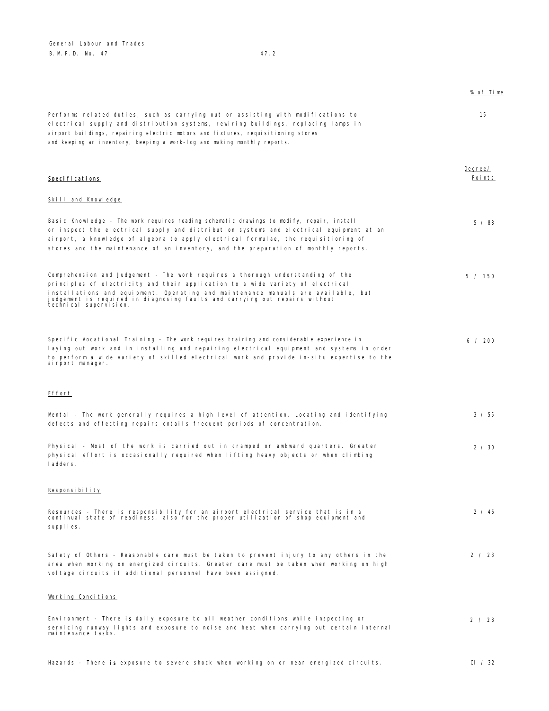General Labour and Trades B.M.P.D. No. 47 47.2

|                                                                                                                                                                                                                                                                                                                                                                     | % of Time         |
|---------------------------------------------------------------------------------------------------------------------------------------------------------------------------------------------------------------------------------------------------------------------------------------------------------------------------------------------------------------------|-------------------|
| Performs related duties, such as carrying out or assisting with modifications to<br>electrical supply and distribution systems, rewiring buildings, replacing lamps in<br>ai rport buildings, repairing electric motors and fixtures, requisitioning stores<br>and keeping an inventory, keeping a work-log and making monthly reports.                             | 15                |
| <b>Specifications</b>                                                                                                                                                                                                                                                                                                                                               | Degree/<br>Points |
| Skill and Knowledge                                                                                                                                                                                                                                                                                                                                                 |                   |
| Basic Knowledge - The work requires reading schematic drawings to modify, repair, install<br>or inspect the electrical supply and distribution systems and electrical equipment at an<br>airport, a knowledge of algebra to apply electrical formulae, the requisitioning of<br>stores and the maintenance of an inventory, and the preparation of monthly reports. | 5/88              |
| Comprehension and Judgement - The work requires a thorough understanding of the<br>principles of electricity and their application to a wide variety of electrical<br>installations and equipment. Operating and maintenance manuals are available, but<br>judgement is required in diagnosing faults and carrying out repairs without<br>technical supervision.    | 5 / 150           |
| Specific Vocational Training - The work requires training and considerable experience in<br>laying out work and in installing and repairing electrical equipment and systems in order<br>to perform a wide variety of skilled electrical work and provide in-situ expertise to the<br>airport manager.                                                              | 6 / 200           |
| Effort                                                                                                                                                                                                                                                                                                                                                              |                   |
| Mental - The work generally requires a high level of attention. Locating and identifying<br>defects and effecting repairs entails frequent periods of concentration.                                                                                                                                                                                                | 3 / 55            |
| Physical - Most of the work is carried out in cramped or awkward quarters. Greater<br>physical effort is occasionally required when lifting heavy objects or when climbing<br>ladders.                                                                                                                                                                              | 2 / 30            |
| Responsibility                                                                                                                                                                                                                                                                                                                                                      |                   |
| Resources - There is responsibility for an airport electrical service that is in a<br>continual state of readiness, also for the proper utilization of shop equipment and<br>supplies.                                                                                                                                                                              | 2 / 46            |
| Safety of Others - Reasonable care must be taken to prevent injury to any others in the<br>area when working on energized circuits. Greater care must be taken when working on high<br>voltage circuits if additional personnel have been assigned.                                                                                                                 | 2 / 23            |
| Working Conditions                                                                                                                                                                                                                                                                                                                                                  |                   |
| Environment - There is daily exposure to all weather conditions while inspecting or<br>servicing runway lights and exposure to noise and heat when carrying out certain internal<br>maintenance tasks.                                                                                                                                                              | 2 / 28            |

Hazards - There is exposure to severe shock when working on or near energized circuits. There is exposure to  $\frac{1}{32}$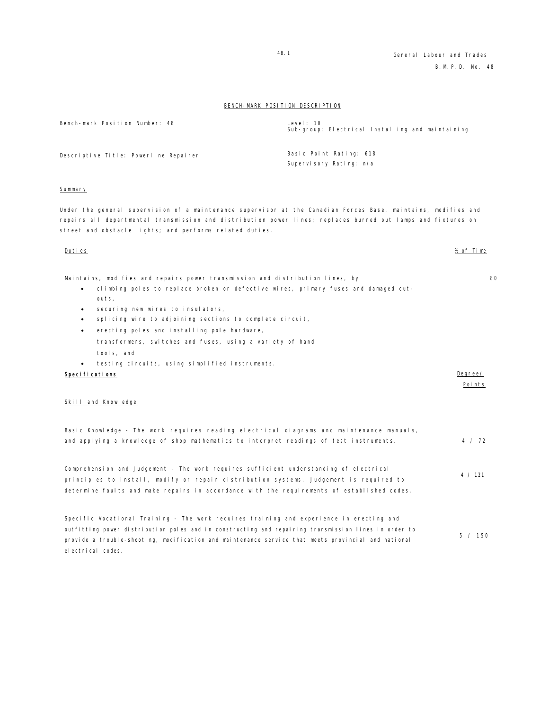| Bench-mark Position Number: 48        | Level: 10<br>Sub-group: Electrical Installing and maintaining |
|---------------------------------------|---------------------------------------------------------------|
| Descriptive Title: Powerline Repairer | Basic Point Rating: 618<br>Supervisory Rating: n/a            |

#### Summary

Under the general supervision of a maintenance supervisor at the Canadian Forces Base, maintains, modifies and repairs all departmental transmission and distribution power lines; replaces burned out lamps and fixtures on street and obstacle lights; and performs related duties.

#### Duties % of Time

Maintains, modifies and repairs power transmission and distribution lines, by

- climbing poles to replace broken or defective wires, primary fuses and damaged cutouts,
- securing new wires to insulators,
- splicing wire to adjoining sections to complete circuit,
- erecting poles and installing pole hardware, transformers, switches and fuses, using a variety of hand tools, and
- testing circuits, using simplified instruments.

#### Specifications **Degree/**  $\Box$

### Skill and Knowledge

electrical codes.

| Basic Knowledge - The work requires reading electrical diagrams and maintenance manuals,             |         |  |
|------------------------------------------------------------------------------------------------------|---------|--|
| and applying a knowledge of shop mathematics to interpret readings of test instruments.              | 4 / 72  |  |
|                                                                                                      |         |  |
| Comprehension and Judgement - The work requires sufficient understanding of electrical               |         |  |
| principles to install, modify or repair distribution systems. Judgement is required to               | 4 / 121 |  |
| determine faults and make repairs in accordance with the requirements of established codes.          |         |  |
|                                                                                                      |         |  |
| Specific Vocational Training - The work requires training and experience in erecting and             |         |  |
| outfitting power distribution poles and in constructing and repairing transmission lines in order to |         |  |
|                                                                                                      | 5 / 150 |  |

provide a trouble-shooting, modification and maintenance service that meets provincial and national

Points

80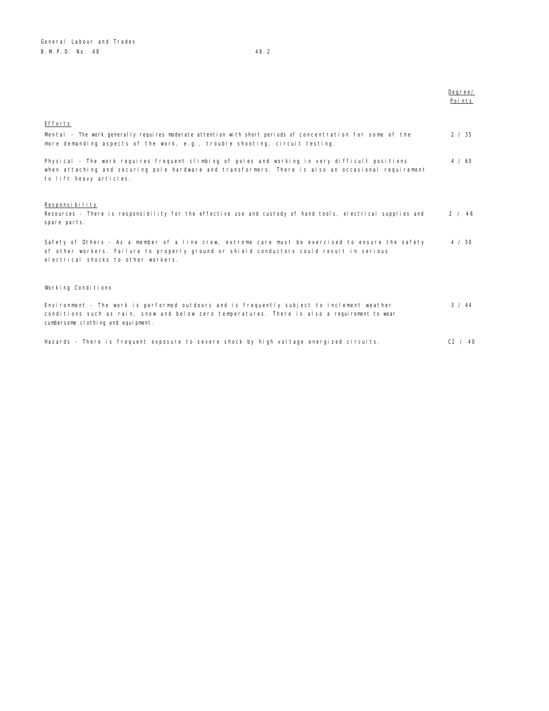|                                                                                                                                                                                                                                        | Degree/<br>Points |
|----------------------------------------------------------------------------------------------------------------------------------------------------------------------------------------------------------------------------------------|-------------------|
| Efforts                                                                                                                                                                                                                                |                   |
| Mental - The work generally requires moderate attention with short periods of concentration for some of the<br>more demanding aspects of the work, e.g., trouble shooting, circuit testing.                                            | 2 / 35            |
| Physical - The work requires frequent climbing of poles and working in very difficult positions<br>when attaching and securing pole hardware and transformers. There is also an occasional requirement<br>to lift heavy articles.      | 4 / 60            |
| Responsibility<br>Resources - There is responsibility for the effective use and custody of hand tools, electrical supplies and<br>spare parts.                                                                                         | 2 / 46            |
| Safety of Others - As a member of a line crew, extreme care must be exercised to ensure the safety<br>of other workers. Failure to properly ground or shield conductors could result in serious<br>electrical shocks to other workers. | 4 / 50            |
| Working Conditions                                                                                                                                                                                                                     |                   |
| Environment - The work is performed outdoors and is frequently subject to inclement weather<br>conditions such as rain, snow and below zero temperatures. There is also a requirement to wear<br>cumbersome clothing and equipment.    | 3 / 44            |
| Hazards - There is frequent exposure to severe shock by high voltage energized circuits.                                                                                                                                               | C2 / 40           |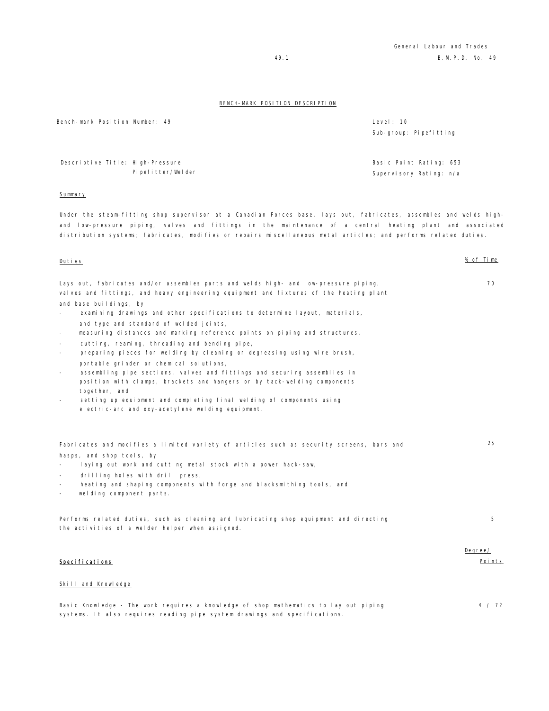Bench-mark Position Number: 49 Level: 10

 Descriptive Title: High-Pressure Pipefitter/Welder

#### Summary

Under the steam-fitting shop supervisor at a Canadian Forces base, lays out, fabricates, assembles and welds highand low-pressure piping, valves and fittings in the maintenance of a central heating plant and associated distribution systems; fabricates, modifies or repairs miscellaneous metal articles; and performs related duties.

#### Duties % of Time

Lays out, fabricates and/or assembles parts and welds high- and low-pressure piping, valves and fittings, and heavy engineering equipment and fixtures of the heating plant and base buildings, by 70

- examining drawings and other specifications to determine layout, materials,
- and type and standard of welded joints,
- measuring distances and marking reference points on piping and structures,
- cutting, reaming, threading and bending pipe,
- preparing pieces for welding by cleaning or degreasing using wire brush, portable grinder or chemical solutions,
- assembling pipe sections, valves and fittings and securing assemblies in position with clamps, brackets and hangers or by tack-welding components together, and
- setting up equipment and completing final welding of components using electric-arc and oxy-acetylene welding equipment.

Fabricates and modifies a limited variety of articles such as security screens, bars and hasps, and shop tools, by

- laying out work and cutting metal stock with a power hack-saw,
- drilling holes with drill press,
- heating and shaping components with forge and blacksmithing tools, and
- welding component parts.

Performs related duties, such as cleaning and lubricating shop equipment and directing the activities of a welder helper when assigned.

## Specifications

#### Skill and Knowledge

Basic Knowledge - The work requires a knowledge of shop mathematics to lay out piping systems. It also requires reading pipe system drawings and specifications.

Sub-group: Pipefitting

Basic Point Rating: 653 Supervisory Rating: n/a

25

5

Degree/ Points

4 / 72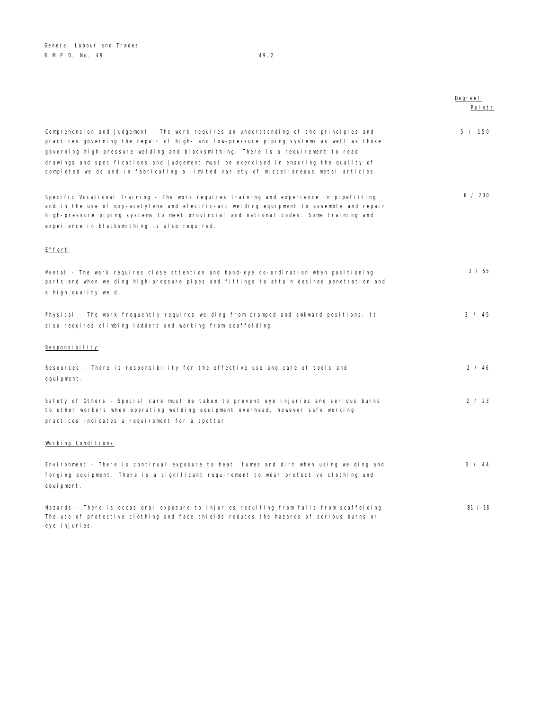Degree/ Points Comprehension and Judgement - The work requires an understanding of the principles and practices governing the repair of high- and low-pressure piping systems as well as those governing high-pressure welding and blacksmithing. There is a requirement to read drawings and specifications and judgement must be exercised in ensuring the quality of completed welds and in fabricating a limited variety of miscellaneous metal articles. 5 / 150 Specific Vocational Training - The work requires training and experience in pipefitting and in the use of oxy-acetylene and electric-arc welding equipment to assemble and repair high-pressure piping systems to meet provincial and national codes. Some training and experience in blacksmithing is also required. 6 / 200 Effort Mental - The work requires close attention and hand-eye co-ordination when positioning parts and when welding high-pressure pipes and fittings to attain desired penetration and a high quality weld. 3 / 55 Physical - The work frequently requires welding from cramped and awkward positions. It also requires climbing ladders and working from scaffolding. 3 / 45 Responsibility Resources - There is responsibility for the effective use and care of tools and equi pment. 2 / 46 Safety of Others - Special care must be taken to prevent eye injuries and serious burns to other workers when operating welding equipment overhead, however safe working practices indicates a requirement for a spotter. 2 / 23 Working Conditions Environment - There is continual exposure to heat, fumes and dirt when using welding and forging equipment. There is a significant requirement to wear protective clothing and equipment. 3 / 44 Hazards - There is occasional exposure to injuries resulting from falls from scaffolding. The use of protective clothing and face shields reduces the hazards of serious burns or B1 / 18

eye injuries.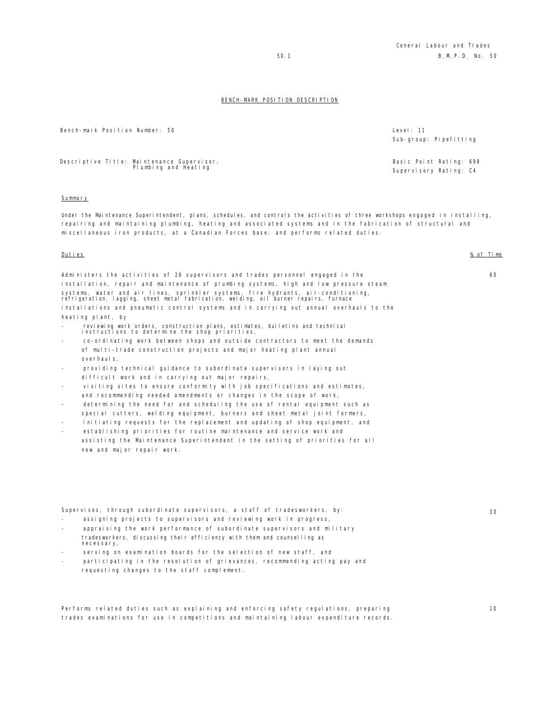Sub-group: Pipefitting

Basic Point Rating: 698 Supervisory Rating: C4

#### BENCH-MARK POSITION DESCRIPTION

Bench-mark Position Number: 50 **Level: 11** 

Descriptive Title: Maintenance Supervisor, Plumbing and Heating

#### **Summary**

Under the Maintenance Superintendent, plans, schedules, and controls the activities of three workshops engaged in installing, repairing and maintaining plumbing, heating and associated systems and in the fabrication of structural and miscellaneous iron products, at a Canadian Forces base; and performs related duties.

Duties % of Time

60

Administers the activities of 26 supervisors and trades personnel engaged in the installation, repair and maintenance of plumbing systems, high and low pressure steam systems, water and air lines, sprinkler systems, fire hydrants, air-conditioning, refrigeration, lagging, sheet metal fabrication, welding, oil burner repairs, furnace installations and pneumatic control systems and in carrying out annual overhauls to the heating plant, by

- reviewing work orders, construction plans, estimates, bulletins and technical instructions to determine the shop priorities,
- co-ordinating work between shops and outside contractors to meet the demands of multi-trade construction projects and major heating plant annual overhauls,
- providing technical guidance to subordinate supervisors in laying out difficult work and in carrying out major repairs,
- visiting sites to ensure conformity with job specifications and estimates, and recommending needed amendments or changes in the scope of work,
- determining the need for and scheduling the use of rental equipment such as special cutters, welding equipment, burners and sheet metal joint formers,
- initiating requests for the replacement and updating of shop equipment, and
- establishing priorities for routine maintenance and service work and assisting the Maintenance Superintendent in the setting of priorities for all new and major repair work.

Supervises, through subordinate supervisors, a staff of tradesworkers, by:

- assigning projects to supervisors and reviewing work in progress,
- appraising the work performance of subordinate supervisors and military tradesworkers, discussing their efficiency with them and counselling as necessary,
- serving on examination boards for the selection of new staff, and
- participating in the resolution of grievances, recommending acting pay and requesting changes to the staff complement.

Performs related duties such as explaining and enforcing safety regulations, preparing trades examinations for use in competitions and maintaining labour expenditure records. 30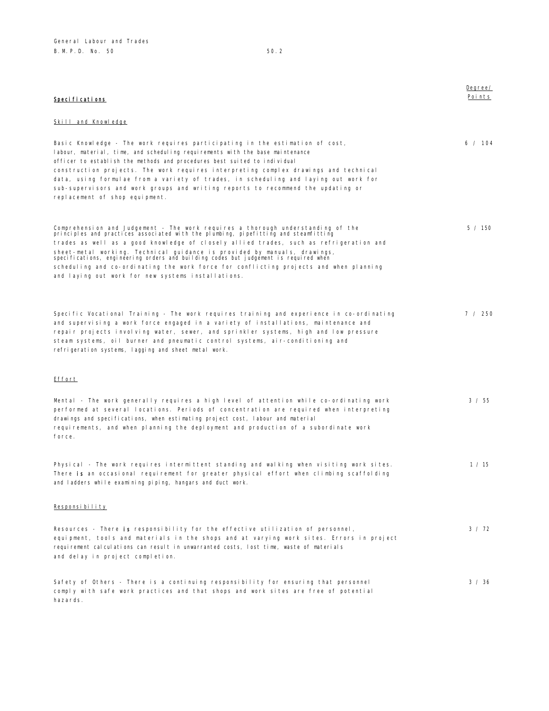|                                                                                                                                                                                                                                                                                                                                                                                                                                                                                                                                                                                       | Degree/ |
|---------------------------------------------------------------------------------------------------------------------------------------------------------------------------------------------------------------------------------------------------------------------------------------------------------------------------------------------------------------------------------------------------------------------------------------------------------------------------------------------------------------------------------------------------------------------------------------|---------|
| Specifications                                                                                                                                                                                                                                                                                                                                                                                                                                                                                                                                                                        | Points  |
| Skill and Knowledge                                                                                                                                                                                                                                                                                                                                                                                                                                                                                                                                                                   |         |
| Basic Knowledge - The work reguires participating in the estimation of cost.<br>labour, material, time, and scheduling requirements with the base maintenance<br>officer to establish the methods and procedures best suited to individual<br>construction projects. The work requires interpreting complex drawings and technical<br>data, using formulae from a variety of trades, in scheduling and laying out work for<br>sub-supervisors and work groups and writing reports to recommend the updating or<br>replacement of shop equipment.                                      | 6 / 104 |
| Comprehension and Judgement - The work requires a thorough understanding of the<br>principles and practices associated with the plumbing, pipefitting and steamfitting<br>trades as well as a good knowledge of closely allied trades, such as refrigeration and<br>sheet-metal working. Technical guidance is provided by manuals, drawings,<br>specifications, engineering orders and building codes but judgement is required when<br>scheduling and co-ordinating the work force for conflicting projects and when planning<br>and laying out work for new systems installations. | 5 / 150 |
| Specific Vocational Training - The work requires training and experience in co-ordinating<br>and supervising a work force engaged in a variety of installations, maintenance and<br>repair projects involving water, sewer, and sprinkler systems, high and low pressure<br>steam systems, oil burner and pneumatic control systems, air-conditioning and<br>refrigeration systems, lagging and sheet metal work.                                                                                                                                                                     | 7 / 250 |
| Effort                                                                                                                                                                                                                                                                                                                                                                                                                                                                                                                                                                                |         |
| Mental - The work generally requires a high level of attention while co-ordinating work<br>performed at several locations. Periods of concentration are required when interpreting<br>drawings and specifications, when estimating project cost, labour and material<br>requirements, and when planning the deployment and production of a subordinate work<br>force.                                                                                                                                                                                                                 | 3 / 55  |
| Physical - The work requires intermittent standing and walking when visiting work sites.<br>There is an occasional requirement for greater physical effort when climbing scaffolding<br>and ladders while examining piping, hangars and duct work.                                                                                                                                                                                                                                                                                                                                    | 1 / 15  |
| Responsibility                                                                                                                                                                                                                                                                                                                                                                                                                                                                                                                                                                        |         |
| Resources - There is responsibility for the effective utilization of personnel,<br>equipment, tools and materials in the shops and at varying work sites. Errors in project<br>requirement calculations can result in unwarranted costs, lost time, waste of materials<br>and delay in project completion.                                                                                                                                                                                                                                                                            | 3 / 72  |
| Safety of Others - There is a continuing responsibility for ensuring that personnel<br>comply with safe work practices and that shops and work sites are free of potential<br>hazards.                                                                                                                                                                                                                                                                                                                                                                                                | 3 / 36  |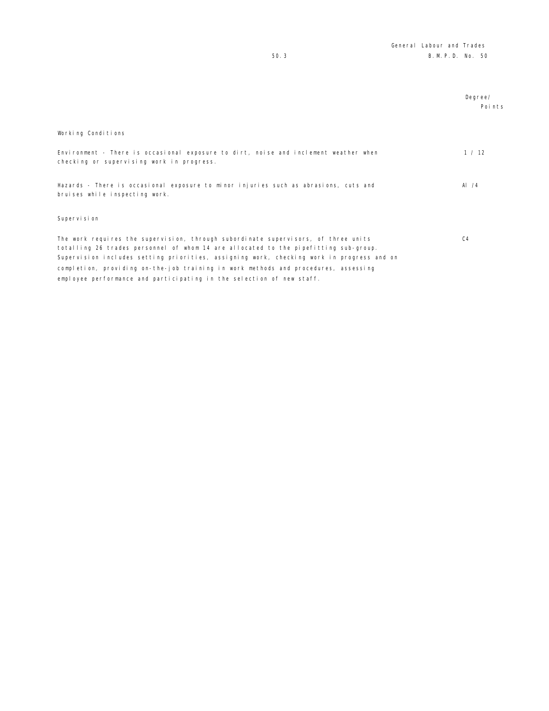|                                                                                                                                                                                                                                                                                                                                                                                                                                         | Degree/<br>Points |
|-----------------------------------------------------------------------------------------------------------------------------------------------------------------------------------------------------------------------------------------------------------------------------------------------------------------------------------------------------------------------------------------------------------------------------------------|-------------------|
| Working Conditions                                                                                                                                                                                                                                                                                                                                                                                                                      |                   |
| Environment - There is occasional exposure to dirt, noise and inclement weather when<br>checking or supervising work in progress.                                                                                                                                                                                                                                                                                                       | 1 / 12            |
| Hazards - There is occasional exposure to minor injuries such as abrasions, cuts and<br>bruises while inspecting work.                                                                                                                                                                                                                                                                                                                  | Al $/4$           |
| Supervision                                                                                                                                                                                                                                                                                                                                                                                                                             |                   |
| The work requires the supervision, through subordinate supervisors, of three units<br>totalling 26 trades personnel of whom 14 are allocated to the pipefitting sub-group.<br>Supervision includes setting priorities, assigning work, checking work in progress and on<br>completion, providing on-the-job training in work methods and procedures, assessing<br>employee performance and participating in the selection of new staff. | C <sub>4</sub>    |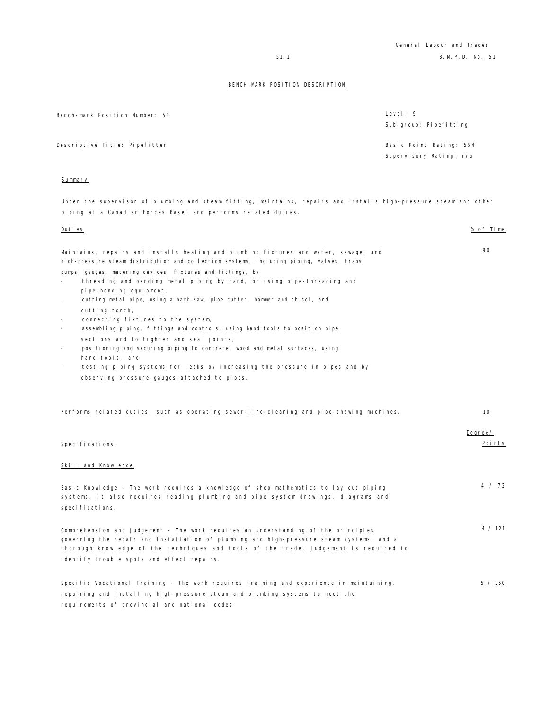| Bench-mark Position Number: 51 | Level: 9<br>Sub-group: Pipefitting                 |
|--------------------------------|----------------------------------------------------|
| Descriptive Title: Pipefitter  | Basic Point Rating: 554<br>Supervisory Rating: n/a |

## Summary

Under the supervisor of plumbing and steam fitting, maintains, repairs and installs high-pressure steam and other piping at a Canadian Forces Base; and performs related duties.

| Duties                                                                                                                                                                                                                                                                                                                                                                                                                                                                                                                                                                                                                                                                                                                                                                                                                                                                                                                                                                                   | % of Time         |
|------------------------------------------------------------------------------------------------------------------------------------------------------------------------------------------------------------------------------------------------------------------------------------------------------------------------------------------------------------------------------------------------------------------------------------------------------------------------------------------------------------------------------------------------------------------------------------------------------------------------------------------------------------------------------------------------------------------------------------------------------------------------------------------------------------------------------------------------------------------------------------------------------------------------------------------------------------------------------------------|-------------------|
| Maintains, repairs and installs heating and plumbing fixtures and water, sewage, and<br>high-pressure steam distribution and collection systems, including piping, valves, traps,<br>pumps, gauges, metering devices, fixtures and fittings, by<br>threading and bending metal piping by hand, or using pipe-threading and<br>pipe-bending equipment,<br>cutting metal pipe, using a hack-saw, pipe cutter, hammer and chisel, and<br>$\overline{\phantom{a}}$<br>cutting torch,<br>connecting fixtures to the system,<br>$\overline{\phantom{a}}$<br>assembling piping, fittings and controls, using hand tools to position pipe<br>$\overline{a}$<br>sections and to tighten and seal joints,<br>positioning and securing piping to concrete, wood and metal surfaces, using<br>$\overline{\phantom{a}}$<br>hand tools, and<br>testing piping systems for leaks by increasing the pressure in pipes and by<br>$\overline{\phantom{a}}$<br>observing pressure gauges attached to pipes. | 90                |
| Performs related duties, such as operating sewer-line-cleaning and pipe-thawing machines.                                                                                                                                                                                                                                                                                                                                                                                                                                                                                                                                                                                                                                                                                                                                                                                                                                                                                                | 10                |
| Speci fi cati ons                                                                                                                                                                                                                                                                                                                                                                                                                                                                                                                                                                                                                                                                                                                                                                                                                                                                                                                                                                        | Degree/<br>Points |
| Skill and Knowledge                                                                                                                                                                                                                                                                                                                                                                                                                                                                                                                                                                                                                                                                                                                                                                                                                                                                                                                                                                      |                   |
| Basic Knowledge - The work requires a knowledge of shop mathematics to lay out piping<br>systems. It also requires reading plumbing and pipe system drawings, diagrams and<br>specifications.                                                                                                                                                                                                                                                                                                                                                                                                                                                                                                                                                                                                                                                                                                                                                                                            | 4 / 72            |
| Comprehension and Judgement - The work requires an understanding of the principles<br>governing the repair and installation of plumbing and high-pressure steam systems, and a<br>thorough knowledge of the techniques and tools of the trade. Judgement is required to<br>identify trouble spots and effect repairs.                                                                                                                                                                                                                                                                                                                                                                                                                                                                                                                                                                                                                                                                    | 4 / 121           |
| Specific Vocational Training - The work requires training and experience in maintaining,<br>repairing and installing high-pressure steam and plumbing systems to meet the<br>requirements of provincial and national codes.                                                                                                                                                                                                                                                                                                                                                                                                                                                                                                                                                                                                                                                                                                                                                              | 5 / 150           |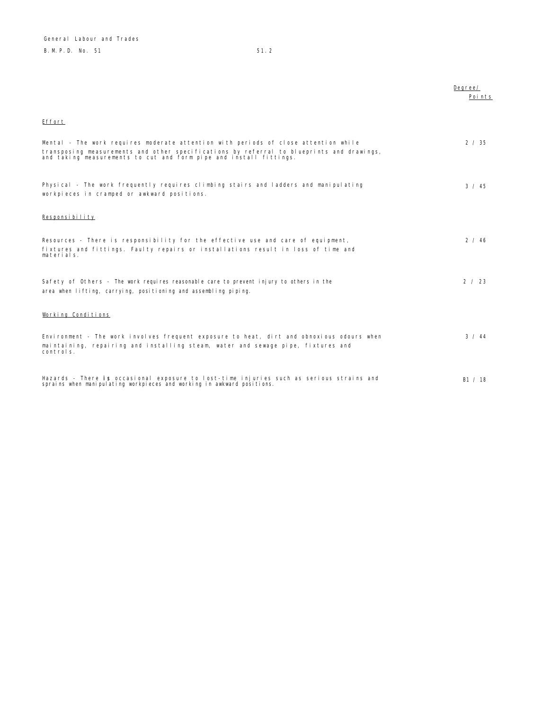|                                                                                                                                                                                                                                                        | Degree/<br>Points |
|--------------------------------------------------------------------------------------------------------------------------------------------------------------------------------------------------------------------------------------------------------|-------------------|
| Effort                                                                                                                                                                                                                                                 |                   |
| Mental - The work requires moderate attention with periods of close attention while<br>transposing measurements and other specifications by referral to blueprints and drawings,<br>and taking measurements to cut and form pipe and install fittings. | 2 / 35            |
| Physical - The work frequently requires climbing stairs and ladders and manipulating<br>workpieces in cramped or awkward positions.                                                                                                                    | 3 / 45            |
| Responsibility                                                                                                                                                                                                                                         |                   |
| Resources - There is responsibility for the effective use and care of equipment,<br>fixtures and fittings. Faulty repairs or installations result in loss of time and<br>materials.                                                                    | 2 / 46            |
| Safety of Others - The work requires reasonable care to prevent injury to others in the<br>area when lifting, carrying, positioning and assembling piping.                                                                                             | 2 / 23            |
| Working Conditions                                                                                                                                                                                                                                     |                   |
| Environment - The work involves frequent exposure to heat, dirt and obnoxious odours when<br>maintaining, repairing and installing steam, water and sewage pipe, fixtures and<br>controls.                                                             | 3 / 44            |
| Hazards - There is occasional exposure to lost-time injuries such as serious strains and<br>sprains when manipulating workpieces and working in awkward positions.                                                                                     | B1 / 18           |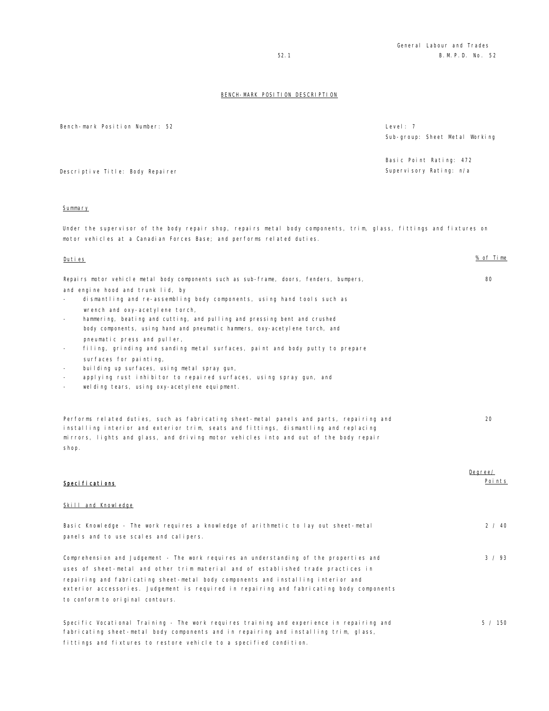Bench-mark Position Number: 52 Level: 7 Sub-group: Sheet Metal Working Descriptive Title: Body Repairer Basic Point Rating: 472 Supervisory Rating: n/a Summary Under the supervisor of the body repair shop, repairs metal body components, trim, glass, fittings and fixtures on motor vehicles at a Canadian Forces Base; and performs related duties. Duties % of Time Repairs motor vehicle metal body components such as sub-frame, doors, fenders, bumpers, and engine hood and trunk lid, by - dismantling and re-assembling body components, using hand tools such as wrench and oxy-acetylene torch, hammering, beating and cutting, and pulling and pressing bent and crushed body components, using hand and pneumatic hammers, oxy-acetylene torch, and pneumatic press and puller, filing, grinding and sanding metal surfaces, paint and body putty to prepare surfaces for painting, building up surfaces, using metal spray gun, applying rust inhibitor to repaired surfaces, using spray gun, and welding tears, using oxy-acetylene equipment. 80 Performs related duties, such as fabricating sheet-metal panels and parts, repairing and installing interior and exterior trim, seats and fittings, dismantling and replacing mirrors, lights and glass, and driving motor vehicles into and out of the body repair shop.  $20$ Specifications Degree/ Points Skill and Knowledge Basic Knowledge - The work requires a knowledge of arithmetic to lay out sheet-metal panels and to use scales and calipers. 2 / 40 Comprehension and Judgement - The work requires an understanding of the properties and uses of sheet-metal and other trim material and of established trade practices in repairing and fabricating sheet-metal body components and installing interior and exterior accessories. Judgement is required in repairing and fabricating body components to conform to original contours. 3 / 93 Specific Vocational Training - The work requires training and experience in repairing and fabricating sheet-metal body components and in repairing and installing trim, glass, 5 / 150

fittings and fixtures to restore vehicle to a specified condition.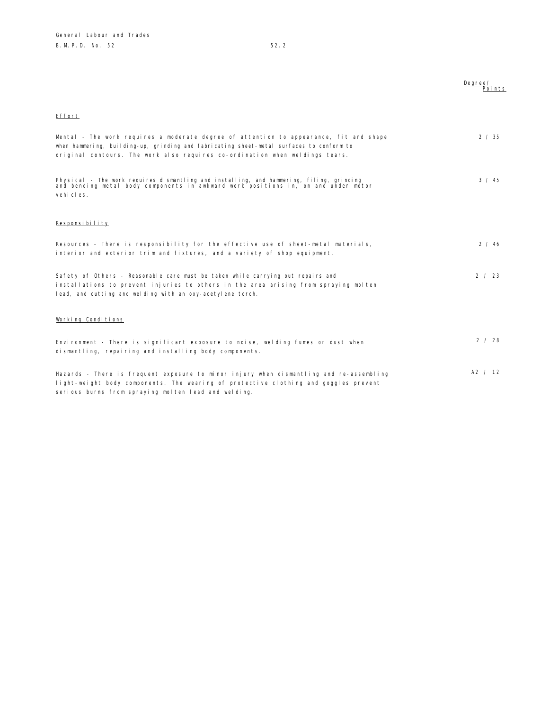|                                                                                                                                                                                                                                                                    | Degree/<br>Points |
|--------------------------------------------------------------------------------------------------------------------------------------------------------------------------------------------------------------------------------------------------------------------|-------------------|
| Effort                                                                                                                                                                                                                                                             |                   |
| Mental - The work requires a moderate degree of attention to appearance, fit and shape<br>when hammering, building-up, grinding and fabricating sheet-metal surfaces to conform to<br>original contours. The work also requires co-ordination when weldings tears. | 2 / 35            |
| Physical - The work requires dismantling and installing, and hammering, filing, grinding<br>and bending metal body components in awkward work positions in, on and under motor<br>vehicles.                                                                        | 3 / 45            |
| Responsibility                                                                                                                                                                                                                                                     |                   |
| Resources - There is responsibility for the effective use of sheet-metal materials,<br>interior and exterior trim and fixtures, and a variety of shop equipment.                                                                                                   | 2 / 46            |
| Safety of Others - Reasonable care must be taken while carrying out repairs and<br>installations to prevent injuries to others in the area arising from spraying molten<br>lead, and cutting and welding with an oxy-acetylene torch.                              | 2 / 23            |
| Working Conditions                                                                                                                                                                                                                                                 |                   |
| Environment - There is significant exposure to noise, welding fumes or dust when<br>dismantling, repairing and installing body components.                                                                                                                         | 2 / 28            |
| Hazards - There is frequent exposure to minor injury when dismantling and re-assembling<br>light-weight body components. The wearing of protective clothing and goggles prevent                                                                                    | A2 / 12           |

serious burns from spraying molten lead and welding.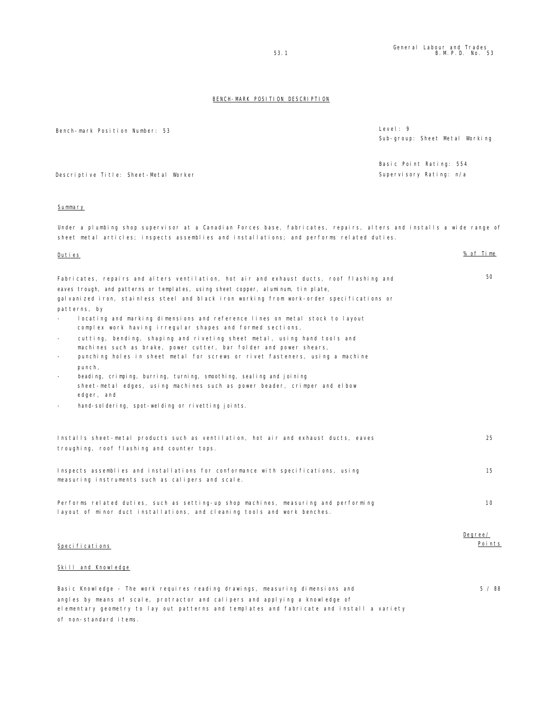5 / 88

# BENCH-MARK POSITION DESCRIPTION

Bench-mark Position Number: 53 Level: 9 Sub-group: Sheet Metal Working Descriptive Title: Sheet-Metal Worker Basic Point Rating: 554 Supervisory Rating: n/a

# Summary

Under a plumbing shop supervisor at a Canadian Forces base, fabricates, repairs, alters and installs a wide range of sheet metal articles; inspects assemblies and installations; and performs related duties.

### Duties % of Time

| Fabricates, repairs and alters ventilation, hot air and exhaust ducts, roof flashing and                 | 50. |
|----------------------------------------------------------------------------------------------------------|-----|
| eaves trough, and patterns or templates, using sheet copper, aluminum, tin plate,                        |     |
| galvanized iron, stainless steel and black iron working from work-order specifications or                |     |
| patterns, by                                                                                             |     |
| locating and marking dimensions and reference lines on metal stock to layout<br>$\overline{\phantom{a}}$ |     |
| complex work having irregular shapes and formed sections,                                                |     |
| cutting, bending, shaping and riveting sheet metal, using hand tools and<br>$\sim$                       |     |
| machines such as brake, power cutter, bar folder and power shears,                                       |     |
| punching holes in sheet metal for screws or rivet fasteners, using a machine<br>$\overline{\phantom{a}}$ |     |
| punch,                                                                                                   |     |
| beading, crimping, burring, turning, smoothing, sealing and joining<br>$\overline{\phantom{a}}$          |     |
| sheet-metal edges, using machines such as power beader, crimper and elbow                                |     |
| edger, and                                                                                               |     |
|                                                                                                          |     |

- hand-soldering, spot-welding or rivetting joints.

| Installs sheet-metal products such as ventilation, hot air and exhaust ducts, eaves | 25      |
|-------------------------------------------------------------------------------------|---------|
| troughing, roof flashing and counter tops.                                          |         |
|                                                                                     |         |
| Inspects assemblies and installations for conformance with specifications, using    | 15      |
| measuring instruments such as calipers and scale.                                   |         |
|                                                                                     |         |
| Performs related duties, such as setting-up shop machines, measuring and performing | 10      |
| layout of minor duct installations, and cleaning tools and work benches.            |         |
|                                                                                     | Degree/ |
| Specifications                                                                      | Points  |
|                                                                                     |         |

# Skill and Knowledge

Basic Knowledge - The work requires reading drawings, measuring dimensions and angles by means of scale, protractor and calipers and applying a knowledge of elementary geometry to lay out patterns and templates and fabricate and install a variety of non-standard items.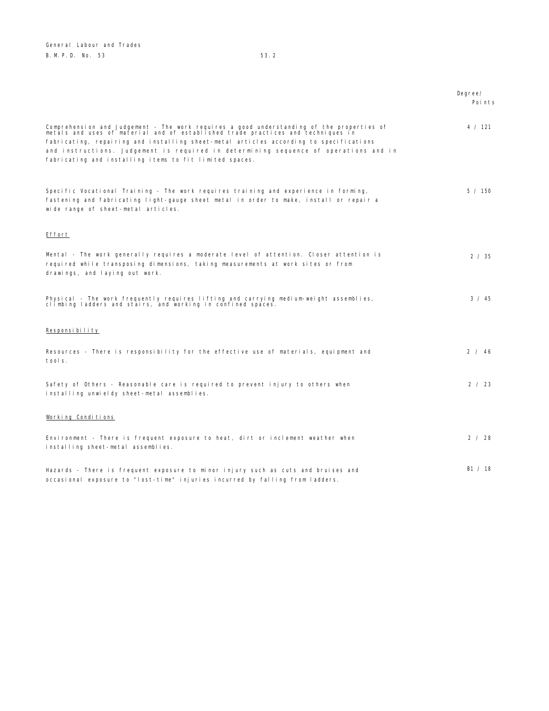General Labour and Trades B. M. P. D. No. 53 53.2

|                                                                                                                                                                                                                                                                                                                                                                                                                            | Degree/<br>Points |
|----------------------------------------------------------------------------------------------------------------------------------------------------------------------------------------------------------------------------------------------------------------------------------------------------------------------------------------------------------------------------------------------------------------------------|-------------------|
| Comprehension and Judgement - The work requires a good understanding of the properties of<br>metals and uses of material and of established trade practices and techniques in<br>fabricating, repairing and installing sheet-metal articles according to specifications<br>and instructions. Judgement is required in determining sequence of operations and in<br>fabricating and installing items to fit limited spaces. | 4 / 121           |
| Specific Vocational Training - The work requires training and experience in forming,<br>fastening and fabricating light-gauge sheet metal in order to make, install or repair a<br>wide range of sheet-metal articles.                                                                                                                                                                                                     | 5 / 150           |
| Effort                                                                                                                                                                                                                                                                                                                                                                                                                     |                   |
| Mental - The work generally requires a moderate level of attention. Closer attention is<br>required while transposing dimensions, taking measurements at work sites or from<br>drawings, and laying out work.                                                                                                                                                                                                              | 2 / 35            |
| Physical - The work frequently requires lifting and carrying medium-weight assemblies,<br>climbing ladders and stairs, and working in confined spaces.                                                                                                                                                                                                                                                                     | 3 / 45            |
| Responsibility                                                                                                                                                                                                                                                                                                                                                                                                             |                   |
| Resources - There is responsibility for the effective use of materials, equipment and<br>tools.                                                                                                                                                                                                                                                                                                                            | 2 / 46            |
| Safety of Others - Reasonable care is required to prevent injury to others when<br>installing unwieldy sheet-metal assemblies.                                                                                                                                                                                                                                                                                             | 2 / 23            |
| Working Conditions                                                                                                                                                                                                                                                                                                                                                                                                         |                   |
| Environment - There is frequent exposure to heat, dirt or inclement weather when<br>installing sheet-metal assemblies.                                                                                                                                                                                                                                                                                                     | 2 / 28            |
| Hazards - There is frequent exposure to minor injury such as cuts and bruises and<br>occasional exposure to "lost-time" injuries incurred by falling from ladders.                                                                                                                                                                                                                                                         | B1 / 18           |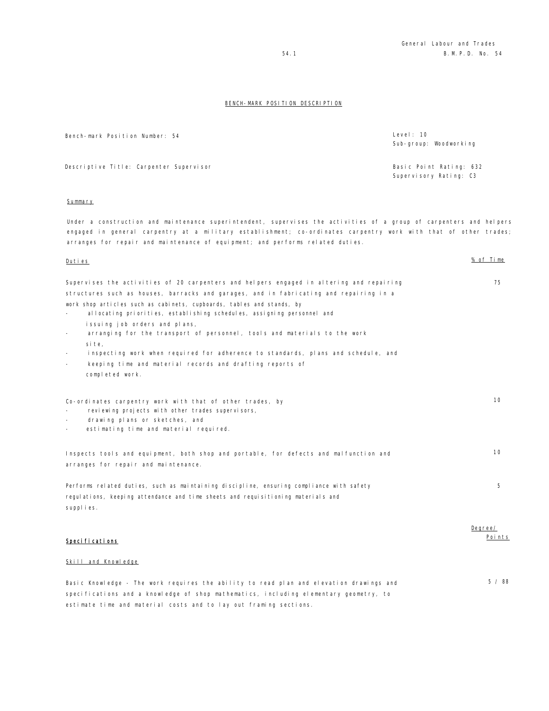Bench-mark Position Number: 54 Level: 10

Descriptive Title: Carpenter Supervisor Basic Point Rating: 632

### **Summary**

Under a construction and maintenance superintendent, supervises the activities of a group of carpenters and helpers engaged in general carpentry at a military establishment; co-ordinates carpentry work with that of other trades; arranges for repair and maintenance of equipment; and performs related duties.

| Supervises the activities of 20 carpenters and helpers engaged in altering and repairing |
|------------------------------------------------------------------------------------------|
| structures such as houses, barracks and garages, and in fabricating and repairing in a   |
| work shop articles such as cabinets, cupboards, tables and stands, by                    |
| allocating priorities, establishing schedules, assigning personnel and<br>$\sim$         |

- issuing job orders and plans,
- arranging for the transport of personnel, tools and materials to the work site,
- inspecting work when required for adherence to standards, plans and schedule, and
- keeping time and material records and drafting reports of completed work.

Co-ordinates carpentry work with that of other trades, by reviewing projects with other trades supervisors, drawing plans or sketches, and estimating time and material required. 10 Inspects tools and equipment, both shop and portable, for defects and malfunction and arranges for repair and maintenance. 10 Performs related duties, such as maintaining discipline, ensuring compliance with safety regulations, keeping attendance and time sheets and requisitioning materials and 5

Specifications

supplies.

# Skill and Knowledge

Basic Knowledge - The work requires the ability to read plan and elevation drawings and specifications and a knowledge of shop mathematics, including elementary geometry, to estimate time and material costs and to lay out framing sections. 5 / 88

Sub-group: Woodworking

Supervisory Rating: C3

Duties % of Time

Degree/ Points

75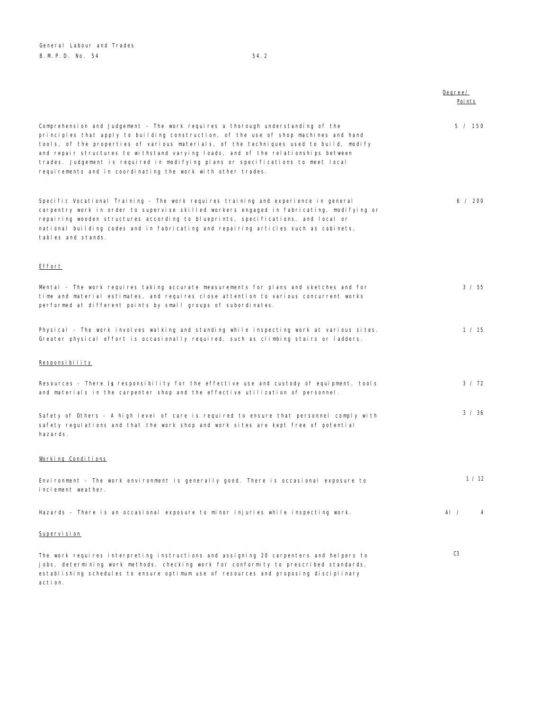General Labour and Trades B. M. P. D. No. 54 54.2

|                                                                                                                                                                                                                                                                                                                                                                                                                                                                                                             | Degree/<br>Poi nts |
|-------------------------------------------------------------------------------------------------------------------------------------------------------------------------------------------------------------------------------------------------------------------------------------------------------------------------------------------------------------------------------------------------------------------------------------------------------------------------------------------------------------|--------------------|
| Comprehension and Judgement - The work requires a thorough understanding of the<br>principles that apply to building construction, of the use of shop machines and hand<br>tools, of the properties of various materials, of the techniques used to build, modify<br>and repair structures to withstand varying loads, and of the relationships between<br>trades. Judgement is required in modifying plans or specifications to meet local<br>requirements and in coordinating the work with other trades. | 5 / 150            |
| Specific Vocational Training - The work requires training and experience in general<br>carpentry work in order to supervise skilled workers engaged in fabricating, modifying or<br>repairing wooden structures according to blueprints, specifications, and local or<br>national building codes and in fabricating and repairing articles such as cabinets,<br>tables and stands.                                                                                                                          | 6 / 200            |
| <b>Effort</b>                                                                                                                                                                                                                                                                                                                                                                                                                                                                                               |                    |
| Mental - The work requires taking accurate measurements for plans and sketches and for<br>time and material estimates, and requires close attention to various concurrent works<br>performed at different points by small groups of subordinates.                                                                                                                                                                                                                                                           | 3 / 55             |
| Physical - The work involves walking and standing while inspecting work at various sites.<br>Greater physical effort is occasionally required, such as climbing stairs or ladders.                                                                                                                                                                                                                                                                                                                          | 1 / 15             |
| Responsibility                                                                                                                                                                                                                                                                                                                                                                                                                                                                                              |                    |
| Resources - There is responsibility for the effective use and custody of equipment, tools<br>and materials in the carpenter shop and the effective utilization of personnel.                                                                                                                                                                                                                                                                                                                                | 3 / 72             |
| Safety of Others - A high level of care is required to ensure that personnel comply with<br>safety regulations and that the work shop and work sites are kept free of potential<br>hazards.                                                                                                                                                                                                                                                                                                                 | 3 / 36             |
| Working Conditions                                                                                                                                                                                                                                                                                                                                                                                                                                                                                          |                    |
| Environment - The work environment is generally good. There is occasional exposure to<br>inclement weather.                                                                                                                                                                                                                                                                                                                                                                                                 | 1 / 12             |
| Hazards - There is an occasional exposure to minor injuries while inspecting work.                                                                                                                                                                                                                                                                                                                                                                                                                          | AI $\prime$<br>4   |
| Supervision                                                                                                                                                                                                                                                                                                                                                                                                                                                                                                 |                    |
| The work requires interpreting instructions and assigning 20 carpenters and helpers to<br>jobs, determining work methods, checking work for conformity to prescribed standards,<br>establishing schedules to ensure optimum use of resources and proposing disciplinary<br>action.                                                                                                                                                                                                                          | C3                 |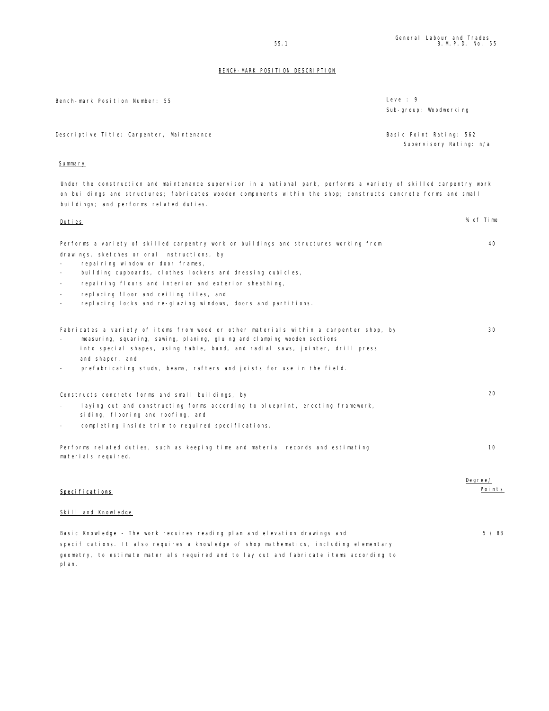Bench-mark Position Number: 55 Level: 9

Sub-group: Woodworking

Descriptive Title: Carpenter, Maintenance **Basic Point Rating: 562** 

Supervisory Rating: n/a

# Summary

plan.

Under the construction and maintenance supervisor in a national park, performs a variety of skilled carpentry work on buildings and structures; fabricates wooden components within the shop; constructs concrete forms and small buildings; and performs related duties.

| Duties                                                                                                   | % of Time |
|----------------------------------------------------------------------------------------------------------|-----------|
| Performs a variety of skilled carpentry work on buildings and structures working from                    | 40        |
| drawings, sketches or oral instructions, by                                                              |           |
| repairing window or door frames,                                                                         |           |
| building cupboards, clothes lockers and dressing cubicles,<br>$\overline{\phantom{a}}$                   |           |
| repairing floors and interior and exterior sheathing,<br>$\sim$                                          |           |
| replacing floor and ceiling tiles, and<br>$\blacksquare$                                                 |           |
| replacing locks and re-glazing windows, doors and partitions.<br>$\overline{\phantom{a}}$                |           |
| Fabricates a variety of items from wood or other materials within a carpenter shop, by                   | 30        |
| measuring, squaring, sawing, planing, gluing and clamping wooden sections                                |           |
| into special shapes, using table, band, and radial saws, jointer, drill press                            |           |
| and shaper, and                                                                                          |           |
| prefabricating studs, beams, rafters and joists for use in the field.<br>$\overline{\phantom{a}}$        |           |
| Constructs concrete forms and small buildings, by                                                        | 20        |
| laying out and constructing forms according to blueprint, erecting framework,                            |           |
| siding, flooring and roofing, and                                                                        |           |
| completing inside trim to required specifications.<br>$\overline{\phantom{a}}$                           |           |
| Performs related duties, such as keeping time and material records and estimating<br>materials required. | 10        |
|                                                                                                          | Degree/   |
| Specifications                                                                                           | Points    |
| Skill and Knowledge                                                                                      |           |
| Basic Knowledge - The work requires reading plan and elevation drawings and                              | 5/88      |
| specifications. It also requires a knowledge of shop mathematics, including elementary                   |           |
| geometry, to estimate materials required and to lay out and fabricate items according to                 |           |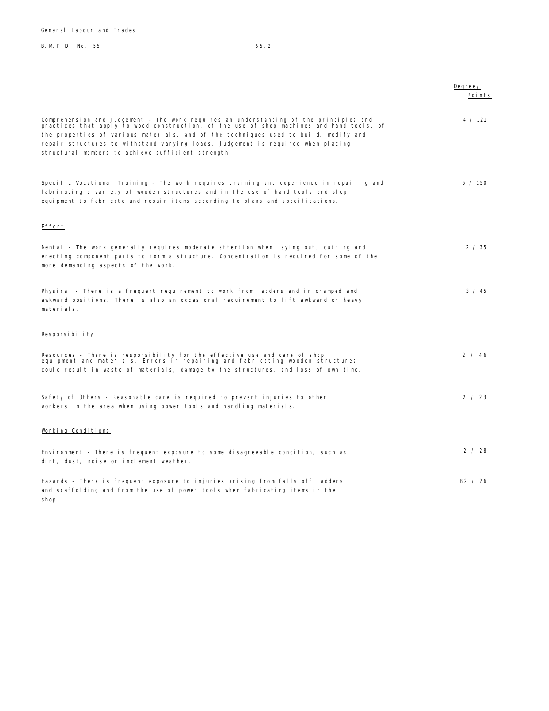General Labour and Trades

# B. M. P. D. No. 55 55.2

|                                                                                                                                                                                                                                                                                                                                                                                                                       | Degree/<br>Points |
|-----------------------------------------------------------------------------------------------------------------------------------------------------------------------------------------------------------------------------------------------------------------------------------------------------------------------------------------------------------------------------------------------------------------------|-------------------|
| Comprehension and Judgement - The work requires an understanding of the principles and<br>practices that apply to wood construction, of the use of shop machines and hand tools, of<br>the properties of various materials, and of the techniques used to build, modify and<br>repair structures to withstand varying loads. Judgement is required when placing<br>structural members to achieve sufficient strength. | 4 / 121           |
| Specific Vocational Training - The work requires training and experience in repairing and<br>fabricating a variety of wooden structures and in the use of hand tools and shop<br>equipment to fabricate and repair items according to plans and specifications.                                                                                                                                                       | 5 / 150           |
| Effort                                                                                                                                                                                                                                                                                                                                                                                                                |                   |
| Mental - The work generally requires moderate attention when laying out, cutting and<br>erecting component parts to form a structure. Concentration is required for some of the<br>more demanding aspects of the work.                                                                                                                                                                                                | 2 / 35            |
| Physical - There is a frequent requirement to work from ladders and in cramped and<br>awkward positions. There is also an occasional requirement to lift awkward or heavy<br>materials.                                                                                                                                                                                                                               | $3 \times 45$     |
| Responsibility                                                                                                                                                                                                                                                                                                                                                                                                        |                   |
| Resources - There is responsibility for the effective use and care of shop<br>equipment and materials. Errors in repairing and fabricating wooden structures<br>could result in waste of materials, damage to the structures, and loss of own time.                                                                                                                                                                   | 2 / 46            |
| Safety of Others - Reasonable care is required to prevent injuries to other<br>workers in the area when using power tools and handling materials.                                                                                                                                                                                                                                                                     | 2 / 23            |
| Working Conditions                                                                                                                                                                                                                                                                                                                                                                                                    |                   |
| Environment - There is frequent exposure to some disagreeable condition, such as<br>dirt, dust, noise or inclement weather.                                                                                                                                                                                                                                                                                           | 2 / 28            |
| Hazards - There is frequent exposure to injuries arising from falls off ladders<br>and scaffolding and from the use of power tools when fabricating items in the<br>shop.                                                                                                                                                                                                                                             | B2 / 26           |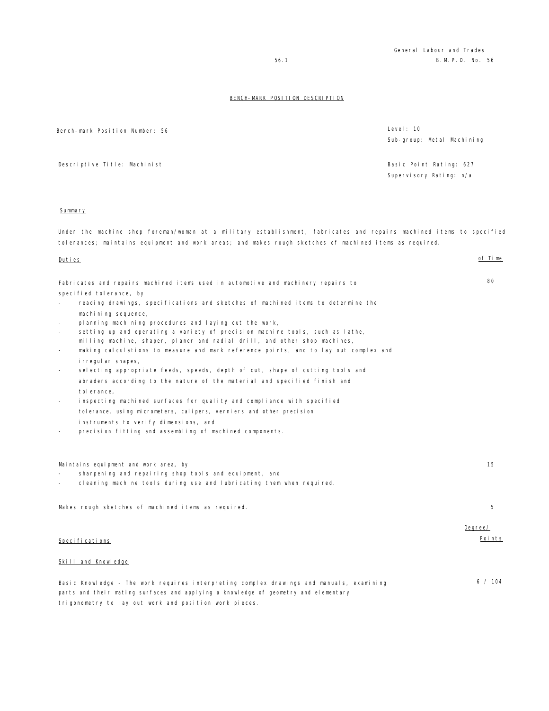| Bench-mark Position Number: 56                                                                                       | Level: 10                  |
|----------------------------------------------------------------------------------------------------------------------|----------------------------|
|                                                                                                                      | Sub-group: Metal Machining |
|                                                                                                                      |                            |
|                                                                                                                      |                            |
| Descriptive Title: Machinist                                                                                         | Basic Point Rating: 627    |
|                                                                                                                      | Supervisory Rating: n/a    |
|                                                                                                                      |                            |
|                                                                                                                      |                            |
|                                                                                                                      |                            |
| Summary                                                                                                              |                            |
|                                                                                                                      |                            |
| Under the machine shop foreman/woman at a military establishment, fabricates and repairs machined items to specified |                            |
| tolerances; maintains equipment and work areas; and makes rough sketches of machined items as required.              |                            |
|                                                                                                                      |                            |
| Duties                                                                                                               | of Time                    |
|                                                                                                                      |                            |
|                                                                                                                      |                            |
| Fabricates and repairs machined items used in automotive and machinery repairs to                                    | 80                         |
| specified tolerance, by                                                                                              |                            |
| reading drawings, specifications and sketches of machined items to determine the                                     |                            |
| machining sequence,                                                                                                  |                            |
| planning machining procedures and laying out the work,                                                               |                            |
| setting up and operating a variety of precision machine tools, such as lathe,                                        |                            |
| milling machine, shaper, planer and radial drill, and other shop machines,                                           |                            |
| making calculations to measure and mark reference points, and to lay out complex and                                 |                            |
| i rregul ar shapes,                                                                                                  |                            |
| selecting appropriate feeds, speeds, depth of cut, shape of cutting tools and                                        |                            |
| abraders according to the nature of the material and specified finish and                                            |                            |
|                                                                                                                      |                            |
| tol erance,                                                                                                          |                            |
| inspecting machined surfaces for quality and compliance with specified                                               |                            |
| tolerance, using micrometers, calipers, verniers and other precision                                                 |                            |
| instruments to verify dimensions, and                                                                                |                            |
| precision fitting and assembling of machined components.                                                             |                            |
|                                                                                                                      |                            |
|                                                                                                                      |                            |
|                                                                                                                      | 15                         |
| Maintains equipment and work area, by<br>sharpening and repairing shop tools and equipment, and                      |                            |
|                                                                                                                      |                            |
| cleaning machine tools during use and lubricating them when required.                                                |                            |
|                                                                                                                      |                            |
| Makes rough sketches of machined items as required.                                                                  | 5                          |
|                                                                                                                      |                            |
|                                                                                                                      | Degree/                    |
|                                                                                                                      |                            |
| <u>Specifications</u>                                                                                                | <u>Points</u>              |
|                                                                                                                      |                            |
| Skill and Knowledge                                                                                                  |                            |
|                                                                                                                      |                            |
| Basic Knowledge - The work requires interpreting complex drawings and manuals, examining                             | 6 / 104                    |
| parts and their mating surfaces and applying a knowledge of geometry and elementary                                  |                            |
|                                                                                                                      |                            |
| trigonometry to lay out work and position work pieces.                                                               |                            |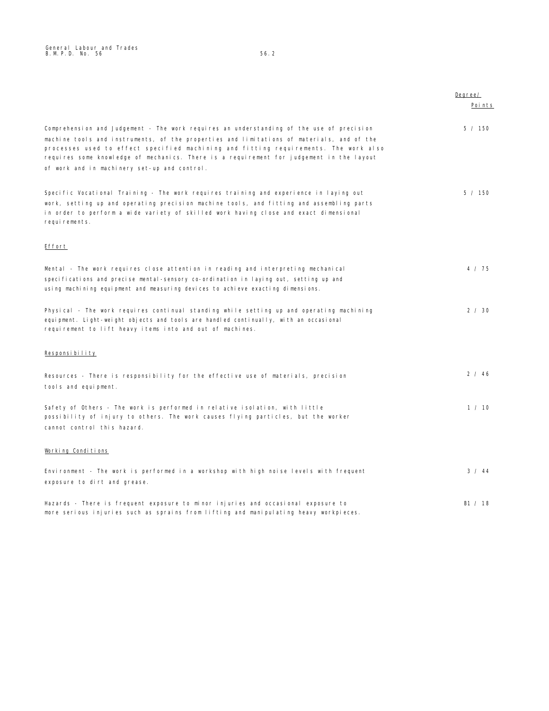|                                                                                                                                                                                                                                                                                                                                                                                                                           | Degree/<br>Points |
|---------------------------------------------------------------------------------------------------------------------------------------------------------------------------------------------------------------------------------------------------------------------------------------------------------------------------------------------------------------------------------------------------------------------------|-------------------|
| Comprehension and Judgement - The work requires an understanding of the use of precision<br>machine tools and instruments, of the properties and limitations of materials, and of the<br>processes used to effect specified machining and fitting requirements. The work also<br>requires some knowledge of mechanics. There is a requirement for judgement in the layout<br>of work and in machinery set-up and control. | 5 / 150           |
| Specific Vocational Training - The work requires training and experience in laying out<br>work, setting up and operating precision machine tools, and fitting and assembling parts<br>in order to perform a wide variety of skilled work having close and exact dimensional<br>requirements.                                                                                                                              | 5 / 150           |
| Effort                                                                                                                                                                                                                                                                                                                                                                                                                    |                   |
| Mental - The work requires close attention in reading and interpreting mechanical<br>specifications and precise mental-sensory co-ordination in laying out, setting up and<br>using machining equipment and measuring devices to achieve exacting dimensions.                                                                                                                                                             | 4 / 75            |
| Physical - The work requires continual standing while setting up and operating machining<br>equipment. Light-weight objects and tools are handled continually, with an occasional<br>requirement to lift heavy items into and out of machines.                                                                                                                                                                            | 2 / 30            |
| Responsibility                                                                                                                                                                                                                                                                                                                                                                                                            |                   |
| Resources - There is responsibility for the effective use of materials, precision<br>tools and equipment.                                                                                                                                                                                                                                                                                                                 | 2/46              |
| Safety of Others - The work is performed in relative isolation, with little<br>possibility of injury to others. The work causes flying particles, but the worker<br>cannot control this hazard.                                                                                                                                                                                                                           | 1 / 10            |
| Working Conditions                                                                                                                                                                                                                                                                                                                                                                                                        |                   |
| Environment - The work is performed in a workshop with high noise levels with frequent<br>exposure to dirt and grease.                                                                                                                                                                                                                                                                                                    | 3 / 44            |
| Hazards - There is frequent exposure to minor injuries and occasional exposure to<br>more serious injuries such as sprains from lifting and manipulating heavy workpieces.                                                                                                                                                                                                                                                | B1 / 18           |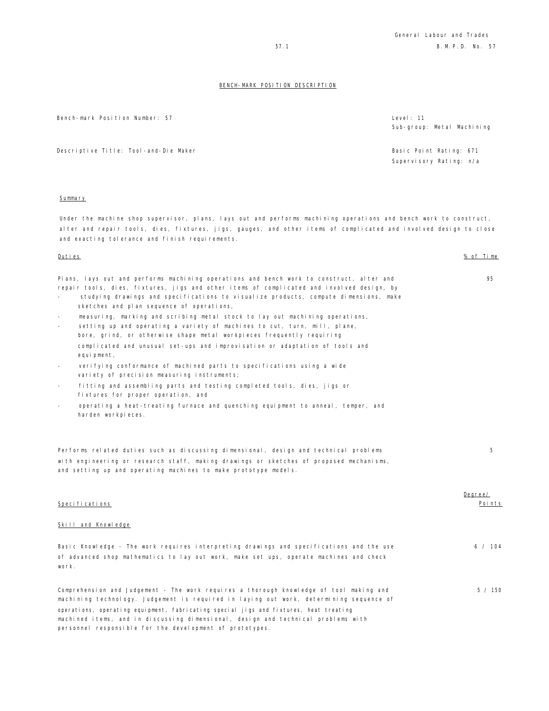Bench-mark Position Number: 57 Level: 11

Descriptive Title: Tool-and-Die Maker Basic Point Rating: 671

#### Summary

Under the machine shop supervisor, plans, lays out and performs machining operations and bench work to construct, alter and repair tools, dies, fixtures, jigs, gauges, and other items of complicated and involved design to close and exacting tolerance and finish requirements.

Plans, lays out and performs machining operations and bench work to construct, alter and repair tools, dies, fixtures, jigs and other items of complicated and involved design, by

- studying drawings and specifications to visualize products, compute dimensions, make sketches and plan sequence of operations,
- measuring, marking and scribing metal stock to lay out machining operations,
- setting up and operating a variety of machines to cut, turn, mill, plane, bore, grind, or otherwise shape metal workpieces frequently requiring complicated and unusual set-ups and improvisation or adaptation of tools and equipment,
- verifying conformance of machined parts to specifications using a wide variety of precision measuring instruments;
- fitting and assembling parts and testing completed tools, dies, jigs or fixtures for proper operation, and
- operating a heat-treating furnace and quenching equipment to anneal, temper, and harden workpieces.

Performs related duties such as discussing dimensional, design and technical problems with engineering or research staff, making drawings or sketches of proposed mechanisms, and setting up and operating machines to make prototype models.

|                                                                                                 | Degree/ |
|-------------------------------------------------------------------------------------------------|---------|
| Specifications                                                                                  | Points  |
| Skill and Knowledge                                                                             |         |
| Basic Knowledge - The work requires interpreting drawings and specifications and the use        | 6 / 104 |
| of advanced shop mathematics to lay out work, make set ups, operate machines and check<br>work. |         |
| Comprehension and Judgement - The work requires a thorough knowledge of tool making and         | 5 / 150 |
| machining technology. Judgement is reguired in laying out work, determining sequence of         |         |
| operations, operating equipment, fabricating special jigs and fixtures, heat treating           |         |
| machined items, and in discussing dimensional, design and technical problems with               |         |
| personnel responsible for the development of prototypes.                                        |         |

Sub-group: Metal Machining

Supervisory Rating: n/a

Duties % of Time

95

5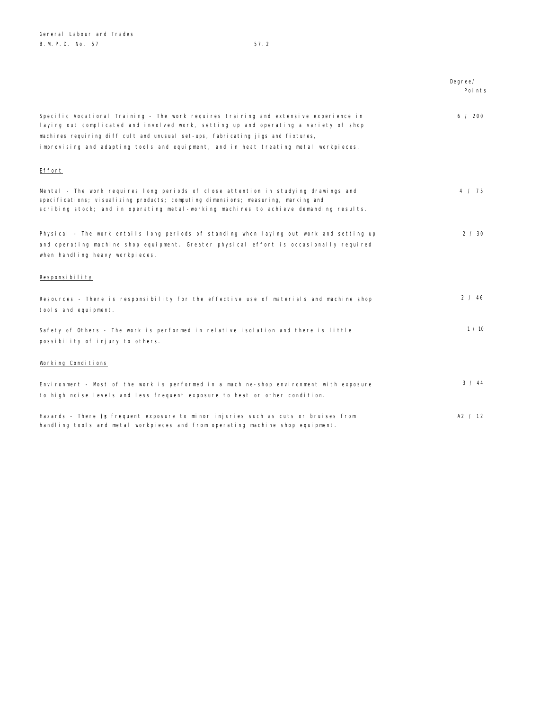|                                                                                                                                                                                                                                                                                                                                                           | Degree/<br>Points |
|-----------------------------------------------------------------------------------------------------------------------------------------------------------------------------------------------------------------------------------------------------------------------------------------------------------------------------------------------------------|-------------------|
| Specific Vocational Training - The work requires training and extensive experience in<br>laying out complicated and involved work, setting up and operating a variety of shop<br>machines requiring difficult and unusual set-ups, fabricating jigs and fixtures,<br>improvising and adapting tools and equipment, and in heat treating metal workpieces. | 6 / 200           |
| Effort                                                                                                                                                                                                                                                                                                                                                    |                   |
| Mental - The work requires long periods of close attention in studying drawings and<br>specifications; visualizing products; computing dimensions; measuring, marking and<br>scribing stock; and in operating metal-working machines to achieve demanding results.                                                                                        | 4 / 75            |
| Physical - The work entails long periods of standing when laying out work and setting up<br>and operating machine shop equipment. Greater physical effort is occasionally required<br>when handling heavy workpieces.                                                                                                                                     | 2 / 30            |
| Responsibility                                                                                                                                                                                                                                                                                                                                            |                   |
| Resources - There is responsibility for the effective use of materials and machine shop<br>tools and equipment.                                                                                                                                                                                                                                           | 2 / 46            |
| Safety of Others - The work is performed in relative isolation and there is little<br>possibility of injury to others.                                                                                                                                                                                                                                    | 1/10              |
| Working Conditions                                                                                                                                                                                                                                                                                                                                        |                   |
| Environment - Most of the work is performed in a machine-shop environment with exposure<br>to high noise levels and less frequent exposure to heat or other condition.                                                                                                                                                                                    | 3 / 44            |
| Hazards - There is frequent exposure to minor injuries such as cuts or bruises from                                                                                                                                                                                                                                                                       | A2 / 12           |

handling tools and metal workpieces and from operating machine shop equipment.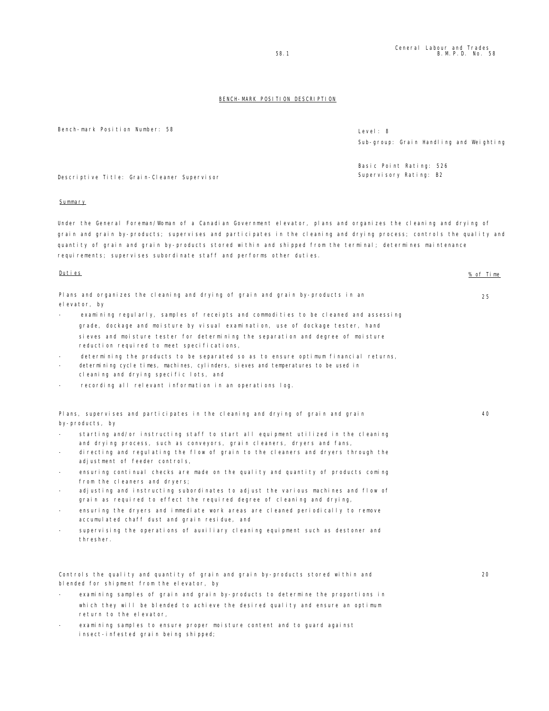Bench-mark Position Number: 58 Level: 8

Sub-group: Grain Handling and Weighting

Basic Point Rating: 526 Supervisory Rating: B2

Descriptive Title: Grain-Cleaner Supervisor

# **Summary**

Under the General Foreman/Woman of a Canadian Government elevator, plans and organizes the cleaning and drying of grain and grain by-products; supervises and participates in the cleaning and drying process; controls the quality and quantity of grain and grain by-products stored within and shipped from the terminal; determines maintenance requirements; supervises subordinate staff and performs other duties.

# Duties % of Time Plans and organizes the cleaning and drying of grain and grain by-products in an elevator, by examining regularly, samples of receipts and commodities to be cleaned and assessing grade, dockage and moisture by visual examination, use of dockage tester, hand sieves and moisture tester for determining the separation and degree of moisture reduction required to meet specifications, determining the products to be separated so as to ensure optimum financial returns, determining cycle times, machines, cylinders, sieves and temperatures to be used in cleaning and drying specific lots, and recording all relevant information in an operations log. 25 Plans, supervises and participates in the cleaning and drying of grain and grain by-products, by starting and/or instructing staff to start all equipment utilized in the cleaning and drying process, such as conveyors, grain cleaners, dryers and fans, - directing and regulating the flow of grain to the cleaners and dryers through the adjustment of feeder controls, ensuring continual checks are made on the quality and quantity of products coming from the cleaners and dryers; adjusting and instructing subordinates to adjust the various machines and flow of grain as required to effect the required degree of cleaning and drying, ensuring the dryers and immediate work areas are cleaned periodically to remove accumulated chaff dust and grain residue, and supervising the operations of auxiliary cleaning equipment such as destoner and thresher. 40 Controls the quality and quantity of grain and grain by-products stored within and blended for shipment from the elevator, by 20

- examining samples of grain and grain by-products to determine the proportions in which they will be blended to achieve the desired quality and ensure an optimum return to the elevator,
- examining samples to ensure proper moisture content and to guard against insect-infested grain being shipped;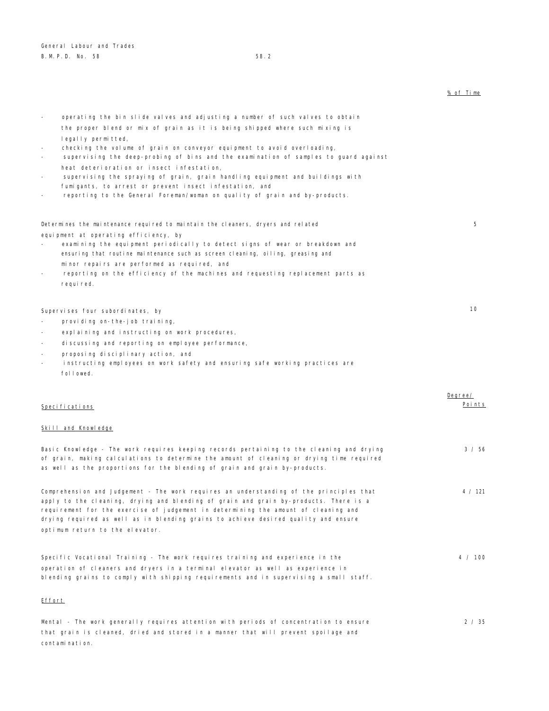|                                                                                                                                                                                                                                                                                                                                                                                                   | % of Time |
|---------------------------------------------------------------------------------------------------------------------------------------------------------------------------------------------------------------------------------------------------------------------------------------------------------------------------------------------------------------------------------------------------|-----------|
| operating the bin slide valves and adjusting a number of such valves to obtain                                                                                                                                                                                                                                                                                                                    |           |
| the proper blend or mix of grain as it is being shipped where such mixing is                                                                                                                                                                                                                                                                                                                      |           |
| legally permitted,<br>checking the volume of grain on conveyor equipment to avoid overloading,<br>supervising the deep-probing of bins and the examination of samples to guard against<br>heat deterioration or insect infestation,                                                                                                                                                               |           |
| supervising the spraying of grain, grain handling equipment and buildings with<br>fumigants, to arrest or prevent insect infestation, and<br>reporting to the General Foreman/woman on quality of grain and by-products.                                                                                                                                                                          |           |
| Determines the maintenance required to maintain the cleaners, dryers and related                                                                                                                                                                                                                                                                                                                  | 5.        |
| equipment at operating efficiency, by<br>examining the equipment periodically to detect signs of wear or breakdown and<br>ensuring that routine maintenance such as screen cleaning, oiling, greasing and                                                                                                                                                                                         |           |
| minor repairs are performed as required, and<br>reporting on the efficiency of the machines and requesting replacement parts as<br>required.                                                                                                                                                                                                                                                      |           |
| Supervises four subordinates, by                                                                                                                                                                                                                                                                                                                                                                  | 10        |
| providing on-the-job training,                                                                                                                                                                                                                                                                                                                                                                    |           |
| explaining and instructing on work procedures,                                                                                                                                                                                                                                                                                                                                                    |           |
| discussing and reporting on employee performance,                                                                                                                                                                                                                                                                                                                                                 |           |
| proposing disciplinary action, and<br>instructing employees on work safety and ensuring safe working practices are<br>followed.                                                                                                                                                                                                                                                                   |           |
|                                                                                                                                                                                                                                                                                                                                                                                                   | Degree/   |
| Specifications                                                                                                                                                                                                                                                                                                                                                                                    | Points    |
| Skill and Knowledge                                                                                                                                                                                                                                                                                                                                                                               |           |
| Basic Knowledge - The work requires keeping records pertaining to the cleaning and drying<br>of grain, making calculations to determine the amount of cleaning or drying time required<br>as well as the proportions for the blending of grain and grain by-products.                                                                                                                             | 3 / 56    |
| Comprehension and Judgement - The work requires an understanding of the principles that<br>apply to the cleaning, drying and blending of grain and grain by-products. There is a<br>requirement for the exercise of judgement in determining the amount of cleaning and<br>drying required as well as in blending grains to achieve desired quality and ensure<br>optimum return to the elevator. | 4 / 121   |
| Specific Vocational Training - The work requires training and experience in the<br>operation of cleaners and dryers in a terminal elevator as well as experience in<br>blending grains to comply with shipping requirements and in supervising a small staff.                                                                                                                                     | 4 / 100   |
| <u>Effort</u>                                                                                                                                                                                                                                                                                                                                                                                     |           |
| Mental - The work generally requires attention with periods of concentration to ensure                                                                                                                                                                                                                                                                                                            | 2 / 35    |

Mental - The work generally requires attention with periods of concentration to ensure that grain is cleaned, dried and stored in a manner that will prevent spoilage and contamination.  $35<sub>2</sub>$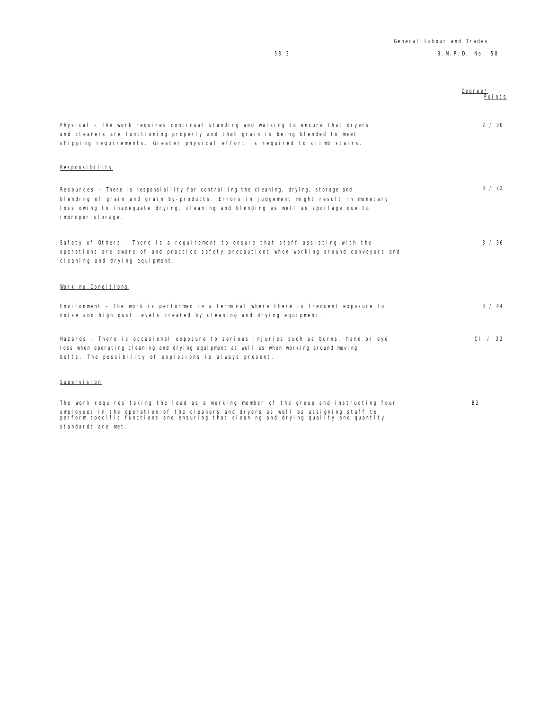|                                                                                                                                                                                                                                                                                          | Degree/<br>Poi nts |
|------------------------------------------------------------------------------------------------------------------------------------------------------------------------------------------------------------------------------------------------------------------------------------------|--------------------|
| Physical - The work requires continual standing and walking to ensure that dryers<br>and cleaners are functioning properly and that grain is being blended to meet<br>shipping requirements. Greater physical effort is required to climb stairs.                                        | 2 / 30             |
| Responsibility                                                                                                                                                                                                                                                                           |                    |
| Resources - There is responsibility for controlling the cleaning, drying, storage and<br>blending of grain and grain by-products. Errors in judgement might result in monetary<br>loss owing to inadequate drying, cleaning and blending as well as spoilage due to<br>improper storage. | 3 / 72             |
| Safety of Others - There is a requirement to ensure that staff assisting with the<br>operations are aware of and practice safety precautions when working around conveyors and<br>cleaning and drying equipment.                                                                         | 3 / 36             |
| Working Conditions                                                                                                                                                                                                                                                                       |                    |
| Environment - The work is performed in a terminal where there is frequent exposure to<br>noise and high dust levels created by cleaning and drying equipment.                                                                                                                            | 3 / 44             |
| Hazards - There is occasional exposure to serious injuries such as burns, hand or eye<br>loss when operating cleaning and drying equipment as well as when working around moving<br>belts. The possibility of explosions is always present.                                              | CI / 32            |
| Supervision                                                                                                                                                                                                                                                                              |                    |

The work requires taking the lead as a working member of the group and instructing four employees in the operation of the cleaners and dryers as well as assigning staff to perform specific functions and ensuring that cleaning and drying quality and quantity standards are met. B2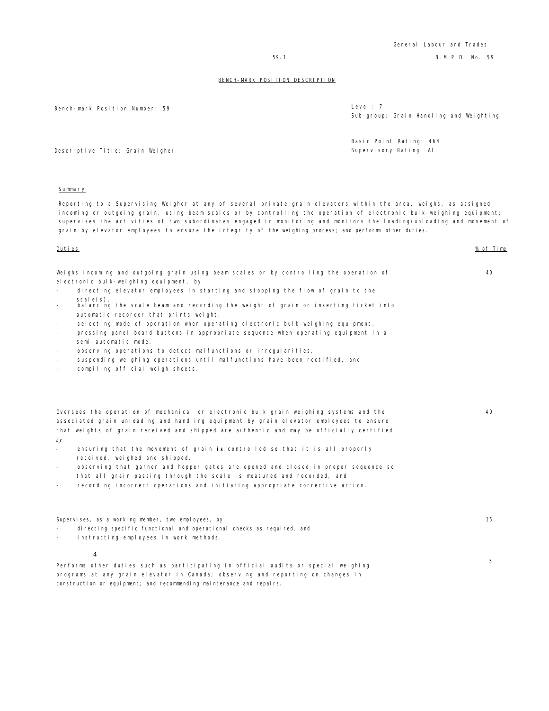Bench-mark Position Number: 59 Level: 79 Level: 79 Level: 79 Level: 79 Level: 79 Level: 79 Level: 79 S

| Level: 7                                |  |  |  |
|-----------------------------------------|--|--|--|
| Sub-group: Grain Handling and Weighting |  |  |  |

Basic Point Rating: 464 Supervisory Rating: Al

Descriptive Title: Grain Weigher

### Summary

Reporting to a Supervising Weigher at any of several private grain elevators within the area, weighs, as assigned, incoming or outgoing grain, using beam scales or by controlling the operation of electronic bulk-weighing equipment; supervises the activities of two subordinates engaged in monitoring and monitors the loading/unloading and movement of grain by elevator employees to ensure the integrity of the weighing process; and performs other duties.

Duties % of Time

40

40

|  |                                        |  |  |  | Weighs incoming and outgoing grain using beam scales or by controlling the operation of |  |  |
|--|----------------------------------------|--|--|--|-----------------------------------------------------------------------------------------|--|--|
|  | electronic bulk-weighing equipment, by |  |  |  |                                                                                         |  |  |

- directing elevator employees in starting and stopping the flow of grain to the  $scale(s)$
- balancing the scale beam and recording the weight of grain or inserting ticket into automatic recorder that prints weight,
- selecting mode of operation when operating electronic bulk-weighing equipment,
- pressing panel-board buttons in appropriate sequence when operating equipment in a semi-automatic mode,
- observing operations to detect malfunctions or irregularities,
- suspending weighing operations until malfunctions have been rectified, and
- compiling official weigh sheets.

| Oversees the operation of mechanical or electronic bulk grain weighing systems and the    |
|-------------------------------------------------------------------------------------------|
| associated grain unloading and handling equipment by grain elevator employees to ensure   |
| that weights of grain received and shipped are authentic and may be officially certified, |
| $\sim$                                                                                    |

- by
- ensuring that the movement of grain is controlled so that it is all properly received, weighed and shipped,
- observing that garner and hopper gates are opened and closed in proper sequence so that all grain passing through the scale is measured and recorded, and
- recording incorrect operations and initiating appropriate corrective action.

construction or equipment; and recommending maintenance and repairs.

| Supervises, as a working member, two employees, by                                                 | 15 |
|----------------------------------------------------------------------------------------------------|----|
| di recting specific functional and operational checks as required, and<br>$\overline{\phantom{a}}$ |    |
| instructing employees in work methods.<br>$\sim$                                                   |    |
|                                                                                                    |    |
|                                                                                                    |    |
| Performs other duties such as participating in official audits or special weighing                 | 5. |
| programs at any grain elevator in Canada; observing and reporting on changes in                    |    |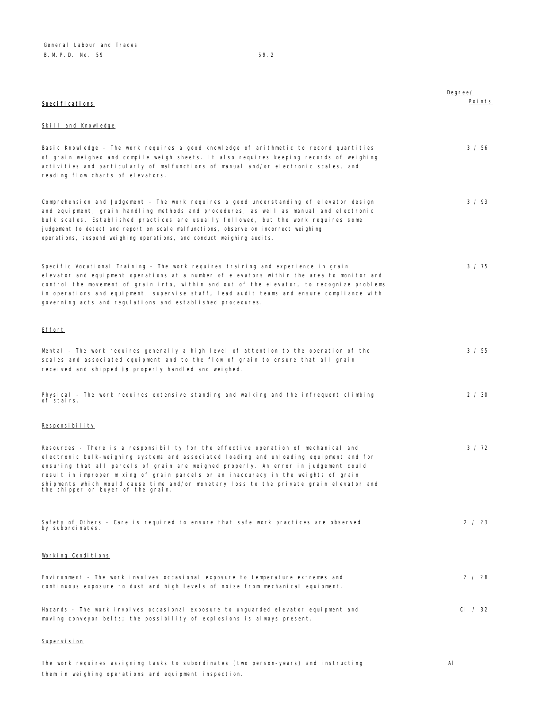| <b>Specifications</b>                                                                                                                                                                                                                                                                                                                                                                                                                                                                          | Degree/<br>Points |
|------------------------------------------------------------------------------------------------------------------------------------------------------------------------------------------------------------------------------------------------------------------------------------------------------------------------------------------------------------------------------------------------------------------------------------------------------------------------------------------------|-------------------|
| Skill and Knowledge                                                                                                                                                                                                                                                                                                                                                                                                                                                                            |                   |
| Basic Knowledge - The work requires a good knowledge of arithmetic to record quantities<br>of grain weighed and compile weigh sheets. It also requires keeping records of weighing<br>activities and particularly of malfunctions of manual and/or electronic scales, and<br>reading flow charts of elevators.                                                                                                                                                                                 | 3 / 56            |
| Comprehension and Judgement - The work requires a good understanding of elevator design<br>and equipment, grain handling methods and procedures, as well as manual and electronic<br>bulk scales. Established practices are usually followed, but the work requires some<br>judgement to detect and report on scale malfunctions, observe on incorrect weighing<br>operations, suspend weighing operations, and conduct weighing audits.                                                       | 3 / 93            |
| Specific Vocational Training - The work requires training and experience in grain<br>elevator and equipment operations at a number of elevators within the area to monitor and<br>control the movement of grain into, within and out of the elevator, to recognize problems<br>in operations and equipment, supervise staff, lead audit teams and ensure compliance with<br>governing acts and regulations and established procedures.                                                         | 3 / 75            |
| Effort                                                                                                                                                                                                                                                                                                                                                                                                                                                                                         |                   |
| Mental - The work requires generally a high level of attention to the operation of the<br>scales and associated equipment and to the flow of grain to ensure that all grain<br>received and shipped is properly handled and weighed.                                                                                                                                                                                                                                                           | 3 / 55            |
| Physical - The work requires extensive standing and walking and the infrequent climbing<br>of stairs.                                                                                                                                                                                                                                                                                                                                                                                          | 2 / 30            |
| Responsibility                                                                                                                                                                                                                                                                                                                                                                                                                                                                                 |                   |
| Resources - There is a responsibility for the effective operation of mechanical and<br>electronic bulk-weighing systems and associated loading and unloading equipment and for<br>ensuring that all parcels of grain are weighed properly. An error in judgement could<br>result in improper mixing of grain parcels or an inaccuracy in the weights of grain<br>shipments which would cause time and/or monetary loss to the private grain elevator and<br>the shipper or buyer of the grain. | 3 / 72            |
| Safety of Others - Care is required to ensure that safe work practices are observed<br>by subordinates.                                                                                                                                                                                                                                                                                                                                                                                        | 2 / 23            |
| Working Conditions                                                                                                                                                                                                                                                                                                                                                                                                                                                                             |                   |
| Environment - The work involves occasional exposure to temperature extremes and<br>continuous exposure to dust and high levels of noise from mechanical equipment.                                                                                                                                                                                                                                                                                                                             | 2 / 28            |
| Hazards - The work involves occasional exposure to unguarded elevator equipment and<br>moving conveyor belts; the possibility of explosions is always present.                                                                                                                                                                                                                                                                                                                                 | CI / 32           |
| Supervision                                                                                                                                                                                                                                                                                                                                                                                                                                                                                    |                   |

The work requires assigning tasks to subordinates (two person-years) and instructing them in weighing operations and equipment inspection. Al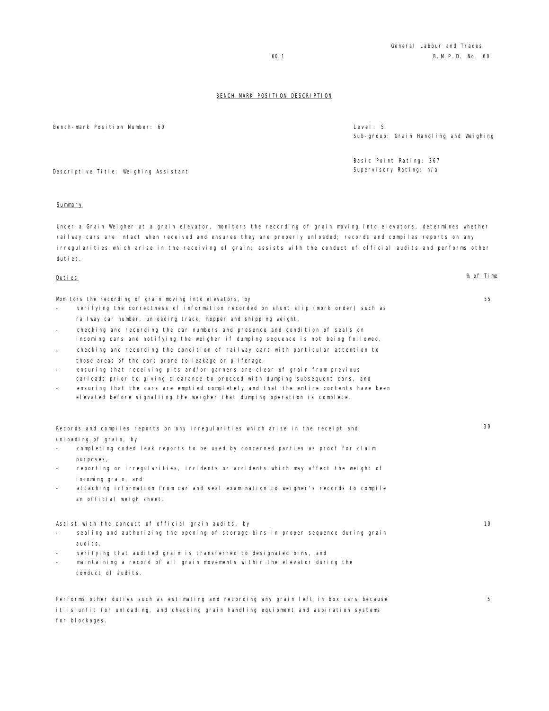Bench-mark Position Number: 60 Level: 5

Sub-group: Grain Handling and Weighing

55

Basic Point Rating: 367 Supervisory Rating: n/a

Descriptive Title: Weighing Assistant

#### Summary

Under a Grain Weigher at a grain elevator, monitors the recording of grain moving into elevators, determines whether railway cars are intact when received and ensures they are properly unloaded; records and compiles reports on any irregularities which arise in the receiving of grain; assists with the conduct of official audits and performs other duties.

### Duties % of Time

for blockages.

Monitors the recording of grain moving into elevators, by

- verifying the correctness of information recorded on shunt slip (work order) such as railway car number, unloading track, hopper and shipping weight,
- checking and recording the car numbers and presence and condition of seals on incoming cars and notifying the weigher if dumping sequence is not being followed,
- checking and recording the condition of railway cars with particular attention to those areas of the cars prone to leakage or pilferage,
- ensuring that receiving pits and/or garners are clear of grain from previous carloads prior to giving clearance to proceed with dumping subsequent cars, and

it is unfit for unloading, and checking grain handling equipment and aspiration systems

ensuring that the cars are emptied completely and that the entire contents have been elevated before signalling the weigher that dumping operation is complete.

| Records and compiles reports on any irregularities which arise in the receipt and                                    | 30 |
|----------------------------------------------------------------------------------------------------------------------|----|
| unloading of grain, by<br>completing coded leak reports to be used by concerned parties as proof for claim           |    |
| purposes,<br>reporting on irregularities, incidents or accidents which may affect the weight of                      |    |
| incoming grain, and<br>attaching information from car and seal examination to weigher's records to compile<br>$\sim$ |    |
| an official weigh sheet.                                                                                             |    |
| Assist with the conduct of official grain audits, by                                                                 | 10 |
| sealing and authorizing the opening of storage bins in proper sequence during grain                                  |    |
| audits.                                                                                                              |    |
| verifying that audited grain is transferred to designated bins, and                                                  |    |
| maintaining a record of all grain movements within the elevator during the<br>conduct of audits.                     |    |
| Performs other duties such as estimating and recording any grain left in box cars because                            | 5  |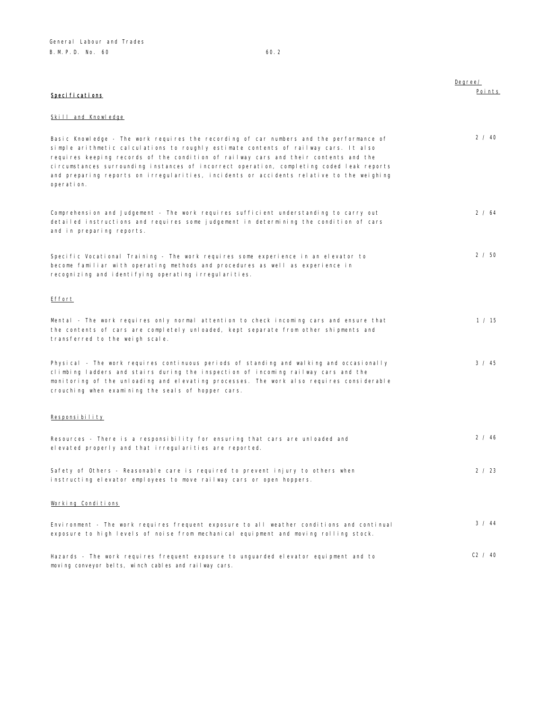|                                                                                                                                                                                                                                                                                                                                                                                                                                                                                | Degree/ |
|--------------------------------------------------------------------------------------------------------------------------------------------------------------------------------------------------------------------------------------------------------------------------------------------------------------------------------------------------------------------------------------------------------------------------------------------------------------------------------|---------|
| Specifications                                                                                                                                                                                                                                                                                                                                                                                                                                                                 | Points  |
|                                                                                                                                                                                                                                                                                                                                                                                                                                                                                |         |
| Skill and Knowledge                                                                                                                                                                                                                                                                                                                                                                                                                                                            |         |
| Basic Knowledge - The work requires the recording of car numbers and the performance of<br>simple arithmetic calculations to roughly estimate contents of railway cars. It also<br>requires keeping records of the condition of railway cars and their contents and the<br>circumstances surrounding instances of incorrect operation, completing coded leak reports<br>and preparing reports on irregularities, incidents or accidents relative to the weighing<br>operation. | 2 / 40  |
| Comprehension and Judgement - The work requires sufficient understanding to carry out<br>detailed instructions and requires some judgement in determining the condition of cars<br>and in preparing reports.                                                                                                                                                                                                                                                                   | 2 / 64  |
| Specific Vocational Training - The work requires some experience in an elevator to<br>become familiar with operating methods and procedures as well as experience in<br>recognizing and identifying operating irregularities.                                                                                                                                                                                                                                                  | 2 / 50  |
| <b>Effort</b>                                                                                                                                                                                                                                                                                                                                                                                                                                                                  |         |
| Mental - The work requires only normal attention to check incoming cars and ensure that<br>the contents of cars are completely unloaded, kept separate from other shipments and<br>transferred to the weigh scale.                                                                                                                                                                                                                                                             | 1 / 15  |
| Physical - The work requires continuous periods of standing and walking and occasionally<br>climbing ladders and stairs during the inspection of incoming railway cars and the<br>monitoring of the unloading and elevating processes. The work also requires considerable<br>crouching when examining the seals of hopper cars.                                                                                                                                               | 3 / 45  |
| Responsibility                                                                                                                                                                                                                                                                                                                                                                                                                                                                 |         |
| Resources - There is a responsibility for ensuring that cars are unloaded and<br>elevated properly and that irregularities are reported.                                                                                                                                                                                                                                                                                                                                       | 2 / 46  |
| Safety of Others - Reasonable care is required to prevent injury to others when<br>instructing elevator employees to move railway cars or open hoppers.                                                                                                                                                                                                                                                                                                                        | 2 / 23  |
| Working Conditions                                                                                                                                                                                                                                                                                                                                                                                                                                                             |         |
| Environment - The work requires frequent exposure to all weather conditions and continual<br>exposure to high levels of noise from mechanical equipment and moving rolling stock.                                                                                                                                                                                                                                                                                              | 3 / 44  |
| Hazards - The work requires frequent exposure to unguarded elevator equipment and to<br>moving conveyor belts, winch cables and railway cars.                                                                                                                                                                                                                                                                                                                                  | C2 / 40 |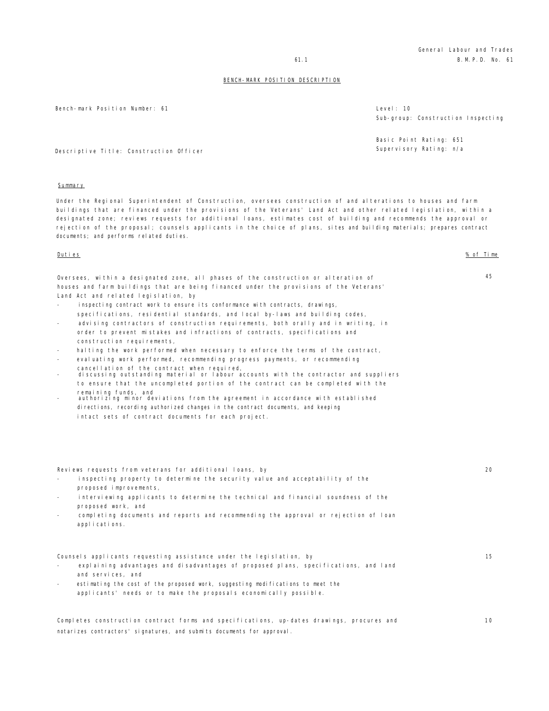General Labour and Trades 61.1 B.M.P.D. No. 61

### BENCH-MARK POSITION DESCRIPTION

Bench-mark Position Number: 61 Level: 10

Sub-group: Construction Inspecting

Basic Point Rating: 651 Supervisory Rating: n/a

Descriptive Title: Construction Officer

#### Summary

Under the Regional Superintendent of Construction, oversees construction of and alterations to houses and farm buildings that are financed under the provisions of the Veterans' Land Act and other related legislation, within a designated zone; reviews requests for additional loans, estimates cost of building and recommends the approval or rejection of the proposal; counsels applicants in the choice of plans, sites and building materials; prepares contract documents; and performs related duties.

#### Duties % of Time

45

20

10

| Oversees, within a designated zone, all phases of the construction or alteration of     |
|-----------------------------------------------------------------------------------------|
| houses and farm buildings that are being financed under the provisions of the Veterans' |
| Land Act and related legislation, by                                                    |

- inspecting contract work to ensure its conformance with contracts, drawings, specifications, residential standards, and local by-laws and building codes,
- advising contractors of construction requirements, both orally and in writing, in order to prevent mistakes and infractions of contracts, specifications and construction requirements,
- halting the work performed when necessary to enforce the terms of the contract,
- evaluating work performed, recommending progress payments, or recommending
- 
- cancellation of the contract when required, discussing outstanding material or labour accounts with the contractor and suppliers to ensure that the uncompleted portion of the contract can be completed with the remaining funds, and
- authorizing minor deviations from the agreement in accordance with established directions, recording authorized changes in the contract documents, and keeping intact sets of contract documents for each project.

Reviews requests from veterans for additional loans, by

- inspecting property to determine the security value and acceptability of the proposed improvements,
- interviewing applicants to determine the technical and financial soundness of the proposed work, and
- completing documents and reports and recommending the approval or rejection of loan applications.

Counsels applicants requesting assistance under the legislation, by explaining advantages and disadvantages of proposed plans, specifications, and land and services, and estimating the cost of the proposed work, suggesting modifications to meet the applicants' needs or to make the proposals economically possible. 15

Completes construction contract forms and specifications, up-dates drawings, procures and notarizes contractors' signatures, and submits documents for approval.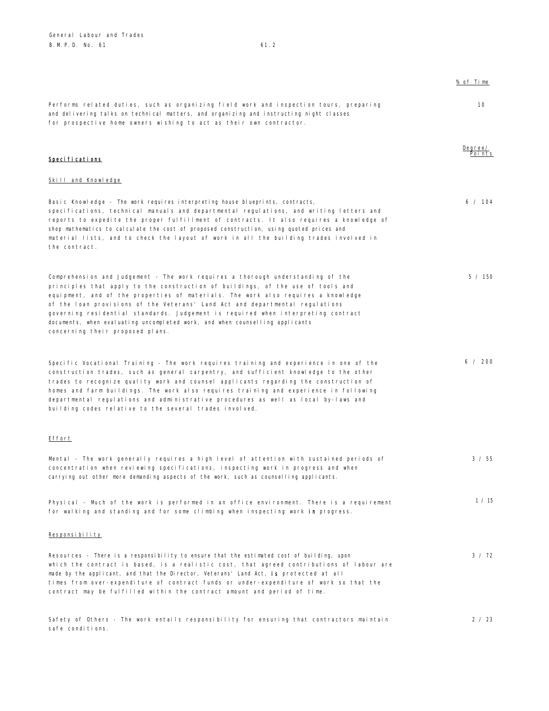safe conditions.

|                                                                                                                                                                                                                                                                                                                                                                                                                                                                                                                                                   | % of Time         |
|---------------------------------------------------------------------------------------------------------------------------------------------------------------------------------------------------------------------------------------------------------------------------------------------------------------------------------------------------------------------------------------------------------------------------------------------------------------------------------------------------------------------------------------------------|-------------------|
| Performs related duties, such as organizing field work and inspection tours, preparing<br>and delivering talks on technical matters, and organizing and instructing night classes<br>for prospective home owners wishing to act as their own contractor.                                                                                                                                                                                                                                                                                          | 10                |
| <b>Specifications</b>                                                                                                                                                                                                                                                                                                                                                                                                                                                                                                                             | Degree/<br>Points |
| <b>Skill and Knowledge</b>                                                                                                                                                                                                                                                                                                                                                                                                                                                                                                                        |                   |
| Basic Knowledge - The work requires interpreting house blueprints, contracts,<br>specifications, technical manuals and departmental regulations, and writing letters and<br>reports to expedite the proper fulfillment of contracts. It also requires a knowledge of<br>shop mathematics to calculate the cost of proposed construction, using quoted prices and<br>material lists, and to check the layout of work in all the building trades involved in<br>the contract.                                                                       | 6 / 104           |
| Comprehension and Judgement - The work requires a thorough understanding of the<br>principles that apply to the construction of buildings, of the use of tools and<br>equipment, and of the properties of materials. The work also requires a knowledge<br>of the loan provisions of the Veterans' Land Act and departmental regulations<br>governing residential standards. Judgement is required when interpreting contract<br>documents, when evaluating uncompleted work, and when counselling applicants<br>concerning their proposed plans. | 5 / 150           |
| Specific Vocational Training - The work requires training and experience in one of the<br>construction trades, such as general carpentry, and sufficient knowledge to the other<br>trades to recognize quality work and counsel applicants regarding the construction of<br>homes and farm buildings. The work also requires training and experience in following<br>departmental regulations and administrative procedures as well as local by-laws and<br>building codes relative to the several trades involved.                               | 6 / 200           |
| <b>Effort</b>                                                                                                                                                                                                                                                                                                                                                                                                                                                                                                                                     |                   |
| Mental - The work generally requires a high level of attention with sustained periods of<br>concentration when reviewing specifications, inspecting work in progress and when<br>carrying out other more demanding aspects of the work, such as counselling applicants.                                                                                                                                                                                                                                                                           | 3 / 55            |
| Physical - Much of the work is performed in an office environment. There is a requirement<br>for walking and standing and for some climbing when inspecting work in progress.                                                                                                                                                                                                                                                                                                                                                                     | 1 / 15            |
| Responsibility                                                                                                                                                                                                                                                                                                                                                                                                                                                                                                                                    |                   |
| Resources - There is a responsibility to ensure that the estimated cost of building, upon<br>which the contract is based, is a realistic cost, that agreed contributions of labour are<br>made by the applicant, and that the Director, Veterans' Land Act, <b>is</b> protected at all<br>times from over-expenditure of contract funds or under-expenditure of work so that the<br>contract may be fulfilled within the contract amount and period of time.                                                                                      | $3 \times 72$     |

Safety of Others - The work entails responsibility for ensuring that contractors maintain

2 / 23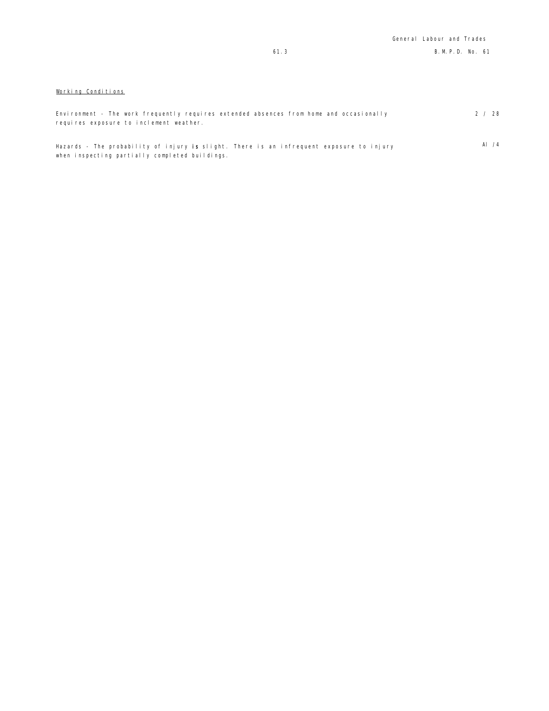# Working Conditions

when inspecting partially completed buildings.

| Environment - The work frequently requires extended absences from home and occasionally  | 2 / 28        |
|------------------------------------------------------------------------------------------|---------------|
| requires exposure to inclement weather.                                                  |               |
|                                                                                          |               |
| Hazards - The probability of injury is slight. There is an infrequent exposure to injury | Al $\sqrt{4}$ |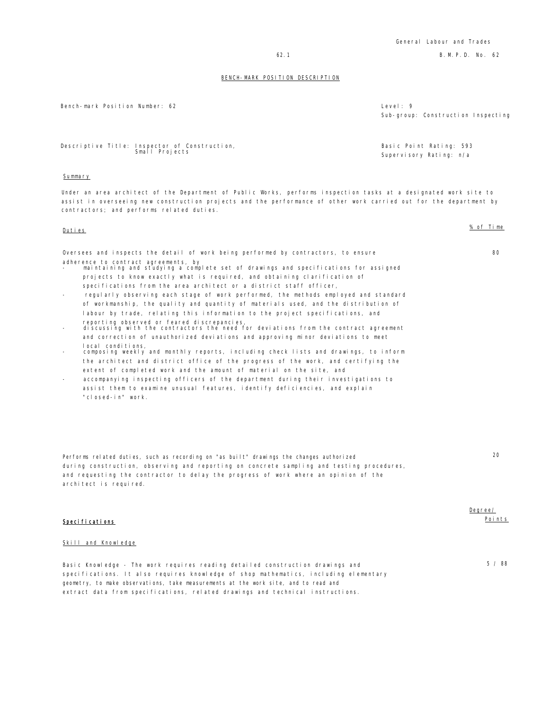General Labour and Trades

62.1 B.M.P.D. No. 62

#### BENCH-MARK POSITION DESCRIPTION

Bench-mark Position Number: 62

| Level: $9$ |                                    |  |
|------------|------------------------------------|--|
|            | Sub-group: Construction Inspecting |  |

Basic Point Rating: 593 Supervisory Rating: n/a

Descriptive Title: Inspector of Construction, Small Projects

# Summary

Under an area architect of the Department of Public Works, performs inspection tasks at a designated work site to assist in overseeing new construction projects and the performance of other work carried out for the department by contractors; and performs related duties.

| Duties                                                                                                                                                                                                                                                                                                                                                         | % of Time |
|----------------------------------------------------------------------------------------------------------------------------------------------------------------------------------------------------------------------------------------------------------------------------------------------------------------------------------------------------------------|-----------|
| Oversees and inspects the detail of work being performed by contractors, to ensure                                                                                                                                                                                                                                                                             | 80        |
| adherence to contract agreements, by<br>maintaining and studying a complete set of drawings and specifications for assigned<br>projects to know exactly what is required, and obtaining clarification of                                                                                                                                                       |           |
| specifications from the area architect or a district staff officer,<br>regularly observing each stage of work performed, the methods employed and standard<br>$\overline{\phantom{a}}$<br>of workmanship, the quality and quantity of materials used, and the distribution of<br>labour by trade, relating this information to the project specifications, and |           |
| reporting observed or feared discrepancies,<br>discussing with the contractors the need for deviations from the contract agreement<br>$\overline{\phantom{a}}$<br>and correction of unauthorized deviations and approving minor deviations to meet                                                                                                             |           |
| local conditions.<br>composing weekly and monthly reports, including check lists and drawings, to inform<br>$\overline{\phantom{a}}$<br>the architect and district office of the progress of the work, and certifying the                                                                                                                                      |           |
| extent of completed work and the amount of material on the site, and<br>accompanying inspecting officers of the department during their investigations to<br>assist them to examine unusual features, identify deficiencies, and explain<br>"closed-in" work.                                                                                                  |           |
|                                                                                                                                                                                                                                                                                                                                                                |           |
| Performs related duties such as recording on "as built" drawings the changes authorized                                                                                                                                                                                                                                                                        | 20        |

Performs related duties, such as recording on "as built" drawings the changes authorized during construction, observing and reporting on concrete sampling and testing procedures, and requesting the contractor to delay the progress of work where an opinion of the architect is required.

### Specifications

#### Skill and Knowledge

Basic Knowledge - The work requires reading detailed construction drawings and specifications. It also requires knowledge of shop mathematics, including elementary geometry, to make observations, take measurements at the work site, and to read and extract data from specifications, related drawings and technical instructions.

# Degree/ Points

5 / 88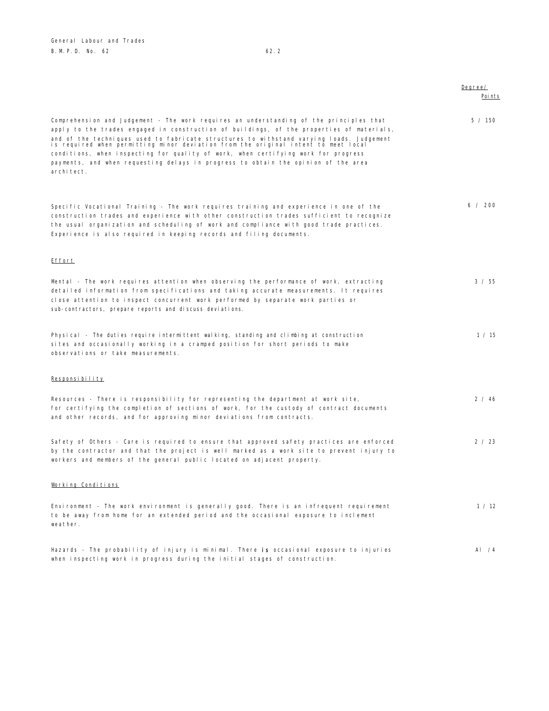|                                                                                                                                                                                                                                                                                                                                                                                                                                                                                                                                                                   | Degree/<br>Poi nts |
|-------------------------------------------------------------------------------------------------------------------------------------------------------------------------------------------------------------------------------------------------------------------------------------------------------------------------------------------------------------------------------------------------------------------------------------------------------------------------------------------------------------------------------------------------------------------|--------------------|
| Comprehension and Judgement - The work requires an understanding of the principles that<br>apply to the trades engaged in construction of buildings, of the properties of materials,<br>and of the techniques used to fabricate structures to withstand varying loads. Judgement<br>is required when permitting minor deviation from the original intent to meet local<br>conditions, when inspecting for quality of work, when certifying work for progress<br>payments, and when requesting delays in progress to obtain the opinion of the area<br>archi tect. | 5 / 150            |
| Specific Vocational Training - The work requires training and experience in one of the<br>construction trades and experience with other construction trades sufficient to recognize<br>the usual organization and scheduling of work and compliance with good trade practices.<br>Experience is also required in keeping records and filing documents.                                                                                                                                                                                                            | 6 / 200            |
| Effort                                                                                                                                                                                                                                                                                                                                                                                                                                                                                                                                                            |                    |
| Mental - The work requires attention when observing the performance of work, extracting<br>detailed information from specifications and taking accurate measurements. It requires<br>close attention to inspect concurrent work performed by separate work parties or<br>sub-contractors, prepare reports and discuss deviations.                                                                                                                                                                                                                                 | 3 / 55             |
| Physical - The duties require intermittent walking, standing and climbing at construction<br>sites and occasionally working in a cramped position for short periods to make<br>observations or take measurements.                                                                                                                                                                                                                                                                                                                                                 | 1 / 15             |
| Responsibility                                                                                                                                                                                                                                                                                                                                                                                                                                                                                                                                                    |                    |
| Resources - There is responsibility for representing the department at work site,<br>for certifying the completion of sections of work, for the custody of contract documents<br>and other records, and for approving minor deviations from contracts.                                                                                                                                                                                                                                                                                                            | 2 / 46             |
| Safety of Others - Care is required to ensure that approved safety practices are enforced<br>by the contractor and that the project is well marked as a work site to prevent injury to<br>workers and members of the general public located on adjacent property.                                                                                                                                                                                                                                                                                                 | 2 / 23             |
| Working Conditions                                                                                                                                                                                                                                                                                                                                                                                                                                                                                                                                                |                    |
| Environment - The work environment is generally good. There is an infrequent requirement<br>to be away from home for an extended period and the occasional exposure to inclement<br>weather.                                                                                                                                                                                                                                                                                                                                                                      | 1 / 12             |
| Hazards - The probability of injury is minimal. There is occasional exposure to injuries<br>when inspecting work in progress during the initial stages of construction.                                                                                                                                                                                                                                                                                                                                                                                           | AI $/4$            |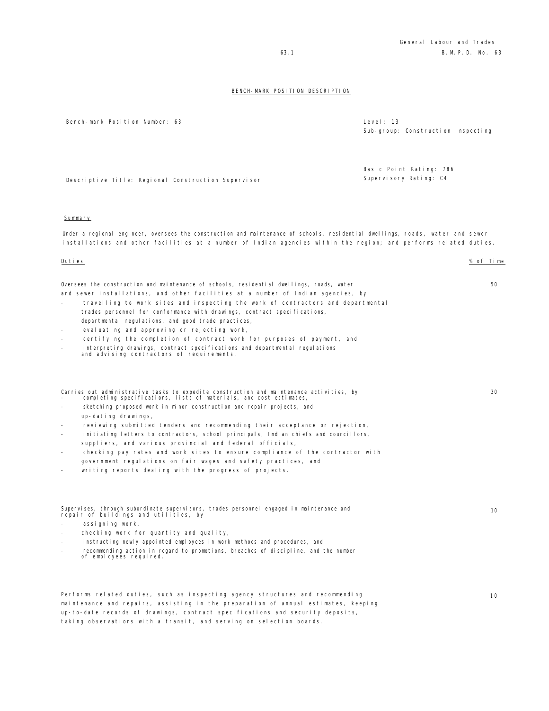Bench-mark Position Number: 63 Level: 13

Sub-group: Construction Inspecting

Basic Point Rating: 786 Supervisory Rating: C4

Descriptive Title: Regional Construction Supervisor

### Summary

Under a regional engineer, oversees the construction and maintenance of schools, residential dwellings, roads, water and sewer installations and other facilities at a number of Indian agencies within the region; and performs related duties.

Oversees the construction and maintenance of schools, residential dwellings, roads, water and sewer installations, and other facilities at a number of Indian agencies, by

- travelling to work sites and inspecting the work of contractors and departmental trades personnel for conformance with drawings, contract specifications, departmental regulations, and good trade practices,
- evaluating and approving or rejecting work,
- certifying the completion of contract work for purposes of payment, and
- 
- interpreting drawings, contract specifications and departmental regulations and advising contractors of requirements.

|                          |  |  |  |  | Carries out administrative tasks to expedite construction and maintenance activities, by |  |
|--------------------------|--|--|--|--|------------------------------------------------------------------------------------------|--|
| $\overline{\phantom{0}}$ |  |  |  |  | completing specifications, lists of materials, and cost estimates,                       |  |

- sketching proposed work in minor construction and repair projects, and up-dating drawings,
- reviewing submitted tenders and recommending their acceptance or rejection,
- initiating letters to contractors, school principals, Indian chiefs and councillors, suppliers, and various provincial and federal officials,
- checking pay rates and work sites to ensure compliance of the contractor with government regulations on fair wages and safety practices, and
- writing reports dealing with the progress of projects.

# Supervises, through subordinate supervisors, trades personnel engaged in maintenance and repair of buildings and utilities, by

- assigning work,
- checking work for quantity and quality,
- instructing newly appointed employees in work methods and procedures, and
- recommending action in regard to promotions, breaches of discipline, and the number of employees required.

Performs related duties, such as inspecting agency structures and recommending maintenance and repairs, assisting in the preparation of annual estimates, keeping up-to-date records of drawings, contract specifications and security deposits, taking observations with a transit, and serving on selection boards.

Duties % of Time

50

30

10

 $10$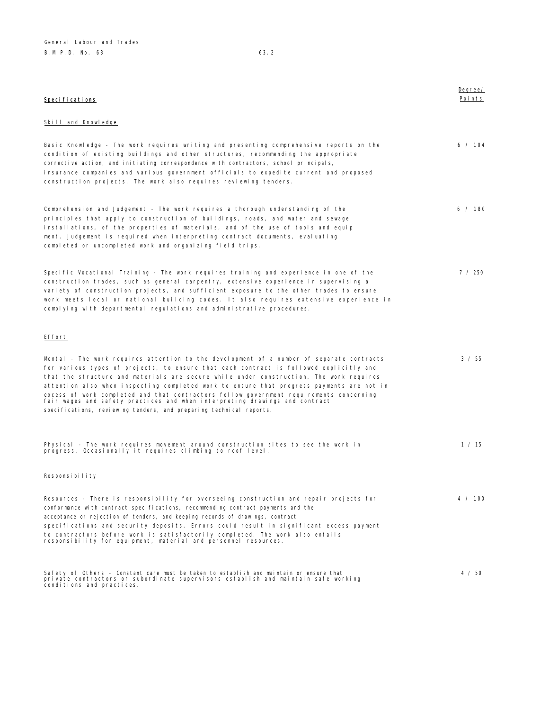| Specifications                                                                                                                                                                                                                                                                                                                                                                                                                                |
|-----------------------------------------------------------------------------------------------------------------------------------------------------------------------------------------------------------------------------------------------------------------------------------------------------------------------------------------------------------------------------------------------------------------------------------------------|
| Skill and Knowledge                                                                                                                                                                                                                                                                                                                                                                                                                           |
| Basic Knowledge - The work requires writing and presenting comprehensive reports on the<br>condition of existing buildings and other structures, recommending the appropriate<br>corrective action, and initiating correspondence with contractors, school principals,<br>insurance companies and various government officials to expedite current and proposed<br>construction projects. The work also requires reviewing tenders.           |
| Comprehension and Judgement - The work requires a thorough understanding of the<br>principles that apply to construction of buildings, roads, and water and sewage<br>installations, of the properties of materials, and of the use of tools and equip<br>ment. Judgement is required when interpreting contract documents, evaluating<br>completed or uncompleted work and organizing field trips.                                           |
| Specific Vocational Training - The work requires training and experience in one of the<br>construction trades, such as general carpentry, extensive experience in supervising a<br>variety of construction projects, and sufficient exposure to the other trades to ensure<br>work meets local or national building codes. It also requires extensive experience in<br>complying with departmental regulations and administrative procedures. |

# Effort

| Mental - The work requires attention to the development of a number of separate contracts<br>for various types of projects, to ensure that each contract is followed explicitly and<br>that the structure and materials are secure while under construction. The work requires<br>attention also when inspecting completed work to ensure that progress payments are not in<br>excess of work completed and that contractors follow government requirements concerning<br>fair wages and safety practices and when interpreting drawings and contract<br>specifications, reviewing tenders, and preparing technical reports. | 3 / 55  |
|------------------------------------------------------------------------------------------------------------------------------------------------------------------------------------------------------------------------------------------------------------------------------------------------------------------------------------------------------------------------------------------------------------------------------------------------------------------------------------------------------------------------------------------------------------------------------------------------------------------------------|---------|
| Physical - The work requires movement around construction sites to see the work in<br>progress. Occasionally it requires climbing to roof level.                                                                                                                                                                                                                                                                                                                                                                                                                                                                             | 1 / 15  |
| Responsibility                                                                                                                                                                                                                                                                                                                                                                                                                                                                                                                                                                                                               |         |
| Resources - There is responsibility for overseeing construction and repair projects for<br>conformance with contract specifications, recommending contract payments and the<br>acceptance or rejection of tenders, and keeping records of drawings, contract<br>specifications and security deposits. Errors could result in significant excess payment<br>to contractors before work is satisfactorily completed. The work also entails<br>responsibility for equipment, material and personnel resources.                                                                                                                  | 4 / 100 |
|                                                                                                                                                                                                                                                                                                                                                                                                                                                                                                                                                                                                                              |         |
| Safety of Others - Constant care must be taken to establish and maintain or ensure that                                                                                                                                                                                                                                                                                                                                                                                                                                                                                                                                      | 4 / 50  |

Safety of Others - Constant care must be taken to establish and maintain or ensure that private contractors or subordinate supervisors establish and maintain safe working conditions and practices.

Degree/ Points

6 / 104

6 / 180

7 / 250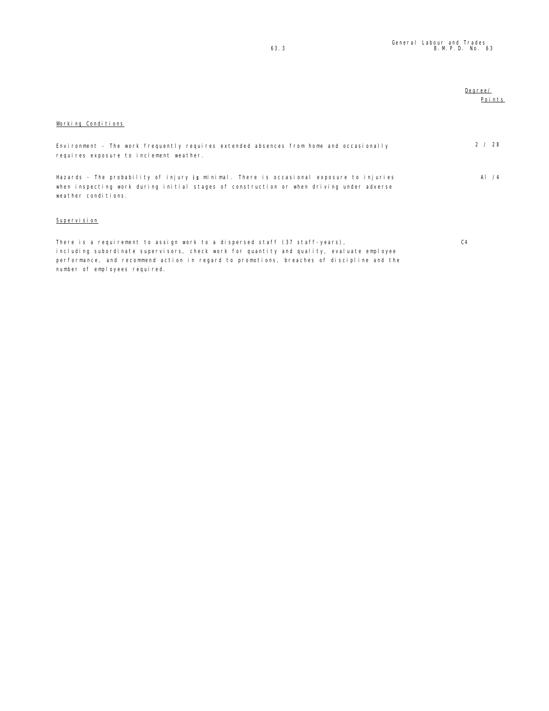|                                                                                                                                                                                                             | Degree/<br>Points |
|-------------------------------------------------------------------------------------------------------------------------------------------------------------------------------------------------------------|-------------------|
| Working Conditions                                                                                                                                                                                          |                   |
| Environment - The work frequently requires extended absences from home and occasionally<br>requires exposure to inclement weather.                                                                          | 2 / 28            |
| Hazards - The probability of injury is minimal. There is occasional exposure to injuries<br>when inspecting work during initial stages of construction or when driving under adverse<br>weather conditions. | AI $/4$           |
| Supervision                                                                                                                                                                                                 |                   |
| There is a requirement to assign work to a dispersed staff (37 staff-years).<br>including subordinate supervisors, check work for quantity and quality, evaluate employee                                   | C <sub>4</sub>    |

performance, and recommend action in regard to promotions, breaches of discipline and the

number of employees required.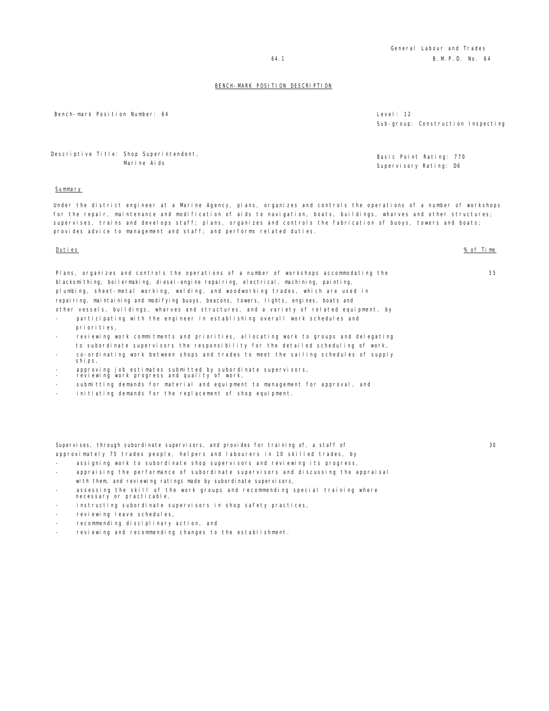General Labour and Trades 64.1 B.M.P.D. No. 64

#### BENCH-MARK POSITION DESCRIPTION

Bench-mark Position Number: 64 Level and the set of the set of the set of the set of the set of the set of the set of the set of the set of the set of the set of the set of the set of the set of the set of the set of the s

Descriptive Title: Shop Superintendent, Marine Aids

#### **Summary**

Under the district engineer at a Marine Agency, plans, organizes and controls the operations of a number of workshops for the repair, maintenance and modification of aids to navigation, boats, buildings, wharves and other structures; supervises, trains and develops staff; plans, organizes and controls the fabrication of buoys, towers and boats; provides advice to management and staff; and performs related duties.

#### Duties % of Time

Plans, organizes and controls the operations of a number of workshops accommodating the blacksmithing, boilermaking, diesel-engine repairing, electrical, machining, painting, plumbing, sheet-metal working, welding, and woodworking trades, which are used in repairing, maintaining and modifying buoys, beacons, towers, lights, engines, boats and other vessels, buildings, wharves and structures, and a variety of related equipment, by

participating with the engineer in establishing overall work schedules and priorities,

- reviewing work commitments and priorities, allocating work to groups and delegating to subordinate supervisors the responsibility for the detailed scheduling of work,
- co-ordinating work between shops and trades to meet the sailing schedules of supply ships,
- approving job estimates submitted by subordinate supervisors,
- reviewing work progress and quality of work,
- submitting demands for material and equipment to management for approval, and
- initiating demands for the replacement of shop equipment.

Supervises, through subordinate supervisors, and provides for training of, a staff of approximately 75 trades people, helpers and labourers in 10 skilled trades, by

- assigning work to subordinate shop supervisors and reviewing its progress,
- appraising the performance of subordinate supervisors and discussing the appraisal with them, and reviewing ratings made by subordinate supervisors,
- assessing the skill of the work groups and recommending special training where necessary or practicable,
- instructing subordinate supervisors in shop safety practices,
- reviewing leave schedules,
- recommending disciplinary action, and
- reviewing and recommending changes to the establishment.

Sub-group: Construction Inspecting

Basic Point Rating: 770 Supervisory Rating: D6

30

35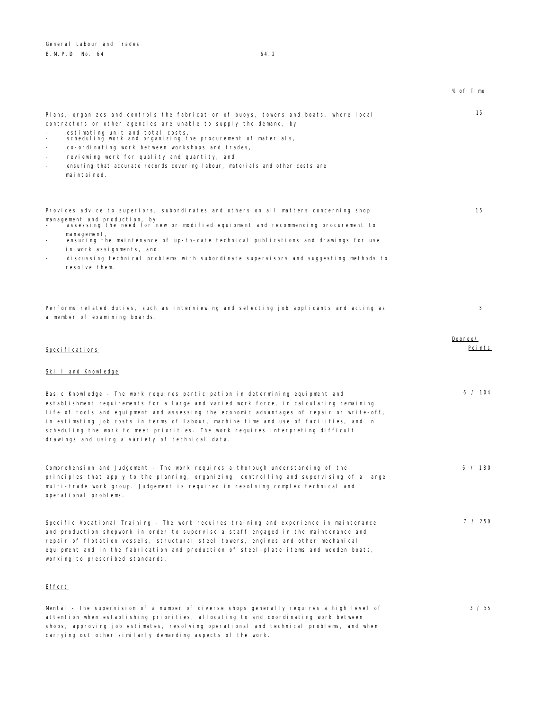|                                                                                                                                                                                                                                                                                                                                                                                                                                                                                                        | % of Time         |
|--------------------------------------------------------------------------------------------------------------------------------------------------------------------------------------------------------------------------------------------------------------------------------------------------------------------------------------------------------------------------------------------------------------------------------------------------------------------------------------------------------|-------------------|
| Plans, organizes and controls the fabrication of buoys, towers and boats, where local<br>contractors or other agencies are unable to supply the demand, by<br>estimating unit and total costs,<br>scheduling work and organizing the procurement of materials,<br>co-ordinating work between workshops and trades,<br>reviewing work for quality and quantity, and<br>ensuring that accurate records covering labour, materials and other costs are<br>maintained.                                     | 15                |
| Provides advice to superiors, subordinates and others on all matters concerning shop<br>management and production, by<br>assessing the need for new or modified equipment and recommending procurement to<br>management,<br>ensuring the maintenance of up-to-date technical publications and drawings for use<br>in work assignments, and<br>discussing technical problems with subordinate supervisors and suggesting methods to<br>resolve them.                                                    | 15                |
| Performs related duties, such as interviewing and selecting job applicants and acting as<br>a member of examining boards.                                                                                                                                                                                                                                                                                                                                                                              | 5                 |
| Specifications<br>Skill and Knowledge                                                                                                                                                                                                                                                                                                                                                                                                                                                                  | Degree/<br>Points |
| Basic Knowledge - The work requires participation in determining equipment and<br>establishment requirements for a large and varied work force, in calculating remaining<br>life of tools and equipment and assessing the economic advantages of repair or write-off,<br>in estimating job costs in terms of labour, machine time and use of facilities, and in<br>scheduling the work to meet priorities. The work requires interpreting difficult<br>drawings and using a variety of technical data. | 6 / 104           |
| Comprehension and Judgement - The work requires a thorough understanding of the<br>principles that apply to the planning, organizing, controlling and supervising of a large<br>multi-trade work group. Judgement is required in resolving complex technical and<br>operational problems.                                                                                                                                                                                                              | 6 / 180           |
| Specific Vocational Training - The work requires training and experience in maintenance<br>and production shopwork in order to supervise a staff engaged in the maintenance and<br>repair of flotation vessels, structural steel towers, engines and other mechanical<br>equipment and in the fabrication and production of steel-plate items and wooden boats,<br>working to prescribed standards.                                                                                                    | 7 / 250           |
| Effort                                                                                                                                                                                                                                                                                                                                                                                                                                                                                                 |                   |
| Mental - The supervision of a number of diverse shops generally requires a high level of<br>attention when establishing priorities, allocating to and coordinating work between<br>shops, approving job estimates, resolving operational and technical problems, and when                                                                                                                                                                                                                              | 3 / 55            |

carrying out other similarly demanding aspects of the work.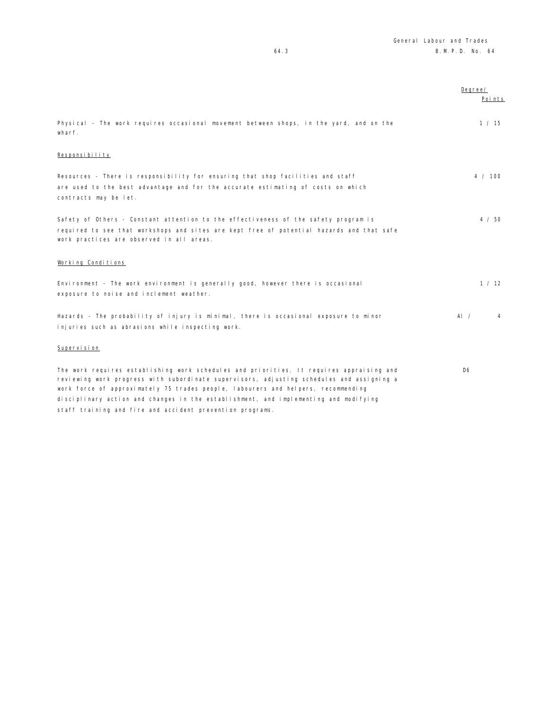|                                                                                                                                                                                                                                                                                                                                                                    | Degree/        | Points  |
|--------------------------------------------------------------------------------------------------------------------------------------------------------------------------------------------------------------------------------------------------------------------------------------------------------------------------------------------------------------------|----------------|---------|
| Physical - The work requires occasional movement between shops, in the yard, and on the<br>wharf.                                                                                                                                                                                                                                                                  |                | 1 / 15  |
| Responsibility                                                                                                                                                                                                                                                                                                                                                     |                |         |
| Resources - There is responsibility for ensuring that shop facilities and staff<br>are used to the best advantage and for the accurate estimating of costs on which<br>contracts may be let.                                                                                                                                                                       |                | 4 / 100 |
| Safety of Others - Constant attention to the effectiveness of the safety program is<br>required to see that workshops and sites are kept free of potential hazards and that safe<br>work practices are observed in all areas.                                                                                                                                      |                | 4 / 50  |
| Working Conditions                                                                                                                                                                                                                                                                                                                                                 |                |         |
| Environment - The work environment is generally good, however there is occasional<br>exposure to noise and inclement weather.                                                                                                                                                                                                                                      |                | 1 / 12  |
| Hazards - The probability of injury is minimal, there is occasional exposure to minor<br>injuries such as abrasions while inspecting work.                                                                                                                                                                                                                         | Al $\prime$    | 4       |
| Supervision                                                                                                                                                                                                                                                                                                                                                        |                |         |
| The work requires establishing work schedules and priorities. It requires appraising and<br>reviewing work progress with subordinate supervisors, adjusting schedules and assigning a<br>work force of approximately 75 trades people, labourers and helpers, recommending<br>disciplinary action and changes in the establishment, and implementing and modifying | D <sub>6</sub> |         |
|                                                                                                                                                                                                                                                                                                                                                                    |                |         |

staff training and fire and accident prevention programs.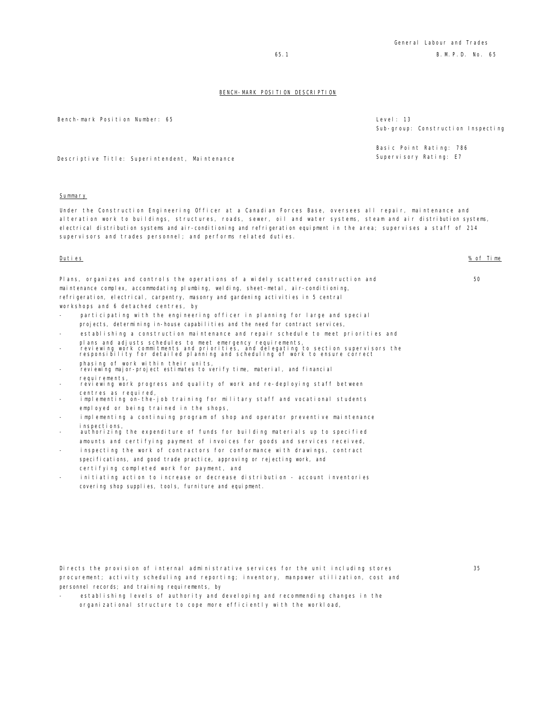Bench-mark Position Number: 65 Level: 13

Sub-group: Construction Inspecting

Basic Point Rating: 786 Supervisory Rating: E7

Descriptive Title: Superintendent, Maintenance

#### **Summary**

Under the Construction Engineering Officer at a Canadian Forces Base, oversees all repair, maintenance and alteration work to buildings, structures, roads, sewer, oil and water systems, steam and air distribution systems, electrical distribution systems and air-conditioning and refrigeration equipment in the area; supervises a staff of 214 supervisors and trades personnel; and performs related duties.

#### Duties % of Time

50

35

Plans, organizes and controls the operations of a widely scattered construction and maintenance complex, accommodating plumbing, welding, sheet-metal, air-conditioning, refrigeration, electrical, carpentry, masonry and gardening activities in 5 central workshops and 6 detached centres, by

- participating with the engineering officer in planning for large and special projects, determining in-house capabilities and the need for contract services,
- establishing a construction maintenance and repair schedule to meet priorities and
- plans and adjusts schedules to meet emergency requirements,<br>- reviewing work commitments and priorities, and delegating to section supervisors the<br>responsibility for detailed planning and scheduling of work to ensure c
- phasing of work within their units, reviewing major-project estimates to verify time, material, and financial requirements.
- reviewing work progress and quality of work and re-deploying staff between centres as required,
- implementing on-the-job training for military staff and vocational students employed or being trained in the shops,
- implementing a continuing program of shop and operator preventive maintenance inspections,
- authorizing the expenditure of funds for building materials up to specified amounts and certifying payment of invoices for goods and services received,
- inspecting the work of contractors for conformance with drawings, contract specifications, and good trade practice, approving or rejecting work, and certifying completed work for payment, and
- initiating action to increase or decrease distribution account inventories covering shop supplies, tools, furniture and equipment.

Directs the provision of internal administrative services for the unit including stores procurement; activity scheduling and reporting; inventory, manpower utilization, cost and personnel records; and training requirements, by

establishing levels of authority and developing and recommending changes in the organizational structure to cope more efficiently with the workload,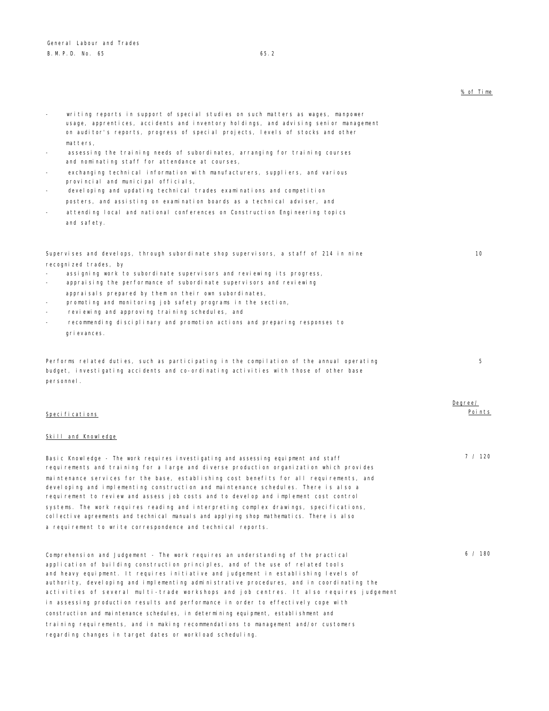- writing reports in support of special studies on such matters as wages, manpower usage, apprentices, accidents and inventory holdings, and advising senior management on auditor's reports, progress of special projects, levels of stocks and other matters,
- assessing the training needs of subordinates, arranging for training courses and nominating staff for attendance at courses,
- exchanging technical information with manufacturers, suppliers, and various provincial and municipal officials,
- developing and updating technical trades examinations and competition posters, and assisting on examination boards as a technical adviser, and
- attending local and national conferences on Construction Engineering topics and safety.

# Supervises and develops, through subordinate shop supervisors, a staff of 214 in nine recognized trades, by

- assigning work to subordinate supervisors and reviewing its progress,
- appraising the performance of subordinate supervisors and reviewing appraisals prepared by them on their own subordinates,
- promoting and monitoring job safety programs in the section,
- reviewing and approving training schedules, and
- recommending disciplinary and promotion actions and preparing responses to grievances.

Performs related duties, such as participating in the compilation of the annual operating budget, investigating accidents and co-ordinating activities with those of other base personnel.

| Specifications |  |  |
|----------------|--|--|

#### Skill and Knowledge

Basic Knowledge - The work requires investigating and assessing equipment and staff requirements and training for a large and diverse production organization which provides maintenance services for the base, establishing cost benefits for all requirements, and developing and implementing construction and maintenance schedules. There is also a requirement to review and assess job costs and to develop and implement cost control systems. The work requires reading and interpreting complex drawings, specifications, collective agreements and technical manuals and applying shop mathematics. There is also a requirement to write correspondence and technical reports.

Comprehension and Judgement - The work requires an understanding of the practical application of building construction principles, and of the use of related tools and heavy equipment. It requires initiative and judgement in establishing levels of authority, developing and implementing administrative procedures, and in coordinating the activities of several multi-trade workshops and job centres. It also requires judgement in assessing production results and performance in order to effectively cope with construction and maintenance schedules, in determining equipment, establishment and training requirements, and in making recommendations to management and/or customers regarding changes in target dates or workload scheduling.

| ℅ | of | Time |
|---|----|------|
|   |    |      |

10

Degree/ Points

5

7 / 120

 $6 / 180$